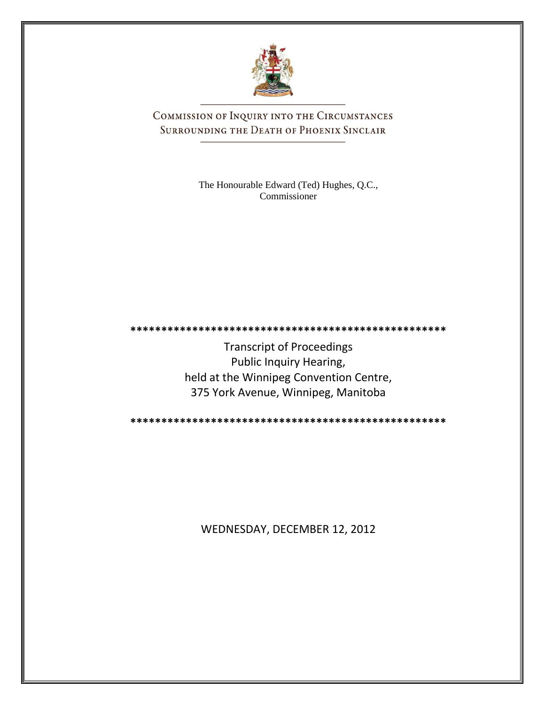

COMMISSION OF INQUIRY INTO THE CIRCUMSTANCES SURROUNDING THE DEATH OF PHOENIX SINCLAIR

> The Honourable Edward (Ted) Hughes, Q.C., Commissioner

Transcript of Proceedings Public Inquiry Hearing, held at the Winnipeg Convention Centre, 375 York Avenue, Winnipeg, Manitoba

**\*\*\*\*\*\*\*\*\*\*\*\*\*\*\*\*\*\*\*\*\*\*\*\*\*\*\*\*\*\*\*\*\*\*\*\*\*\*\*\*\*\*\*\*\*\*\*\*\*\*\***

**\*\*\*\*\*\*\*\*\*\*\*\*\*\*\*\*\*\*\*\*\*\*\*\*\*\*\*\*\*\*\*\*\*\*\*\*\*\*\*\*\*\*\*\*\*\*\*\*\*\*\***

WEDNESDAY, DECEMBER 12, 2012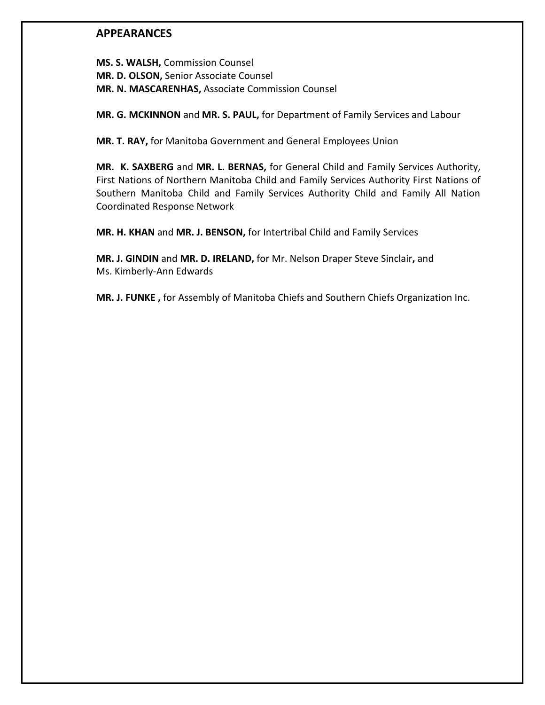### **APPEARANCES**

**MS. S. WALSH,** Commission Counsel **MR. D. OLSON,** Senior Associate Counsel **MR. N. MASCARENHAS,** Associate Commission Counsel

**MR. G. MCKINNON** and **MR. S. PAUL,** for Department of Family Services and Labour

**MR. T. RAY,** for Manitoba Government and General Employees Union

**MR. K. SAXBERG** and **MR. L. BERNAS,** for General Child and Family Services Authority, First Nations of Northern Manitoba Child and Family Services Authority First Nations of Southern Manitoba Child and Family Services Authority Child and Family All Nation Coordinated Response Network

**MR. H. KHAN** and **MR. J. BENSON,** for Intertribal Child and Family Services

**MR. J. GINDIN** and **MR. D. IRELAND,** for Mr. Nelson Draper Steve Sinclair**,** and Ms. Kimberly-Ann Edwards

**MR. J. FUNKE ,** for Assembly of Manitoba Chiefs and Southern Chiefs Organization Inc.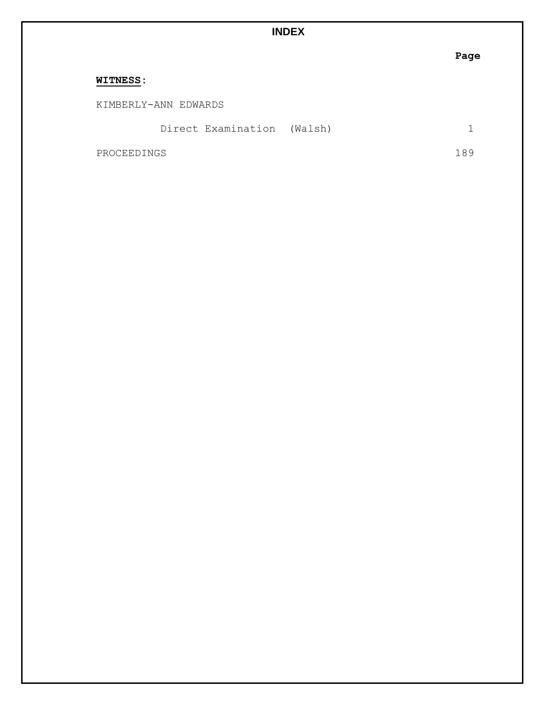# **INDEX**

|                            | - ay |
|----------------------------|------|
| <b>WITNESS:</b>            |      |
| KIMBERLY-ANN EDWARDS       |      |
| Direct Examination (Walsh) |      |
| PROCEEDINGS                | 89   |

## **Page**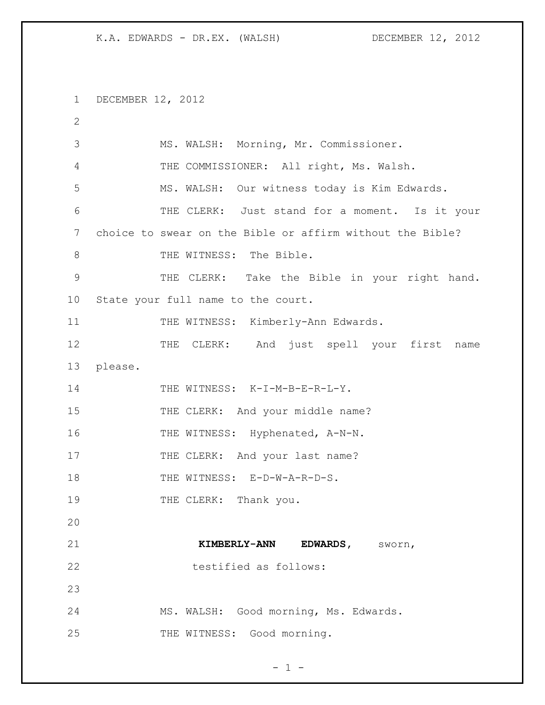1 DECEMBER 12, 2012 2 3 MS. WALSH: Morning, Mr. Commissioner. 4 THE COMMISSIONER: All right, Ms. Walsh. 5 MS. WALSH: Our witness today is Kim Edwards. 6 THE CLERK: Just stand for a moment. Is it your 7 choice to swear on the Bible or affirm without the Bible? 8 THE WITNESS: The Bible. 9 THE CLERK: Take the Bible in your right hand. 10 State your full name to the court. 11 THE WITNESS: Kimberly-Ann Edwards. 12 THE CLERK: And just spell your first name 13 please. 14 THE WITNESS: K-I-M-B-E-R-L-Y. 15 THE CLERK: And your middle name? 16 THE WITNESS: Hyphenated, A-N-N. 17 THE CLERK: And your last name? 18 THE WITNESS: E-D-W-A-R-D-S. 19 THE CLERK: Thank you. 20 21 **KIMBERLY-ANN EDWARDS,** sworn, 22 testified as follows: 23 24 MS. WALSH: Good morning, Ms. Edwards. 25 THE WITNESS: Good morning.

 $- 1 -$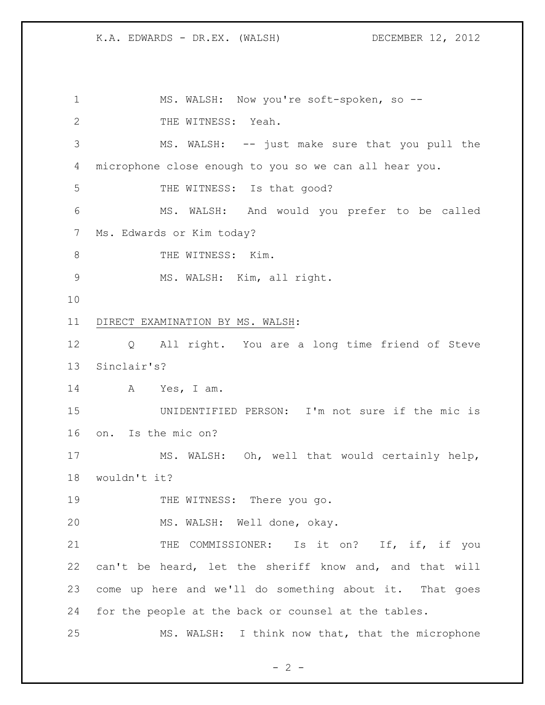1 MS. WALSH: Now you're soft-spoken, so --2 THE WITNESS: Yeah. MS. WALSH: -- just make sure that you pull the microphone close enough to you so we can all hear you. 5 THE WITNESS: Is that good? MS. WALSH: And would you prefer to be called Ms. Edwards or Kim today? 8 THE WITNESS: Kim. MS. WALSH: Kim, all right. DIRECT EXAMINATION BY MS. WALSH: Q All right. You are a long time friend of Steve Sinclair's? A Yes, I am. UNIDENTIFIED PERSON: I'm not sure if the mic is on. Is the mic on? MS. WALSH: Oh, well that would certainly help, wouldn't it? 19 THE WITNESS: There you go. MS. WALSH: Well done, okay. 21 THE COMMISSIONER: Is it on? If, if, if you can't be heard, let the sheriff know and, and that will come up here and we'll do something about it. That goes for the people at the back or counsel at the tables. MS. WALSH: I think now that, that the microphone

 $- 2 -$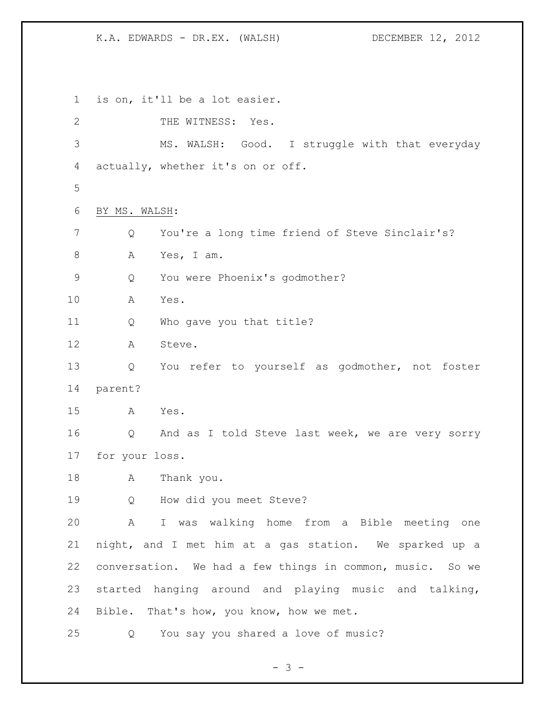is on, it'll be a lot easier. 2 THE WITNESS: Yes. MS. WALSH: Good. I struggle with that everyday actually, whether it's on or off. BY MS. WALSH: Q You're a long time friend of Steve Sinclair's? A Yes, I am. Q You were Phoenix's godmother? A Yes. Q Who gave you that title? A Steve. Q You refer to yourself as godmother, not foster parent? A Yes. Q And as I told Steve last week, we are very sorry for your loss. A Thank you. Q How did you meet Steve? A I was walking home from a Bible meeting one night, and I met him at a gas station. We sparked up a conversation. We had a few things in common, music. So we started hanging around and playing music and talking, Bible. That's how, you know, how we met. Q You say you shared a love of music?

- 3 -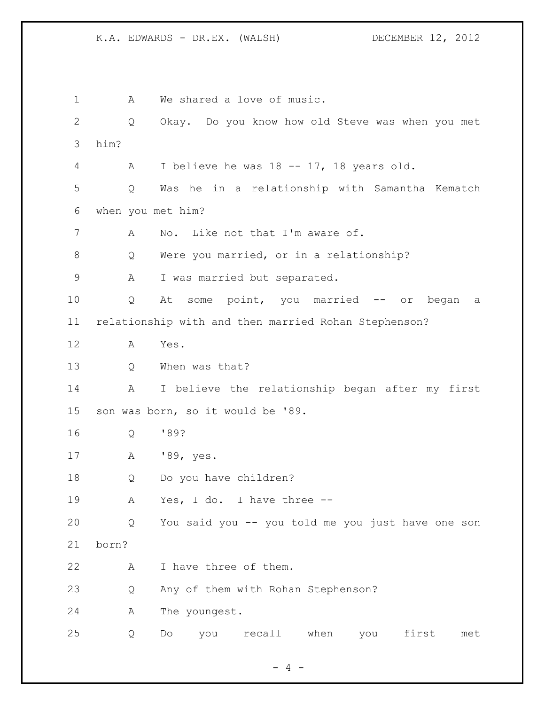1 A We shared a love of music. Q Okay. Do you know how old Steve was when you met him? A I believe he was 18 -- 17, 18 years old. Q Was he in a relationship with Samantha Kematch when you met him? A No. Like not that I'm aware of. Q Were you married, or in a relationship? 9 A I was married but separated. Q At some point, you married -- or began a relationship with and then married Rohan Stephenson? A Yes. Q When was that? A I believe the relationship began after my first son was born, so it would be '89. Q '89? A '89, yes. Q Do you have children? A Yes, I do. I have three -- Q You said you -- you told me you just have one son born? 22 A I have three of them. Q Any of them with Rohan Stephenson? A The youngest. Q Do you recall when you first met

 $- 4 -$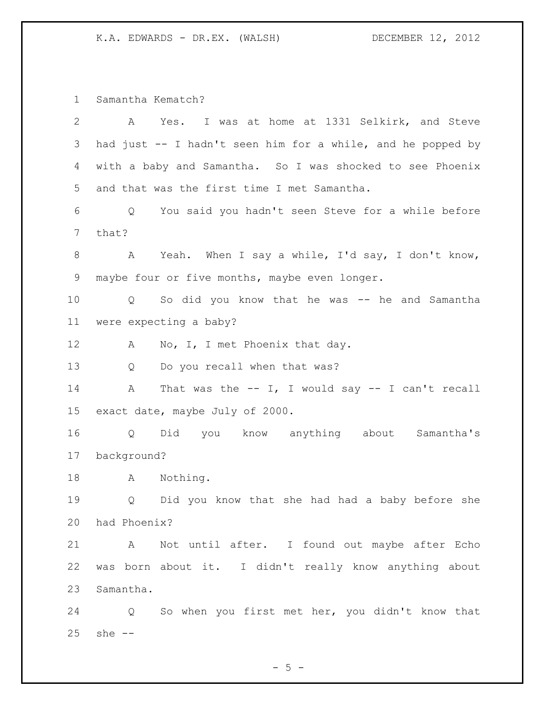Samantha Kematch?

| 2  | Yes. I was at home at 1331 Selkirk, and Steve<br>A                  |
|----|---------------------------------------------------------------------|
| 3  | had just -- I hadn't seen him for a while, and he popped by         |
| 4  | with a baby and Samantha. So I was shocked to see Phoenix           |
| 5  | and that was the first time I met Samantha.                         |
| 6  | You said you hadn't seen Steve for a while before<br>Q              |
| 7  | that?                                                               |
| 8  | Yeah. When I say a while, I'd say, I don't know,<br>A               |
| 9  | maybe four or five months, maybe even longer.                       |
| 10 | So did you know that he was -- he and Samantha<br>$Q \qquad \qquad$ |
| 11 | were expecting a baby?                                              |
| 12 | No, I, I met Phoenix that day.<br>A                                 |
| 13 | Do you recall when that was?<br>Q                                   |
| 14 | That was the $--$ I, I would say $--$ I can't recall<br>A           |
| 15 | exact date, maybe July of 2000.                                     |
| 16 | Did you know anything about Samantha's<br>Q                         |
| 17 | background?                                                         |
| 18 | Nothing.<br>A                                                       |
| 19 | Did you know that she had had a baby before she<br>Q                |
| 20 | had Phoenix?                                                        |
| 21 | A Not until after. I found out maybe after Echo                     |
| 22 | was born about it. I didn't really know anything about              |
| 23 | Samantha.                                                           |
| 24 | So when you first met her, you didn't know that<br>Q                |
| 25 | she $--$                                                            |

 $-5 -$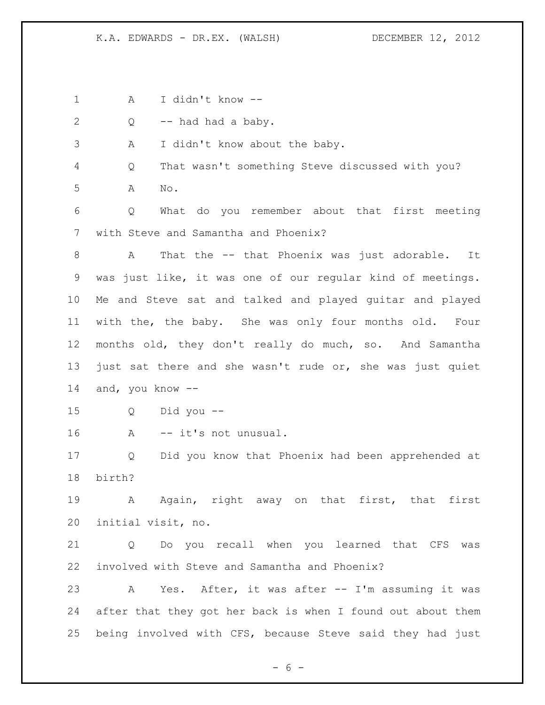A I didn't know -- Q -- had had a baby. A I didn't know about the baby. Q That wasn't something Steve discussed with you? A No. Q What do you remember about that first meeting with Steve and Samantha and Phoenix? 8 A That the -- that Phoenix was just adorable. It was just like, it was one of our regular kind of meetings. Me and Steve sat and talked and played guitar and played with the, the baby. She was only four months old. Four months old, they don't really do much, so. And Samantha just sat there and she wasn't rude or, she was just quiet and, you know -- Q Did you -- A -- it's not unusual. Q Did you know that Phoenix had been apprehended at birth? A Again, right away on that first, that first initial visit, no. Q Do you recall when you learned that CFS was involved with Steve and Samantha and Phoenix? A Yes. After, it was after -- I'm assuming it was after that they got her back is when I found out about them being involved with CFS, because Steve said they had just

 $- 6 -$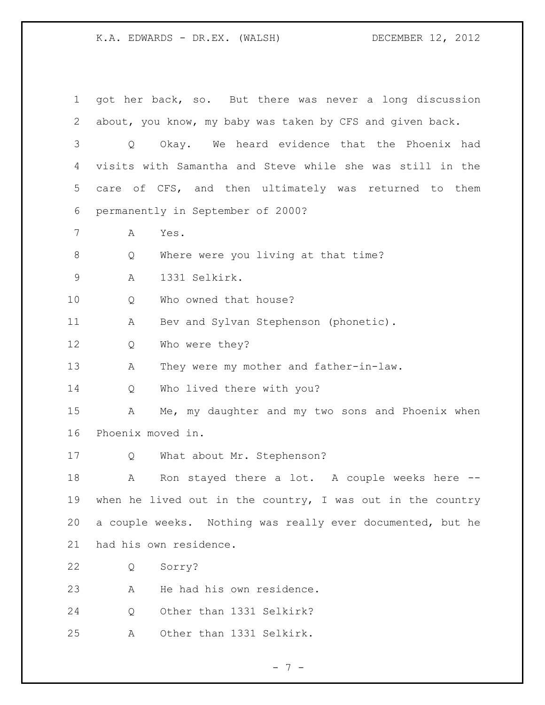got her back, so. But there was never a long discussion about, you know, my baby was taken by CFS and given back. Q Okay. We heard evidence that the Phoenix had visits with Samantha and Steve while she was still in the care of CFS, and then ultimately was returned to them permanently in September of 2000? A Yes. 8 Q Where were you living at that time? A 1331 Selkirk. 10 0 Who owned that house? 11 A Bev and Sylvan Stephenson (phonetic). Q Who were they? 13 A They were my mother and father-in-law. Q Who lived there with you? A Me, my daughter and my two sons and Phoenix when Phoenix moved in. 17 Q What about Mr. Stephenson? 18 A Ron stayed there a lot. A couple weeks here -- when he lived out in the country, I was out in the country a couple weeks. Nothing was really ever documented, but he had his own residence. Q Sorry? A He had his own residence. Q Other than 1331 Selkirk? A Other than 1331 Selkirk.

- 7 -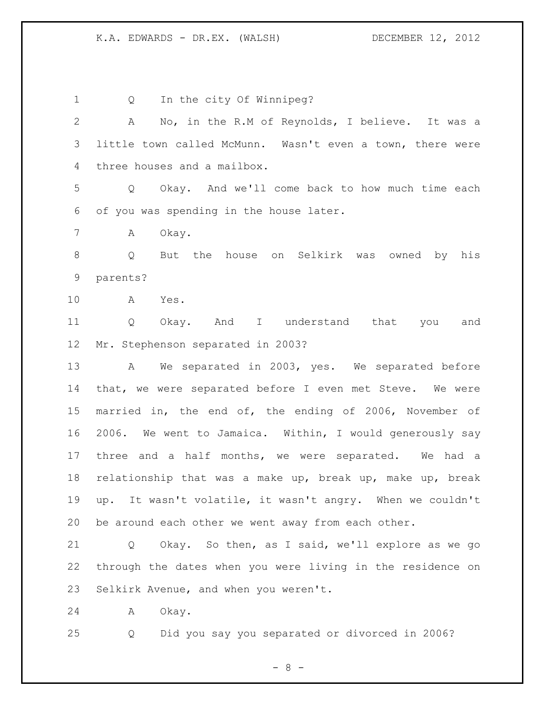1 Q In the city Of Winnipeg? A No, in the R.M of Reynolds, I believe. It was a little town called McMunn. Wasn't even a town, there were three houses and a mailbox. Q Okay. And we'll come back to how much time each of you was spending in the house later. A Okay. Q But the house on Selkirk was owned by his parents? A Yes. 11 0 Okay. And I understand that you and Mr. Stephenson separated in 2003? A We separated in 2003, yes. We separated before that, we were separated before I even met Steve. We were married in, the end of, the ending of 2006, November of 2006. We went to Jamaica. Within, I would generously say three and a half months, we were separated. We had a relationship that was a make up, break up, make up, break up. It wasn't volatile, it wasn't angry. When we couldn't be around each other we went away from each other. Q Okay. So then, as I said, we'll explore as we go through the dates when you were living in the residence on Selkirk Avenue, and when you weren't. A Okay.

Q Did you say you separated or divorced in 2006?

- 8 -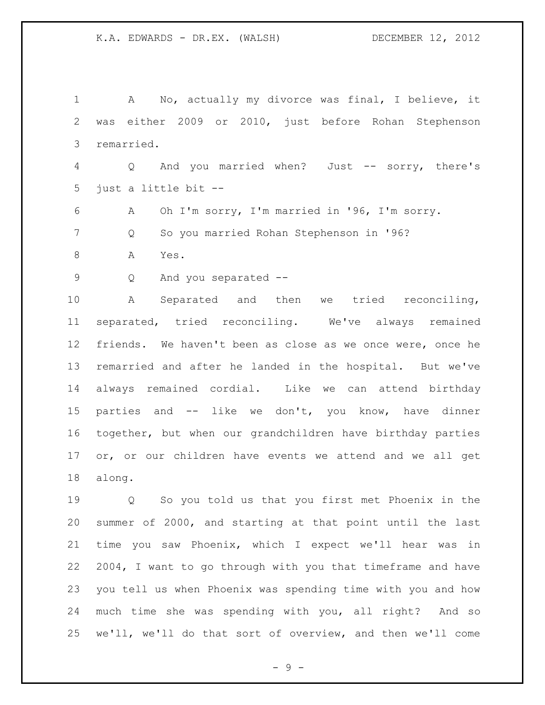A No, actually my divorce was final, I believe, it was either 2009 or 2010, just before Rohan Stephenson remarried. Q And you married when? Just -- sorry, there's just a little bit -- A Oh I'm sorry, I'm married in '96, I'm sorry. Q So you married Rohan Stephenson in '96? 8 A Yes. Q And you separated -- A Separated and then we tried reconciling, separated, tried reconciling. We've always remained friends. We haven't been as close as we once were, once he remarried and after he landed in the hospital. But we've always remained cordial. Like we can attend birthday parties and -- like we don't, you know, have dinner together, but when our grandchildren have birthday parties or, or our children have events we attend and we all get along. Q So you told us that you first met Phoenix in the

 summer of 2000, and starting at that point until the last time you saw Phoenix, which I expect we'll hear was in 2004, I want to go through with you that timeframe and have you tell us when Phoenix was spending time with you and how much time she was spending with you, all right? And so we'll, we'll do that sort of overview, and then we'll come

 $-9 -$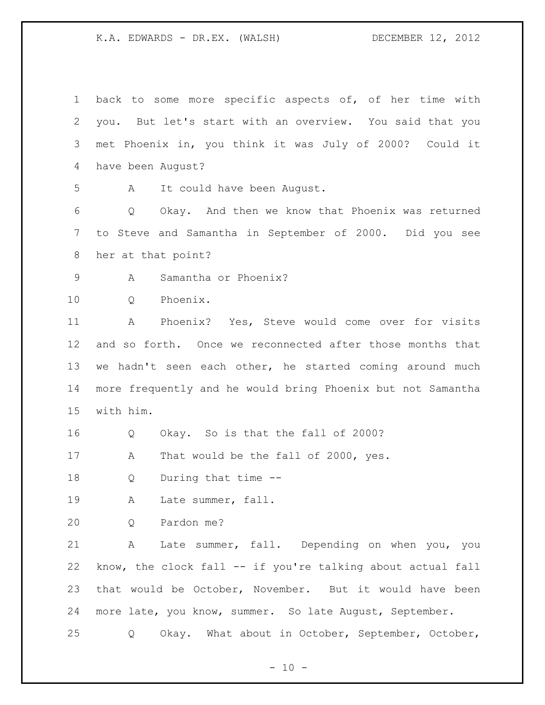| $\mathbf 1$ | back to some more specific aspects of, of her time with     |
|-------------|-------------------------------------------------------------|
| 2           | you. But let's start with an overview. You said that you    |
| 3           | met Phoenix in, you think it was July of 2000? Could it     |
| 4           | have been August?                                           |
| 5           | It could have been August.<br>A                             |
| 6           | Okay. And then we know that Phoenix was returned<br>Q       |
| 7           | to Steve and Samantha in September of 2000. Did you see     |
| 8           | her at that point?                                          |
| 9           | Samantha or Phoenix?<br>Α                                   |
| 10          | Phoenix.<br>Q                                               |
| 11          | Phoenix? Yes, Steve would come over for visits<br>Α         |
| 12          | and so forth. Once we reconnected after those months that   |
| 13          | we hadn't seen each other, he started coming around much    |
| 14          | more frequently and he would bring Phoenix but not Samantha |
| 15          | with him.                                                   |
| 16          | Okay. So is that the fall of 2000?<br>Q                     |
| 17          | That would be the fall of 2000, yes.<br>A                   |
| 18          | During that time --<br>Q                                    |
| 19          | Late summer, fall.<br>A                                     |
| 20          | Pardon me?<br>Q                                             |
| 21          | Late summer, fall. Depending on when you, you<br>Α          |
| 22          | know, the clock fall -- if you're talking about actual fall |
| 23          | that would be October, November. But it would have been     |
| 24          | more late, you know, summer. So late August, September.     |
| 25          | Okay. What about in October, September, October,<br>Q       |

- 10 -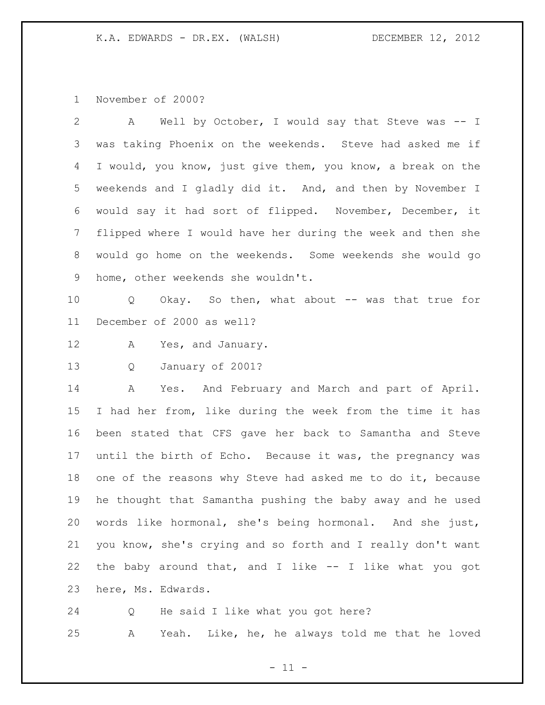November of 2000?

| 2               | Well by October, I would say that Steve was -- I<br>A       |
|-----------------|-------------------------------------------------------------|
| 3               | was taking Phoenix on the weekends. Steve had asked me if   |
| 4               | I would, you know, just give them, you know, a break on the |
| 5               | weekends and I gladly did it. And, and then by November I   |
| 6               | would say it had sort of flipped. November, December, it    |
| 7               | flipped where I would have her during the week and then she |
| 8               | would go home on the weekends. Some weekends she would go   |
| 9               | home, other weekends she wouldn't.                          |
| 10 <sub>o</sub> | Okay. So then, what about -- was that true for<br>Q         |
| 11              | December of 2000 as well?                                   |
| 12              | Yes, and January.<br>A                                      |
| 13              | January of 2001?<br>Q                                       |
| 14              | Yes. And February and March and part of April.<br>A         |
| 15              | I had her from, like during the week from the time it has   |
| 16              | been stated that CFS gave her back to Samantha and Steve    |
| 17              | until the birth of Echo. Because it was, the pregnancy was  |
| 18              | one of the reasons why Steve had asked me to do it, because |
| 19              | he thought that Samantha pushing the baby away and he used  |
| 20              | words like hormonal, she's being hormonal. And she just,    |
| 21              | you know, she's crying and so forth and I really don't want |
| 22              | the baby around that, and I like -- I like what you got     |
| 23              | here, Ms. Edwards.                                          |

Q He said I like what you got here?

A Yeah. Like, he, he always told me that he loved

- 11 -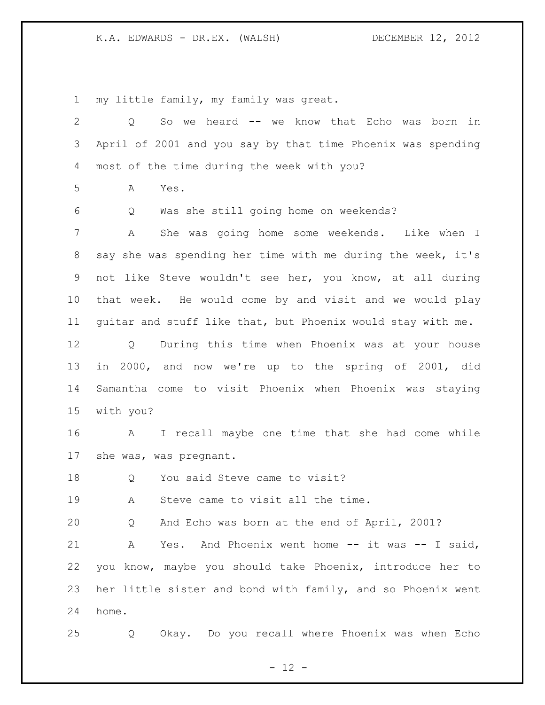my little family, my family was great.

| $\overline{2}$ | So we heard -- we know that Echo was born in<br>Q           |
|----------------|-------------------------------------------------------------|
| 3              | April of 2001 and you say by that time Phoenix was spending |
| 4              | most of the time during the week with you?                  |
| 5              | Yes.<br>А                                                   |
| 6              | Was she still going home on weekends?<br>Q                  |
| 7              | She was going home some weekends. Like when I<br>Α          |
| 8              | say she was spending her time with me during the week, it's |
| 9              | not like Steve wouldn't see her, you know, at all during    |
| 10             | that week. He would come by and visit and we would play     |
| 11             | quitar and stuff like that, but Phoenix would stay with me. |
| 12             | During this time when Phoenix was at your house<br>Q        |
| 13             | in 2000, and now we're up to the spring of 2001, did        |
| 14             | Samantha come to visit Phoenix when Phoenix was staying     |
| 15             | with you?                                                   |
| 16             | I recall maybe one time that she had come while<br>A        |
| 17             | she was, was pregnant.                                      |
| 18             | You said Steve came to visit?<br>Q                          |
| 19             | Steve came to visit all the time.<br>А                      |
| 20             | And Echo was born at the end of April, 2001?<br>Q           |
| 21             | And Phoenix went home $--$ it was $--$ I said,<br>Α<br>Yes. |
| 22             | you know, maybe you should take Phoenix, introduce her to   |
| 23             | her little sister and bond with family, and so Phoenix went |
| 24             |                                                             |
|                | home.                                                       |

- 12 -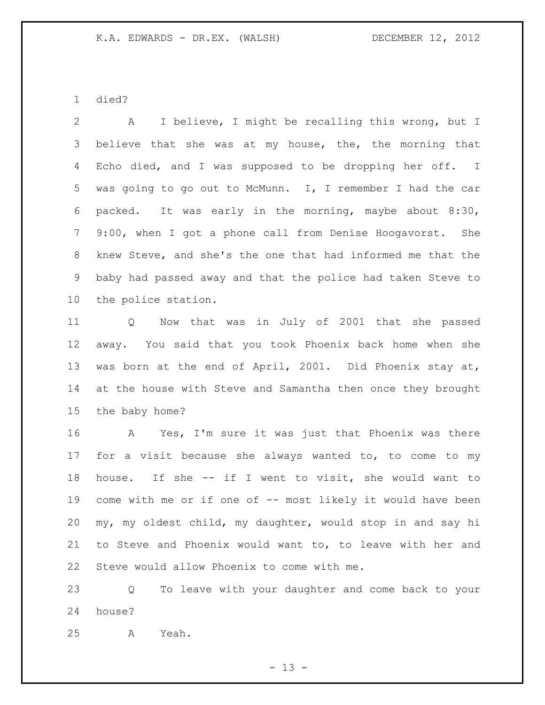died?

 A I believe, I might be recalling this wrong, but I 3 believe that she was at my house, the, the morning that 4 Echo died, and I was supposed to be dropping her off. I was going to go out to McMunn. I, I remember I had the car packed. It was early in the morning, maybe about 8:30, 9:00, when I got a phone call from Denise Hoogavorst. She knew Steve, and she's the one that had informed me that the baby had passed away and that the police had taken Steve to the police station.

 Q Now that was in July of 2001 that she passed away. You said that you took Phoenix back home when she was born at the end of April, 2001. Did Phoenix stay at, at the house with Steve and Samantha then once they brought the baby home?

 A Yes, I'm sure it was just that Phoenix was there for a visit because she always wanted to, to come to my house. If she -- if I went to visit, she would want to 19 come with me or if one of -- most likely it would have been my, my oldest child, my daughter, would stop in and say hi to Steve and Phoenix would want to, to leave with her and Steve would allow Phoenix to come with me.

 Q To leave with your daughter and come back to your house?

A Yeah.

 $- 13 -$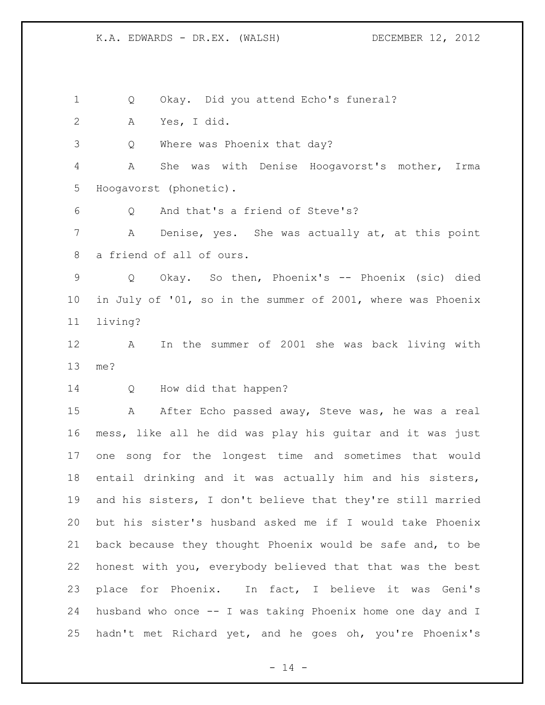Q Okay. Did you attend Echo's funeral?

A Yes, I did.

Q Where was Phoenix that day?

 A She was with Denise Hoogavorst's mother, Irma Hoogavorst (phonetic).

Q And that's a friend of Steve's?

 A Denise, yes. She was actually at, at this point a friend of all of ours.

 Q Okay. So then, Phoenix's -- Phoenix (sic) died in July of '01, so in the summer of 2001, where was Phoenix living?

 A In the summer of 2001 she was back living with me?

Q How did that happen?

15 A After Echo passed away, Steve was, he was a real mess, like all he did was play his guitar and it was just one song for the longest time and sometimes that would entail drinking and it was actually him and his sisters, and his sisters, I don't believe that they're still married but his sister's husband asked me if I would take Phoenix back because they thought Phoenix would be safe and, to be honest with you, everybody believed that that was the best place for Phoenix. In fact, I believe it was Geni's husband who once -- I was taking Phoenix home one day and I hadn't met Richard yet, and he goes oh, you're Phoenix's

 $- 14 -$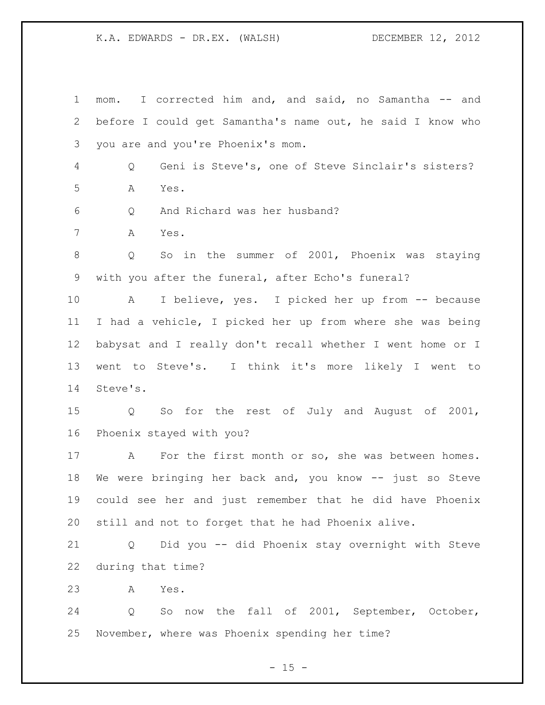mom. I corrected him and, and said, no Samantha -- and before I could get Samantha's name out, he said I know who you are and you're Phoenix's mom. Q Geni is Steve's, one of Steve Sinclair's sisters? A Yes. Q And Richard was her husband? A Yes. Q So in the summer of 2001, Phoenix was staying with you after the funeral, after Echo's funeral? A I believe, yes. I picked her up from -- because I had a vehicle, I picked her up from where she was being babysat and I really don't recall whether I went home or I went to Steve's. I think it's more likely I went to Steve's. Q So for the rest of July and August of 2001, Phoenix stayed with you? 17 A For the first month or so, she was between homes. We were bringing her back and, you know -- just so Steve could see her and just remember that he did have Phoenix still and not to forget that he had Phoenix alive. Q Did you -- did Phoenix stay overnight with Steve during that time? A Yes. Q So now the fall of 2001, September, October, November, where was Phoenix spending her time?

 $- 15 -$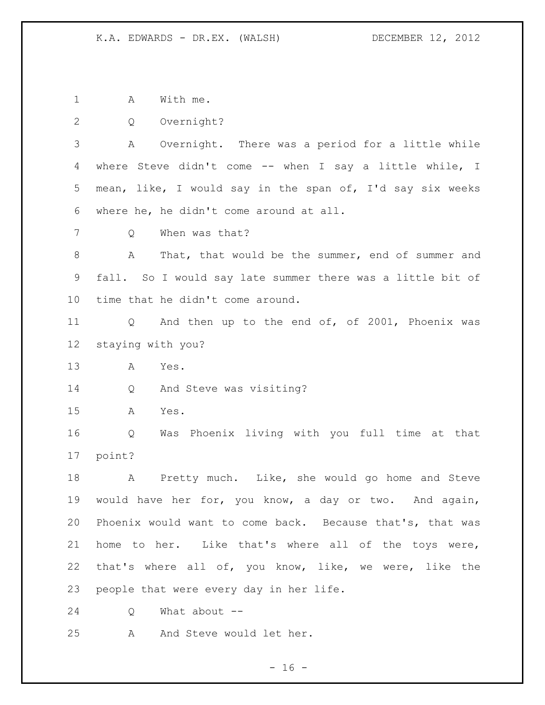1 A With me.

Q Overnight?

 A Overnight. There was a period for a little while where Steve didn't come -- when I say a little while, I mean, like, I would say in the span of, I'd say six weeks where he, he didn't come around at all.

Q When was that?

 A That, that would be the summer, end of summer and fall. So I would say late summer there was a little bit of time that he didn't come around.

 Q And then up to the end of, of 2001, Phoenix was staying with you?

A Yes.

Q And Steve was visiting?

A Yes.

 Q Was Phoenix living with you full time at that point?

 A Pretty much. Like, she would go home and Steve would have her for, you know, a day or two. And again, Phoenix would want to come back. Because that's, that was home to her. Like that's where all of the toys were, that's where all of, you know, like, we were, like the people that were every day in her life.

Q What about --

A And Steve would let her.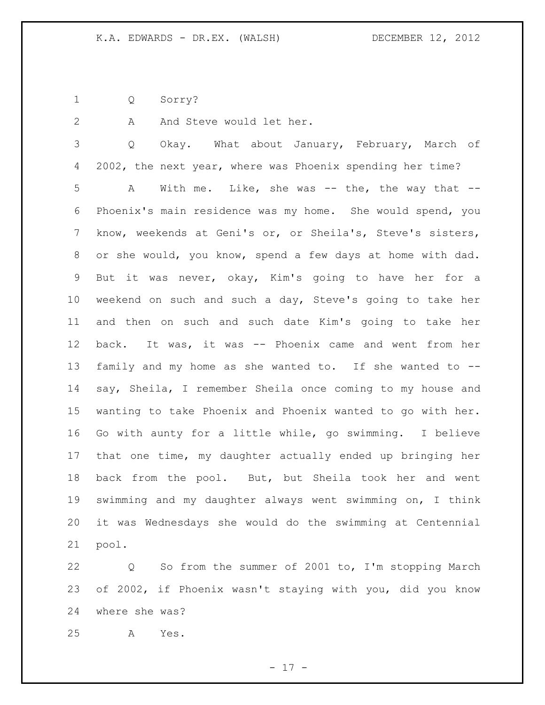Q Sorry?

2 A And Steve would let her.

 Q Okay. What about January, February, March of 2002, the next year, where was Phoenix spending her time? A With me. Like, she was -- the, the way that -- Phoenix's main residence was my home. She would spend, you know, weekends at Geni's or, or Sheila's, Steve's sisters, or she would, you know, spend a few days at home with dad. But it was never, okay, Kim's going to have her for a weekend on such and such a day, Steve's going to take her and then on such and such date Kim's going to take her back. It was, it was -- Phoenix came and went from her family and my home as she wanted to. If she wanted to -- say, Sheila, I remember Sheila once coming to my house and wanting to take Phoenix and Phoenix wanted to go with her. Go with aunty for a little while, go swimming. I believe that one time, my daughter actually ended up bringing her back from the pool. But, but Sheila took her and went swimming and my daughter always went swimming on, I think it was Wednesdays she would do the swimming at Centennial pool.

 Q So from the summer of 2001 to, I'm stopping March of 2002, if Phoenix wasn't staying with you, did you know where she was?

A Yes.

- 17 -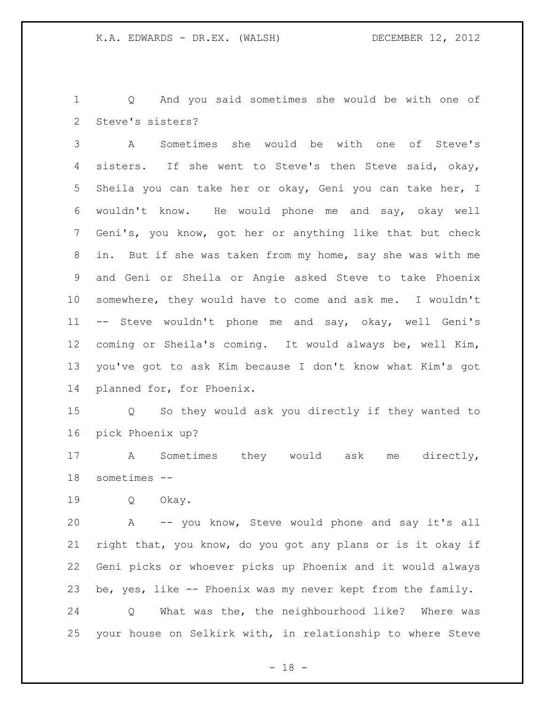Q And you said sometimes she would be with one of Steve's sisters?

 A Sometimes she would be with one of Steve's sisters. If she went to Steve's then Steve said, okay, Sheila you can take her or okay, Geni you can take her, I wouldn't know. He would phone me and say, okay well Geni's, you know, got her or anything like that but check in. But if she was taken from my home, say she was with me and Geni or Sheila or Angie asked Steve to take Phoenix somewhere, they would have to come and ask me. I wouldn't -- Steve wouldn't phone me and say, okay, well Geni's coming or Sheila's coming. It would always be, well Kim, you've got to ask Kim because I don't know what Kim's got planned for, for Phoenix.

 Q So they would ask you directly if they wanted to pick Phoenix up?

 A Sometimes they would ask me directly, sometimes --

Q Okay.

 A -- you know, Steve would phone and say it's all right that, you know, do you got any plans or is it okay if Geni picks or whoever picks up Phoenix and it would always be, yes, like -- Phoenix was my never kept from the family. Q What was the, the neighbourhood like? Where was

your house on Selkirk with, in relationship to where Steve

 $- 18 -$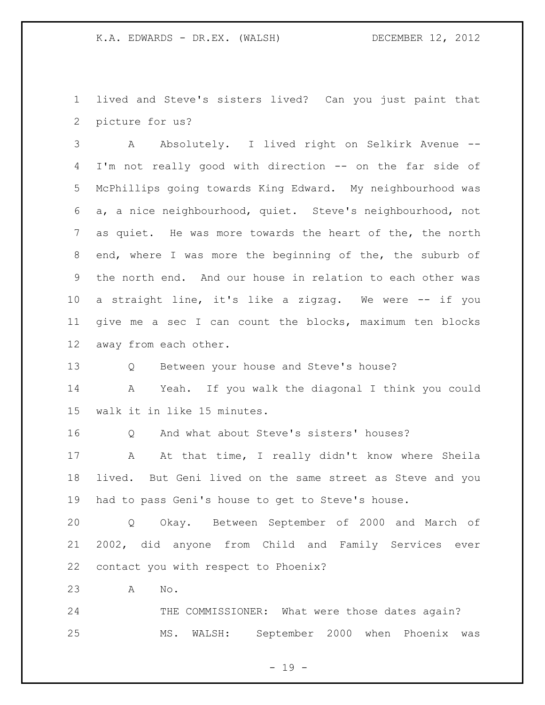lived and Steve's sisters lived? Can you just paint that picture for us?

 A Absolutely. I lived right on Selkirk Avenue -- I'm not really good with direction -- on the far side of McPhillips going towards King Edward. My neighbourhood was a, a nice neighbourhood, quiet. Steve's neighbourhood, not as quiet. He was more towards the heart of the, the north end, where I was more the beginning of the, the suburb of the north end. And our house in relation to each other was a straight line, it's like a zigzag. We were -- if you give me a sec I can count the blocks, maximum ten blocks away from each other.

Q Between your house and Steve's house?

 A Yeah. If you walk the diagonal I think you could walk it in like 15 minutes.

Q And what about Steve's sisters' houses?

17 A At that time, I really didn't know where Sheila lived. But Geni lived on the same street as Steve and you had to pass Geni's house to get to Steve's house.

 Q Okay. Between September of 2000 and March of 2002, did anyone from Child and Family Services ever contact you with respect to Phoenix?

A No.

24 THE COMMISSIONER: What were those dates again? MS. WALSH: September 2000 when Phoenix was

 $- 19 -$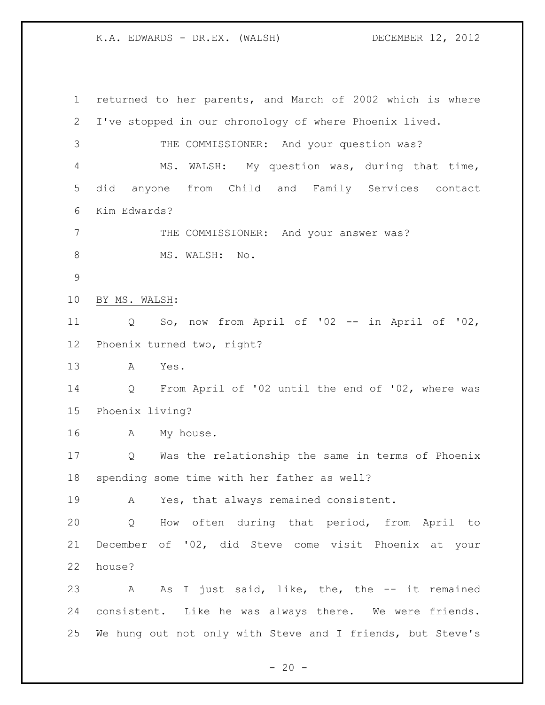returned to her parents, and March of 2002 which is where I've stopped in our chronology of where Phoenix lived. THE COMMISSIONER: And your question was? MS. WALSH: My question was, during that time, did anyone from Child and Family Services contact Kim Edwards? THE COMMISSIONER: And your answer was? 8 MS. WALSH: No. BY MS. WALSH: Q So, now from April of '02 -- in April of '02, Phoenix turned two, right? A Yes. Q From April of '02 until the end of '02, where was Phoenix living? A My house. Q Was the relationship the same in terms of Phoenix spending some time with her father as well? A Yes, that always remained consistent. Q How often during that period, from April to December of '02, did Steve come visit Phoenix at your house? A As I just said, like, the, the -- it remained consistent. Like he was always there. We were friends. We hung out not only with Steve and I friends, but Steve's

 $- 20 -$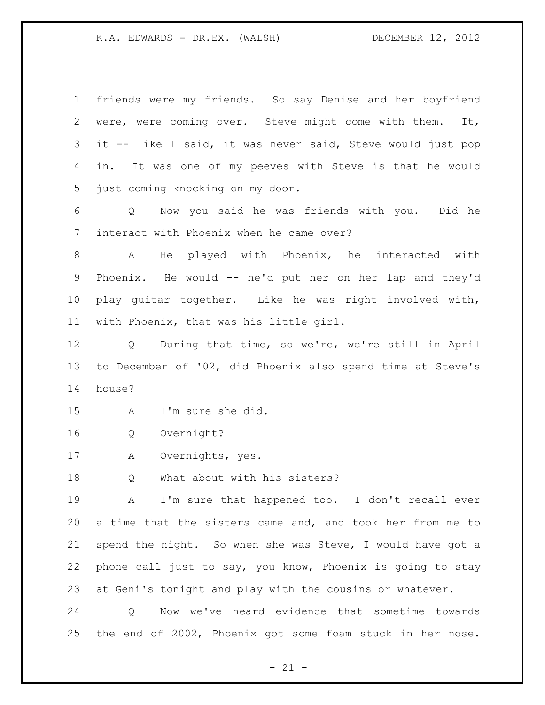friends were my friends. So say Denise and her boyfriend were, were coming over. Steve might come with them. It, it -- like I said, it was never said, Steve would just pop in. It was one of my peeves with Steve is that he would just coming knocking on my door.

 Q Now you said he was friends with you. Did he interact with Phoenix when he came over?

 A He played with Phoenix, he interacted with Phoenix. He would -- he'd put her on her lap and they'd play guitar together. Like he was right involved with, with Phoenix, that was his little girl.

 Q During that time, so we're, we're still in April to December of '02, did Phoenix also spend time at Steve's house?

A I'm sure she did.

Q Overnight?

A Overnights, yes.

Q What about with his sisters?

 A I'm sure that happened too. I don't recall ever a time that the sisters came and, and took her from me to spend the night. So when she was Steve, I would have got a phone call just to say, you know, Phoenix is going to stay at Geni's tonight and play with the cousins or whatever.

 Q Now we've heard evidence that sometime towards the end of 2002, Phoenix got some foam stuck in her nose.

 $- 21 -$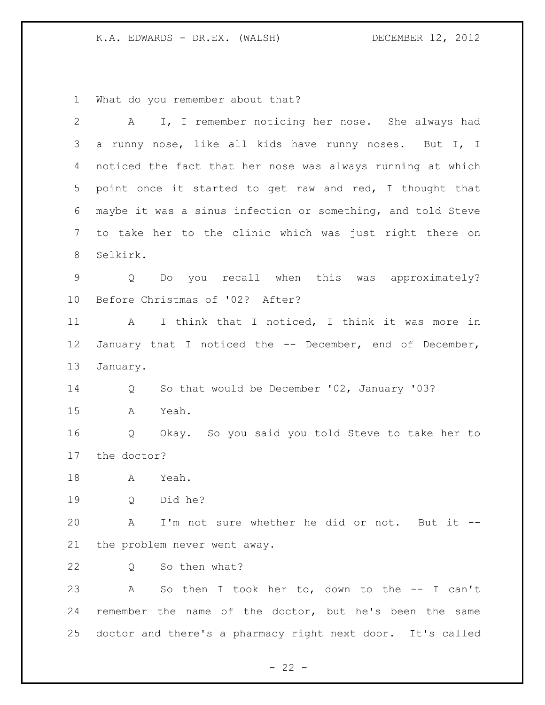What do you remember about that?

| $\mathbf{2}$   | I, I remember noticing her nose. She always had<br>A                 |
|----------------|----------------------------------------------------------------------|
| 3              | a runny nose, like all kids have runny noses. But I, I               |
| 4              | noticed the fact that her nose was always running at which           |
| 5              | point once it started to get raw and red, I thought that             |
| 6              | maybe it was a sinus infection or something, and told Steve          |
| $7\phantom{.}$ | to take her to the clinic which was just right there on              |
| 8              | Selkirk.                                                             |
| $\mathsf 9$    | Do you recall when this was approximately?<br>$Q_{\rm c}$            |
| $10 \,$        | Before Christmas of '02? After?                                      |
| 11             | I think that I noticed, I think it was more in<br>A                  |
| 12             | January that I noticed the -- December, end of December,             |
| 13             | January.                                                             |
| 14             | So that would be December '02, January '03?<br>Q                     |
| 15             | Yeah.<br>A                                                           |
| 16             | Okay. So you said you told Steve to take her to<br>$Q \qquad \qquad$ |
| 17             | the doctor?                                                          |
| 18             | Yeah.<br>$\mathbf{A}$                                                |
| 19             | Did he?<br>Q                                                         |
| 20             | A I'm not sure whether he did or not. But it --                      |
| 21             | the problem never went away.                                         |
| 22             | So then what?<br>Q                                                   |
| 23             | So then I took her to, down to the $--$ I can't<br>$\mathbf{A}$      |
| 24             | remember the name of the doctor, but he's been the same              |
| 25             | doctor and there's a pharmacy right next door. It's called           |

- 22 -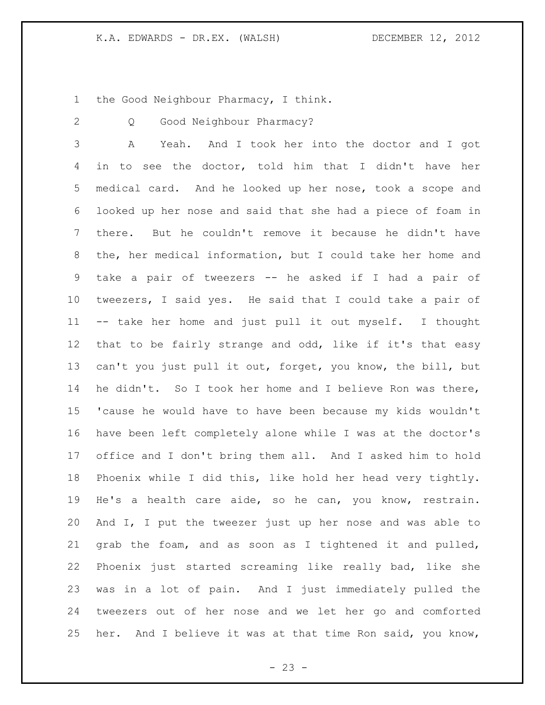the Good Neighbour Pharmacy, I think.

Q Good Neighbour Pharmacy?

 A Yeah. And I took her into the doctor and I got in to see the doctor, told him that I didn't have her medical card. And he looked up her nose, took a scope and looked up her nose and said that she had a piece of foam in there. But he couldn't remove it because he didn't have the, her medical information, but I could take her home and take a pair of tweezers -- he asked if I had a pair of tweezers, I said yes. He said that I could take a pair of -- take her home and just pull it out myself. I thought that to be fairly strange and odd, like if it's that easy can't you just pull it out, forget, you know, the bill, but he didn't. So I took her home and I believe Ron was there, 'cause he would have to have been because my kids wouldn't have been left completely alone while I was at the doctor's office and I don't bring them all. And I asked him to hold Phoenix while I did this, like hold her head very tightly. He's a health care aide, so he can, you know, restrain. And I, I put the tweezer just up her nose and was able to grab the foam, and as soon as I tightened it and pulled, Phoenix just started screaming like really bad, like she was in a lot of pain. And I just immediately pulled the tweezers out of her nose and we let her go and comforted her. And I believe it was at that time Ron said, you know,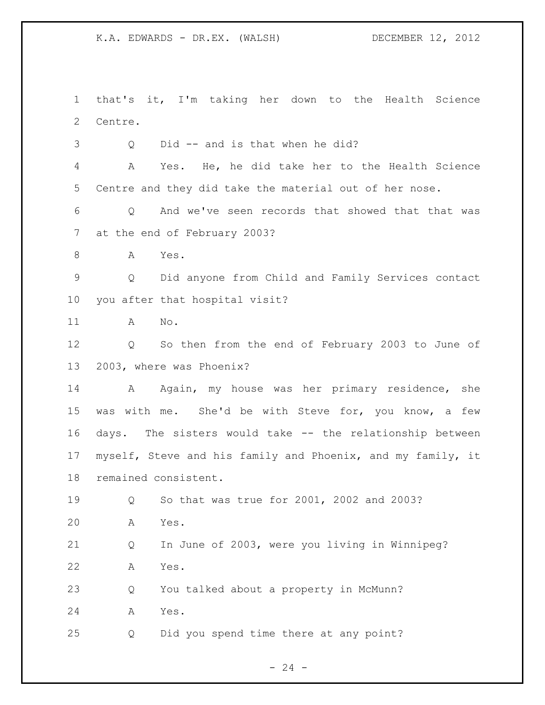that's it, I'm taking her down to the Health Science Centre.

Q Did -- and is that when he did?

 A Yes. He, he did take her to the Health Science Centre and they did take the material out of her nose.

 Q And we've seen records that showed that that was at the end of February 2003?

A Yes.

 Q Did anyone from Child and Family Services contact you after that hospital visit?

A No.

 Q So then from the end of February 2003 to June of 2003, where was Phoenix?

14 A Again, my house was her primary residence, she was with me. She'd be with Steve for, you know, a few days. The sisters would take -- the relationship between myself, Steve and his family and Phoenix, and my family, it remained consistent.

Q So that was true for 2001, 2002 and 2003?

A Yes.

 Q In June of 2003, were you living in Winnipeg? A Yes.

 Q You talked about a property in McMunn? A Yes.

Q Did you spend time there at any point?

 $- 24 -$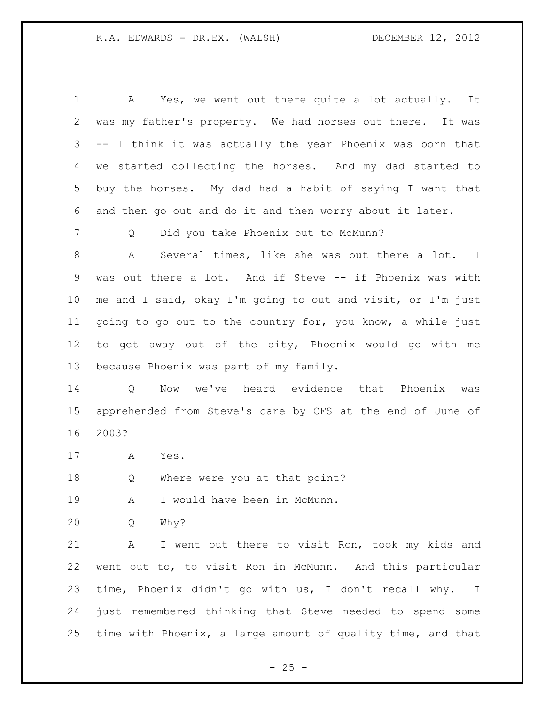A Yes, we went out there quite a lot actually. It was my father's property. We had horses out there. It was -- I think it was actually the year Phoenix was born that we started collecting the horses. And my dad started to buy the horses. My dad had a habit of saying I want that and then go out and do it and then worry about it later.

Q Did you take Phoenix out to McMunn?

 A Several times, like she was out there a lot. I was out there a lot. And if Steve -- if Phoenix was with me and I said, okay I'm going to out and visit, or I'm just going to go out to the country for, you know, a while just to get away out of the city, Phoenix would go with me because Phoenix was part of my family.

 Q Now we've heard evidence that Phoenix was apprehended from Steve's care by CFS at the end of June of 2003?

A Yes.

Q Where were you at that point?

19 A I would have been in McMunn.

Q Why?

 A I went out there to visit Ron, took my kids and went out to, to visit Ron in McMunn. And this particular time, Phoenix didn't go with us, I don't recall why. I just remembered thinking that Steve needed to spend some time with Phoenix, a large amount of quality time, and that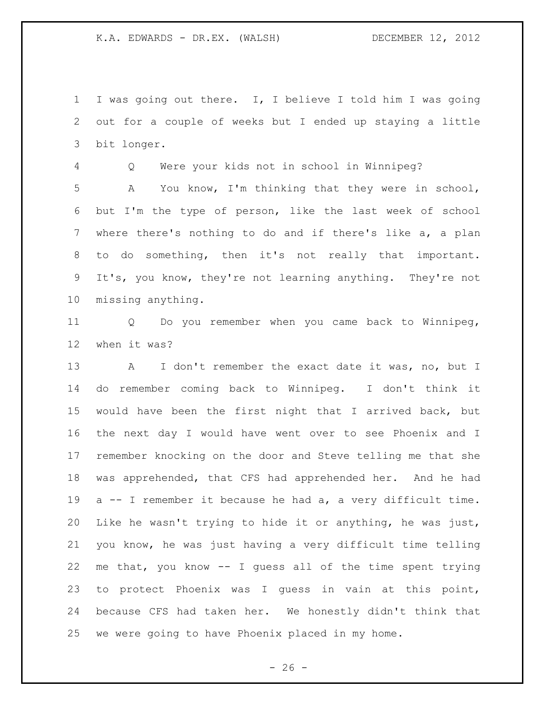I was going out there. I, I believe I told him I was going out for a couple of weeks but I ended up staying a little bit longer.

 Q Were your kids not in school in Winnipeg? A You know, I'm thinking that they were in school, but I'm the type of person, like the last week of school where there's nothing to do and if there's like a, a plan to do something, then it's not really that important. It's, you know, they're not learning anything. They're not missing anything.

 Q Do you remember when you came back to Winnipeg, when it was?

13 A I don't remember the exact date it was, no, but I do remember coming back to Winnipeg. I don't think it would have been the first night that I arrived back, but the next day I would have went over to see Phoenix and I remember knocking on the door and Steve telling me that she was apprehended, that CFS had apprehended her. And he had a -- I remember it because he had a, a very difficult time. Like he wasn't trying to hide it or anything, he was just, you know, he was just having a very difficult time telling me that, you know -- I guess all of the time spent trying to protect Phoenix was I guess in vain at this point, because CFS had taken her. We honestly didn't think that we were going to have Phoenix placed in my home.

 $- 26 -$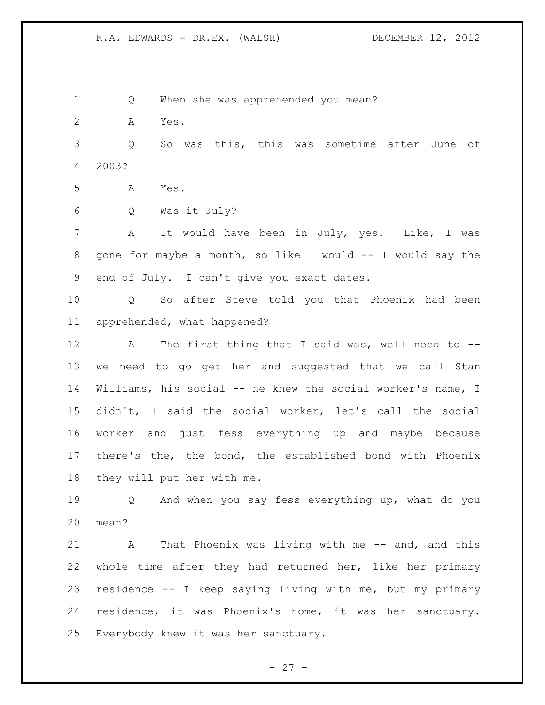Q When she was apprehended you mean? A Yes. Q So was this, this was sometime after June of 2003? A Yes. Q Was it July? A It would have been in July, yes. Like, I was 8 gone for maybe a month, so like I would -- I would say the end of July. I can't give you exact dates. Q So after Steve told you that Phoenix had been apprehended, what happened? A The first thing that I said was, well need to -- we need to go get her and suggested that we call Stan Williams, his social -- he knew the social worker's name, I didn't, I said the social worker, let's call the social worker and just fess everything up and maybe because there's the, the bond, the established bond with Phoenix they will put her with me. Q And when you say fess everything up, what do you mean? 21 A That Phoenix was living with me -- and, and this whole time after they had returned her, like her primary residence -- I keep saying living with me, but my primary residence, it was Phoenix's home, it was her sanctuary. Everybody knew it was her sanctuary.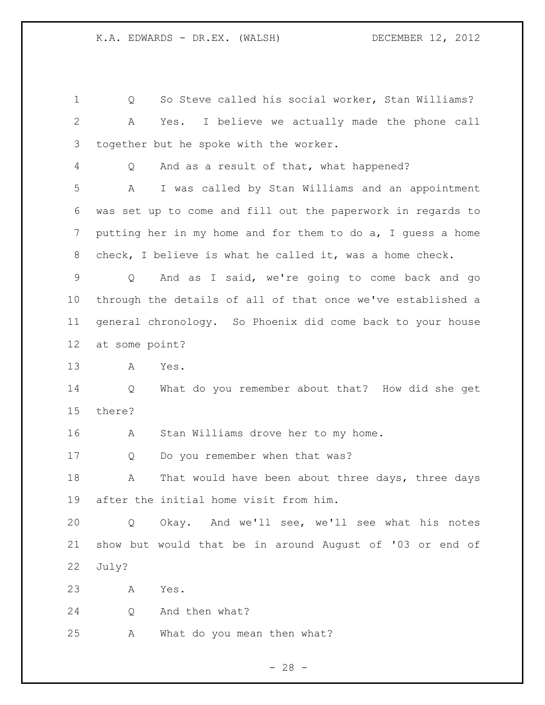Q So Steve called his social worker, Stan Williams? A Yes. I believe we actually made the phone call together but he spoke with the worker. Q And as a result of that, what happened? A I was called by Stan Williams and an appointment was set up to come and fill out the paperwork in regards to putting her in my home and for them to do a, I guess a home check, I believe is what he called it, was a home check. Q And as I said, we're going to come back and go through the details of all of that once we've established a general chronology. So Phoenix did come back to your house at some point? A Yes. Q What do you remember about that? How did she get there? A Stan Williams drove her to my home. 17 Q Do you remember when that was? 18 A That would have been about three days, three days after the initial home visit from him. Q Okay. And we'll see, we'll see what his notes show but would that be in around August of '03 or end of July? A Yes. Q And then what? A What do you mean then what?

 $- 28 -$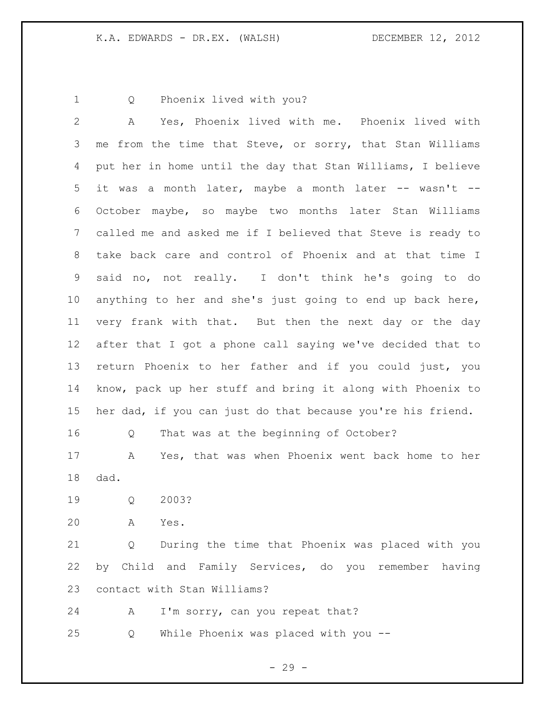Q Phoenix lived with you?

 A Yes, Phoenix lived with me. Phoenix lived with me from the time that Steve, or sorry, that Stan Williams put her in home until the day that Stan Williams, I believe it was a month later, maybe a month later -- wasn't -- October maybe, so maybe two months later Stan Williams called me and asked me if I believed that Steve is ready to take back care and control of Phoenix and at that time I said no, not really. I don't think he's going to do anything to her and she's just going to end up back here, very frank with that. But then the next day or the day after that I got a phone call saying we've decided that to return Phoenix to her father and if you could just, you know, pack up her stuff and bring it along with Phoenix to her dad, if you can just do that because you're his friend.

Q That was at the beginning of October?

 A Yes, that was when Phoenix went back home to her dad.

Q 2003?

A Yes.

 Q During the time that Phoenix was placed with you by Child and Family Services, do you remember having contact with Stan Williams?

24 A I'm sorry, can you repeat that?

Q While Phoenix was placed with you --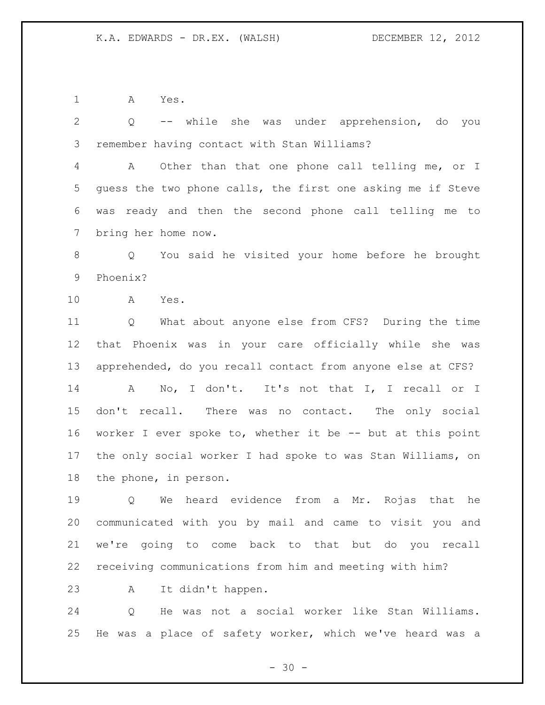A Yes.

 Q -- while she was under apprehension, do you remember having contact with Stan Williams?

 A Other than that one phone call telling me, or I guess the two phone calls, the first one asking me if Steve was ready and then the second phone call telling me to bring her home now.

 Q You said he visited your home before he brought Phoenix?

A Yes.

 Q What about anyone else from CFS? During the time that Phoenix was in your care officially while she was apprehended, do you recall contact from anyone else at CFS? A No, I don't. It's not that I, I recall or I don't recall. There was no contact. The only social worker I ever spoke to, whether it be -- but at this point the only social worker I had spoke to was Stan Williams, on the phone, in person.

 Q We heard evidence from a Mr. Rojas that he communicated with you by mail and came to visit you and we're going to come back to that but do you recall receiving communications from him and meeting with him?

A It didn't happen.

 Q He was not a social worker like Stan Williams. He was a place of safety worker, which we've heard was a

 $- 30 -$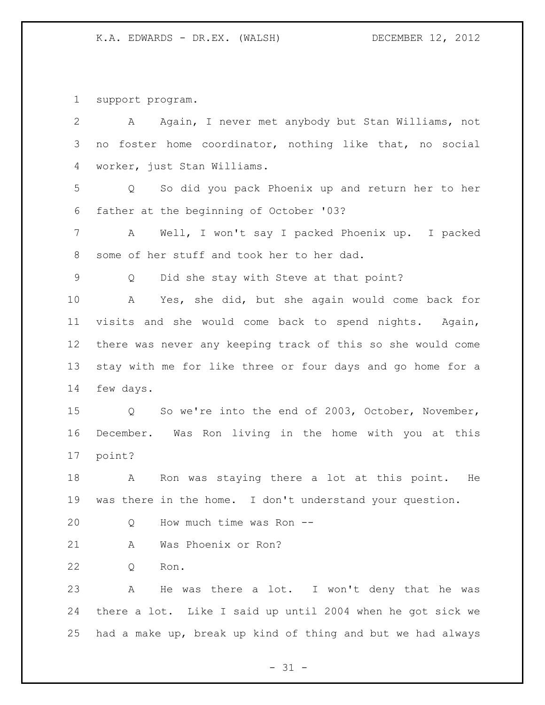support program.

| $\overline{2}$ | Again, I never met anybody but Stan Williams, not<br>A      |
|----------------|-------------------------------------------------------------|
| 3              | no foster home coordinator, nothing like that, no social    |
| 4              | worker, just Stan Williams.                                 |
| 5              | So did you pack Phoenix up and return her to her<br>Q       |
| 6              | father at the beginning of October '03?                     |
| 7              | Well, I won't say I packed Phoenix up. I packed<br>A        |
| $8\,$          | some of her stuff and took her to her dad.                  |
| $\mathsf 9$    | Did she stay with Steve at that point?<br>Q                 |
| 10             | Yes, she did, but she again would come back for<br>A        |
| 11             | visits and she would come back to spend nights. Again,      |
| 12             | there was never any keeping track of this so she would come |
| 13             | stay with me for like three or four days and go home for a  |
| 14             | few days.                                                   |
| 15             | Q So we're into the end of 2003, October, November,         |
| 16             | December. Was Ron living in the home with you at this       |
| 17             | point?                                                      |
| 18             | Ron was staying there a lot at this point. He<br>A          |
| 19             | was there in the home. I don't understand your question.    |
| 20             | How much time was Ron --<br>Q                               |
| 21             | Was Phoenix or Ron?<br>A                                    |
| 22             | Ron.<br>Q                                                   |
| 23             | He was there a lot. I won't deny that he was<br>Α           |
| 24             | there a lot. Like I said up until 2004 when he got sick we  |
| 25             | had a make up, break up kind of thing and but we had always |

- 31 -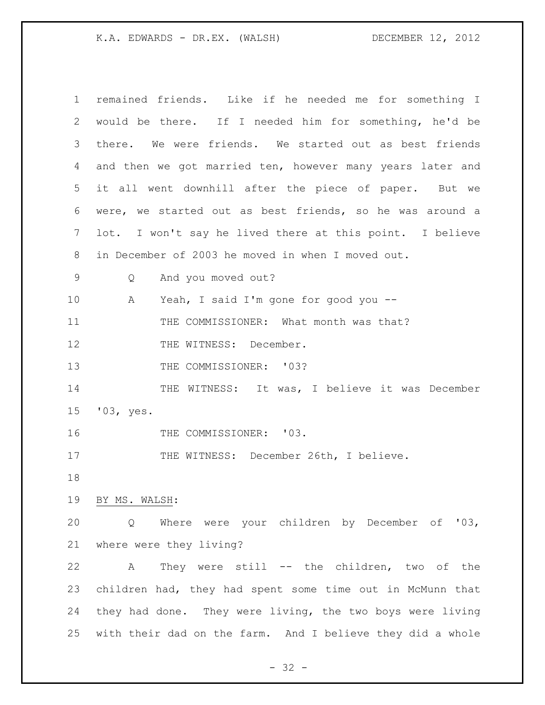| $\mathbf 1$ | remained friends. Like if he needed me for something I     |
|-------------|------------------------------------------------------------|
| 2           | would be there. If I needed him for something, he'd be     |
| 3           | there. We were friends. We started out as best friends     |
| 4           | and then we got married ten, however many years later and  |
| 5           | it all went downhill after the piece of paper. But we      |
| 6           | were, we started out as best friends, so he was around a   |
| 7           | lot. I won't say he lived there at this point. I believe   |
| 8           | in December of 2003 he moved in when I moved out.          |
| 9           | And you moved out?<br>Q                                    |
| 10          | Yeah, I said I'm gone for good you --<br>A                 |
| 11          | THE COMMISSIONER: What month was that?                     |
| 12          | THE WITNESS: December.                                     |
| 13          | THE COMMISSIONER: '03?                                     |
| 14          | THE WITNESS: It was, I believe it was December             |
| 15          | '03, yes.                                                  |
| 16          | THE COMMISSIONER: '03.                                     |
| 17          | THE WITNESS: December 26th, I believe.                     |
| 18          |                                                            |
| 19          | BY MS. WALSH:                                              |
| 20          | Where were your children by December of '03,<br>Q          |
| 21          | where were they living?                                    |
| 22          | They were still -- the children, two of the<br>A           |
| 23          | children had, they had spent some time out in McMunn that  |
| 24          | they had done. They were living, the two boys were living  |
| 25          | with their dad on the farm. And I believe they did a whole |

- 32 -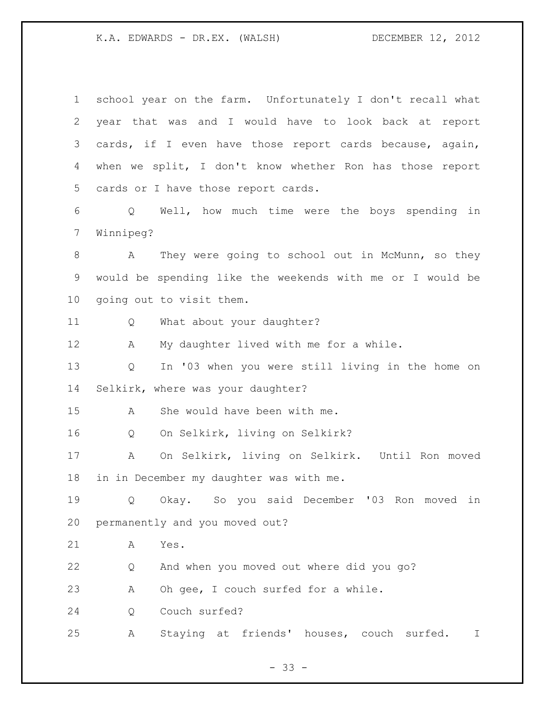| 1  | school year on the farm. Unfortunately I don't recall what |    |
|----|------------------------------------------------------------|----|
| 2  | year that was and I would have to look back at report      |    |
| 3  | cards, if I even have those report cards because, again,   |    |
| 4  | when we split, I don't know whether Ron has those report   |    |
| 5  | cards or I have those report cards.                        |    |
| 6  | Well, how much time were the boys spending<br>$Q \qquad$   | in |
| 7  | Winnipeg?                                                  |    |
| 8  | They were going to school out in McMunn, so they<br>A      |    |
| 9  | would be spending like the weekends with me or I would be  |    |
| 10 | going out to visit them.                                   |    |
| 11 | What about your daughter?<br>Q                             |    |
| 12 | My daughter lived with me for a while.<br>Α                |    |
| 13 | In '03 when you were still living in the home on<br>Q      |    |
| 14 | Selkirk, where was your daughter?                          |    |
| 15 | She would have been with me.<br>A                          |    |
| 16 | On Selkirk, living on Selkirk?<br>Q                        |    |
| 17 | On Selkirk, living on Selkirk. Until Ron moved<br>A        |    |
| 18 | in in December my daughter was with me.                    |    |
| 19 | Okay. So you said December '03 Ron moved<br>Q              | in |
| 20 | permanently and you moved out?                             |    |
| 21 | Yes.<br>Α                                                  |    |
| 22 | And when you moved out where did you go?<br>Q              |    |
| 23 | Oh gee, I couch surfed for a while.<br>A                   |    |
| 24 | Couch surfed?<br>Q                                         |    |
|    |                                                            |    |

- 33 -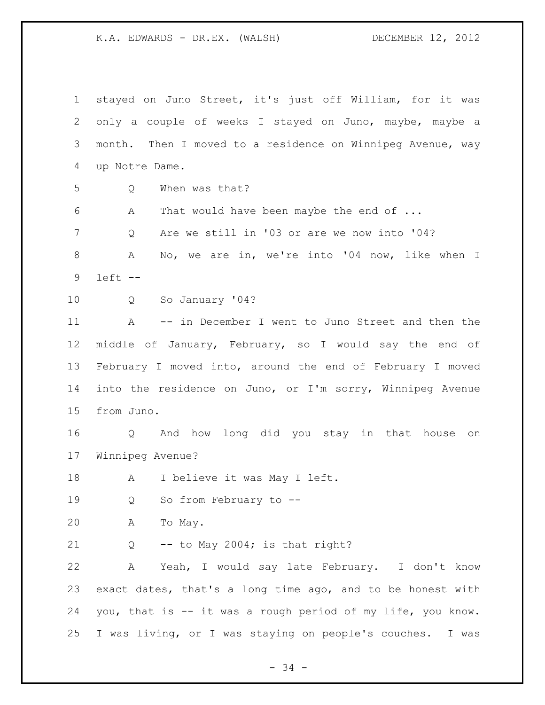stayed on Juno Street, it's just off William, for it was only a couple of weeks I stayed on Juno, maybe, maybe a month. Then I moved to a residence on Winnipeg Avenue, way up Notre Dame. Q When was that? A That would have been maybe the end of ... Q Are we still in '03 or are we now into '04? 8 A No, we are in, we're into '04 now, like when I left -- Q So January '04? A -- in December I went to Juno Street and then the middle of January, February, so I would say the end of February I moved into, around the end of February I moved into the residence on Juno, or I'm sorry, Winnipeg Avenue from Juno. Q And how long did you stay in that house on Winnipeg Avenue? 18 A I believe it was May I left. Q So from February to -- A To May. Q -- to May 2004; is that right? A Yeah, I would say late February. I don't know exact dates, that's a long time ago, and to be honest with you, that is -- it was a rough period of my life, you know. I was living, or I was staying on people's couches. I was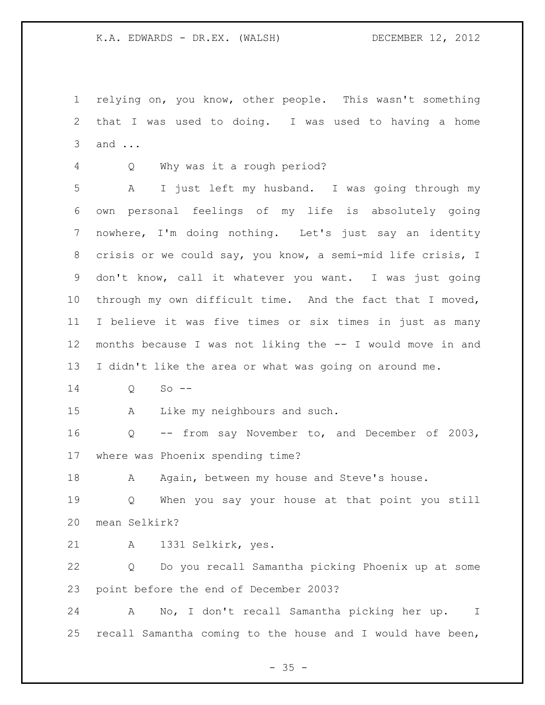relying on, you know, other people. This wasn't something that I was used to doing. I was used to having a home and ...

Q Why was it a rough period?

 A I just left my husband. I was going through my own personal feelings of my life is absolutely going nowhere, I'm doing nothing. Let's just say an identity crisis or we could say, you know, a semi-mid life crisis, I don't know, call it whatever you want. I was just going through my own difficult time. And the fact that I moved, I believe it was five times or six times in just as many months because I was not liking the -- I would move in and I didn't like the area or what was going on around me.

Q So --

A Like my neighbours and such.

 Q -- from say November to, and December of 2003, where was Phoenix spending time?

18 A Again, between my house and Steve's house.

 Q When you say your house at that point you still mean Selkirk?

A 1331 Selkirk, yes.

 Q Do you recall Samantha picking Phoenix up at some point before the end of December 2003?

 A No, I don't recall Samantha picking her up. I recall Samantha coming to the house and I would have been,

 $- 35 -$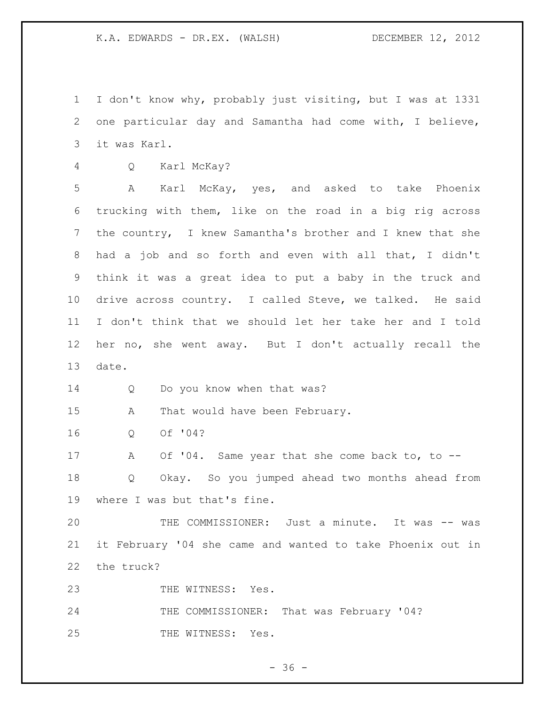I don't know why, probably just visiting, but I was at 1331 one particular day and Samantha had come with, I believe, it was Karl.

Q Karl McKay?

 A Karl McKay, yes, and asked to take Phoenix trucking with them, like on the road in a big rig across the country, I knew Samantha's brother and I knew that she had a job and so forth and even with all that, I didn't think it was a great idea to put a baby in the truck and drive across country. I called Steve, we talked. He said I don't think that we should let her take her and I told her no, she went away. But I don't actually recall the date.

14 Q Do you know when that was?

A That would have been February.

Q Of '04?

 A Of '04. Same year that she come back to, to -- Q Okay. So you jumped ahead two months ahead from where I was but that's fine.

20 THE COMMISSIONER: Just a minute. It was -- was it February '04 she came and wanted to take Phoenix out in the truck?

23 THE WITNESS: Yes.

24 THE COMMISSIONER: That was February '04? 25 THE WITNESS: Yes.

 $- 36 -$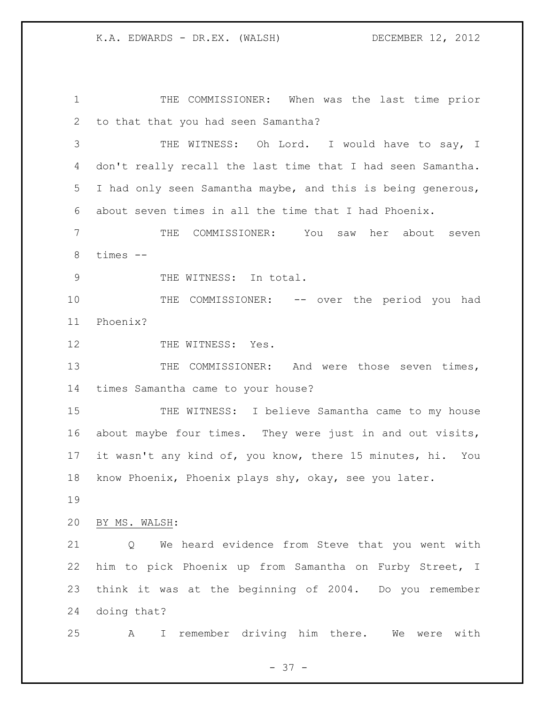THE COMMISSIONER: When was the last time prior to that that you had seen Samantha? THE WITNESS: Oh Lord. I would have to say, I don't really recall the last time that I had seen Samantha. I had only seen Samantha maybe, and this is being generous, about seven times in all the time that I had Phoenix. THE COMMISSIONER: You saw her about seven times -- 9 THE WITNESS: In total. 10 THE COMMISSIONER: -- over the period you had Phoenix? 12 THE WITNESS: Yes. 13 THE COMMISSIONER: And were those seven times, times Samantha came to your house? THE WITNESS: I believe Samantha came to my house about maybe four times. They were just in and out visits, it wasn't any kind of, you know, there 15 minutes, hi. You know Phoenix, Phoenix plays shy, okay, see you later. BY MS. WALSH: Q We heard evidence from Steve that you went with

 think it was at the beginning of 2004. Do you remember doing that?

him to pick Phoenix up from Samantha on Furby Street, I

A I remember driving him there. We were with

- 37 -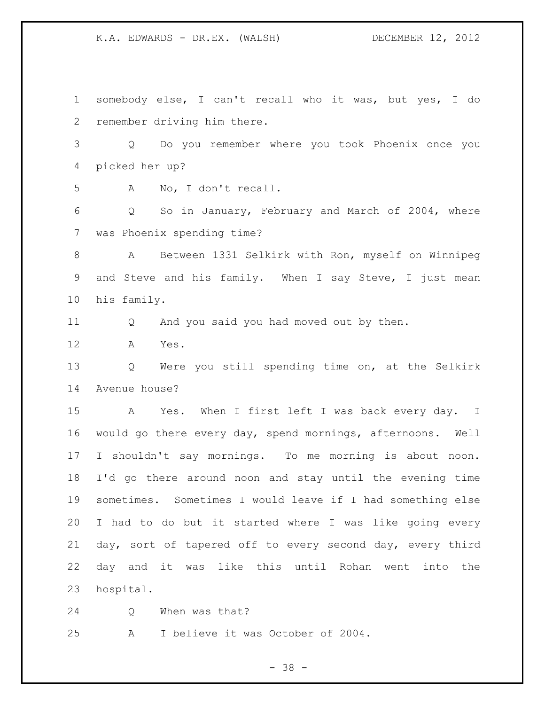somebody else, I can't recall who it was, but yes, I do remember driving him there. Q Do you remember where you took Phoenix once you picked her up? A No, I don't recall. Q So in January, February and March of 2004, where was Phoenix spending time? A Between 1331 Selkirk with Ron, myself on Winnipeg and Steve and his family. When I say Steve, I just mean his family. Q And you said you had moved out by then. A Yes. Q Were you still spending time on, at the Selkirk Avenue house? A Yes. When I first left I was back every day. I would go there every day, spend mornings, afternoons. Well I shouldn't say mornings. To me morning is about noon. I'd go there around noon and stay until the evening time sometimes. Sometimes I would leave if I had something else I had to do but it started where I was like going every day, sort of tapered off to every second day, every third day and it was like this until Rohan went into the hospital. Q When was that?

A I believe it was October of 2004.

- 38 -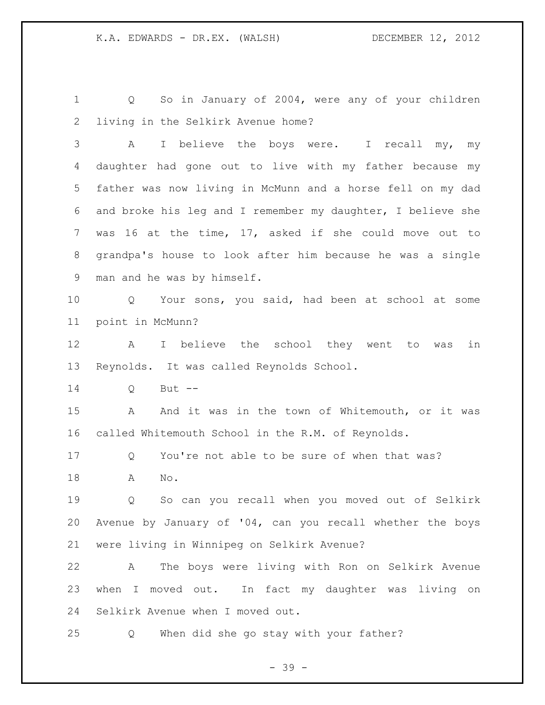Q So in January of 2004, were any of your children living in the Selkirk Avenue home? A I believe the boys were. I recall my, my daughter had gone out to live with my father because my father was now living in McMunn and a horse fell on my dad and broke his leg and I remember my daughter, I believe she was 16 at the time, 17, asked if she could move out to grandpa's house to look after him because he was a single man and he was by himself. Q Your sons, you said, had been at school at some point in McMunn? A I believe the school they went to was in Reynolds. It was called Reynolds School. Q But -- 15 A And it was in the town of Whitemouth, or it was called Whitemouth School in the R.M. of Reynolds. Q You're not able to be sure of when that was? A No. Q So can you recall when you moved out of Selkirk Avenue by January of '04, can you recall whether the boys were living in Winnipeg on Selkirk Avenue? A The boys were living with Ron on Selkirk Avenue when I moved out. In fact my daughter was living on Selkirk Avenue when I moved out. Q When did she go stay with your father?

- 39 -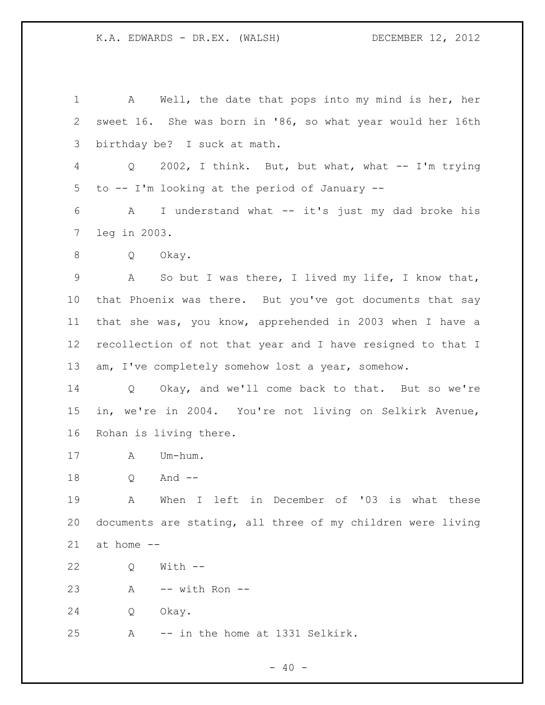A Well, the date that pops into my mind is her, her sweet 16. She was born in '86, so what year would her 16th birthday be? I suck at math. Q 2002, I think. But, but what, what -- I'm trying to -- I'm looking at the period of January -- A I understand what -- it's just my dad broke his leg in 2003. Q Okay. A So but I was there, I lived my life, I know that, that Phoenix was there. But you've got documents that say that she was, you know, apprehended in 2003 when I have a recollection of not that year and I have resigned to that I 13 am, I've completely somehow lost a year, somehow. Q Okay, and we'll come back to that. But so we're in, we're in 2004. You're not living on Selkirk Avenue, Rohan is living there. A Um-hum. Q And -- A When I left in December of '03 is what these documents are stating, all three of my children were living at home -- Q With -- A -- with Ron -- Q Okay. A -- in the home at 1331 Selkirk.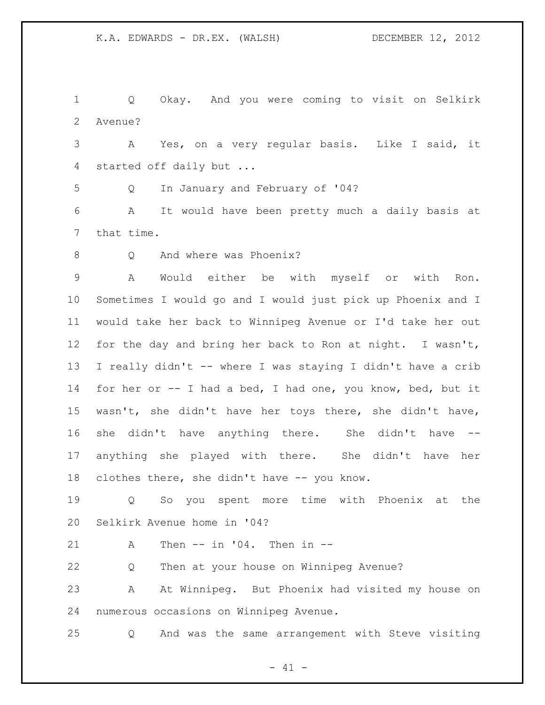Q Okay. And you were coming to visit on Selkirk Avenue?

 A Yes, on a very regular basis. Like I said, it started off daily but ...

Q In January and February of '04?

 A It would have been pretty much a daily basis at that time.

8 O And where was Phoenix?

 A Would either be with myself or with Ron. Sometimes I would go and I would just pick up Phoenix and I would take her back to Winnipeg Avenue or I'd take her out for the day and bring her back to Ron at night. I wasn't, I really didn't -- where I was staying I didn't have a crib for her or -- I had a bed, I had one, you know, bed, but it wasn't, she didn't have her toys there, she didn't have, she didn't have anything there. She didn't have -- anything she played with there. She didn't have her clothes there, she didn't have -- you know.

 Q So you spent more time with Phoenix at the Selkirk Avenue home in '04?

A Then -- in '04. Then in --

Q Then at your house on Winnipeg Avenue?

 A At Winnipeg. But Phoenix had visited my house on numerous occasions on Winnipeg Avenue.

Q And was the same arrangement with Steve visiting

 $- 41 -$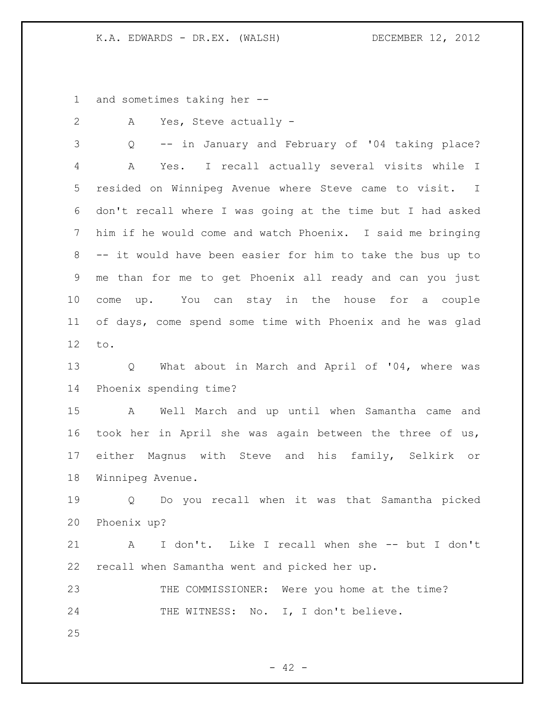and sometimes taking her --

A Yes, Steve actually -

 Q -- in January and February of '04 taking place? A Yes. I recall actually several visits while I resided on Winnipeg Avenue where Steve came to visit. I don't recall where I was going at the time but I had asked him if he would come and watch Phoenix. I said me bringing -- it would have been easier for him to take the bus up to me than for me to get Phoenix all ready and can you just come up. You can stay in the house for a couple of days, come spend some time with Phoenix and he was glad to.

 Q What about in March and April of '04, where was Phoenix spending time?

 A Well March and up until when Samantha came and took her in April she was again between the three of us, either Magnus with Steve and his family, Selkirk or Winnipeg Avenue.

 Q Do you recall when it was that Samantha picked Phoenix up?

 A I don't. Like I recall when she -- but I don't recall when Samantha went and picked her up.

23 THE COMMISSIONER: Were you home at the time? 24 THE WITNESS: No. I, I don't believe.

 $- 42 -$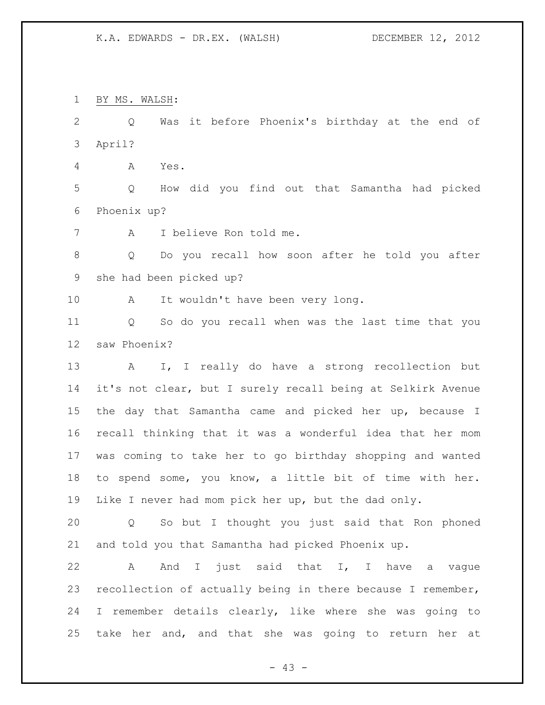BY MS. WALSH: Q Was it before Phoenix's birthday at the end of April? A Yes. Q How did you find out that Samantha had picked Phoenix up? A I believe Ron told me. Q Do you recall how soon after he told you after she had been picked up? 10 A It wouldn't have been very long. Q So do you recall when was the last time that you saw Phoenix? A I, I really do have a strong recollection but it's not clear, but I surely recall being at Selkirk Avenue the day that Samantha came and picked her up, because I recall thinking that it was a wonderful idea that her mom was coming to take her to go birthday shopping and wanted to spend some, you know, a little bit of time with her. Like I never had mom pick her up, but the dad only. Q So but I thought you just said that Ron phoned and told you that Samantha had picked Phoenix up. A And I just said that I, I have a vague recollection of actually being in there because I remember, I remember details clearly, like where she was going to take her and, and that she was going to return her at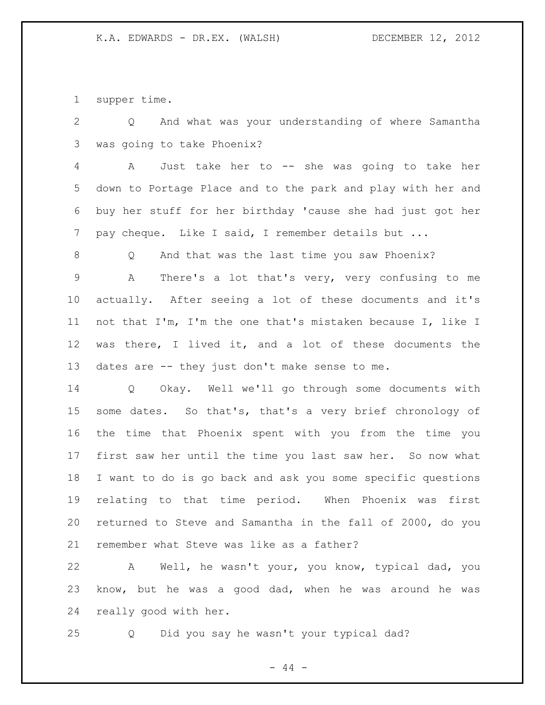supper time.

 Q And what was your understanding of where Samantha was going to take Phoenix?

 A Just take her to -- she was going to take her down to Portage Place and to the park and play with her and buy her stuff for her birthday 'cause she had just got her pay cheque. Like I said, I remember details but ...

Q And that was the last time you saw Phoenix?

 A There's a lot that's very, very confusing to me actually. After seeing a lot of these documents and it's not that I'm, I'm the one that's mistaken because I, like I was there, I lived it, and a lot of these documents the dates are -- they just don't make sense to me.

 Q Okay. Well we'll go through some documents with some dates. So that's, that's a very brief chronology of the time that Phoenix spent with you from the time you first saw her until the time you last saw her. So now what I want to do is go back and ask you some specific questions relating to that time period. When Phoenix was first returned to Steve and Samantha in the fall of 2000, do you remember what Steve was like as a father?

 A Well, he wasn't your, you know, typical dad, you know, but he was a good dad, when he was around he was really good with her.

Q Did you say he wasn't your typical dad?

 $-44 -$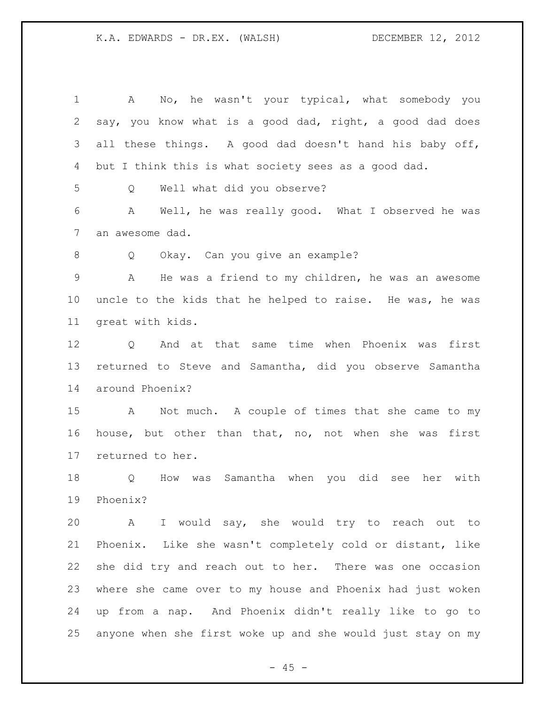| $\mathbf 1$ | No, he wasn't your typical, what somebody you<br>A          |
|-------------|-------------------------------------------------------------|
| 2           | say, you know what is a good dad, right, a good dad does    |
| 3           | all these things. A good dad doesn't hand his baby off,     |
| 4           | but I think this is what society sees as a good dad.        |
| 5           | Well what did you observe?<br>Q                             |
| 6           | Well, he was really good. What I observed he was<br>A       |
| 7           | an awesome dad.                                             |
| 8           | Okay. Can you give an example?<br>Q                         |
| $\mathsf 9$ | He was a friend to my children, he was an awesome<br>A      |
| $10 \,$     | uncle to the kids that he helped to raise. He was, he was   |
| 11          | great with kids.                                            |
| 12          | Q And at that same time when Phoenix was first              |
| 13          | returned to Steve and Samantha, did you observe Samantha    |
| 14          | around Phoenix?                                             |
| 15          | A Not much. A couple of times that she came to my           |
| 16          | house, but other than that, no, not when she was first      |
| 17          | returned to her.                                            |
| 18          | How was Samantha when you did see her with<br>Q             |
| 19          | Phoenix?                                                    |
| 20          | A I would say, she would try to reach out to                |
| 21          | Phoenix. Like she wasn't completely cold or distant, like   |
| 22          | she did try and reach out to her. There was one occasion    |
| 23          | where she came over to my house and Phoenix had just woken  |
| 24          | up from a nap. And Phoenix didn't really like to go to      |
| 25          | anyone when she first woke up and she would just stay on my |

- 45 -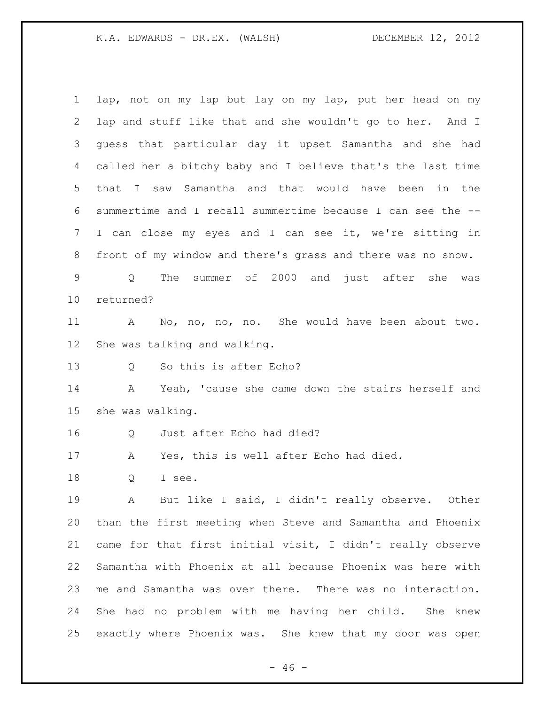lap, not on my lap but lay on my lap, put her head on my lap and stuff like that and she wouldn't go to her. And I guess that particular day it upset Samantha and she had called her a bitchy baby and I believe that's the last time that I saw Samantha and that would have been in the summertime and I recall summertime because I can see the -- I can close my eyes and I can see it, we're sitting in front of my window and there's grass and there was no snow. Q The summer of 2000 and just after she was returned? A No, no, no, no. She would have been about two. She was talking and walking. 13 O So this is after Echo? A Yeah, 'cause she came down the stairs herself and she was walking. Q Just after Echo had died? A Yes, this is well after Echo had died. Q I see. A But like I said, I didn't really observe. Other than the first meeting when Steve and Samantha and Phoenix came for that first initial visit, I didn't really observe Samantha with Phoenix at all because Phoenix was here with me and Samantha was over there. There was no interaction. She had no problem with me having her child. She knew exactly where Phoenix was. She knew that my door was open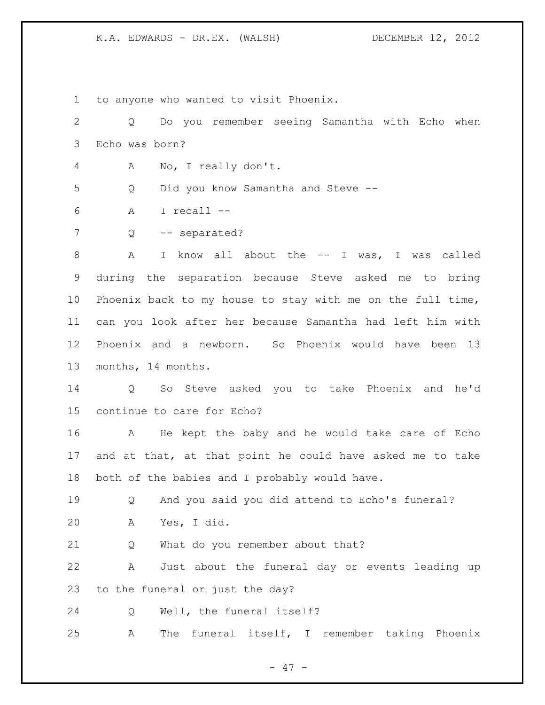to anyone who wanted to visit Phoenix.

| $\overline{2}$ | Do you remember seeing Samantha with Echo when<br>Q              |
|----------------|------------------------------------------------------------------|
| 3              | Echo was born?                                                   |
| 4              | No, I really don't.<br>А                                         |
| 5              | Did you know Samantha and Steve --<br>Q                          |
| 6              | I recall --<br>Α                                                 |
| 7              | -- separated?<br>Q                                               |
| 8              | know all about the $--$ I was, I was called<br>A<br>$\mathbf{I}$ |
| $\mathsf 9$    | during the separation because Steve asked me to bring            |
| 10             | Phoenix back to my house to stay with me on the full time,       |
| 11             | can you look after her because Samantha had left him with        |
| 12             | Phoenix and a newborn. So Phoenix would have been 13             |
| 13             | months, 14 months.                                               |
| 14             | So Steve asked you to take Phoenix and he'd<br>Q                 |
| 15             | continue to care for Echo?                                       |
| 16             | He kept the baby and he would take care of Echo<br>Α             |
| 17             | and at that, at that point he could have asked me to take        |
| 18             | both of the babies and I probably would have.                    |
| 19             | And you said you did attend to Echo's funeral?<br>Q              |
| 20             | Yes, I did.<br>A                                                 |
| 21             | What do you remember about that?<br>Q                            |
| 22             | Just about the funeral day or events leading up<br>A             |
| 23             | to the funeral or just the day?                                  |
| 24             | Well, the funeral itself?<br>Q                                   |
| 25             | The funeral itself, I remember taking Phoenix<br>A               |

- 47 -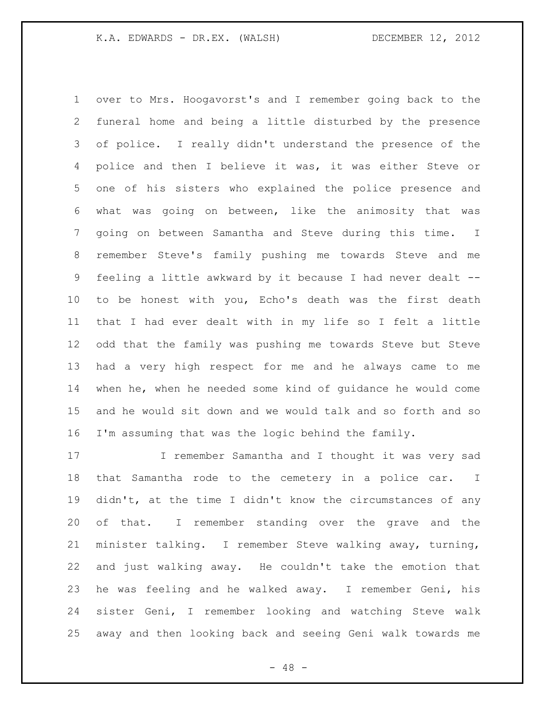over to Mrs. Hoogavorst's and I remember going back to the funeral home and being a little disturbed by the presence of police. I really didn't understand the presence of the police and then I believe it was, it was either Steve or one of his sisters who explained the police presence and what was going on between, like the animosity that was going on between Samantha and Steve during this time. I remember Steve's family pushing me towards Steve and me feeling a little awkward by it because I had never dealt -- to be honest with you, Echo's death was the first death that I had ever dealt with in my life so I felt a little odd that the family was pushing me towards Steve but Steve had a very high respect for me and he always came to me when he, when he needed some kind of guidance he would come and he would sit down and we would talk and so forth and so I'm assuming that was the logic behind the family.

17 I remember Samantha and I thought it was very sad that Samantha rode to the cemetery in a police car. I didn't, at the time I didn't know the circumstances of any of that. I remember standing over the grave and the minister talking. I remember Steve walking away, turning, and just walking away. He couldn't take the emotion that he was feeling and he walked away. I remember Geni, his sister Geni, I remember looking and watching Steve walk away and then looking back and seeing Geni walk towards me

 $- 48 -$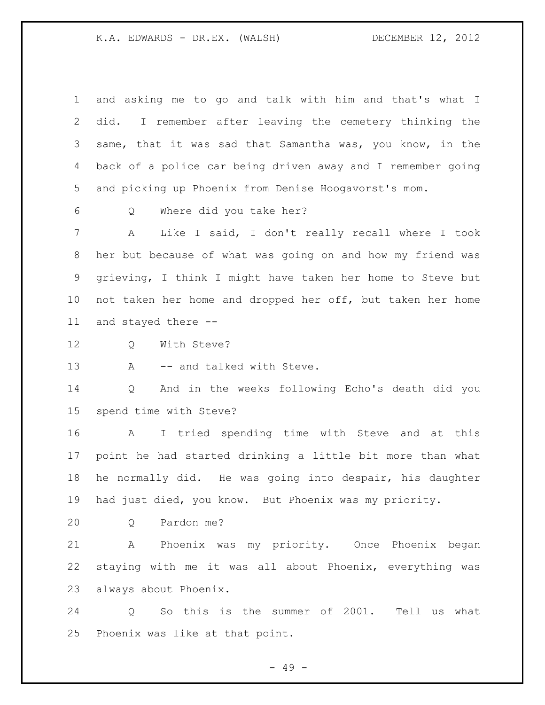and asking me to go and talk with him and that's what I did. I remember after leaving the cemetery thinking the same, that it was sad that Samantha was, you know, in the back of a police car being driven away and I remember going and picking up Phoenix from Denise Hoogavorst's mom. Q Where did you take her? A Like I said, I don't really recall where I took her but because of what was going on and how my friend was grieving, I think I might have taken her home to Steve but not taken her home and dropped her off, but taken her home and stayed there -- 12 0 With Steve? 13 A -- and talked with Steve. Q And in the weeks following Echo's death did you spend time with Steve? A I tried spending time with Steve and at this point he had started drinking a little bit more than what he normally did. He was going into despair, his daughter had just died, you know. But Phoenix was my priority.

Q Pardon me?

 A Phoenix was my priority. Once Phoenix began staying with me it was all about Phoenix, everything was always about Phoenix.

 Q So this is the summer of 2001. Tell us what Phoenix was like at that point.

- 49 -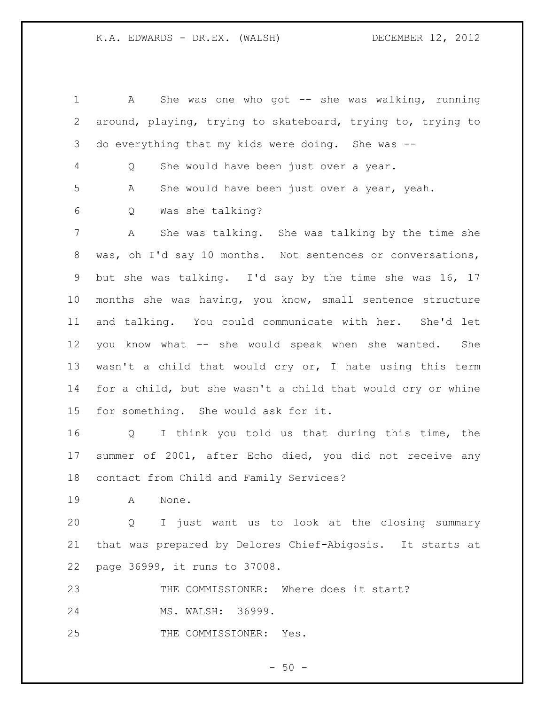A She was one who got -- she was walking, running around, playing, trying to skateboard, trying to, trying to do everything that my kids were doing. She was -- Q She would have been just over a year. A She would have been just over a year, yeah. Q Was she talking? A She was talking. She was talking by the time she was, oh I'd say 10 months. Not sentences or conversations, but she was talking. I'd say by the time she was 16, 17 months she was having, you know, small sentence structure and talking. You could communicate with her. She'd let you know what -- she would speak when she wanted. She wasn't a child that would cry or, I hate using this term for a child, but she wasn't a child that would cry or whine for something. She would ask for it. Q I think you told us that during this time, the summer of 2001, after Echo died, you did not receive any contact from Child and Family Services? A None. Q I just want us to look at the closing summary that was prepared by Delores Chief-Abigosis. It starts at page 36999, it runs to 37008. THE COMMISSIONER: Where does it start? MS. WALSH: 36999. THE COMMISSIONER: Yes.

 $-50 -$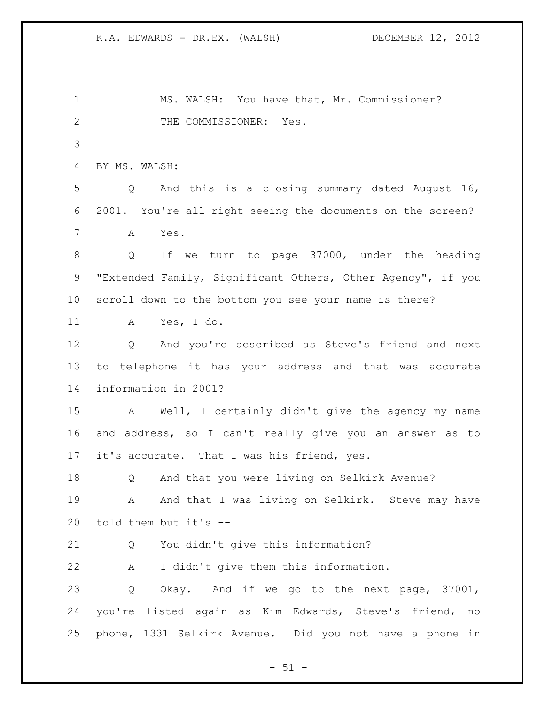MS. WALSH: You have that, Mr. Commissioner? 2 THE COMMISSIONER: Yes. BY MS. WALSH: Q And this is a closing summary dated August 16, 2001. You're all right seeing the documents on the screen? A Yes. Q If we turn to page 37000, under the heading "Extended Family, Significant Others, Other Agency", if you scroll down to the bottom you see your name is there? A Yes, I do. Q And you're described as Steve's friend and next to telephone it has your address and that was accurate information in 2001? A Well, I certainly didn't give the agency my name and address, so I can't really give you an answer as to it's accurate. That I was his friend, yes. Q And that you were living on Selkirk Avenue? 19 A And that I was living on Selkirk. Steve may have told them but it's -- Q You didn't give this information? A I didn't give them this information. Q Okay. And if we go to the next page, 37001, you're listed again as Kim Edwards, Steve's friend, no phone, 1331 Selkirk Avenue. Did you not have a phone in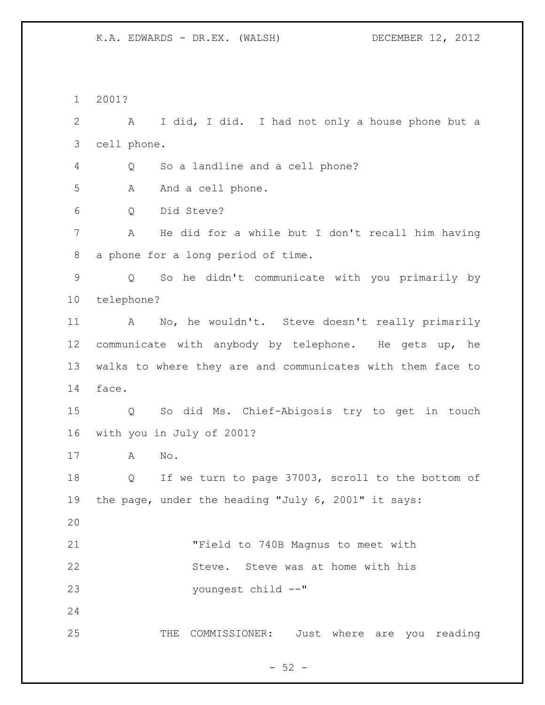2001? A I did, I did. I had not only a house phone but a cell phone. Q So a landline and a cell phone? 5 A And a cell phone. Q Did Steve? A He did for a while but I don't recall him having a phone for a long period of time. Q So he didn't communicate with you primarily by telephone? A No, he wouldn't. Steve doesn't really primarily communicate with anybody by telephone. He gets up, he walks to where they are and communicates with them face to face. Q So did Ms. Chief-Abigosis try to get in touch with you in July of 2001? A No. Q If we turn to page 37003, scroll to the bottom of the page, under the heading "July 6, 2001" it says: "Field to 740B Magnus to meet with Steve. Steve was at home with his youngest child --" THE COMMISSIONER: Just where are you reading

 $-52 -$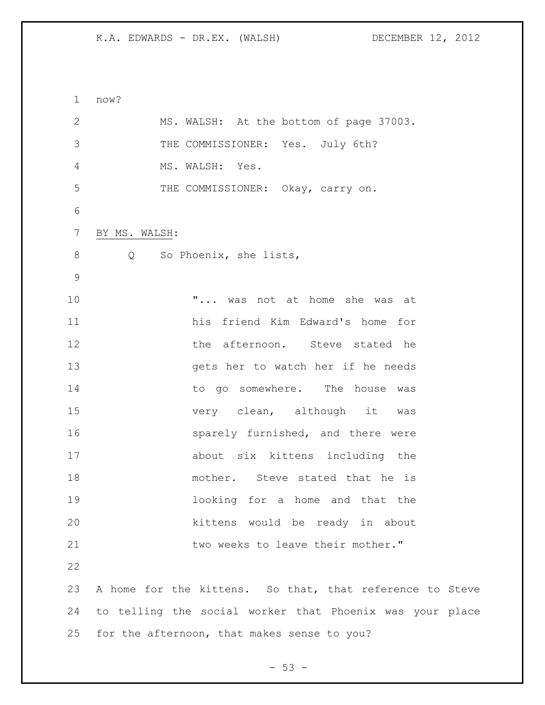now? MS. WALSH: At the bottom of page 37003. THE COMMISSIONER: Yes. July 6th? MS. WALSH: Yes. THE COMMISSIONER: Okay, carry on. BY MS. WALSH: 8 Q So Phoenix, she lists, "... was not at home she was at his friend Kim Edward's home for 12 the afternoon. Steve stated he gets her to watch her if he needs 14 to go somewhere. The house was 15 very clean, although it was 16 sparely furnished, and there were about six kittens including the mother. Steve stated that he is looking for a home and that the kittens would be ready in about **by** two weeks to leave their mother." A home for the kittens. So that, that reference to Steve to telling the social worker that Phoenix was your place for the afternoon, that makes sense to you?

 $-53 -$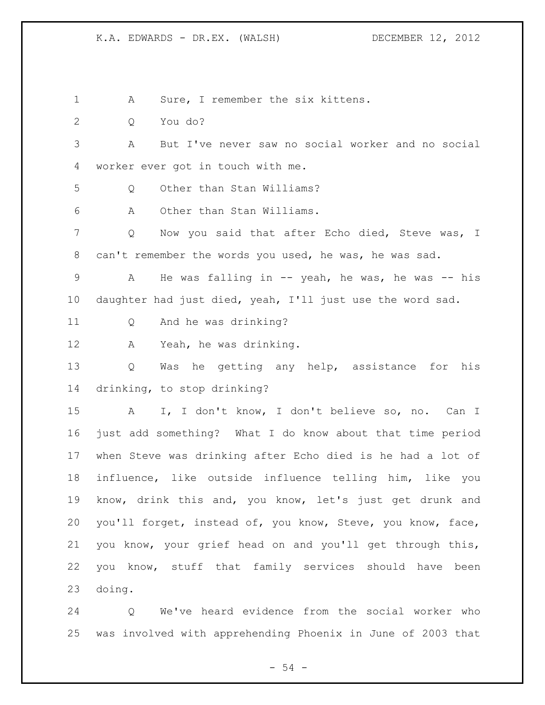A Sure, I remember the six kittens.

Q You do?

 A But I've never saw no social worker and no social worker ever got in touch with me.

Q Other than Stan Williams?

A Other than Stan Williams.

 Q Now you said that after Echo died, Steve was, I can't remember the words you used, he was, he was sad.

9 A He was falling in -- yeah, he was, he was -- his daughter had just died, yeah, I'll just use the word sad.

Q And he was drinking?

A Yeah, he was drinking.

 Q Was he getting any help, assistance for his drinking, to stop drinking?

 A I, I don't know, I don't believe so, no. Can I just add something? What I do know about that time period when Steve was drinking after Echo died is he had a lot of influence, like outside influence telling him, like you know, drink this and, you know, let's just get drunk and you'll forget, instead of, you know, Steve, you know, face, you know, your grief head on and you'll get through this, you know, stuff that family services should have been doing.

 Q We've heard evidence from the social worker who was involved with apprehending Phoenix in June of 2003 that

 $-54 -$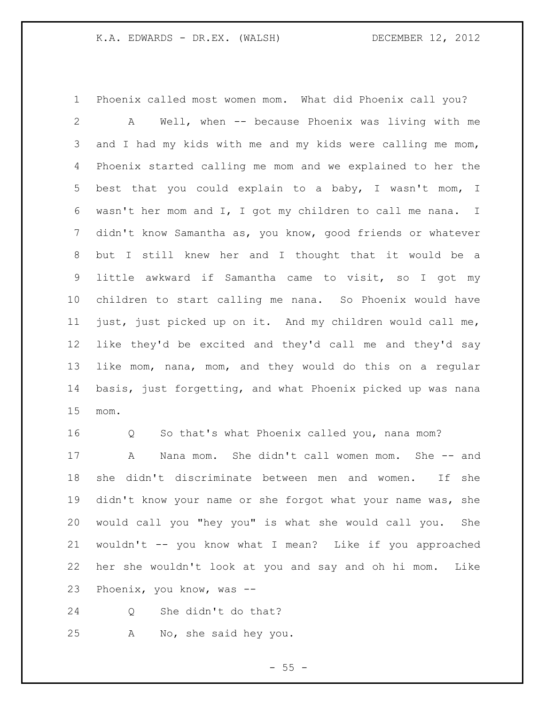Phoenix called most women mom. What did Phoenix call you? A Well, when -- because Phoenix was living with me 3 and I had my kids with me and my kids were calling me mom, Phoenix started calling me mom and we explained to her the best that you could explain to a baby, I wasn't mom, I wasn't her mom and I, I got my children to call me nana. I didn't know Samantha as, you know, good friends or whatever but I still knew her and I thought that it would be a little awkward if Samantha came to visit, so I got my children to start calling me nana. So Phoenix would have just, just picked up on it. And my children would call me, like they'd be excited and they'd call me and they'd say like mom, nana, mom, and they would do this on a regular basis, just forgetting, and what Phoenix picked up was nana mom.

 Q So that's what Phoenix called you, nana mom? A Nana mom. She didn't call women mom. She -- and she didn't discriminate between men and women. If she 19 didn't know your name or she forgot what your name was, she would call you "hey you" is what she would call you. She wouldn't -- you know what I mean? Like if you approached her she wouldn't look at you and say and oh hi mom. Like Phoenix, you know, was --

Q She didn't do that?

A No, she said hey you.

 $-55 -$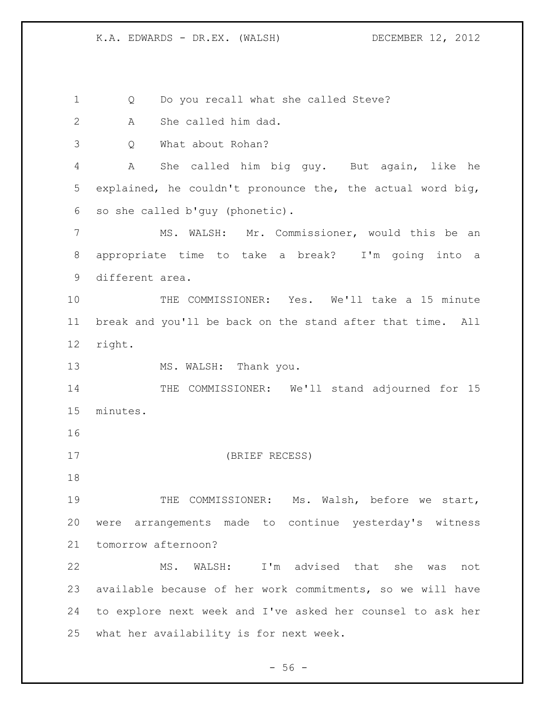Q Do you recall what she called Steve?

A She called him dad.

Q What about Rohan?

 A She called him big guy. But again, like he explained, he couldn't pronounce the, the actual word big, so she called b'guy (phonetic).

 MS. WALSH: Mr. Commissioner, would this be an appropriate time to take a break? I'm going into a different area.

 THE COMMISSIONER: Yes. We'll take a 15 minute break and you'll be back on the stand after that time. All right.

13 MS. WALSH: Thank you.

14 THE COMMISSIONER: We'll stand adjourned for 15 minutes.

(BRIEF RECESS)

 THE COMMISSIONER: Ms. Walsh, before we start, were arrangements made to continue yesterday's witness tomorrow afternoon?

 MS. WALSH: I'm advised that she was not available because of her work commitments, so we will have to explore next week and I've asked her counsel to ask her what her availability is for next week.

 $-56 -$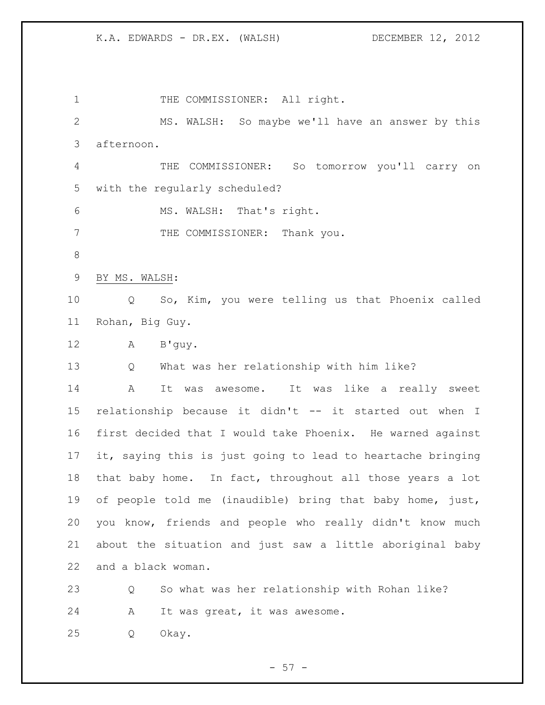1 THE COMMISSIONER: All right. MS. WALSH: So maybe we'll have an answer by this afternoon. THE COMMISSIONER: So tomorrow you'll carry on with the regularly scheduled? MS. WALSH: That's right. 7 THE COMMISSIONER: Thank you. BY MS. WALSH: Q So, Kim, you were telling us that Phoenix called Rohan, Big Guy. A B'guy. Q What was her relationship with him like? A It was awesome. It was like a really sweet relationship because it didn't -- it started out when I first decided that I would take Phoenix. He warned against it, saying this is just going to lead to heartache bringing that baby home. In fact, throughout all those years a lot of people told me (inaudible) bring that baby home, just, you know, friends and people who really didn't know much about the situation and just saw a little aboriginal baby and a black woman. Q So what was her relationship with Rohan like? A It was great, it was awesome. Q Okay.

 $-57 -$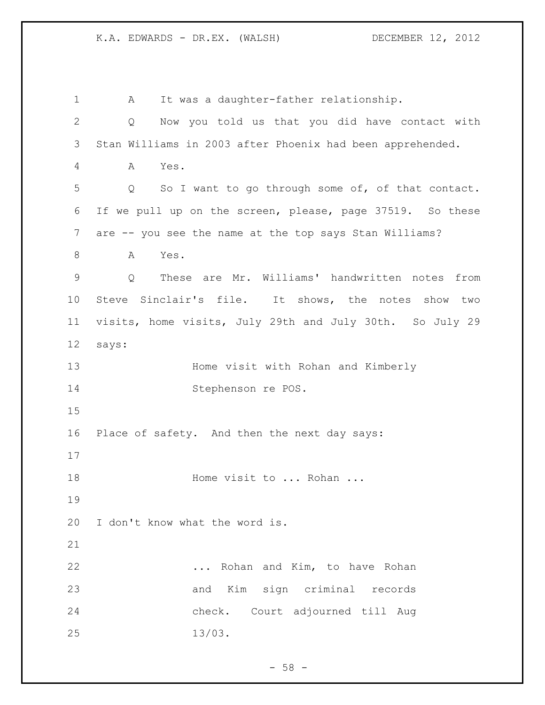A It was a daughter-father relationship. Q Now you told us that you did have contact with Stan Williams in 2003 after Phoenix had been apprehended. A Yes. Q So I want to go through some of, of that contact. If we pull up on the screen, please, page 37519. So these are -- you see the name at the top says Stan Williams? 8 A Yes. Q These are Mr. Williams' handwritten notes from Steve Sinclair's file. It shows, the notes show two visits, home visits, July 29th and July 30th. So July 29 says: Home visit with Rohan and Kimberly Stephenson re POS. Place of safety. And then the next day says: 18 Home visit to ... Rohan ... I don't know what the word is. **...** Rohan and Kim, to have Rohan and Kim sign criminal records check. Court adjourned till Aug 13/03.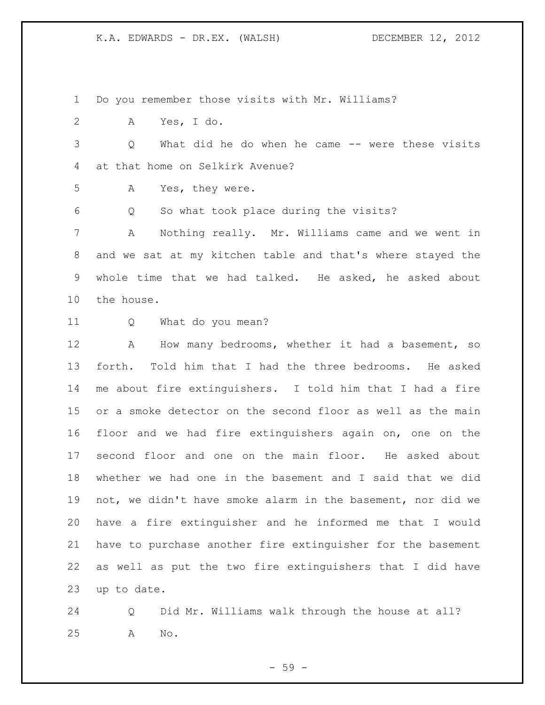Do you remember those visits with Mr. Williams?

A Yes, I do.

 Q What did he do when he came -- were these visits at that home on Selkirk Avenue?

A Yes, they were.

Q So what took place during the visits?

 A Nothing really. Mr. Williams came and we went in and we sat at my kitchen table and that's where stayed the whole time that we had talked. He asked, he asked about the house.

Q What do you mean?

 A How many bedrooms, whether it had a basement, so forth. Told him that I had the three bedrooms. He asked me about fire extinguishers. I told him that I had a fire or a smoke detector on the second floor as well as the main floor and we had fire extinguishers again on, one on the second floor and one on the main floor. He asked about whether we had one in the basement and I said that we did not, we didn't have smoke alarm in the basement, nor did we have a fire extinguisher and he informed me that I would have to purchase another fire extinguisher for the basement as well as put the two fire extinguishers that I did have up to date.

 Q Did Mr. Williams walk through the house at all? A No.

- 59 -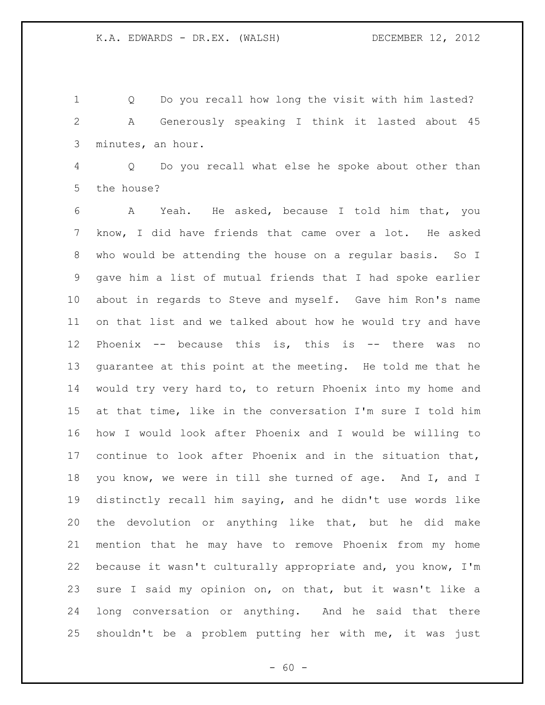Q Do you recall how long the visit with him lasted? A Generously speaking I think it lasted about 45 minutes, an hour.

 Q Do you recall what else he spoke about other than the house?

 A Yeah. He asked, because I told him that, you know, I did have friends that came over a lot. He asked who would be attending the house on a regular basis. So I gave him a list of mutual friends that I had spoke earlier about in regards to Steve and myself. Gave him Ron's name on that list and we talked about how he would try and have Phoenix -- because this is, this is -- there was no guarantee at this point at the meeting. He told me that he would try very hard to, to return Phoenix into my home and at that time, like in the conversation I'm sure I told him how I would look after Phoenix and I would be willing to continue to look after Phoenix and in the situation that, you know, we were in till she turned of age. And I, and I distinctly recall him saying, and he didn't use words like the devolution or anything like that, but he did make mention that he may have to remove Phoenix from my home because it wasn't culturally appropriate and, you know, I'm sure I said my opinion on, on that, but it wasn't like a long conversation or anything. And he said that there shouldn't be a problem putting her with me, it was just

 $- 60 -$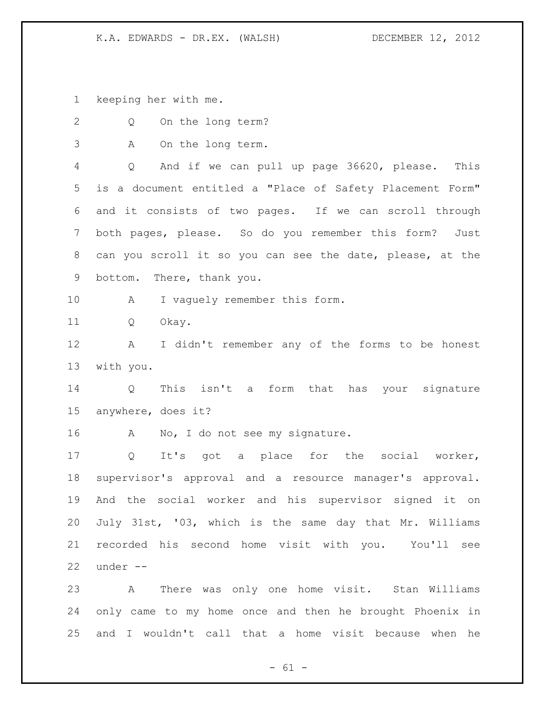keeping her with me.

| $\mathbf{2}$ | On the long term?<br>Q                                       |
|--------------|--------------------------------------------------------------|
| 3            | On the long term.<br>A                                       |
| 4            | Q<br>And if we can pull up page 36620, please. This          |
| 5            | is a document entitled a "Place of Safety Placement Form"    |
| 6            | and it consists of two pages. If we can scroll through       |
| 7            | both pages, please. So do you remember this form?<br>Just    |
| $8\,$        | can you scroll it so you can see the date, please, at the    |
| 9            | bottom. There, thank you.                                    |
| 10           | $\mathbf{A}$<br>I vaguely remember this form.                |
| 11           | Q<br>Okay.                                                   |
| 12           | I didn't remember any of the forms to be honest<br>A         |
| 13           | with you.                                                    |
| 14           | This isn't a form that has your signature<br>Q               |
| 15           | anywhere, does it?                                           |
| 16           | No, I do not see my signature.<br>A                          |
| 17           | It's got a place for the social worker,<br>$Q \qquad \qquad$ |
| 18           | supervisor's approval and a resource manager's approval.     |
| 19           | And the social worker and his supervisor signed it on        |
| 20           | July 31st, '03, which is the same day that Mr. Williams      |
| 21           | recorded his second home visit with you. You'll see          |
| 22           | under --                                                     |
| 23           | A There was only one home visit. Stan Williams               |
| 24           | only came to my home once and then he brought Phoenix in     |
| 25           | and I wouldn't call that a home visit because when he        |

- 61 -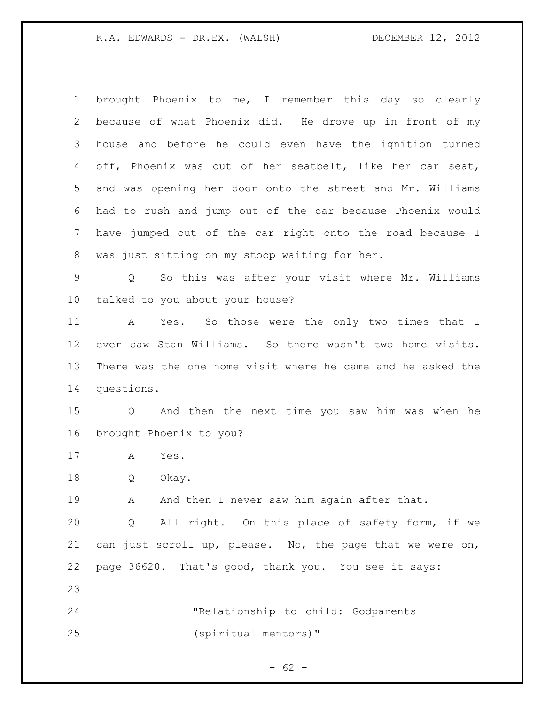brought Phoenix to me, I remember this day so clearly because of what Phoenix did. He drove up in front of my house and before he could even have the ignition turned off, Phoenix was out of her seatbelt, like her car seat, and was opening her door onto the street and Mr. Williams had to rush and jump out of the car because Phoenix would have jumped out of the car right onto the road because I was just sitting on my stoop waiting for her.

 Q So this was after your visit where Mr. Williams talked to you about your house?

 A Yes. So those were the only two times that I ever saw Stan Williams. So there wasn't two home visits. There was the one home visit where he came and he asked the questions.

 Q And then the next time you saw him was when he brought Phoenix to you?

A Yes.

Q Okay.

19 A And then I never saw him again after that.

 Q All right. On this place of safety form, if we can just scroll up, please. No, the page that we were on, page 36620. That's good, thank you. You see it says:

 "Relationship to child: Godparents (spiritual mentors)"

 $- 62 -$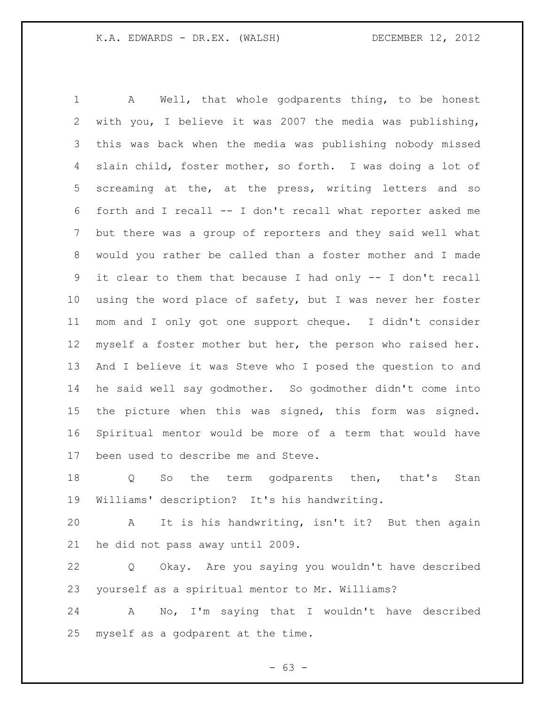A Well, that whole godparents thing, to be honest with you, I believe it was 2007 the media was publishing, this was back when the media was publishing nobody missed slain child, foster mother, so forth. I was doing a lot of screaming at the, at the press, writing letters and so forth and I recall -- I don't recall what reporter asked me but there was a group of reporters and they said well what would you rather be called than a foster mother and I made it clear to them that because I had only -- I don't recall using the word place of safety, but I was never her foster mom and I only got one support cheque. I didn't consider myself a foster mother but her, the person who raised her. And I believe it was Steve who I posed the question to and he said well say godmother. So godmother didn't come into the picture when this was signed, this form was signed. Spiritual mentor would be more of a term that would have been used to describe me and Steve.

 Q So the term godparents then, that's Stan Williams' description? It's his handwriting.

 A It is his handwriting, isn't it? But then again he did not pass away until 2009.

 Q Okay. Are you saying you wouldn't have described yourself as a spiritual mentor to Mr. Williams?

 A No, I'm saying that I wouldn't have described myself as a godparent at the time.

 $- 63 -$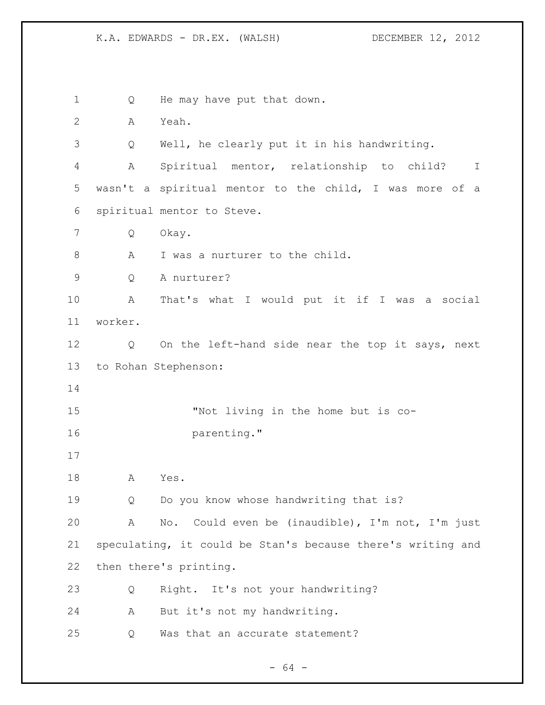1 Q He may have put that down. A Yeah. Q Well, he clearly put it in his handwriting. A Spiritual mentor, relationship to child? I wasn't a spiritual mentor to the child, I was more of a spiritual mentor to Steve. Q Okay. 8 A I was a nurturer to the child. Q A nurturer? A That's what I would put it if I was a social worker. Q On the left-hand side near the top it says, next to Rohan Stephenson: "Not living in the home but is co-**parenting.**" A Yes. Q Do you know whose handwriting that is? A No. Could even be (inaudible), I'm not, I'm just speculating, it could be Stan's because there's writing and then there's printing. Q Right. It's not your handwriting? A But it's not my handwriting. Q Was that an accurate statement?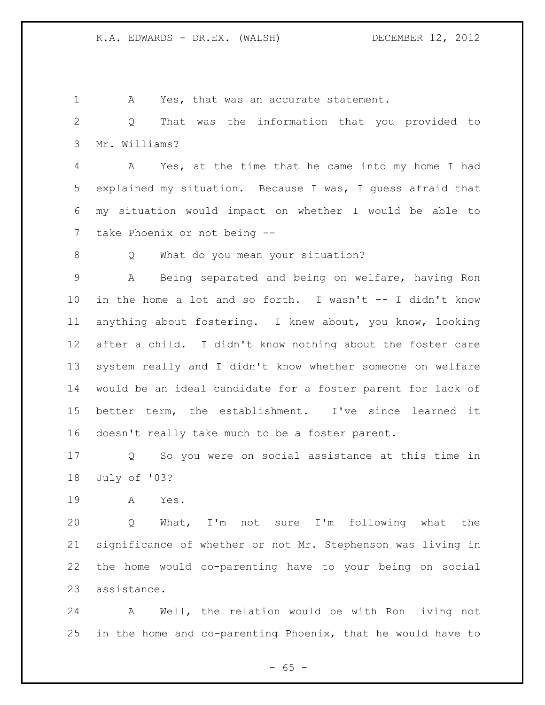A Yes, that was an accurate statement. Q That was the information that you provided to Mr. Williams? A Yes, at the time that he came into my home I had explained my situation. Because I was, I guess afraid that my situation would impact on whether I would be able to take Phoenix or not being -- Q What do you mean your situation? A Being separated and being on welfare, having Ron in the home a lot and so forth. I wasn't -- I didn't know anything about fostering. I knew about, you know, looking

 doesn't really take much to be a foster parent. Q So you were on social assistance at this time in

after a child. I didn't know nothing about the foster care

system really and I didn't know whether someone on welfare

would be an ideal candidate for a foster parent for lack of

better term, the establishment. I've since learned it

July of '03?

A Yes.

 Q What, I'm not sure I'm following what the significance of whether or not Mr. Stephenson was living in the home would co-parenting have to your being on social assistance.

 A Well, the relation would be with Ron living not in the home and co-parenting Phoenix, that he would have to

 $- 65 -$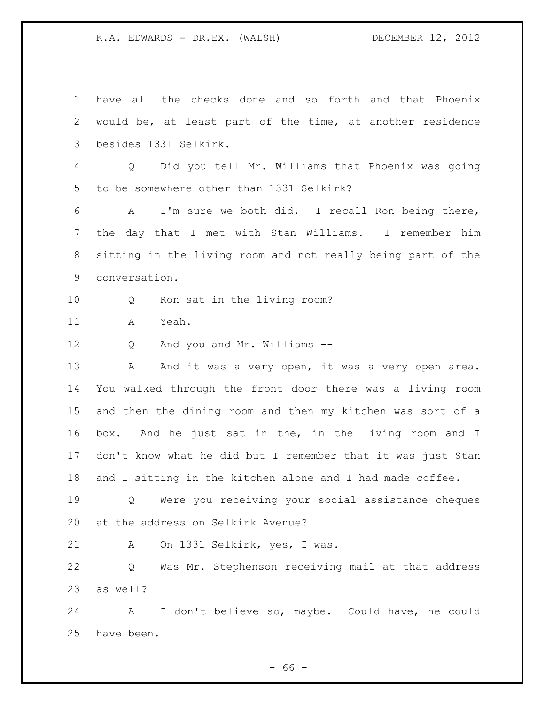have all the checks done and so forth and that Phoenix would be, at least part of the time, at another residence besides 1331 Selkirk. Q Did you tell Mr. Williams that Phoenix was going to be somewhere other than 1331 Selkirk? A I'm sure we both did. I recall Ron being there, the day that I met with Stan Williams. I remember him sitting in the living room and not really being part of the conversation. Q Ron sat in the living room? A Yeah. Q And you and Mr. Williams -- 13 A And it was a very open, it was a very open area. You walked through the front door there was a living room and then the dining room and then my kitchen was sort of a box. And he just sat in the, in the living room and I don't know what he did but I remember that it was just Stan and I sitting in the kitchen alone and I had made coffee. Q Were you receiving your social assistance cheques at the address on Selkirk Avenue? A On 1331 Selkirk, yes, I was. Q Was Mr. Stephenson receiving mail at that address as well? A I don't believe so, maybe. Could have, he could have been.

 $- 66 -$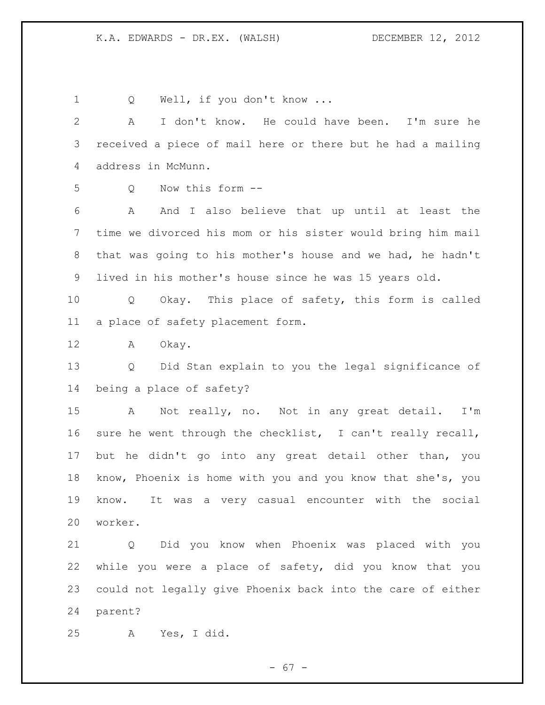1 Q Well, if you don't know ... A I don't know. He could have been. I'm sure he received a piece of mail here or there but he had a mailing address in McMunn. Q Now this form -- A And I also believe that up until at least the time we divorced his mom or his sister would bring him mail that was going to his mother's house and we had, he hadn't lived in his mother's house since he was 15 years old. Q Okay. This place of safety, this form is called a place of safety placement form. A Okay. Q Did Stan explain to you the legal significance of being a place of safety? A Not really, no. Not in any great detail. I'm sure he went through the checklist, I can't really recall, but he didn't go into any great detail other than, you know, Phoenix is home with you and you know that she's, you know. It was a very casual encounter with the social worker. Q Did you know when Phoenix was placed with you while you were a place of safety, did you know that you could not legally give Phoenix back into the care of either parent?

A Yes, I did.

- 67 -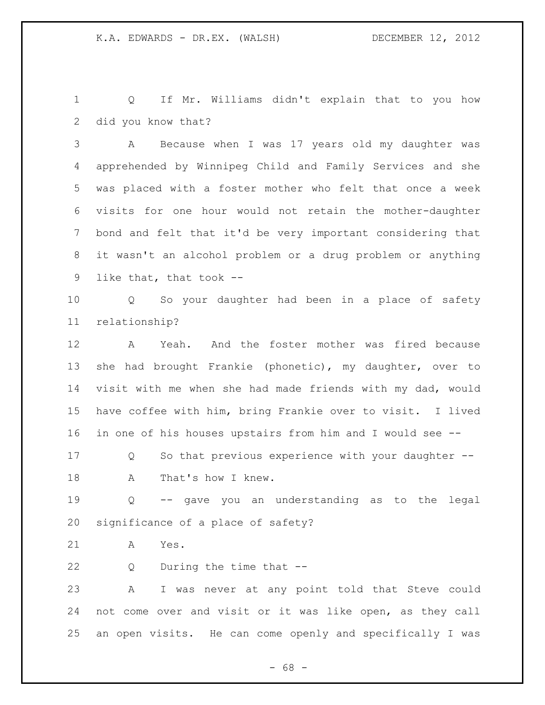Q If Mr. Williams didn't explain that to you how did you know that?

 A Because when I was 17 years old my daughter was apprehended by Winnipeg Child and Family Services and she was placed with a foster mother who felt that once a week visits for one hour would not retain the mother-daughter bond and felt that it'd be very important considering that it wasn't an alcohol problem or a drug problem or anything like that, that took --

 Q So your daughter had been in a place of safety relationship?

 A Yeah. And the foster mother was fired because she had brought Frankie (phonetic), my daughter, over to visit with me when she had made friends with my dad, would have coffee with him, bring Frankie over to visit. I lived in one of his houses upstairs from him and I would see --

 Q So that previous experience with your daughter -- 18 A That's how I knew.

 Q -- gave you an understanding as to the legal significance of a place of safety?

A Yes.

Q During the time that --

 A I was never at any point told that Steve could not come over and visit or it was like open, as they call an open visits. He can come openly and specifically I was

- 68 -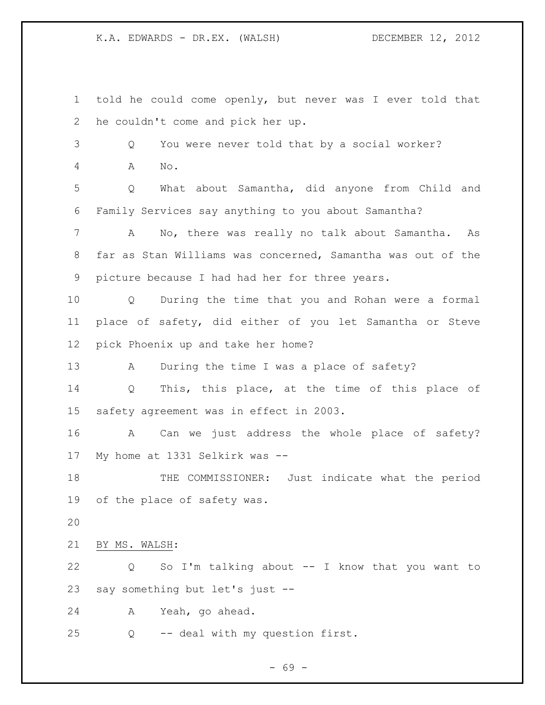told he could come openly, but never was I ever told that he couldn't come and pick her up. Q You were never told that by a social worker? A No. Q What about Samantha, did anyone from Child and Family Services say anything to you about Samantha? A No, there was really no talk about Samantha. As far as Stan Williams was concerned, Samantha was out of the picture because I had had her for three years. Q During the time that you and Rohan were a formal place of safety, did either of you let Samantha or Steve pick Phoenix up and take her home? A During the time I was a place of safety? Q This, this place, at the time of this place of safety agreement was in effect in 2003. A Can we just address the whole place of safety? My home at 1331 Selkirk was -- THE COMMISSIONER: Just indicate what the period of the place of safety was. BY MS. WALSH: Q So I'm talking about -- I know that you want to say something but let's just -- A Yeah, go ahead. Q -- deal with my question first.

 $- 69 -$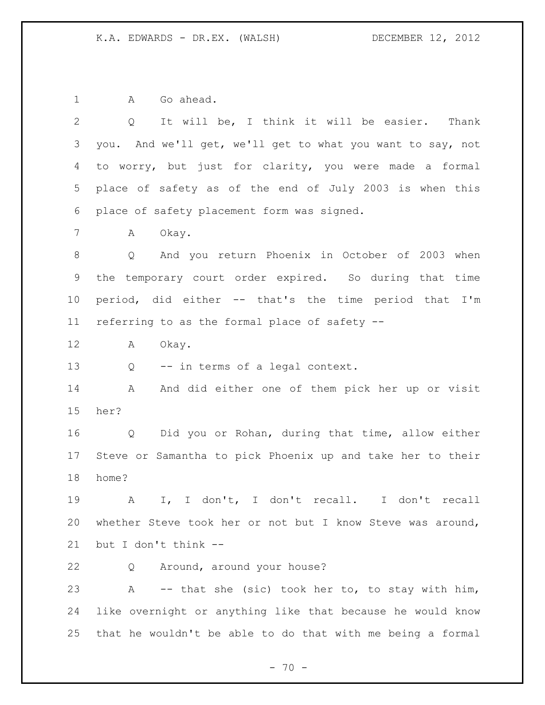1 A Go ahead.

| $\overline{2}$  | It will be, I think it will be easier.<br>$Q \qquad \qquad$<br>Thank |
|-----------------|----------------------------------------------------------------------|
| 3               | you. And we'll get, we'll get to what you want to say, not           |
| 4               | to worry, but just for clarity, you were made a formal               |
| 5               | place of safety as of the end of July 2003 is when this              |
| 6               | place of safety placement form was signed.                           |
| 7               | Okay.<br>А                                                           |
| 8               | Q And you return Phoenix in October of 2003 when                     |
| 9               | the temporary court order expired. So during that time               |
| 10 <sub>o</sub> | period, did either -- that's the time period that I'm                |
| 11              | referring to as the formal place of safety --                        |
| 12              | Okay.<br>A                                                           |
| 13              | -- in terms of a legal context.<br>Q                                 |
| 14              | And did either one of them pick her up or visit<br>Α                 |
| 15              | her?                                                                 |
| 16              | Did you or Rohan, during that time, allow either<br>Q                |
| 17              | Steve or Samantha to pick Phoenix up and take her to their           |
| 18              | home?                                                                |
| 19              | I don't, I don't recall. I don't recall<br>Α<br>$I_{\ell}$           |
| 20              | whether Steve took her or not but I know Steve was around,           |
| 21              | but I don't think --                                                 |
| 22              | Around, around your house?<br>Q                                      |
| 23              | -- that she (sic) took her to, to stay with him,<br>Α                |
| 24              | like overnight or anything like that because he would know           |
| 25              | that he wouldn't be able to do that with me being a formal           |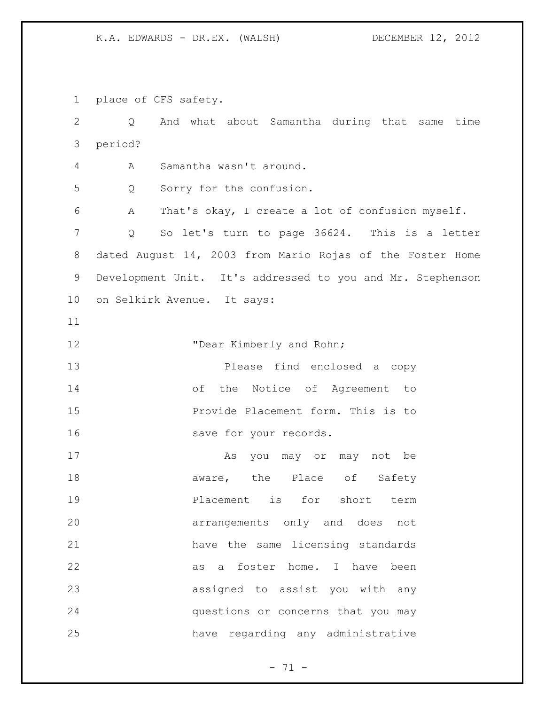place of CFS safety.

 Q And what about Samantha during that same time period? A Samantha wasn't around. Q Sorry for the confusion. A That's okay, I create a lot of confusion myself. Q So let's turn to page 36624. This is a letter dated August 14, 2003 from Mario Rojas of the Foster Home Development Unit. It's addressed to you and Mr. Stephenson on Selkirk Avenue. It says: **"Dear Kimberly and Rohn;**  Please find enclosed a copy of the Notice of Agreement to Provide Placement form. This is to 16 save for your records. 17 As you may or may not be 18 aware, the Place of Safety **Placement** is for short term arrangements only and does not have the same licensing standards 22 as a foster home. I have been assigned to assist you with any questions or concerns that you may have regarding any administrative

 $- 71 -$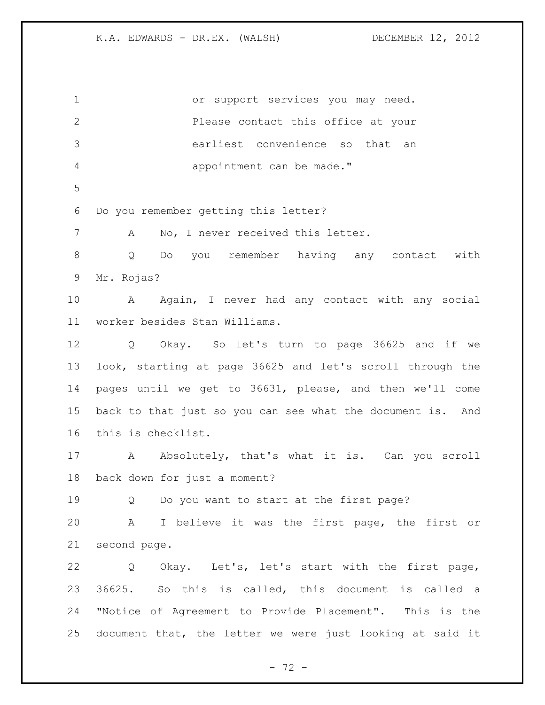or support services you may need. Please contact this office at your earliest convenience so that an appointment can be made." Do you remember getting this letter? 7 A No, I never received this letter. Q Do you remember having any contact with Mr. Rojas? 10 A Again, I never had any contact with any social worker besides Stan Williams. Q Okay. So let's turn to page 36625 and if we look, starting at page 36625 and let's scroll through the pages until we get to 36631, please, and then we'll come back to that just so you can see what the document is. And this is checklist. 17 A Absolutely, that's what it is. Can you scroll back down for just a moment? Q Do you want to start at the first page? A I believe it was the first page, the first or second page. Q Okay. Let's, let's start with the first page, 36625. So this is called, this document is called a "Notice of Agreement to Provide Placement". This is the document that, the letter we were just looking at said it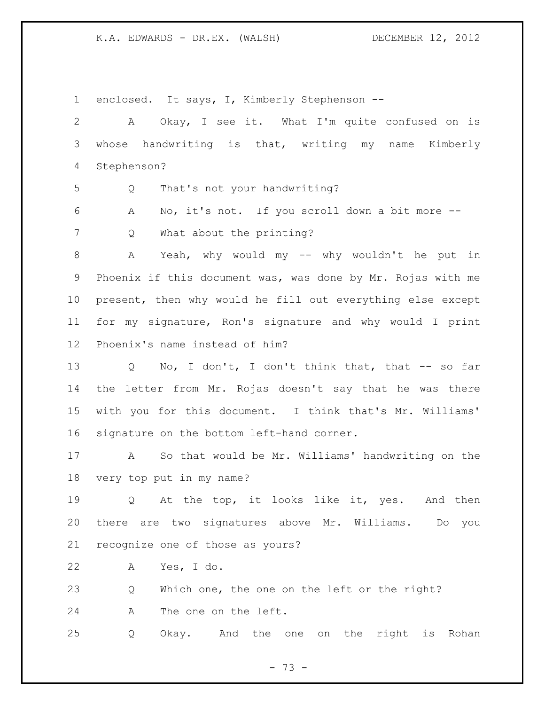enclosed. It says, I, Kimberly Stephenson -- A Okay, I see it. What I'm quite confused on is whose handwriting is that, writing my name Kimberly Stephenson? Q That's not your handwriting? A No, it's not. If you scroll down a bit more -- Q What about the printing? A Yeah, why would my -- why wouldn't he put in Phoenix if this document was, was done by Mr. Rojas with me present, then why would he fill out everything else except for my signature, Ron's signature and why would I print Phoenix's name instead of him? Q No, I don't, I don't think that, that -- so far the letter from Mr. Rojas doesn't say that he was there with you for this document. I think that's Mr. Williams' signature on the bottom left-hand corner. A So that would be Mr. Williams' handwriting on the very top put in my name? Q At the top, it looks like it, yes. And then there are two signatures above Mr. Williams. Do you recognize one of those as yours? A Yes, I do. Q Which one, the one on the left or the right? A The one on the left. Q Okay. And the one on the right is Rohan

- 73 -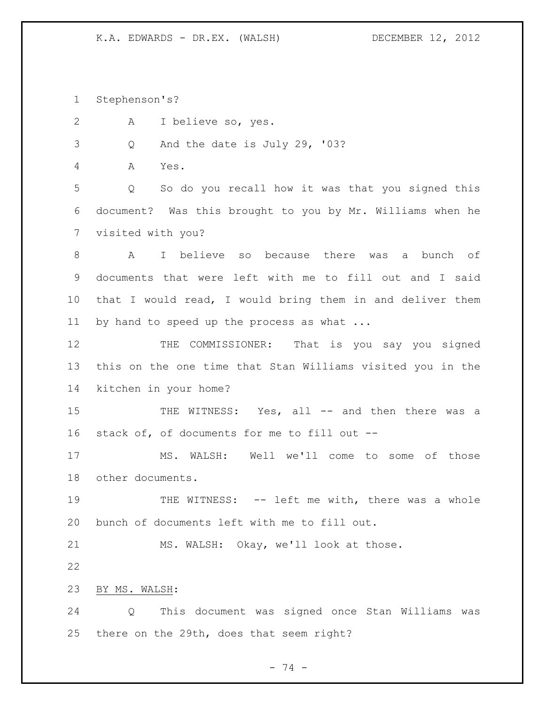Stephenson's?

A I believe so, yes.

Q And the date is July 29, '03?

A Yes.

 Q So do you recall how it was that you signed this document? Was this brought to you by Mr. Williams when he visited with you?

 A I believe so because there was a bunch of documents that were left with me to fill out and I said that I would read, I would bring them in and deliver them by hand to speed up the process as what ...

 THE COMMISSIONER: That is you say you signed this on the one time that Stan Williams visited you in the kitchen in your home?

15 THE WITNESS: Yes, all -- and then there was a stack of, of documents for me to fill out --

 MS. WALSH: Well we'll come to some of those other documents.

19 THE WITNESS: -- left me with, there was a whole bunch of documents left with me to fill out.

MS. WALSH: Okay, we'll look at those.

BY MS. WALSH:

 Q This document was signed once Stan Williams was there on the 29th, does that seem right?

- 74 -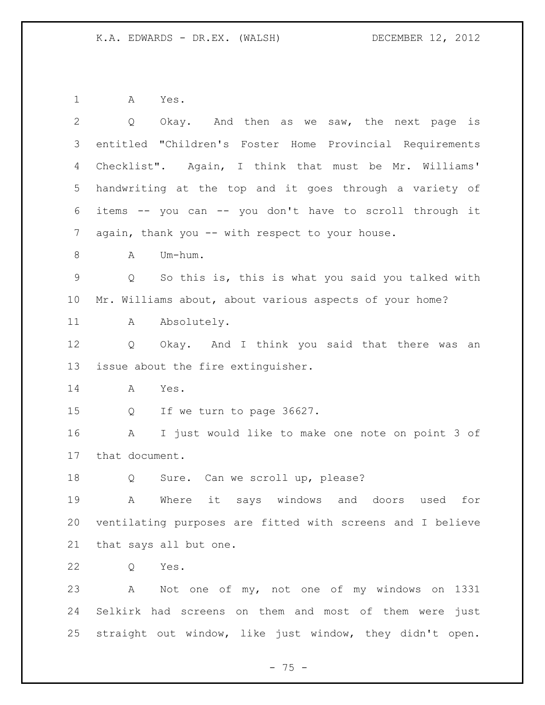A Yes.

| $\mathbf{2}$    | Okay. And then as we saw, the next page is<br>Q                        |
|-----------------|------------------------------------------------------------------------|
| 3               | entitled "Children's Foster Home Provincial Requirements               |
| 4               | Checklist". Again, I think that must be Mr. Williams'                  |
| 5               | handwriting at the top and it goes through a variety of                |
| 6               | items -- you can -- you don't have to scroll through it                |
| 7               | again, thank you -- with respect to your house.                        |
| $8\,$           | Um-hum.<br>A                                                           |
| 9               | So this is, this is what you said you talked with<br>$Q \qquad \qquad$ |
| 10 <sub>o</sub> | Mr. Williams about, about various aspects of your home?                |
| 11              | Absolutely.<br>A                                                       |
| 12              | Okay. And I think you said that there was<br>Q<br>an                   |
| 13              | issue about the fire extinguisher.                                     |
| 14              | Α<br>Yes.                                                              |
| 15              | If we turn to page 36627.<br>Q                                         |
| 16              | I just would like to make one note on point 3 of<br>A                  |
| 17              | that document.                                                         |
| 18              | Sure. Can we scroll up, please?<br>Q                                   |
| 19              | it says windows and doors<br>Where<br>for<br>A<br>used                 |
| 20              | ventilating purposes are fitted with screens and I believe             |
| 21              | that says all but one.                                                 |
| 22              | Yes.<br>Q                                                              |
| 23              | Not one of my, not one of my windows on 1331<br>A                      |
| 24              | Selkirk had screens on them and most of them were just                 |
| 25              | straight out window, like just window, they didn't open.               |

- 75 -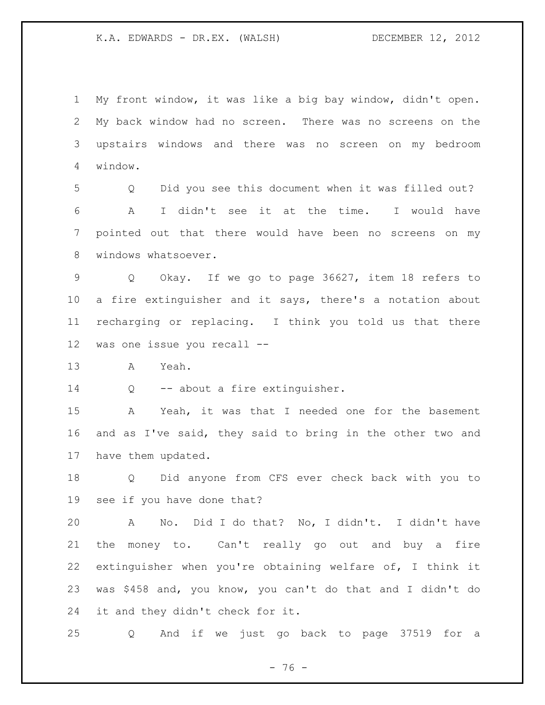My front window, it was like a big bay window, didn't open. My back window had no screen. There was no screens on the upstairs windows and there was no screen on my bedroom window.

 Q Did you see this document when it was filled out? A I didn't see it at the time. I would have pointed out that there would have been no screens on my windows whatsoever.

 Q Okay. If we go to page 36627, item 18 refers to a fire extinguisher and it says, there's a notation about recharging or replacing. I think you told us that there was one issue you recall --

A Yeah.

14 Q -- about a fire extinguisher.

 A Yeah, it was that I needed one for the basement and as I've said, they said to bring in the other two and have them updated.

 Q Did anyone from CFS ever check back with you to see if you have done that?

 A No. Did I do that? No, I didn't. I didn't have the money to. Can't really go out and buy a fire extinguisher when you're obtaining welfare of, I think it was \$458 and, you know, you can't do that and I didn't do it and they didn't check for it.

Q And if we just go back to page 37519 for a

- 76 -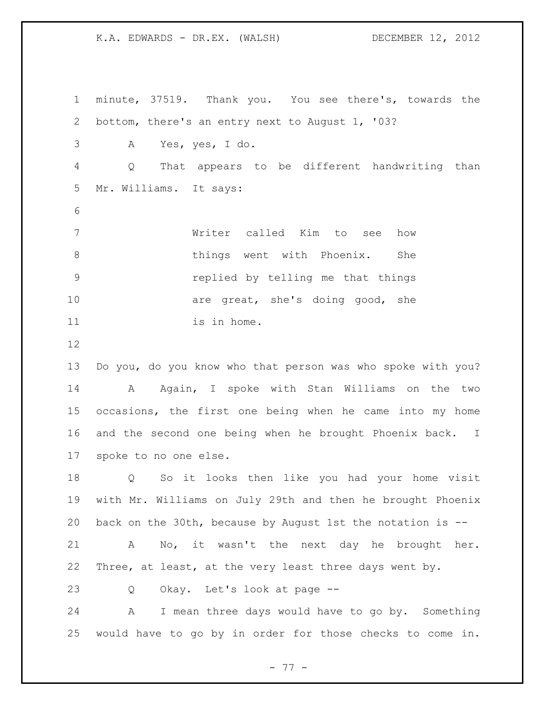minute, 37519. Thank you. You see there's, towards the bottom, there's an entry next to August 1, '03? A Yes, yes, I do. Q That appears to be different handwriting than Mr. Williams. It says: Writer called Kim to see how 8 6 things went with Phoenix. She replied by telling me that things 10 are great, she's doing good, she 11 is in home. Do you, do you know who that person was who spoke with you? 14 A Again, I spoke with Stan Williams on the two occasions, the first one being when he came into my home and the second one being when he brought Phoenix back. I spoke to no one else. Q So it looks then like you had your home visit with Mr. Williams on July 29th and then he brought Phoenix back on the 30th, because by August 1st the notation is -- A No, it wasn't the next day he brought her. Three, at least, at the very least three days went by. Q Okay. Let's look at page --

 A I mean three days would have to go by. Something would have to go by in order for those checks to come in.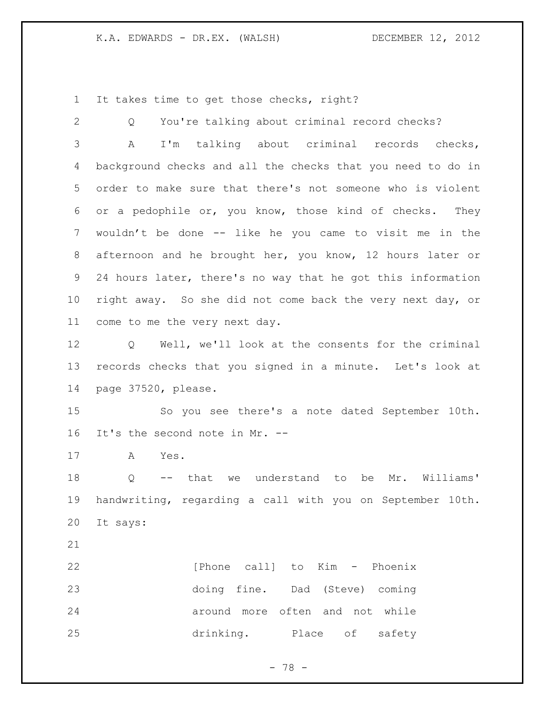It takes time to get those checks, right?

| $\mathbf{2}$    | You're talking about criminal record checks?<br>Q           |
|-----------------|-------------------------------------------------------------|
| 3               | I'm talking about criminal records checks,<br>А             |
| 4               | background checks and all the checks that you need to do in |
| 5               | order to make sure that there's not someone who is violent  |
| 6               | or a pedophile or, you know, those kind of checks. They     |
| 7               | wouldn't be done -- like he you came to visit me in the     |
| 8               | afternoon and he brought her, you know, 12 hours later or   |
| 9               | 24 hours later, there's no way that he got this information |
| 10 <sub>o</sub> | right away. So she did not come back the very next day, or  |
| 11              | come to me the very next day.                               |
| 12              | Well, we'll look at the consents for the criminal<br>Q      |
| 13              | records checks that you signed in a minute. Let's look at   |
| 14              | page 37520, please.                                         |
| 15              | So you see there's a note dated September 10th.             |
| 16              | It's the second note in Mr. --                              |
| 17              | A<br>Yes.                                                   |
| 18              | -- that we understand to be Mr. Williams'<br>Q              |
| 19              | handwriting, regarding a call with you on September 10th.   |
| 20              | It says:                                                    |
| 21              |                                                             |
| 22              | [Phone call] to Kim - Phoenix                               |
| 23              | doing fine. Dad (Steve) coming                              |
| 24              | around more often and not while                             |
| 25              | drinking. Place of<br>safety                                |
|                 |                                                             |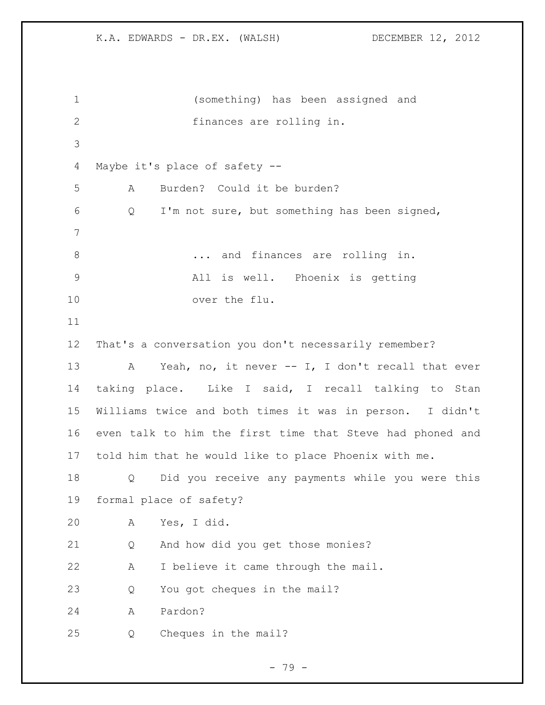```
1 (something) has been assigned and 
2 finances are rolling in. 
3
4 Maybe it's place of safety --
5 A Burden? Could it be burden?
6 Q I'm not sure, but something has been signed,
7
8 ... and finances are rolling in.
9 All is well. Phoenix is getting 
10 over the flu. 
11
12 That's a conversation you don't necessarily remember?
13 A Yeah, no, it never -- I, I don't recall that ever 
14 taking place. Like I said, I recall talking to Stan 
15 Williams twice and both times it was in person. I didn't 
16 even talk to him the first time that Steve had phoned and 
17 told him that he would like to place Phoenix with me.
18 Q Did you receive any payments while you were this 
19 formal place of safety?
20 A Yes, I did.
21 Q And how did you get those monies?
22 A I believe it came through the mail.
23 Q You got cheques in the mail?
24 A Pardon?
25 Q Cheques in the mail?
```
- 79 -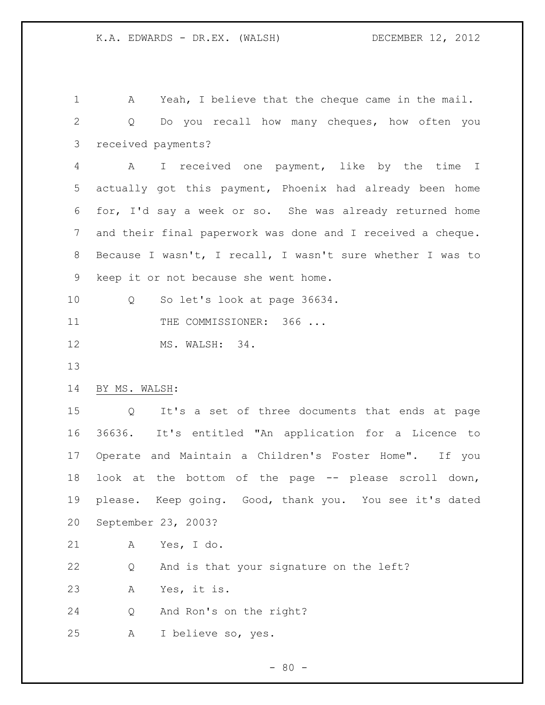A Yeah, I believe that the cheque came in the mail. Q Do you recall how many cheques, how often you received payments? A I received one payment, like by the time I actually got this payment, Phoenix had already been home for, I'd say a week or so. She was already returned home and their final paperwork was done and I received a cheque. Because I wasn't, I recall, I wasn't sure whether I was to keep it or not because she went home. Q So let's look at page 36634. 11 THE COMMISSIONER: 366 ... MS. WALSH: 34. BY MS. WALSH: Q It's a set of three documents that ends at page 36636. It's entitled "An application for a Licence to Operate and Maintain a Children's Foster Home". If you look at the bottom of the page -- please scroll down, please. Keep going. Good, thank you. You see it's dated September 23, 2003? A Yes, I do. Q And is that your signature on the left? A Yes, it is. Q And Ron's on the right? A I believe so, yes.

 $- 80 -$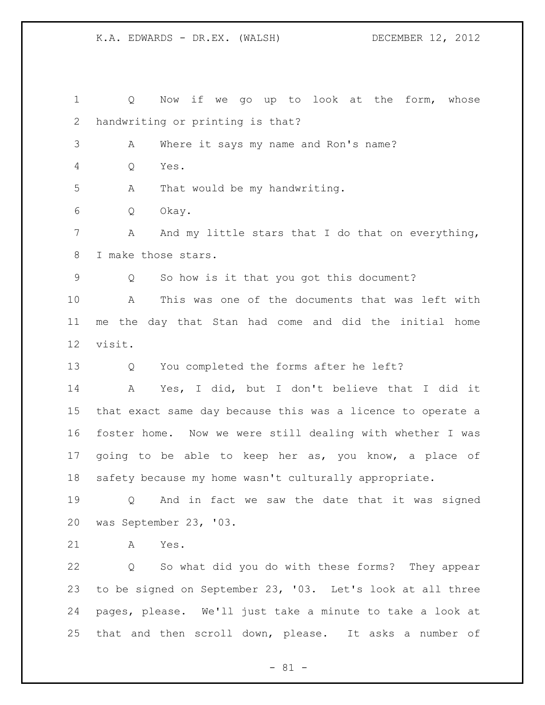Q Now if we go up to look at the form, whose handwriting or printing is that? A Where it says my name and Ron's name? Q Yes. A That would be my handwriting. Q Okay. 7 A And my little stars that I do that on everything, I make those stars. Q So how is it that you got this document? A This was one of the documents that was left with me the day that Stan had come and did the initial home visit. Q You completed the forms after he left? A Yes, I did, but I don't believe that I did it that exact same day because this was a licence to operate a foster home. Now we were still dealing with whether I was 17 going to be able to keep her as, you know, a place of safety because my home wasn't culturally appropriate. Q And in fact we saw the date that it was signed was September 23, '03. A Yes. Q So what did you do with these forms? They appear to be signed on September 23, '03. Let's look at all three pages, please. We'll just take a minute to take a look at that and then scroll down, please. It asks a number of

- 81 -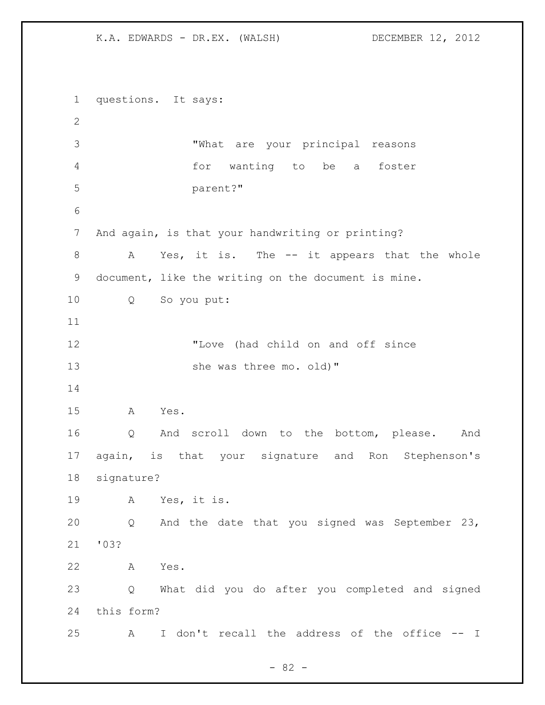questions. It says: "What are your principal reasons for wanting to be a foster parent?" And again, is that your handwriting or printing? A Yes, it is. The -- it appears that the whole document, like the writing on the document is mine. Q So you put: "Love (had child on and off since 13 she was three mo. old)" A Yes. Q And scroll down to the bottom, please. And again, is that your signature and Ron Stephenson's signature? A Yes, it is. Q And the date that you signed was September 23, '03? A Yes. Q What did you do after you completed and signed this form? A I don't recall the address of the office -- I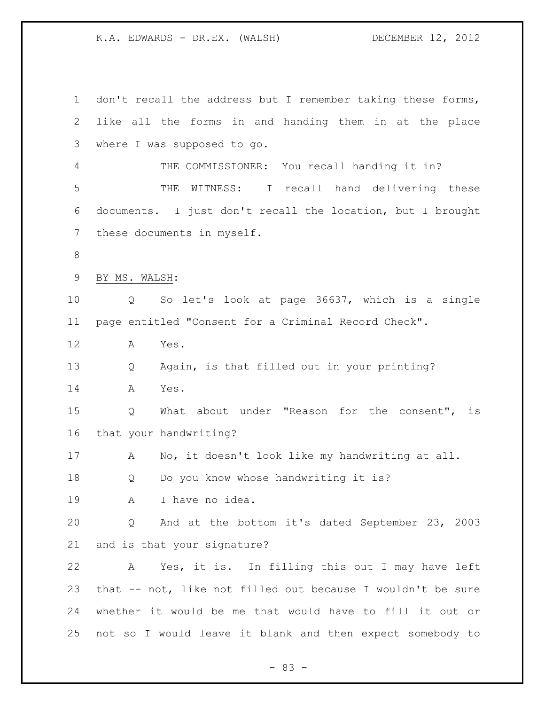1 don't recall the address but I remember taking these forms, like all the forms in and handing them in at the place where I was supposed to go. THE COMMISSIONER: You recall handing it in? THE WITNESS: I recall hand delivering these documents. I just don't recall the location, but I brought these documents in myself. BY MS. WALSH: Q So let's look at page 36637, which is a single page entitled "Consent for a Criminal Record Check". A Yes. Q Again, is that filled out in your printing? A Yes. Q What about under "Reason for the consent", is that your handwriting? A No, it doesn't look like my handwriting at all. Q Do you know whose handwriting it is? A I have no idea. Q And at the bottom it's dated September 23, 2003 and is that your signature? A Yes, it is. In filling this out I may have left that -- not, like not filled out because I wouldn't be sure whether it would be me that would have to fill it out or not so I would leave it blank and then expect somebody to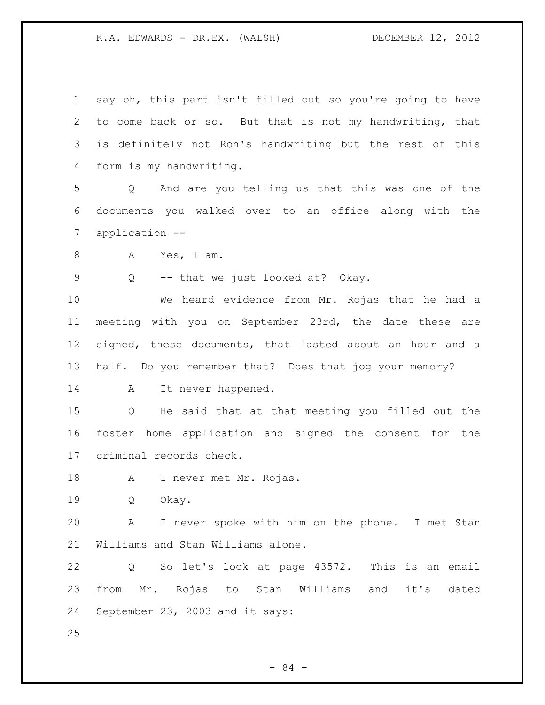| $\mathbf 1$ | say oh, this part isn't filled out so you're going to have           |
|-------------|----------------------------------------------------------------------|
| 2           | to come back or so. But that is not my handwriting, that             |
| 3           | is definitely not Ron's handwriting but the rest of this             |
| 4           | form is my handwriting.                                              |
| 5           | And are you telling us that this was one of the<br>Q                 |
| 6           | documents you walked over to an office along with the                |
| 7           | application --                                                       |
| 8           | Yes, I am.<br>A                                                      |
| $\mathsf 9$ | -- that we just looked at? Okay.<br>Q                                |
| 10          | We heard evidence from Mr. Rojas that he had a                       |
| 11          | meeting with you on September 23rd, the date these are               |
| 12          | signed, these documents, that lasted about an hour and a             |
| 13          | half. Do you remember that? Does that jog your memory?               |
| 14          | It never happened.<br>A                                              |
| 15          | He said that at that meeting you filled out the<br>$Q \qquad \qquad$ |
| 16          | foster home application and signed the consent for the               |
| 17          | criminal records check.                                              |
| 18          | A I never met Mr. Rojas.                                             |
| 19          | Okay.<br>Q                                                           |
| 20          | A<br>I never spoke with him on the phone. I met Stan                 |
| 21          | Williams and Stan Williams alone.                                    |
| 22          | So let's look at page 43572. This is an email<br>Q                   |
| 23          | from Mr. Rojas to Stan Williams and it's<br>dated                    |
| 24          | September 23, 2003 and it says:                                      |
| 25          |                                                                      |

- 84 -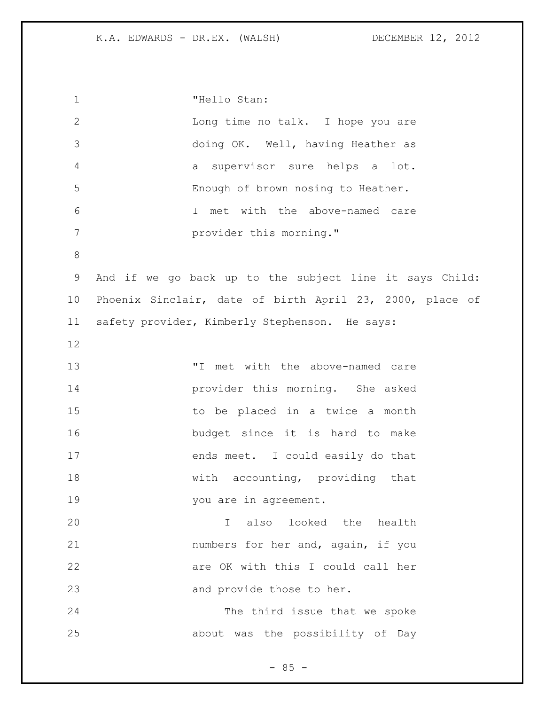"Hello Stan: Long time no talk. I hope you are doing OK. Well, having Heather as a supervisor sure helps a lot. Enough of brown nosing to Heather. I met with the above-named care provider this morning." And if we go back up to the subject line it says Child: Phoenix Sinclair, date of birth April 23, 2000, place of safety provider, Kimberly Stephenson. He says: "I met with the above-named care provider this morning. She asked to be placed in a twice a month budget since it is hard to make 17 ends meet. I could easily do that 18 with accounting, providing that 19 vou are in agreement. I also looked the health numbers for her and, again, if you are OK with this I could call her 23 and provide those to her. The third issue that we spoke about was the possibility of Day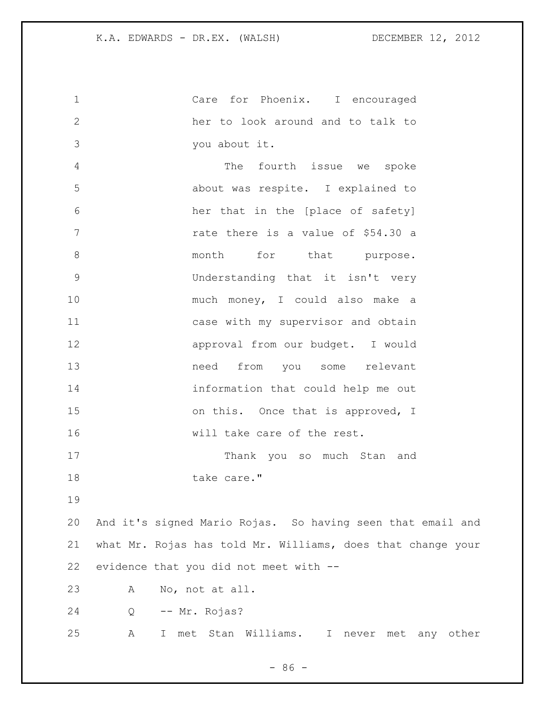Care for Phoenix. I encouraged her to look around and to talk to you about it. The fourth issue we spoke about was respite. I explained to her that in the [place of safety] 7 The rate there is a value of \$54.30 a 8 month for that purpose. Understanding that it isn't very much money, I could also make a case with my supervisor and obtain approval from our budget. I would need from you some relevant information that could help me out 15 on this. Once that is approved, I will take care of the rest. Thank you so much Stan and 18 take care." And it's signed Mario Rojas. So having seen that email and what Mr. Rojas has told Mr. Williams, does that change your evidence that you did not meet with -- A No, not at all. Q -- Mr. Rojas? A I met Stan Williams. I never met any other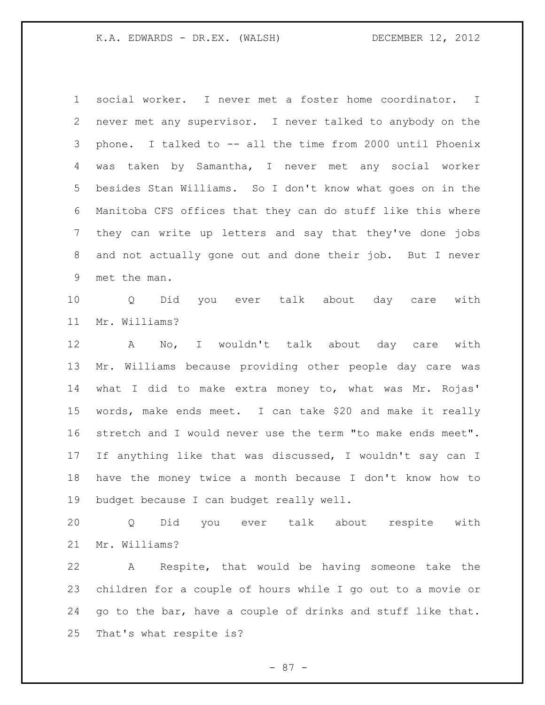social worker. I never met a foster home coordinator. I never met any supervisor. I never talked to anybody on the phone. I talked to -- all the time from 2000 until Phoenix was taken by Samantha, I never met any social worker besides Stan Williams. So I don't know what goes on in the Manitoba CFS offices that they can do stuff like this where they can write up letters and say that they've done jobs and not actually gone out and done their job. But I never met the man.

 Q Did you ever talk about day care with Mr. Williams?

 A No, I wouldn't talk about day care with Mr. Williams because providing other people day care was what I did to make extra money to, what was Mr. Rojas' words, make ends meet. I can take \$20 and make it really stretch and I would never use the term "to make ends meet". If anything like that was discussed, I wouldn't say can I have the money twice a month because I don't know how to budget because I can budget really well.

 Q Did you ever talk about respite with Mr. Williams?

 A Respite, that would be having someone take the children for a couple of hours while I go out to a movie or go to the bar, have a couple of drinks and stuff like that. That's what respite is?

- 87 -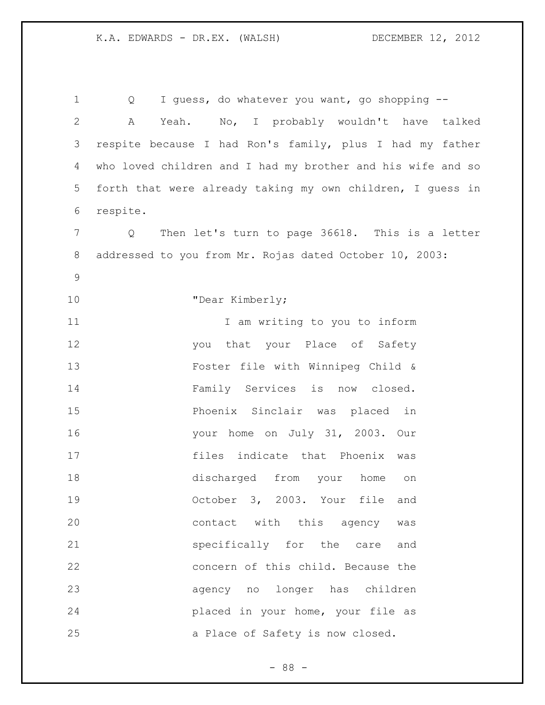1 Q I guess, do whatever you want, go shopping -- A Yeah. No, I probably wouldn't have talked respite because I had Ron's family, plus I had my father who loved children and I had my brother and his wife and so forth that were already taking my own children, I guess in respite. Q Then let's turn to page 36618. This is a letter addressed to you from Mr. Rojas dated October 10, 2003: 10 "Dear Kimberly; 11 11 I am writing to you to inform 12 you that your Place of Safety Foster file with Winnipeg Child & Family Services is now closed. Phoenix Sinclair was placed in your home on July 31, 2003. Our files indicate that Phoenix was discharged from your home on October 3, 2003. Your file and contact with this agency was specifically for the care and concern of this child. Because the agency no longer has children placed in your home, your file as a Place of Safety is now closed.

- 88 -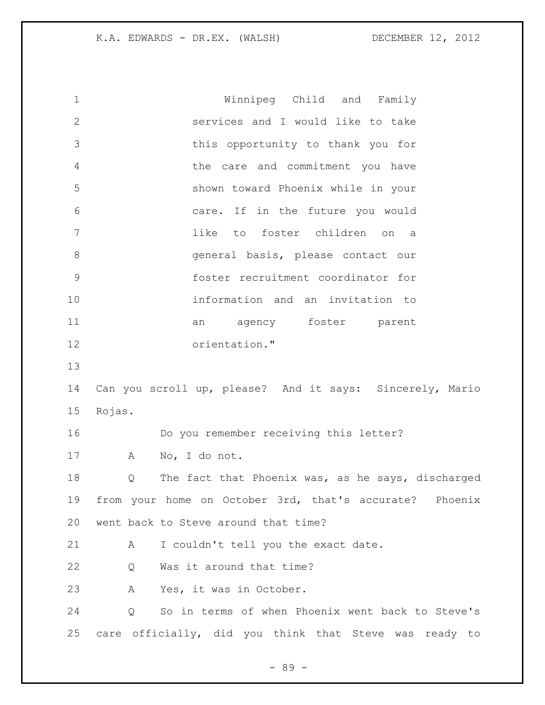Winnipeg Child and Family services and I would like to take this opportunity to thank you for the care and commitment you have shown toward Phoenix while in your care. If in the future you would like to foster children on a general basis, please contact our foster recruitment coordinator for information and an invitation to 11 an agency foster parent orientation." Can you scroll up, please? And it says: Sincerely, Mario Rojas. Do you remember receiving this letter? A No, I do not. Q The fact that Phoenix was, as he says, discharged from your home on October 3rd, that's accurate? Phoenix went back to Steve around that time? A I couldn't tell you the exact date. 22 Q Was it around that time? A Yes, it was in October. Q So in terms of when Phoenix went back to Steve's care officially, did you think that Steve was ready to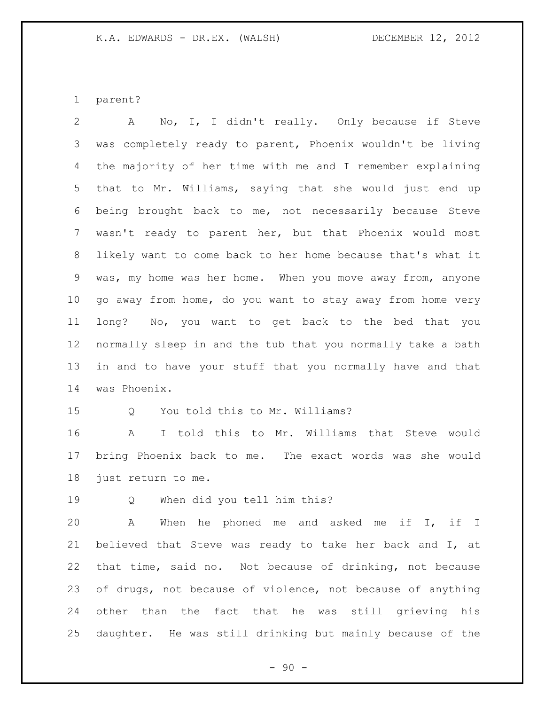parent?

 A No, I, I didn't really. Only because if Steve was completely ready to parent, Phoenix wouldn't be living the majority of her time with me and I remember explaining that to Mr. Williams, saying that she would just end up being brought back to me, not necessarily because Steve wasn't ready to parent her, but that Phoenix would most likely want to come back to her home because that's what it was, my home was her home. When you move away from, anyone go away from home, do you want to stay away from home very long? No, you want to get back to the bed that you normally sleep in and the tub that you normally take a bath in and to have your stuff that you normally have and that was Phoenix.

Q You told this to Mr. Williams?

 A I told this to Mr. Williams that Steve would bring Phoenix back to me. The exact words was she would just return to me.

Q When did you tell him this?

 A When he phoned me and asked me if I, if I believed that Steve was ready to take her back and I, at that time, said no. Not because of drinking, not because of drugs, not because of violence, not because of anything other than the fact that he was still grieving his daughter. He was still drinking but mainly because of the

 $-90 -$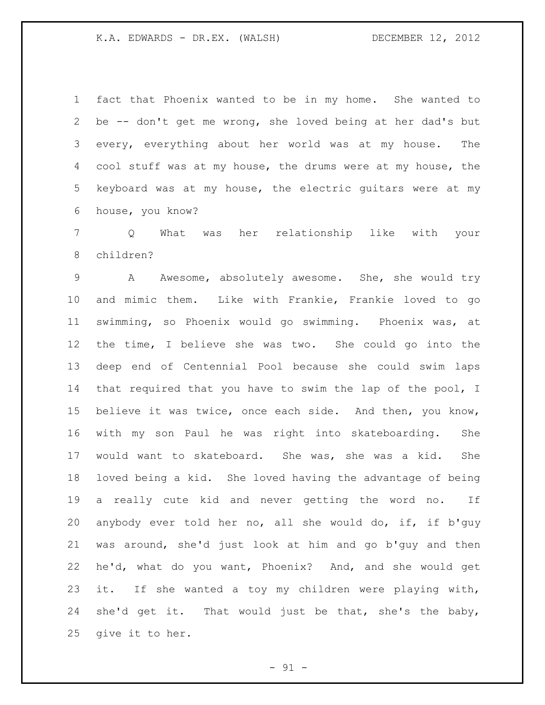fact that Phoenix wanted to be in my home. She wanted to be -- don't get me wrong, she loved being at her dad's but every, everything about her world was at my house. The cool stuff was at my house, the drums were at my house, the keyboard was at my house, the electric guitars were at my house, you know?

 Q What was her relationship like with your children?

9 A Awesome, absolutely awesome. She, she would try and mimic them. Like with Frankie, Frankie loved to go swimming, so Phoenix would go swimming. Phoenix was, at the time, I believe she was two. She could go into the deep end of Centennial Pool because she could swim laps that required that you have to swim the lap of the pool, I believe it was twice, once each side. And then, you know, with my son Paul he was right into skateboarding. She would want to skateboard. She was, she was a kid. She loved being a kid. She loved having the advantage of being a really cute kid and never getting the word no. If anybody ever told her no, all she would do, if, if b'guy was around, she'd just look at him and go b'guy and then he'd, what do you want, Phoenix? And, and she would get it. If she wanted a toy my children were playing with, she'd get it. That would just be that, she's the baby, give it to her.

 $-91 -$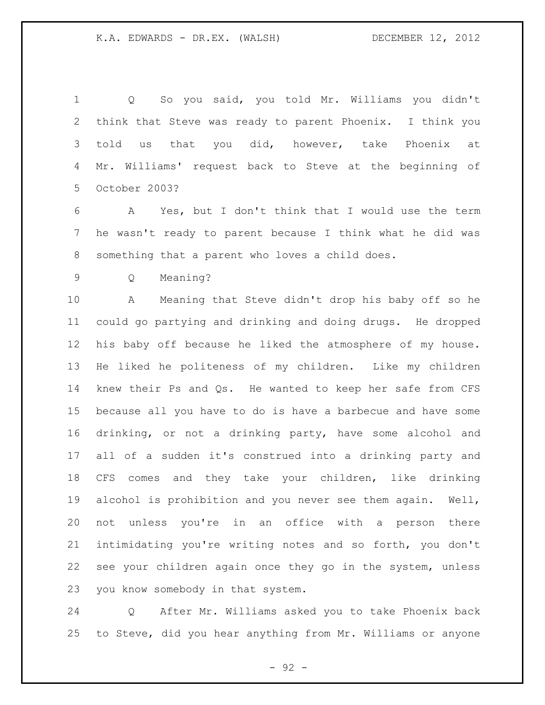Q So you said, you told Mr. Williams you didn't think that Steve was ready to parent Phoenix. I think you 3 told us that you did, however, take Phoenix at Mr. Williams' request back to Steve at the beginning of October 2003?

 A Yes, but I don't think that I would use the term he wasn't ready to parent because I think what he did was something that a parent who loves a child does.

Q Meaning?

 A Meaning that Steve didn't drop his baby off so he could go partying and drinking and doing drugs. He dropped his baby off because he liked the atmosphere of my house. He liked he politeness of my children. Like my children knew their Ps and Qs. He wanted to keep her safe from CFS because all you have to do is have a barbecue and have some drinking, or not a drinking party, have some alcohol and all of a sudden it's construed into a drinking party and CFS comes and they take your children, like drinking alcohol is prohibition and you never see them again. Well, not unless you're in an office with a person there intimidating you're writing notes and so forth, you don't see your children again once they go in the system, unless you know somebody in that system.

 Q After Mr. Williams asked you to take Phoenix back to Steve, did you hear anything from Mr. Williams or anyone

- 92 -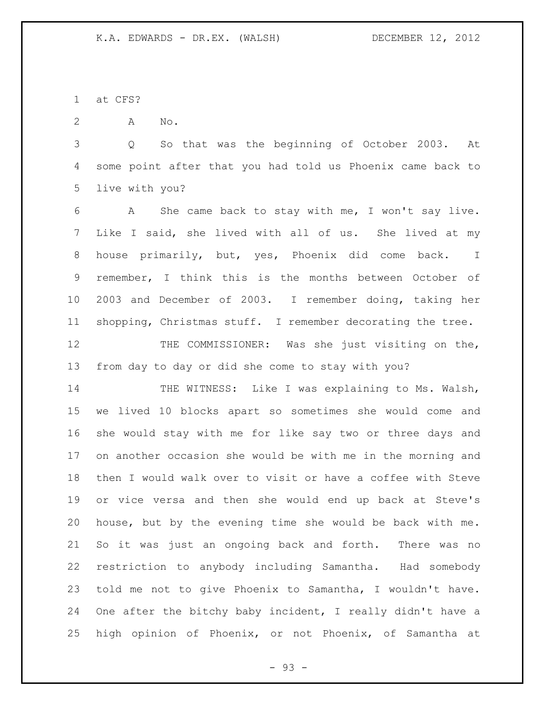at CFS?

A No.

 Q So that was the beginning of October 2003. At some point after that you had told us Phoenix came back to live with you?

 A She came back to stay with me, I won't say live. Like I said, she lived with all of us. She lived at my house primarily, but, yes, Phoenix did come back. I remember, I think this is the months between October of 2003 and December of 2003. I remember doing, taking her shopping, Christmas stuff. I remember decorating the tree.

 THE COMMISSIONER: Was she just visiting on the, from day to day or did she come to stay with you?

14 THE WITNESS: Like I was explaining to Ms. Walsh, we lived 10 blocks apart so sometimes she would come and she would stay with me for like say two or three days and on another occasion she would be with me in the morning and then I would walk over to visit or have a coffee with Steve or vice versa and then she would end up back at Steve's house, but by the evening time she would be back with me. So it was just an ongoing back and forth. There was no restriction to anybody including Samantha. Had somebody told me not to give Phoenix to Samantha, I wouldn't have. One after the bitchy baby incident, I really didn't have a high opinion of Phoenix, or not Phoenix, of Samantha at

- 93 -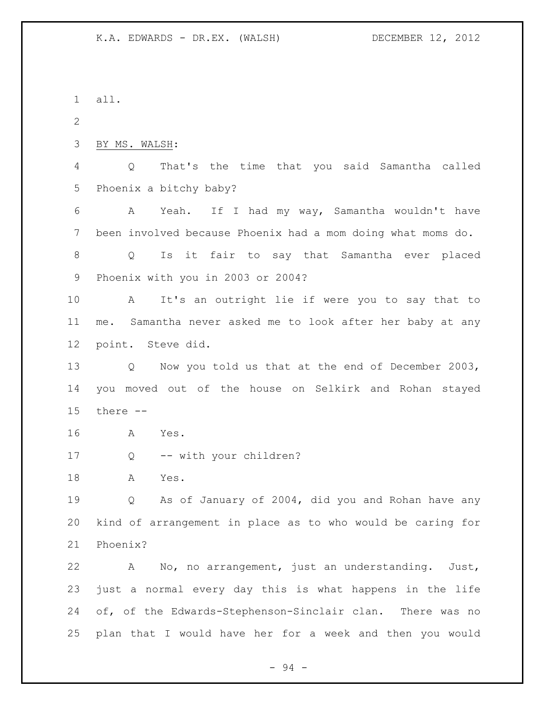all. BY MS. WALSH: Q That's the time that you said Samantha called Phoenix a bitchy baby? A Yeah. If I had my way, Samantha wouldn't have been involved because Phoenix had a mom doing what moms do. Q Is it fair to say that Samantha ever placed Phoenix with you in 2003 or 2004? A It's an outright lie if were you to say that to me. Samantha never asked me to look after her baby at any point. Steve did. Q Now you told us that at the end of December 2003, you moved out of the house on Selkirk and Rohan stayed there -- A Yes. 17 Q -- with your children? A Yes. Q As of January of 2004, did you and Rohan have any kind of arrangement in place as to who would be caring for Phoenix? A No, no arrangement, just an understanding. Just, just a normal every day this is what happens in the life of, of the Edwards-Stephenson-Sinclair clan. There was no plan that I would have her for a week and then you would

- 94 -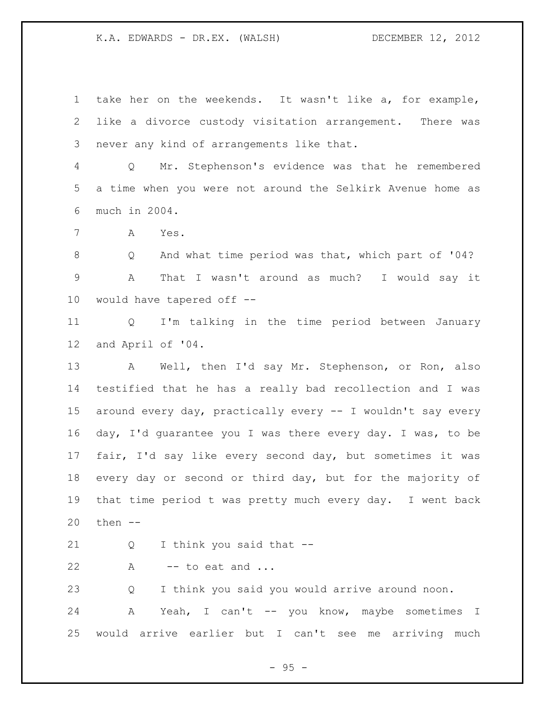take her on the weekends. It wasn't like a, for example, like a divorce custody visitation arrangement. There was never any kind of arrangements like that.

 Q Mr. Stephenson's evidence was that he remembered a time when you were not around the Selkirk Avenue home as much in 2004.

A Yes.

 Q And what time period was that, which part of '04? A That I wasn't around as much? I would say it would have tapered off --

 Q I'm talking in the time period between January and April of '04.

 A Well, then I'd say Mr. Stephenson, or Ron, also testified that he has a really bad recollection and I was around every day, practically every -- I wouldn't say every day, I'd guarantee you I was there every day. I was, to be fair, I'd say like every second day, but sometimes it was every day or second or third day, but for the majority of that time period t was pretty much every day. I went back then --

Q I think you said that --

22  $A \rightarrow -\text{to eat and ...}$ 

Q I think you said you would arrive around noon.

24 A Yeah, I can't -- you know, maybe sometimes I would arrive earlier but I can't see me arriving much

- 95 -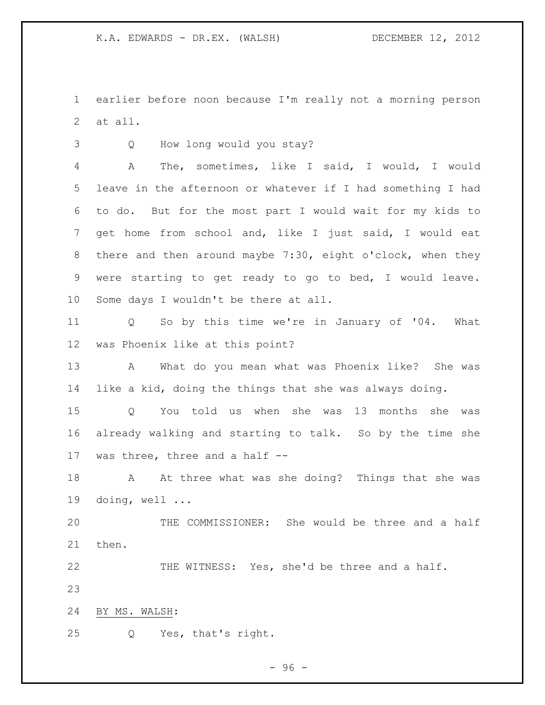earlier before noon because I'm really not a morning person at all.

Q How long would you stay?

 A The, sometimes, like I said, I would, I would leave in the afternoon or whatever if I had something I had to do. But for the most part I would wait for my kids to get home from school and, like I just said, I would eat there and then around maybe 7:30, eight o'clock, when they were starting to get ready to go to bed, I would leave. Some days I wouldn't be there at all.

 Q So by this time we're in January of '04. What was Phoenix like at this point?

 A What do you mean what was Phoenix like? She was like a kid, doing the things that she was always doing.

 Q You told us when she was 13 months she was already walking and starting to talk. So by the time she was three, three and a half --

 A At three what was she doing? Things that she was doing, well ...

 THE COMMISSIONER: She would be three and a half then.

THE WITNESS: Yes, she'd be three and a half.

BY MS. WALSH:

Q Yes, that's right.

- 96 -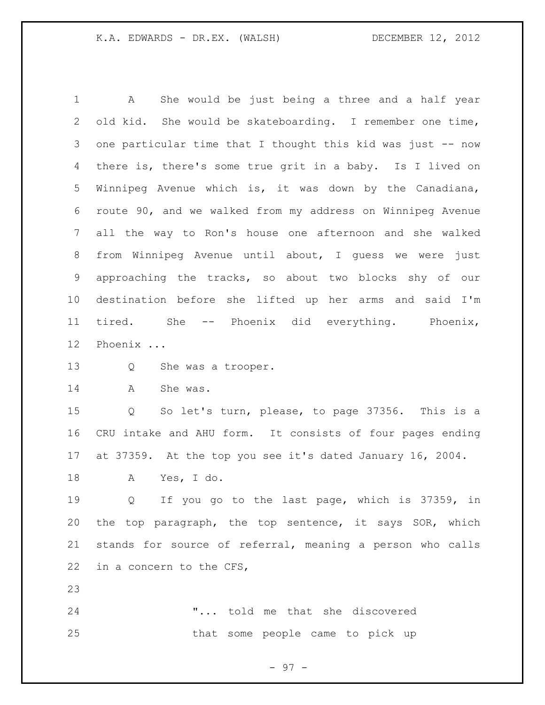A She would be just being a three and a half year old kid. She would be skateboarding. I remember one time, 3 one particular time that I thought this kid was just -- now there is, there's some true grit in a baby. Is I lived on Winnipeg Avenue which is, it was down by the Canadiana, route 90, and we walked from my address on Winnipeg Avenue all the way to Ron's house one afternoon and she walked from Winnipeg Avenue until about, I guess we were just approaching the tracks, so about two blocks shy of our destination before she lifted up her arms and said I'm tired. She -- Phoenix did everything. Phoenix, Phoenix ...

- Q She was a trooper.
- 14 A She was.

 Q So let's turn, please, to page 37356. This is a CRU intake and AHU form. It consists of four pages ending at 37359. At the top you see it's dated January 16, 2004.

A Yes, I do.

 Q If you go to the last page, which is 37359, in the top paragraph, the top sentence, it says SOR, which stands for source of referral, meaning a person who calls in a concern to the CFS,

 "... told me that she discovered that some people came to pick up

- 97 -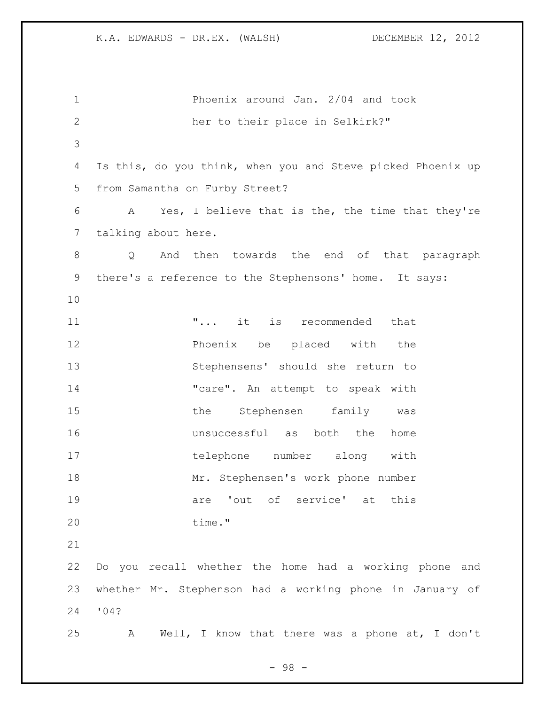| $\mathbf 1$  | Phoenix around Jan. 2/04 and took                               |
|--------------|-----------------------------------------------------------------|
| $\mathbf{2}$ | her to their place in Selkirk?"                                 |
| 3            |                                                                 |
| 4            | Is this, do you think, when you and Steve picked Phoenix up     |
| 5            | from Samantha on Furby Street?                                  |
| 6            | A Yes, I believe that is the, the time that they're             |
| 7            | talking about here.                                             |
| 8            | And then towards the end of that paragraph<br>$Q \qquad \qquad$ |
| 9            | there's a reference to the Stephensons' home. It says:          |
| 10           |                                                                 |
| 11           | " it is recommended that                                        |
| 12           | Phoenix be placed with the                                      |
| 13           | Stephensens' should she return to                               |
| 14           | "care". An attempt to speak with                                |
| 15           | the Stephensen family<br>was                                    |
| 16           | unsuccessful as both the<br>home                                |
| 17           | telephone number along with                                     |
| 18           | Mr. Stephensen's work phone number                              |
| 19           | are 'out of service' at this                                    |
| 20           | time."                                                          |
| 21           |                                                                 |
| 22           | Do you recall whether the home had a working phone and          |
| 23           | whether Mr. Stephenson had a working phone in January of        |
| 24           | '04?                                                            |
| 25           | Well, I know that there was a phone at, I don't<br>A            |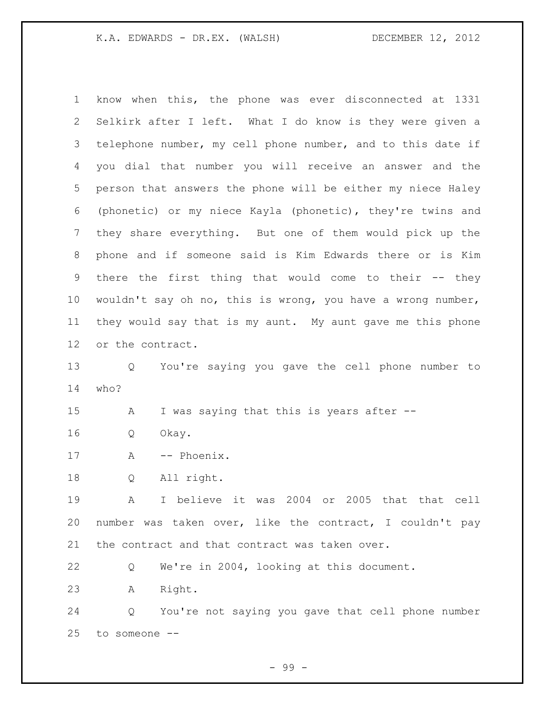| $\mathbf 1$ | know when this, the phone was ever disconnected at 1331     |
|-------------|-------------------------------------------------------------|
| 2           | Selkirk after I left. What I do know is they were given a   |
| 3           | telephone number, my cell phone number, and to this date if |
| 4           | you dial that number you will receive an answer and the     |
| 5           | person that answers the phone will be either my niece Haley |
| 6           | (phonetic) or my niece Kayla (phonetic), they're twins and  |
| 7           | they share everything. But one of them would pick up the    |
| 8           | phone and if someone said is Kim Edwards there or is Kim    |
| 9           | there the first thing that would come to their -- they      |
| 10          | wouldn't say oh no, this is wrong, you have a wrong number, |
| 11          | they would say that is my aunt. My aunt gave me this phone  |
| 12          | or the contract.                                            |
| 13          | You're saying you gave the cell phone number to<br>Q        |
| 14          | who?                                                        |
| 15          | I was saying that this is years after --<br>Α               |
| 16          | Okay.<br>Q                                                  |
| 17          | -- Phoenix.<br>Α                                            |
| 18          | All right.<br>Q                                             |
| 19          | I believe it was 2004 or 2005 that that cell<br>A           |
| 20          | number was taken over, like the contract, I couldn't pay    |
| 21          | the contract and that contract was taken over.              |
| 22          | We're in 2004, looking at this document.<br>Q               |
| 23          | Right.<br>Α                                                 |
| 24          | You're not saying you gave that cell phone number<br>Q      |
| 25          | to someone --                                               |

- 99 -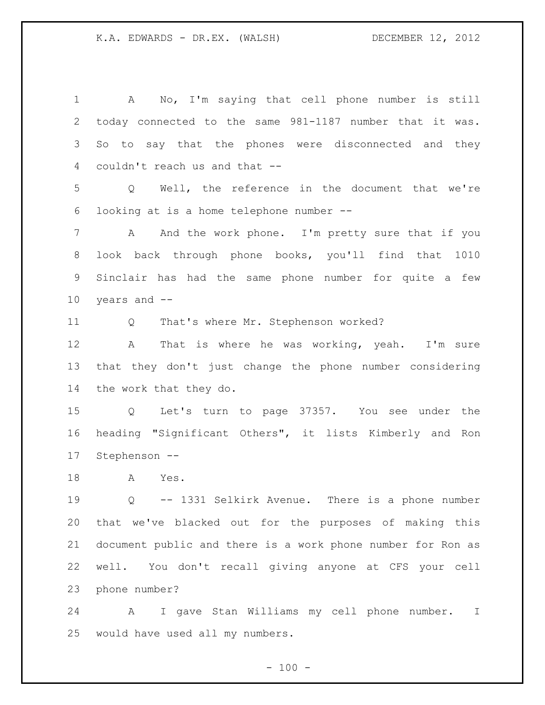A No, I'm saying that cell phone number is still today connected to the same 981-1187 number that it was. So to say that the phones were disconnected and they couldn't reach us and that -- Q Well, the reference in the document that we're looking at is a home telephone number -- 7 A And the work phone. I'm pretty sure that if you look back through phone books, you'll find that 1010 Sinclair has had the same phone number for quite a few years and -- Q That's where Mr. Stephenson worked? A That is where he was working, yeah. I'm sure that they don't just change the phone number considering the work that they do. Q Let's turn to page 37357. You see under the heading "Significant Others", it lists Kimberly and Ron Stephenson -- A Yes. Q -- 1331 Selkirk Avenue. There is a phone number that we've blacked out for the purposes of making this document public and there is a work phone number for Ron as well. You don't recall giving anyone at CFS your cell phone number?

 A I gave Stan Williams my cell phone number. I would have used all my numbers.

 $- 100 -$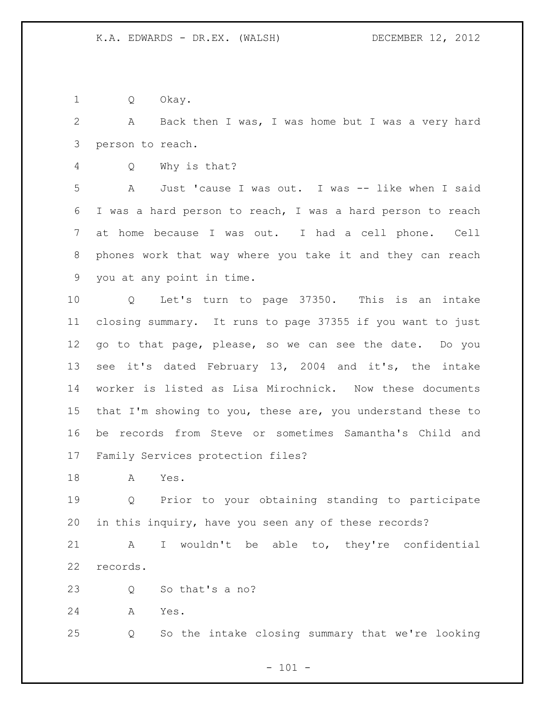Q Okay.

 A Back then I was, I was home but I was a very hard person to reach.

Q Why is that?

 A Just 'cause I was out. I was -- like when I said I was a hard person to reach, I was a hard person to reach at home because I was out. I had a cell phone. Cell phones work that way where you take it and they can reach you at any point in time.

 Q Let's turn to page 37350. This is an intake closing summary. It runs to page 37355 if you want to just go to that page, please, so we can see the date. Do you see it's dated February 13, 2004 and it's, the intake worker is listed as Lisa Mirochnick. Now these documents that I'm showing to you, these are, you understand these to be records from Steve or sometimes Samantha's Child and Family Services protection files?

A Yes.

 Q Prior to your obtaining standing to participate in this inquiry, have you seen any of these records?

 A I wouldn't be able to, they're confidential records.

23 O So that's a no?

A Yes.

Q So the intake closing summary that we're looking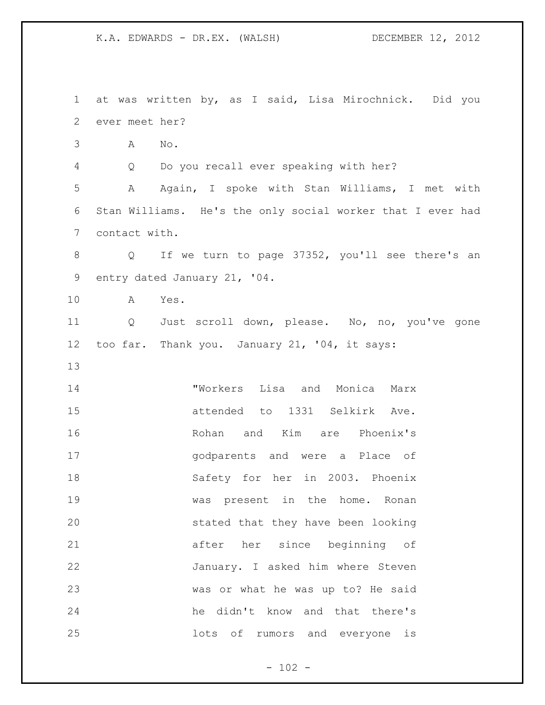at was written by, as I said, Lisa Mirochnick. Did you ever meet her? A No. Q Do you recall ever speaking with her? A Again, I spoke with Stan Williams, I met with Stan Williams. He's the only social worker that I ever had contact with. Q If we turn to page 37352, you'll see there's an entry dated January 21, '04. A Yes. Q Just scroll down, please. No, no, you've gone too far. Thank you. January 21, '04, it says: "Workers Lisa and Monica Marx attended to 1331 Selkirk Ave. Rohan and Kim are Phoenix's godparents and were a Place of Safety for her in 2003. Phoenix was present in the home. Ronan stated that they have been looking after her since beginning of January. I asked him where Steven was or what he was up to? He said he didn't know and that there's lots of rumors and everyone is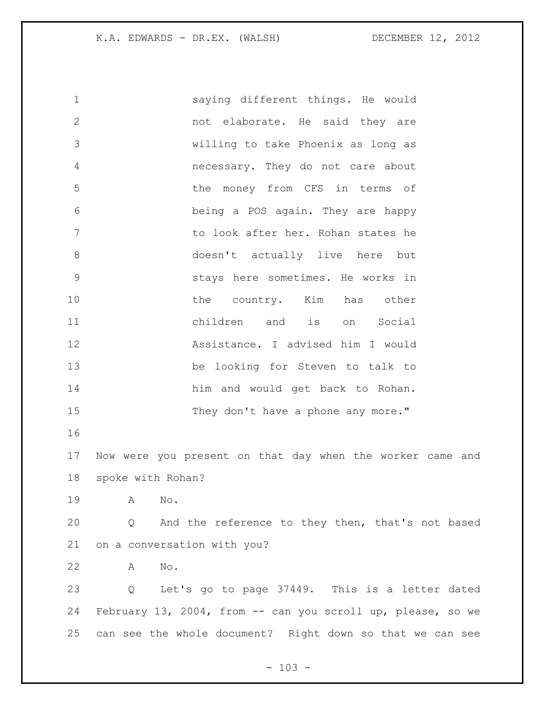saying different things. He would not elaborate. He said they are willing to take Phoenix as long as necessary. They do not care about the money from CFS in terms of being a POS again. They are happy to look after her. Rohan states he doesn't actually live here but stays here sometimes. He works in 10 the country. Kim has other children and is on Social Assistance. I advised him I would be looking for Steven to talk to him and would get back to Rohan. 15 They don't have a phone any more." Now were you present on that day when the worker came and spoke with Rohan? A No. Q And the reference to they then, that's not based on a conversation with you? A No. Q Let's go to page 37449. This is a letter dated February 13, 2004, from -- can you scroll up, please, so we can see the whole document? Right down so that we can see

 $- 103 -$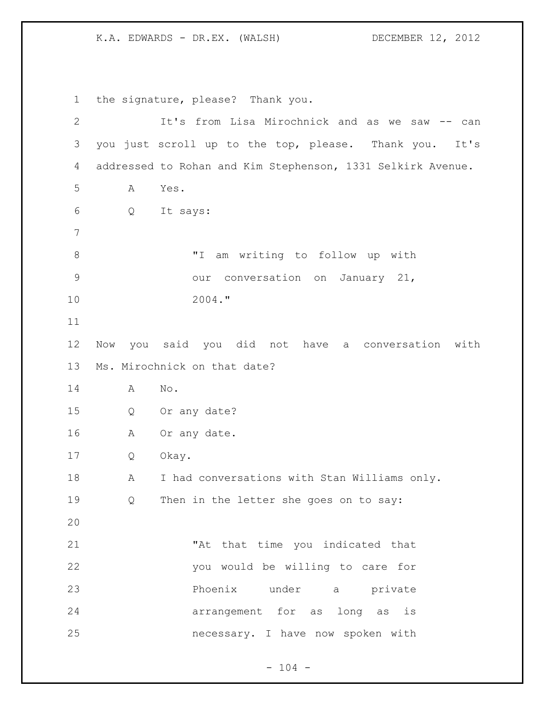the signature, please? Thank you. It's from Lisa Mirochnick and as we saw -- can you just scroll up to the top, please. Thank you. It's addressed to Rohan and Kim Stephenson, 1331 Selkirk Avenue. A Yes. Q It says: "I am writing to follow up with our conversation on January 21, 2004." Now you said you did not have a conversation with Ms. Mirochnick on that date? A No. Q Or any date? A Or any date. Q Okay. A I had conversations with Stan Williams only. Q Then in the letter she goes on to say: "At that time you indicated that you would be willing to care for Phoenix under a private arrangement for as long as is necessary. I have now spoken with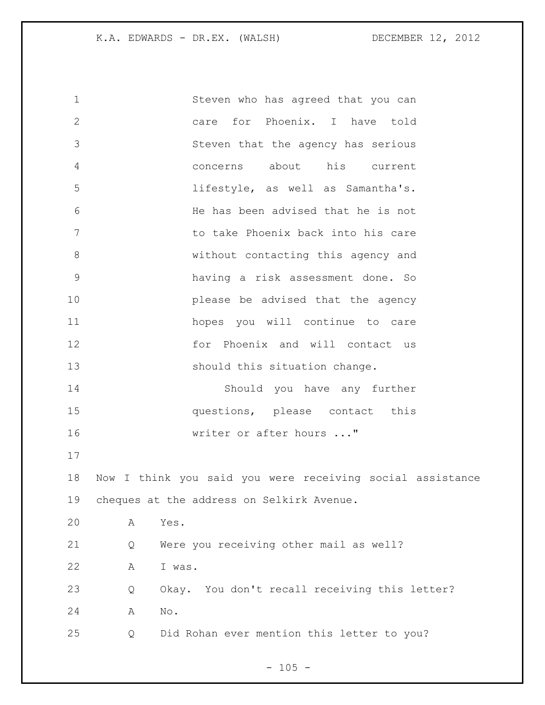| $\mathbf 1$   | Steven who has agreed that you can                        |
|---------------|-----------------------------------------------------------|
| $\mathbf{2}$  | care for Phoenix. I have told                             |
| 3             | Steven that the agency has serious                        |
| 4             | concerns about his current                                |
| 5             | lifestyle, as well as Samantha's.                         |
| 6             | He has been advised that he is not                        |
| 7             | to take Phoenix back into his care                        |
| $8\,$         | without contacting this agency and                        |
| $\mathcal{G}$ | having a risk assessment done. So                         |
| 10            | please be advised that the agency                         |
| 11            | hopes you will continue to care                           |
| 12            | for Phoenix and will contact us                           |
| 13            | should this situation change.                             |
| 14            | Should you have any further                               |
| 15            | questions, please contact this                            |
| 16            | writer or after hours "                                   |
| 17            |                                                           |
| 18            | Now I think you said you were receiving social assistance |
| 19            | cheques at the address on Selkirk Avenue.                 |
| 20            | Α<br>Yes.                                                 |
| 21            | Were you receiving other mail as well?<br>Q               |
| 22            | I was.<br>Α                                               |
| 23            | Okay. You don't recall receiving this letter?<br>Q        |
| 24            | No.<br>Α                                                  |
| 25            | Did Rohan ever mention this letter to you?<br>Q           |

- 105 -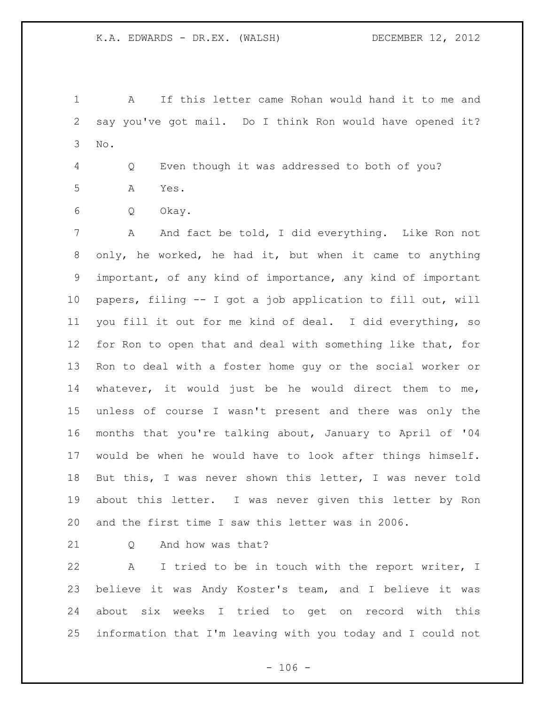A If this letter came Rohan would hand it to me and say you've got mail. Do I think Ron would have opened it? No.

 Q Even though it was addressed to both of you? A Yes.

Q Okay.

 A And fact be told, I did everything. Like Ron not only, he worked, he had it, but when it came to anything important, of any kind of importance, any kind of important papers, filing -- I got a job application to fill out, will you fill it out for me kind of deal. I did everything, so for Ron to open that and deal with something like that, for Ron to deal with a foster home guy or the social worker or whatever, it would just be he would direct them to me, unless of course I wasn't present and there was only the months that you're talking about, January to April of '04 would be when he would have to look after things himself. But this, I was never shown this letter, I was never told about this letter. I was never given this letter by Ron and the first time I saw this letter was in 2006.

21 O And how was that?

 A I tried to be in touch with the report writer, I believe it was Andy Koster's team, and I believe it was about six weeks I tried to get on record with this information that I'm leaving with you today and I could not

 $- 106 -$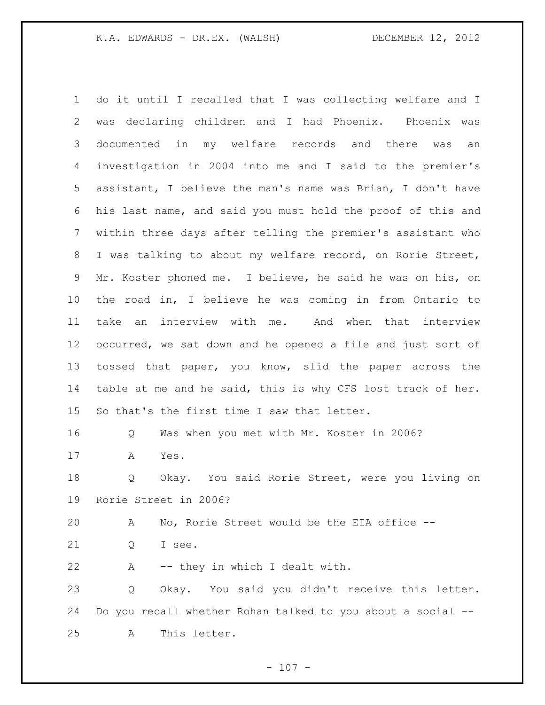do it until I recalled that I was collecting welfare and I was declaring children and I had Phoenix. Phoenix was documented in my welfare records and there was an investigation in 2004 into me and I said to the premier's assistant, I believe the man's name was Brian, I don't have his last name, and said you must hold the proof of this and within three days after telling the premier's assistant who I was talking to about my welfare record, on Rorie Street, Mr. Koster phoned me. I believe, he said he was on his, on the road in, I believe he was coming in from Ontario to take an interview with me. And when that interview occurred, we sat down and he opened a file and just sort of tossed that paper, you know, slid the paper across the table at me and he said, this is why CFS lost track of her. So that's the first time I saw that letter. Q Was when you met with Mr. Koster in 2006? A Yes. Q Okay. You said Rorie Street, were you living on Rorie Street in 2006? A No, Rorie Street would be the EIA office -- Q I see. A -- they in which I dealt with. Q Okay. You said you didn't receive this letter. Do you recall whether Rohan talked to you about a social -- A This letter.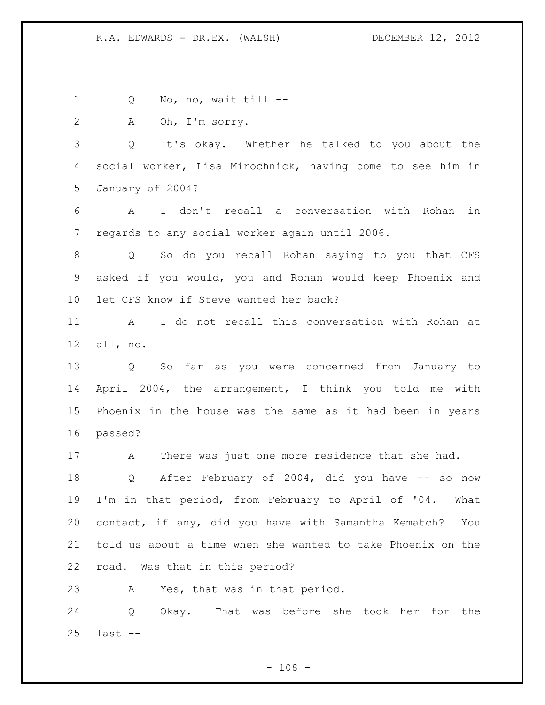1 Q No, no, wait till --

A Oh, I'm sorry.

 Q It's okay. Whether he talked to you about the social worker, Lisa Mirochnick, having come to see him in January of 2004?

 A I don't recall a conversation with Rohan in regards to any social worker again until 2006.

 Q So do you recall Rohan saying to you that CFS asked if you would, you and Rohan would keep Phoenix and let CFS know if Steve wanted her back?

 A I do not recall this conversation with Rohan at all, no.

 Q So far as you were concerned from January to April 2004, the arrangement, I think you told me with Phoenix in the house was the same as it had been in years passed?

A There was just one more residence that she had.

 Q After February of 2004, did you have -- so now I'm in that period, from February to April of '04. What contact, if any, did you have with Samantha Kematch? You told us about a time when she wanted to take Phoenix on the road. Was that in this period?

A Yes, that was in that period.

 Q Okay. That was before she took her for the last --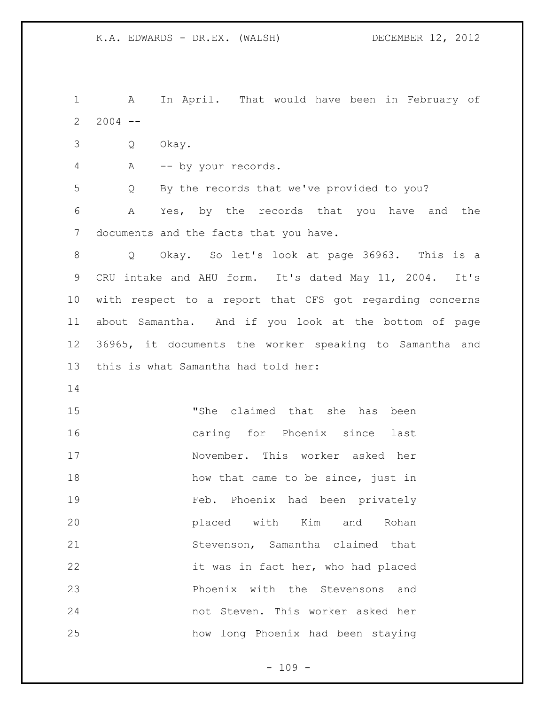1 A In April. That would have been in February of 2004 -- Q Okay. A -- by your records. Q By the records that we've provided to you? A Yes, by the records that you have and the documents and the facts that you have. Q Okay. So let's look at page 36963. This is a CRU intake and AHU form. It's dated May 11, 2004. It's with respect to a report that CFS got regarding concerns about Samantha. And if you look at the bottom of page 36965, it documents the worker speaking to Samantha and this is what Samantha had told her: "She claimed that she has been caring for Phoenix since last November. This worker asked her 18 how that came to be since, just in Feb. Phoenix had been privately placed with Kim and Rohan Stevenson, Samantha claimed that it was in fact her, who had placed Phoenix with the Stevensons and not Steven. This worker asked her how long Phoenix had been staying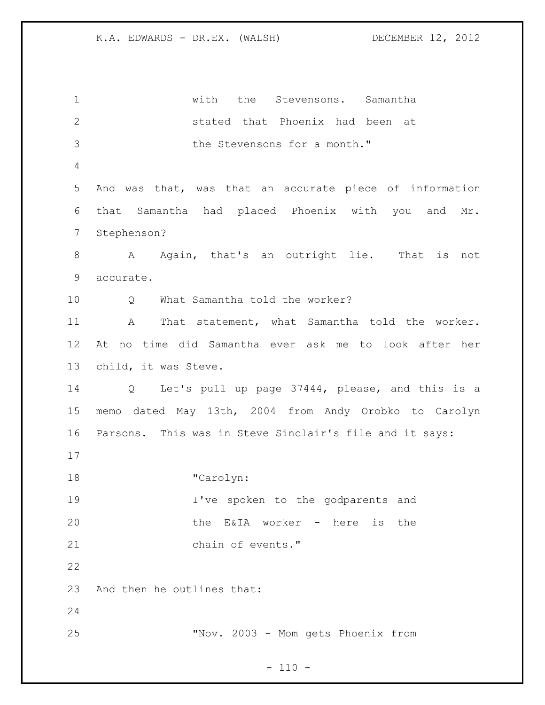with the Stevensons. Samantha stated that Phoenix had been at 3 the Stevensons for a month." And was that, was that an accurate piece of information that Samantha had placed Phoenix with you and Mr. Stephenson? 8 A Again, that's an outright lie. That is not accurate. 10 0 What Samantha told the worker? A That statement, what Samantha told the worker. At no time did Samantha ever ask me to look after her child, it was Steve. Q Let's pull up page 37444, please, and this is a memo dated May 13th, 2004 from Andy Orobko to Carolyn Parsons. This was in Steve Sinclair's file and it says: "Carolyn: I've spoken to the godparents and the E&IA worker - here is the chain of events." And then he outlines that: "Nov. 2003 - Mom gets Phoenix from

 $- 110 -$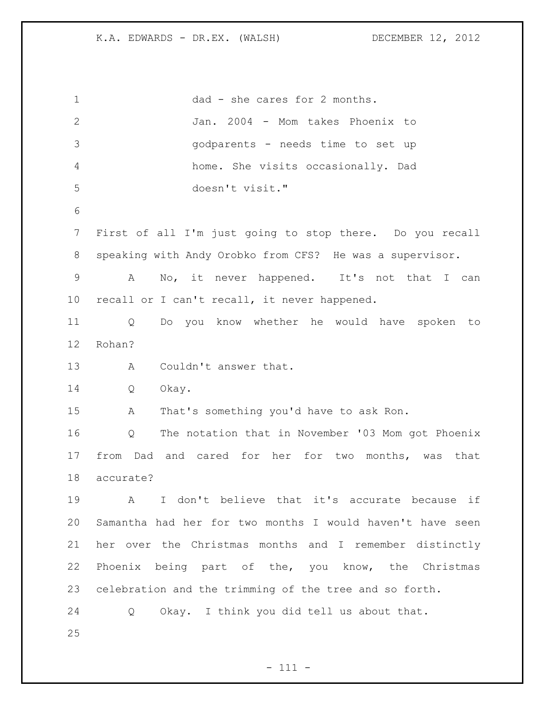dad - she cares for 2 months. Jan. 2004 - Mom takes Phoenix to godparents - needs time to set up home. She visits occasionally. Dad doesn't visit." First of all I'm just going to stop there. Do you recall speaking with Andy Orobko from CFS? He was a supervisor. A No, it never happened. It's not that I can recall or I can't recall, it never happened. Q Do you know whether he would have spoken to Rohan? A Couldn't answer that. Q Okay. A That's something you'd have to ask Ron. Q The notation that in November '03 Mom got Phoenix from Dad and cared for her for two months, was that accurate? A I don't believe that it's accurate because if Samantha had her for two months I would haven't have seen her over the Christmas months and I remember distinctly Phoenix being part of the, you know, the Christmas celebration and the trimming of the tree and so forth. Q Okay. I think you did tell us about that.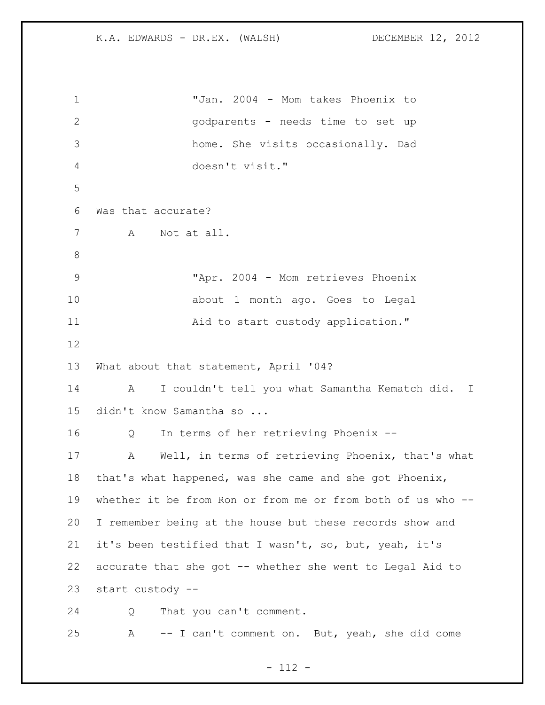"Jan. 2004 - Mom takes Phoenix to godparents - needs time to set up home. She visits occasionally. Dad doesn't visit." Was that accurate? A Not at all. "Apr. 2004 - Mom retrieves Phoenix about 1 month ago. Goes to Legal Aid to start custody application." What about that statement, April '04? A I couldn't tell you what Samantha Kematch did. I didn't know Samantha so ... Q In terms of her retrieving Phoenix -- A Well, in terms of retrieving Phoenix, that's what that's what happened, was she came and she got Phoenix, whether it be from Ron or from me or from both of us who -- I remember being at the house but these records show and it's been testified that I wasn't, so, but, yeah, it's accurate that she got -- whether she went to Legal Aid to start custody -- Q That you can't comment. A -- I can't comment on. But, yeah, she did come

- 112 -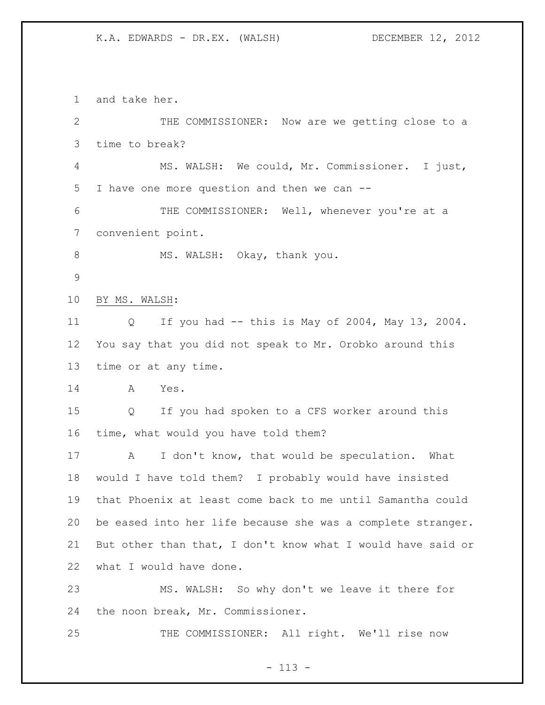and take her. THE COMMISSIONER: Now are we getting close to a time to break? MS. WALSH: We could, Mr. Commissioner. I just, I have one more question and then we can -- THE COMMISSIONER: Well, whenever you're at a convenient point. 8 MS. WALSH: Okay, thank you. BY MS. WALSH: Q If you had -- this is May of 2004, May 13, 2004. You say that you did not speak to Mr. Orobko around this time or at any time. A Yes. Q If you had spoken to a CFS worker around this time, what would you have told them? A I don't know, that would be speculation. What would I have told them? I probably would have insisted that Phoenix at least come back to me until Samantha could be eased into her life because she was a complete stranger. But other than that, I don't know what I would have said or what I would have done. MS. WALSH: So why don't we leave it there for the noon break, Mr. Commissioner. THE COMMISSIONER: All right. We'll rise now

- 113 -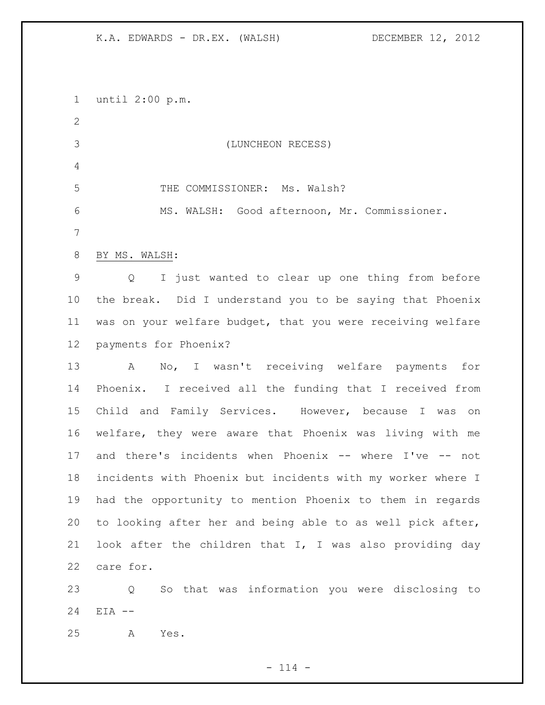until 2:00 p.m. (LUNCHEON RECESS) 5 THE COMMISSIONER: Ms. Walsh? MS. WALSH: Good afternoon, Mr. Commissioner. BY MS. WALSH: Q I just wanted to clear up one thing from before the break. Did I understand you to be saying that Phoenix was on your welfare budget, that you were receiving welfare payments for Phoenix? A No, I wasn't receiving welfare payments for Phoenix. I received all the funding that I received from Child and Family Services. However, because I was on welfare, they were aware that Phoenix was living with me and there's incidents when Phoenix -- where I've -- not incidents with Phoenix but incidents with my worker where I had the opportunity to mention Phoenix to them in regards to looking after her and being able to as well pick after, look after the children that I, I was also providing day care for. Q So that was information you were disclosing to

EIA --

A Yes.

 $- 114 -$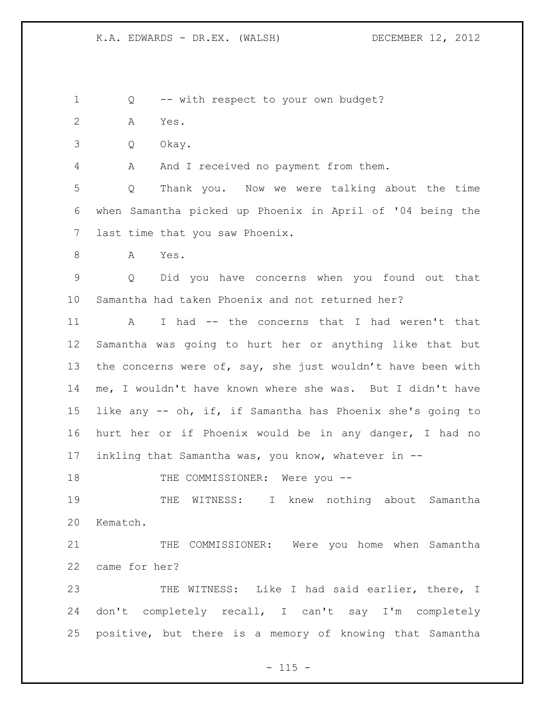Q -- with respect to your own budget?

A Yes.

Q Okay.

A And I received no payment from them.

 Q Thank you. Now we were talking about the time when Samantha picked up Phoenix in April of '04 being the last time that you saw Phoenix.

A Yes.

 Q Did you have concerns when you found out that Samantha had taken Phoenix and not returned her?

11 A I had -- the concerns that I had weren't that Samantha was going to hurt her or anything like that but 13 the concerns were of, say, she just wouldn't have been with me, I wouldn't have known where she was. But I didn't have like any -- oh, if, if Samantha has Phoenix she's going to hurt her or if Phoenix would be in any danger, I had no inkling that Samantha was, you know, whatever in --

18 THE COMMISSIONER: Were you --

 THE WITNESS: I knew nothing about Samantha Kematch.

 THE COMMISSIONER: Were you home when Samantha came for her?

 THE WITNESS: Like I had said earlier, there, I don't completely recall, I can't say I'm completely positive, but there is a memory of knowing that Samantha

 $- 115 -$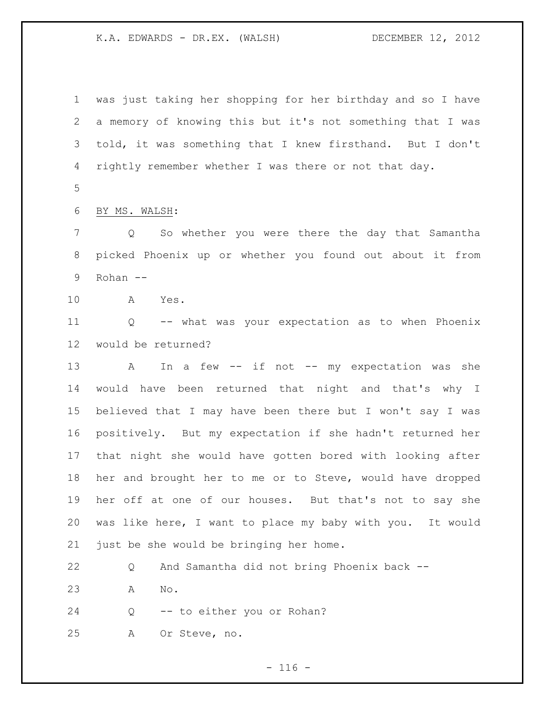was just taking her shopping for her birthday and so I have a memory of knowing this but it's not something that I was told, it was something that I knew firsthand. But I don't rightly remember whether I was there or not that day.

BY MS. WALSH:

 Q So whether you were there the day that Samantha picked Phoenix up or whether you found out about it from Rohan --

A Yes.

 Q -- what was your expectation as to when Phoenix would be returned?

13 A In a few -- if not -- my expectation was she would have been returned that night and that's why I believed that I may have been there but I won't say I was positively. But my expectation if she hadn't returned her that night she would have gotten bored with looking after her and brought her to me or to Steve, would have dropped her off at one of our houses. But that's not to say she was like here, I want to place my baby with you. It would just be she would be bringing her home.

 Q And Samantha did not bring Phoenix back -- A No.

Q -- to either you or Rohan?

A Or Steve, no.

 $- 116 -$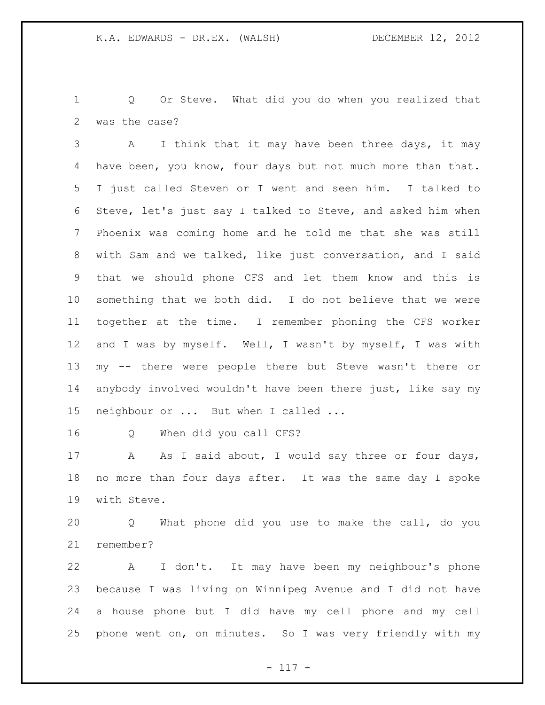Q Or Steve. What did you do when you realized that was the case?

 A I think that it may have been three days, it may 4 have been, you know, four days but not much more than that. I just called Steven or I went and seen him. I talked to Steve, let's just say I talked to Steve, and asked him when Phoenix was coming home and he told me that she was still with Sam and we talked, like just conversation, and I said that we should phone CFS and let them know and this is something that we both did. I do not believe that we were together at the time. I remember phoning the CFS worker 12 and I was by myself. Well, I wasn't by myself, I was with my -- there were people there but Steve wasn't there or anybody involved wouldn't have been there just, like say my neighbour or ... But when I called ...

Q When did you call CFS?

17 A As I said about, I would say three or four days, no more than four days after. It was the same day I spoke with Steve.

 Q What phone did you use to make the call, do you remember?

 A I don't. It may have been my neighbour's phone because I was living on Winnipeg Avenue and I did not have a house phone but I did have my cell phone and my cell phone went on, on minutes. So I was very friendly with my

- 117 -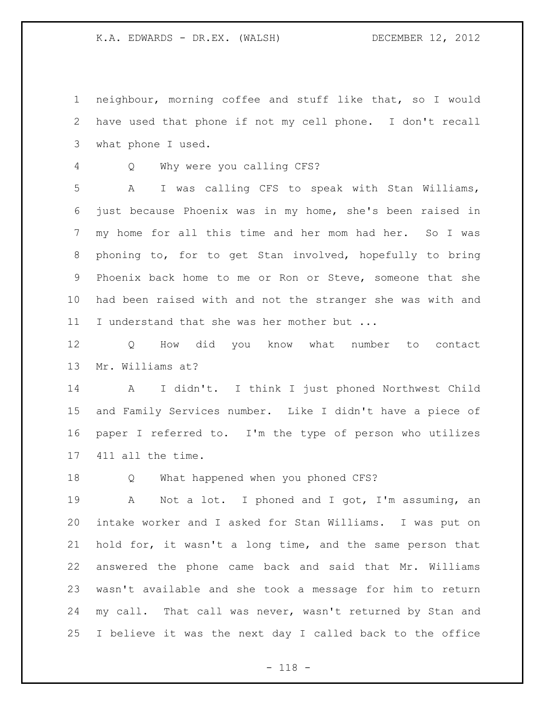neighbour, morning coffee and stuff like that, so I would have used that phone if not my cell phone. I don't recall what phone I used.

Q Why were you calling CFS?

 A I was calling CFS to speak with Stan Williams, just because Phoenix was in my home, she's been raised in my home for all this time and her mom had her. So I was phoning to, for to get Stan involved, hopefully to bring Phoenix back home to me or Ron or Steve, someone that she had been raised with and not the stranger she was with and 11 I understand that she was her mother but ...

 Q How did you know what number to contact Mr. Williams at?

 A I didn't. I think I just phoned Northwest Child and Family Services number. Like I didn't have a piece of paper I referred to. I'm the type of person who utilizes 411 all the time.

Q What happened when you phoned CFS?

 A Not a lot. I phoned and I got, I'm assuming, an intake worker and I asked for Stan Williams. I was put on hold for, it wasn't a long time, and the same person that answered the phone came back and said that Mr. Williams wasn't available and she took a message for him to return 24 my call. That call was never, wasn't returned by Stan and I believe it was the next day I called back to the office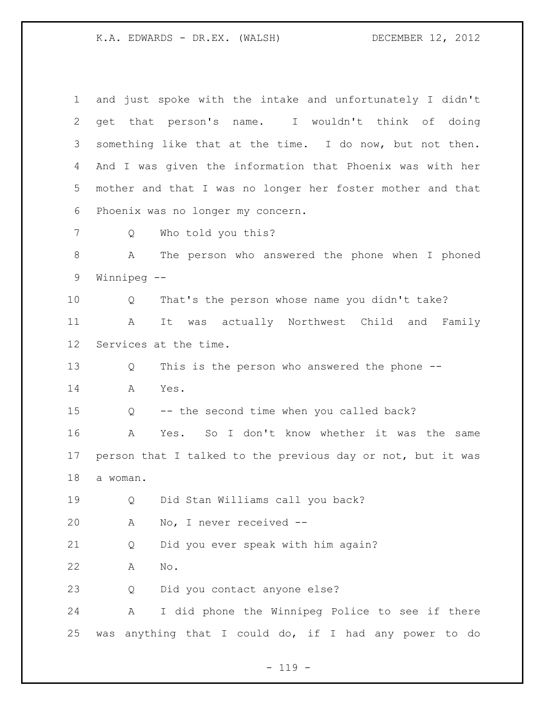| $\mathbf 1$ | and just spoke with the intake and unfortunately I didn't   |
|-------------|-------------------------------------------------------------|
| 2           | get that person's name. I wouldn't think of doing           |
| 3           | something like that at the time. I do now, but not then.    |
| 4           | And I was given the information that Phoenix was with her   |
| 5           | mother and that I was no longer her foster mother and that  |
| 6           | Phoenix was no longer my concern.                           |
| 7           | Who told you this?<br>Q                                     |
| $\,8\,$     | A<br>The person who answered the phone when I phoned        |
| 9           | Winnipeg --                                                 |
| 10          | That's the person whose name you didn't take?<br>Q          |
| 11          | It was actually Northwest Child and Family<br>A             |
| 12          | Services at the time.                                       |
| 13          | This is the person who answered the phone --<br>Q           |
| 14          | Yes.<br>A                                                   |
| 15          | -- the second time when you called back?<br>Q               |
| 16          | Yes. So I don't know whether it was the same<br>A           |
| 17          | person that I talked to the previous day or not, but it was |
| 18          | a woman.                                                    |
| 19          | Did Stan Williams call you back?<br>Q                       |
| 20          | No, I never received --<br>Α                                |
| 21          | Did you ever speak with him again?<br>Q                     |
| 22          | $\mathrm{No}$ .<br>Α                                        |
| 23          | Did you contact anyone else?<br>Q                           |
| 24          | I did phone the Winnipeg Police to see if there<br>Α        |
| 25          | anything that I could do, if I had any power to do<br>was   |

- 119 -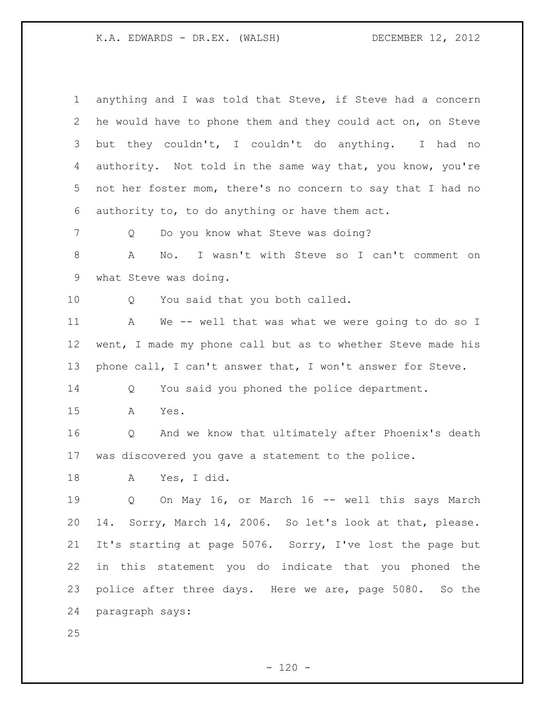| $\mathbf 1$ | anything and I was told that Steve, if Steve had a concern  |
|-------------|-------------------------------------------------------------|
| 2           | he would have to phone them and they could act on, on Steve |
| 3           | they couldn't, I couldn't do anything. I had no<br>but      |
| 4           | authority. Not told in the same way that, you know, you're  |
| 5           | not her foster mom, there's no concern to say that I had no |
| 6           | authority to, to do anything or have them act.              |
| 7           | Do you know what Steve was doing?<br>Q                      |
| $\,8\,$     | I wasn't with Steve so I can't comment on<br>A<br>No.       |
| 9           | what Steve was doing.                                       |
| 10          | You said that you both called.<br>Q                         |
| 11          | We -- well that was what we were going to do so I<br>A      |
| 12          | went, I made my phone call but as to whether Steve made his |
| 13          | phone call, I can't answer that, I won't answer for Steve.  |
| 14          | You said you phoned the police department.<br>Q             |
| 15          | Yes.<br>A                                                   |
| 16          | And we know that ultimately after Phoenix's death<br>Q      |
| 17          | was discovered you gave a statement to the police.          |
| 18          | Yes, I did.<br>Α                                            |
| 19          | On May 16, or March 16 -- well this says March<br>Q         |
| 20          | 14. Sorry, March 14, 2006. So let's look at that, please.   |
| 21          | It's starting at page 5076. Sorry, I've lost the page but   |
| 22          | in this statement you do indicate that you phoned the       |
| 23          | police after three days. Here we are, page 5080. So the     |
| 24          | paragraph says:                                             |
| 25          |                                                             |

- 120 -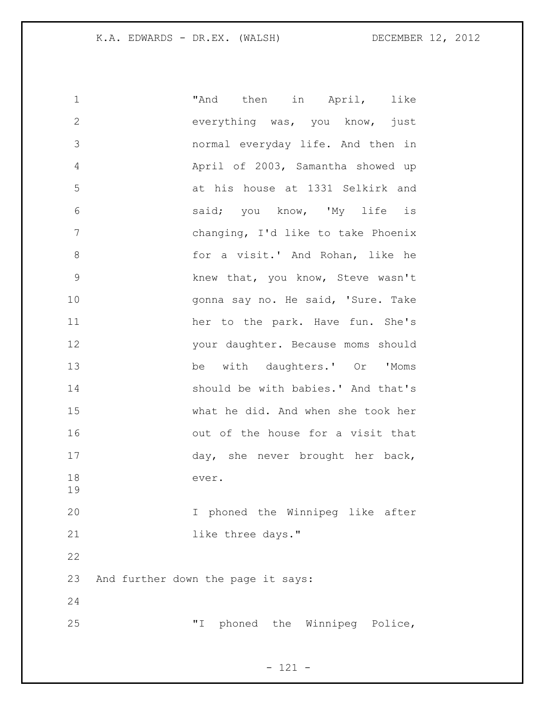| 1             | "And then in April,<br>like        |
|---------------|------------------------------------|
| $\mathbf{2}$  | everything was, you know, just     |
| 3             | normal everyday life. And then in  |
| 4             | April of 2003, Samantha showed up  |
| 5             | at his house at 1331 Selkirk and   |
| 6             | said; you know, 'My life is        |
| 7             | changing, I'd like to take Phoenix |
| 8             | for a visit.' And Rohan, like he   |
| $\mathcal{G}$ | knew that, you know, Steve wasn't  |
| 10            | gonna say no. He said, 'Sure. Take |
| 11            | her to the park. Have fun. She's   |
| 12            | your daughter. Because moms should |
| 13            | be with daughters.' Or 'Moms       |
| 14            | should be with babies.' And that's |
| 15            | what he did. And when she took her |
| 16            | out of the house for a visit that  |
| 17            | day, she never brought her back,   |
| 18<br>19      | ever.                              |
| 20            | I phoned the Winnipeg like after   |
| 21            | like three days."                  |
| 22            |                                    |
| 23            | And further down the page it says: |
| 24            |                                    |
| 25            | "I phoned the Winnipeg Police,     |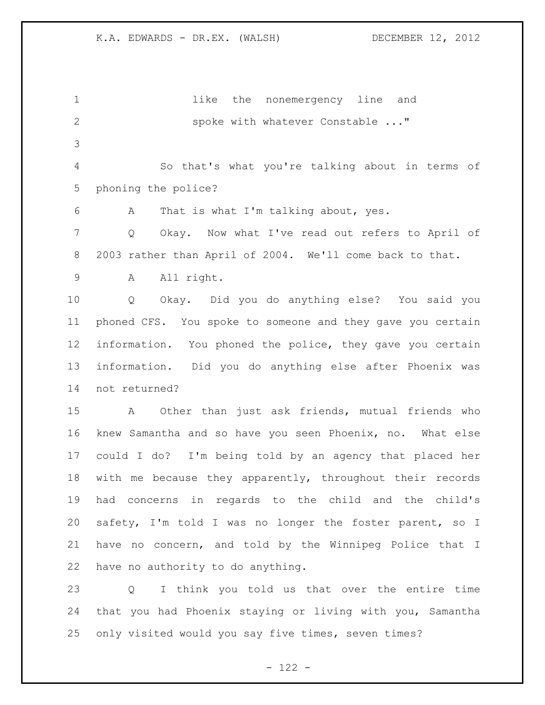**1** like the nonemergency line and 2 spoke with whatever Constable ..." So that's what you're talking about in terms of phoning the police? A That is what I'm talking about, yes. Q Okay. Now what I've read out refers to April of 2003 rather than April of 2004. We'll come back to that. A All right. Q Okay. Did you do anything else? You said you phoned CFS. You spoke to someone and they gave you certain information. You phoned the police, they gave you certain information. Did you do anything else after Phoenix was not returned? A Other than just ask friends, mutual friends who knew Samantha and so have you seen Phoenix, no. What else could I do? I'm being told by an agency that placed her with me because they apparently, throughout their records had concerns in regards to the child and the child's safety, I'm told I was no longer the foster parent, so I have no concern, and told by the Winnipeg Police that I have no authority to do anything. Q I think you told us that over the entire time

 that you had Phoenix staying or living with you, Samantha only visited would you say five times, seven times?

- 122 -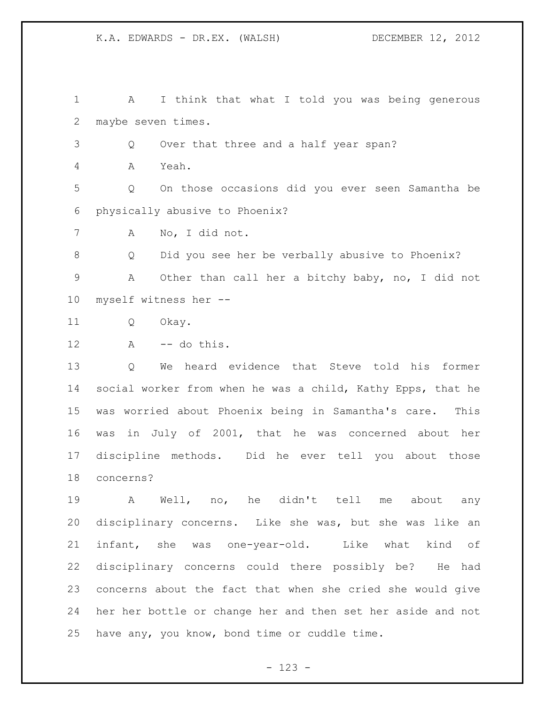A I think that what I told you was being generous maybe seven times. Q Over that three and a half year span? A Yeah. Q On those occasions did you ever seen Samantha be physically abusive to Phoenix? A No, I did not. Q Did you see her be verbally abusive to Phoenix? A Other than call her a bitchy baby, no, I did not myself witness her -- Q Okay. A -- do this.

 Q We heard evidence that Steve told his former social worker from when he was a child, Kathy Epps, that he was worried about Phoenix being in Samantha's care. This was in July of 2001, that he was concerned about her discipline methods. Did he ever tell you about those concerns?

 A Well, no, he didn't tell me about any disciplinary concerns. Like she was, but she was like an infant, she was one-year-old. Like what kind of disciplinary concerns could there possibly be? He had concerns about the fact that when she cried she would give her her bottle or change her and then set her aside and not have any, you know, bond time or cuddle time.

- 123 -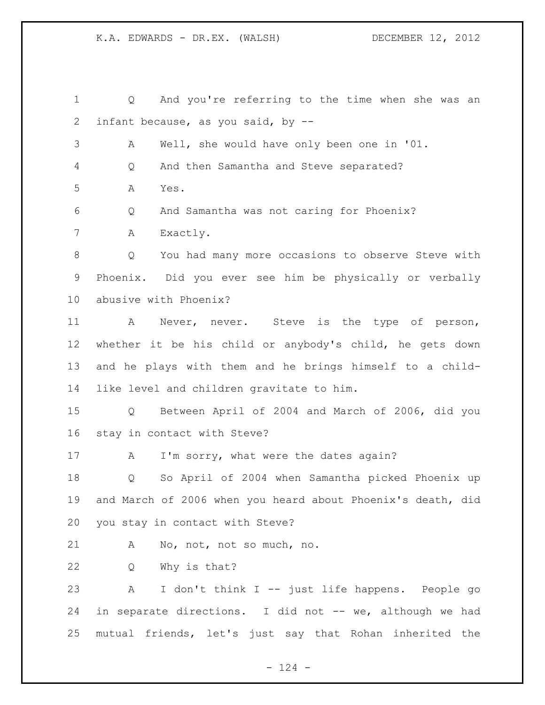Q And you're referring to the time when she was an infant because, as you said, by -- A Well, she would have only been one in '01. Q And then Samantha and Steve separated? A Yes. Q And Samantha was not caring for Phoenix? A Exactly. Q You had many more occasions to observe Steve with Phoenix. Did you ever see him be physically or verbally abusive with Phoenix? A Never, never. Steve is the type of person, whether it be his child or anybody's child, he gets down and he plays with them and he brings himself to a child- like level and children gravitate to him. Q Between April of 2004 and March of 2006, did you stay in contact with Steve? 17 A I'm sorry, what were the dates again? Q So April of 2004 when Samantha picked Phoenix up and March of 2006 when you heard about Phoenix's death, did you stay in contact with Steve? A No, not, not so much, no. Q Why is that? A I don't think I -- just life happens. People go 24 in separate directions. I did not -- we, although we had mutual friends, let's just say that Rohan inherited the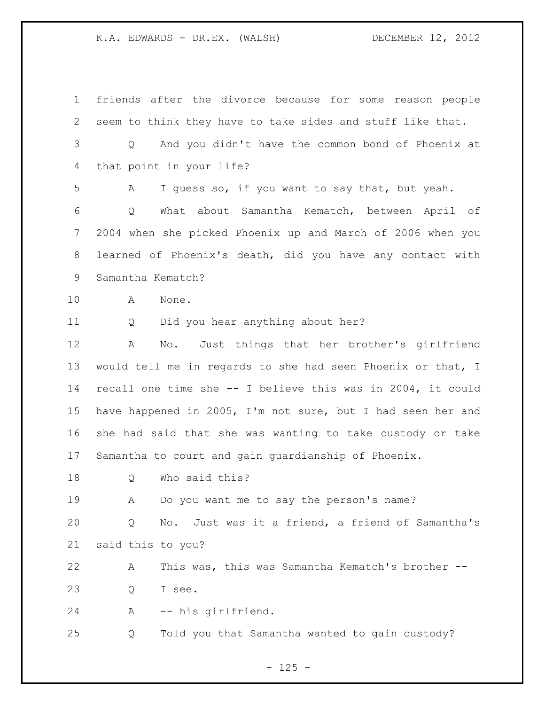friends after the divorce because for some reason people seem to think they have to take sides and stuff like that. Q And you didn't have the common bond of Phoenix at that point in your life? A I guess so, if you want to say that, but yeah. Q What about Samantha Kematch, between April of 2004 when she picked Phoenix up and March of 2006 when you learned of Phoenix's death, did you have any contact with Samantha Kematch? A None. Q Did you hear anything about her? A No. Just things that her brother's girlfriend would tell me in regards to she had seen Phoenix or that, I recall one time she -- I believe this was in 2004, it could have happened in 2005, I'm not sure, but I had seen her and she had said that she was wanting to take custody or take Samantha to court and gain guardianship of Phoenix. Q Who said this? A Do you want me to say the person's name? Q No. Just was it a friend, a friend of Samantha's said this to you? A This was, this was Samantha Kematch's brother -- Q I see. A -- his girlfriend. Q Told you that Samantha wanted to gain custody?

 $- 125 -$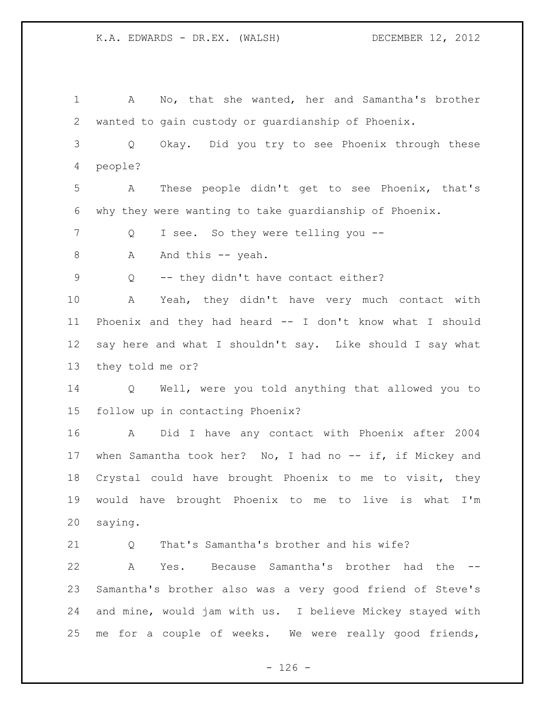A No, that she wanted, her and Samantha's brother wanted to gain custody or guardianship of Phoenix. Q Okay. Did you try to see Phoenix through these people? A These people didn't get to see Phoenix, that's why they were wanting to take guardianship of Phoenix. Q I see. So they were telling you -- 8 A And this -- yeah. Q -- they didn't have contact either? A Yeah, they didn't have very much contact with Phoenix and they had heard -- I don't know what I should say here and what I shouldn't say. Like should I say what they told me or? Q Well, were you told anything that allowed you to follow up in contacting Phoenix? A Did I have any contact with Phoenix after 2004 17 when Samantha took her? No, I had no -- if, if Mickey and Crystal could have brought Phoenix to me to visit, they would have brought Phoenix to me to live is what I'm saying. 21 O That's Samantha's brother and his wife? A Yes. Because Samantha's brother had the -- Samantha's brother also was a very good friend of Steve's and mine, would jam with us. I believe Mickey stayed with me for a couple of weeks. We were really good friends,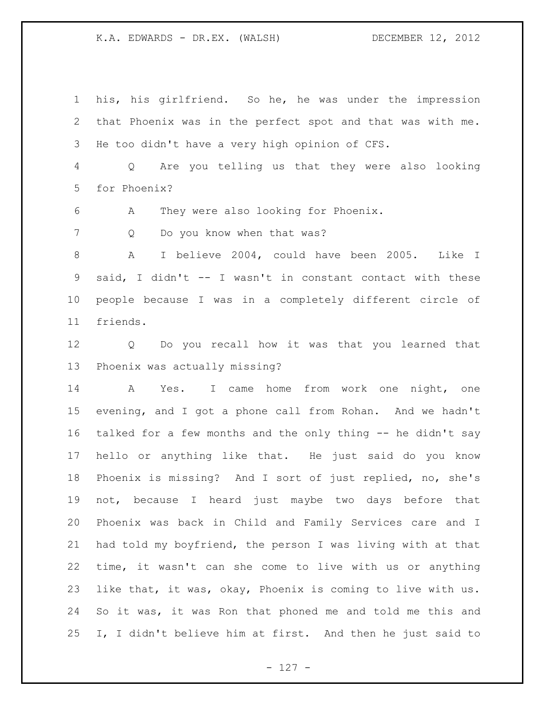his, his girlfriend. So he, he was under the impression that Phoenix was in the perfect spot and that was with me. He too didn't have a very high opinion of CFS.

 Q Are you telling us that they were also looking for Phoenix?

A They were also looking for Phoenix.

7 Q Do you know when that was?

 A I believe 2004, could have been 2005. Like I said, I didn't -- I wasn't in constant contact with these people because I was in a completely different circle of friends.

 Q Do you recall how it was that you learned that Phoenix was actually missing?

 A Yes. I came home from work one night, one evening, and I got a phone call from Rohan. And we hadn't talked for a few months and the only thing -- he didn't say hello or anything like that. He just said do you know Phoenix is missing? And I sort of just replied, no, she's not, because I heard just maybe two days before that Phoenix was back in Child and Family Services care and I had told my boyfriend, the person I was living with at that time, it wasn't can she come to live with us or anything like that, it was, okay, Phoenix is coming to live with us. So it was, it was Ron that phoned me and told me this and I, I didn't believe him at first. And then he just said to

- 127 -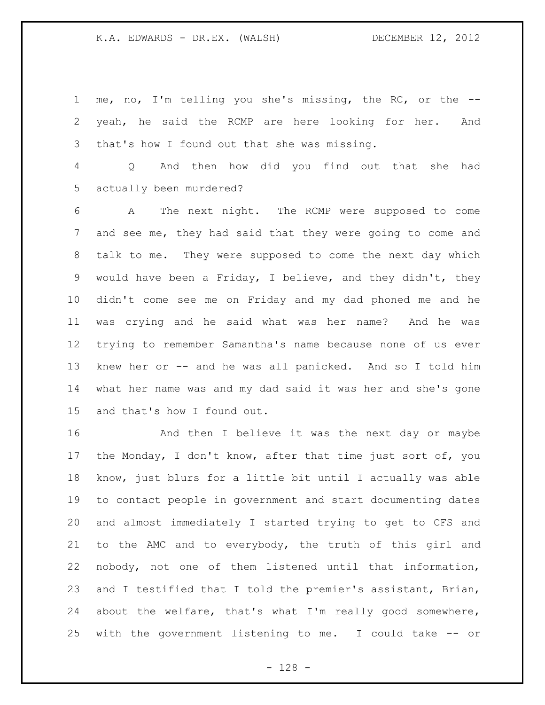me, no, I'm telling you she's missing, the RC, or the -- yeah, he said the RCMP are here looking for her. And that's how I found out that she was missing.

 Q And then how did you find out that she had actually been murdered?

 A The next night. The RCMP were supposed to come and see me, they had said that they were going to come and talk to me. They were supposed to come the next day which would have been a Friday, I believe, and they didn't, they didn't come see me on Friday and my dad phoned me and he was crying and he said what was her name? And he was trying to remember Samantha's name because none of us ever knew her or -- and he was all panicked. And so I told him what her name was and my dad said it was her and she's gone and that's how I found out.

 And then I believe it was the next day or maybe the Monday, I don't know, after that time just sort of, you know, just blurs for a little bit until I actually was able to contact people in government and start documenting dates and almost immediately I started trying to get to CFS and to the AMC and to everybody, the truth of this girl and nobody, not one of them listened until that information, and I testified that I told the premier's assistant, Brian, about the welfare, that's what I'm really good somewhere, with the government listening to me. I could take -- or

- 128 -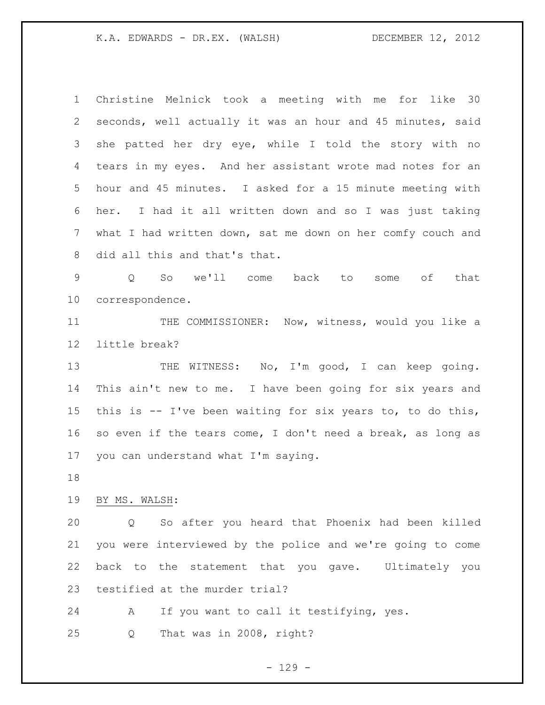Christine Melnick took a meeting with me for like 30 seconds, well actually it was an hour and 45 minutes, said she patted her dry eye, while I told the story with no tears in my eyes. And her assistant wrote mad notes for an hour and 45 minutes. I asked for a 15 minute meeting with her. I had it all written down and so I was just taking what I had written down, sat me down on her comfy couch and did all this and that's that.

 Q So we'll come back to some of that correspondence.

11 THE COMMISSIONER: Now, witness, would you like a little break?

13 THE WITNESS: No, I'm good, I can keep going. This ain't new to me. I have been going for six years and this is -- I've been waiting for six years to, to do this, so even if the tears come, I don't need a break, as long as you can understand what I'm saying.

## BY MS. WALSH:

 Q So after you heard that Phoenix had been killed you were interviewed by the police and we're going to come back to the statement that you gave. Ultimately you testified at the murder trial?

A If you want to call it testifying, yes.

Q That was in 2008, right?

 $-129 -$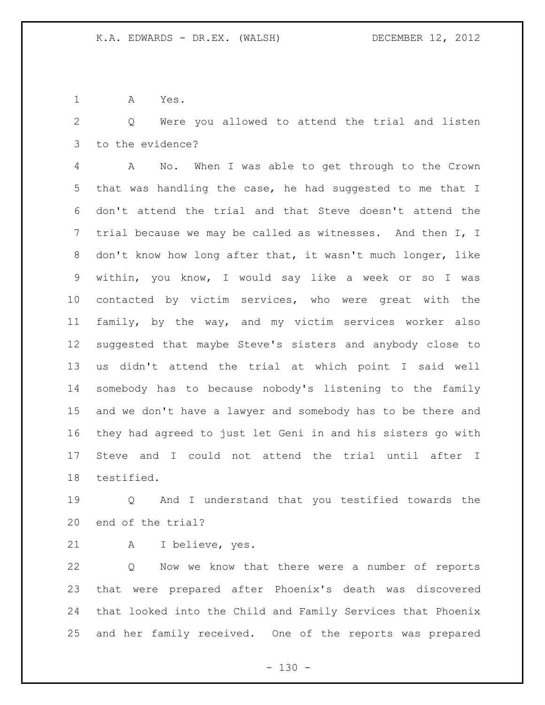A Yes.

 Q Were you allowed to attend the trial and listen to the evidence?

 A No. When I was able to get through to the Crown that was handling the case, he had suggested to me that I don't attend the trial and that Steve doesn't attend the trial because we may be called as witnesses. And then I, I don't know how long after that, it wasn't much longer, like within, you know, I would say like a week or so I was contacted by victim services, who were great with the family, by the way, and my victim services worker also suggested that maybe Steve's sisters and anybody close to us didn't attend the trial at which point I said well somebody has to because nobody's listening to the family and we don't have a lawyer and somebody has to be there and they had agreed to just let Geni in and his sisters go with Steve and I could not attend the trial until after I testified.

 Q And I understand that you testified towards the end of the trial?

A I believe, yes.

 Q Now we know that there were a number of reports that were prepared after Phoenix's death was discovered that looked into the Child and Family Services that Phoenix and her family received. One of the reports was prepared

 $- 130 -$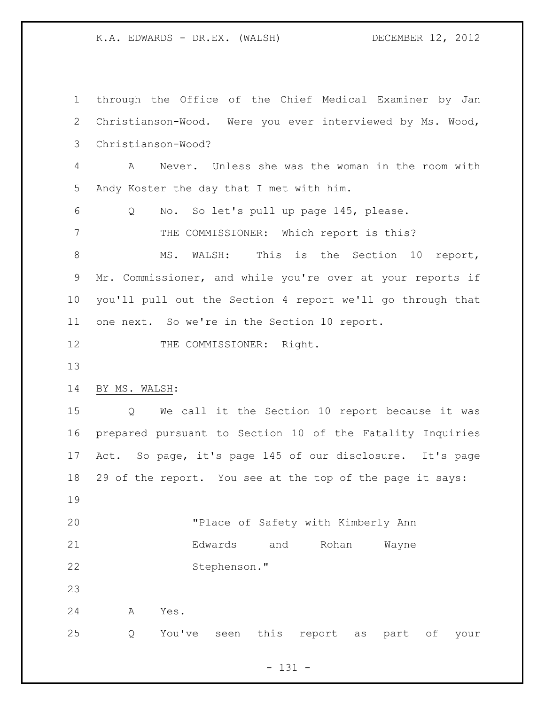through the Office of the Chief Medical Examiner by Jan Christianson-Wood. Were you ever interviewed by Ms. Wood, Christianson-Wood? A Never. Unless she was the woman in the room with Andy Koster the day that I met with him. Q No. So let's pull up page 145, please. THE COMMISSIONER: Which report is this? 8 MS. WALSH: This is the Section 10 report, Mr. Commissioner, and while you're over at your reports if you'll pull out the Section 4 report we'll go through that one next. So we're in the Section 10 report. 12 THE COMMISSIONER: Right. BY MS. WALSH: Q We call it the Section 10 report because it was prepared pursuant to Section 10 of the Fatality Inquiries Act. So page, it's page 145 of our disclosure. It's page 29 of the report. You see at the top of the page it says: "Place of Safety with Kimberly Ann Edwards and Rohan Wayne Stephenson." A Yes. Q You've seen this report as part of your

- 131 -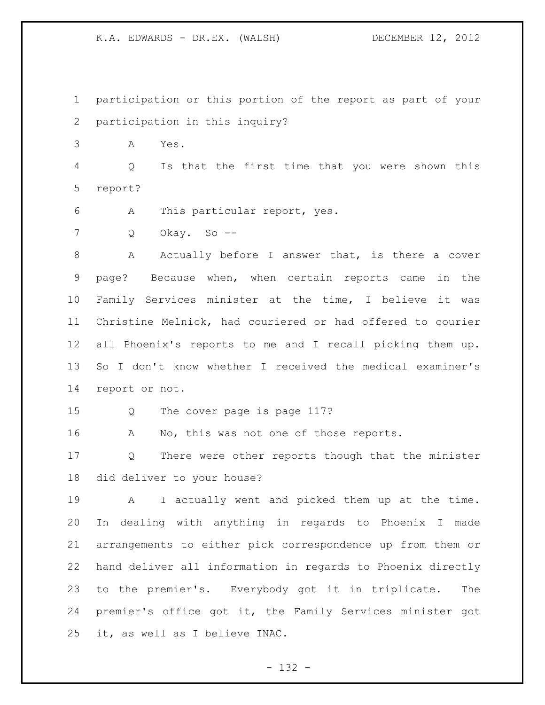participation or this portion of the report as part of your participation in this inquiry?

A Yes.

 Q Is that the first time that you were shown this report?

- A This particular report, yes.
- Q Okay. So --

8 A Actually before I answer that, is there a cover page? Because when, when certain reports came in the Family Services minister at the time, I believe it was Christine Melnick, had couriered or had offered to courier all Phoenix's reports to me and I recall picking them up. So I don't know whether I received the medical examiner's report or not.

Q The cover page is page 117?

16 A No, this was not one of those reports.

 Q There were other reports though that the minister did deliver to your house?

 A I actually went and picked them up at the time. In dealing with anything in regards to Phoenix I made arrangements to either pick correspondence up from them or hand deliver all information in regards to Phoenix directly to the premier's. Everybody got it in triplicate. The premier's office got it, the Family Services minister got it, as well as I believe INAC.

- 132 -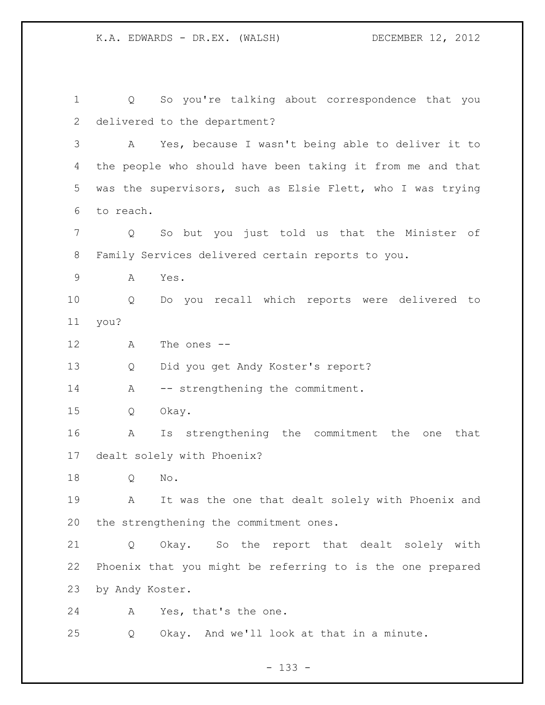Q So you're talking about correspondence that you delivered to the department? A Yes, because I wasn't being able to deliver it to the people who should have been taking it from me and that was the supervisors, such as Elsie Flett, who I was trying to reach. Q So but you just told us that the Minister of Family Services delivered certain reports to you. A Yes. Q Do you recall which reports were delivered to you? A The ones -- Q Did you get Andy Koster's report? 14 A -- strengthening the commitment. Q Okay. A Is strengthening the commitment the one that dealt solely with Phoenix? Q No. A It was the one that dealt solely with Phoenix and the strengthening the commitment ones. Q Okay. So the report that dealt solely with Phoenix that you might be referring to is the one prepared by Andy Koster. A Yes, that's the one. Q Okay. And we'll look at that in a minute.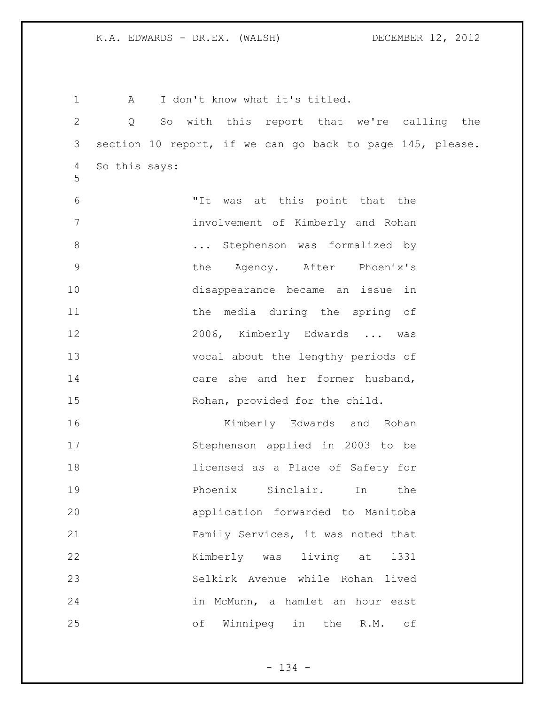1 A I don't know what it's titled. Q So with this report that we're calling the section 10 report, if we can go back to page 145, please. So this says: "It was at this point that the involvement of Kimberly and Rohan **...** Stephenson was formalized by the Agency. After Phoenix's disappearance became an issue in 11 the media during the spring of 2006, Kimberly Edwards ... was vocal about the lengthy periods of care she and her former husband, Rohan, provided for the child. Kimberly Edwards and Rohan Stephenson applied in 2003 to be licensed as a Place of Safety for Phoenix Sinclair. In the application forwarded to Manitoba Family Services, it was noted that Kimberly was living at 1331 Selkirk Avenue while Rohan lived in McMunn, a hamlet an hour east of Winnipeg in the R.M. of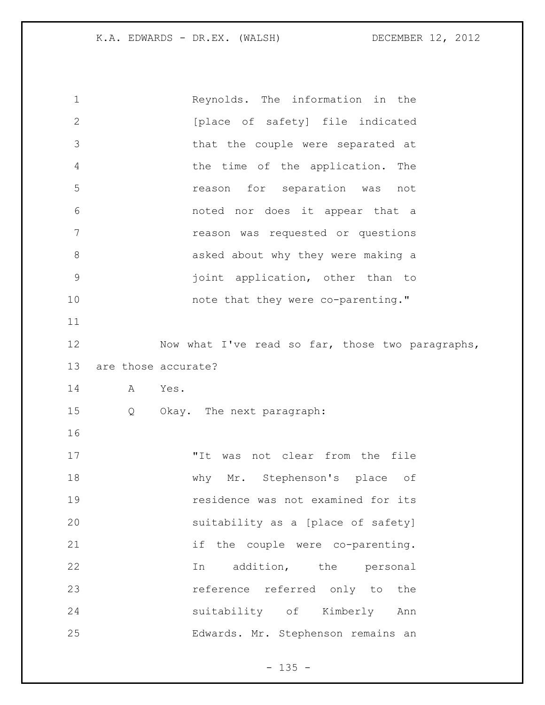| $\mathbf 1$    | Reynolds. The information in the                 |  |
|----------------|--------------------------------------------------|--|
| $\mathbf{2}$   | [place of safety] file indicated                 |  |
| 3              | that the couple were separated at                |  |
| $\overline{4}$ | the time of the application. The                 |  |
| 5              | reason for separation was not                    |  |
| 6              | noted nor does it appear that a                  |  |
| 7              | reason was requested or questions                |  |
| $\,8\,$        | asked about why they were making a               |  |
| $\mathcal{G}$  | joint application, other than to                 |  |
| 10             | note that they were co-parenting."               |  |
| 11             |                                                  |  |
| 12             | Now what I've read so far, those two paragraphs, |  |
| 13             | are those accurate?                              |  |
| 14             | A<br>Yes.                                        |  |
| 15             | Q<br>Okay. The next paragraph:                   |  |
| 16             |                                                  |  |
| 17             | "It was not clear from the file                  |  |
| 18             | why Mr. Stephenson's place of                    |  |
| 19             | residence was not examined for its               |  |
| 20             | suitability as a [place of safety]               |  |
| 21             | if the couple were co-parenting.                 |  |
| 22             | addition, the personal<br>In                     |  |
|                |                                                  |  |
| 23             | reference referred only to the                   |  |
| 24             | suitability of Kimberly<br>Ann                   |  |

- 135 -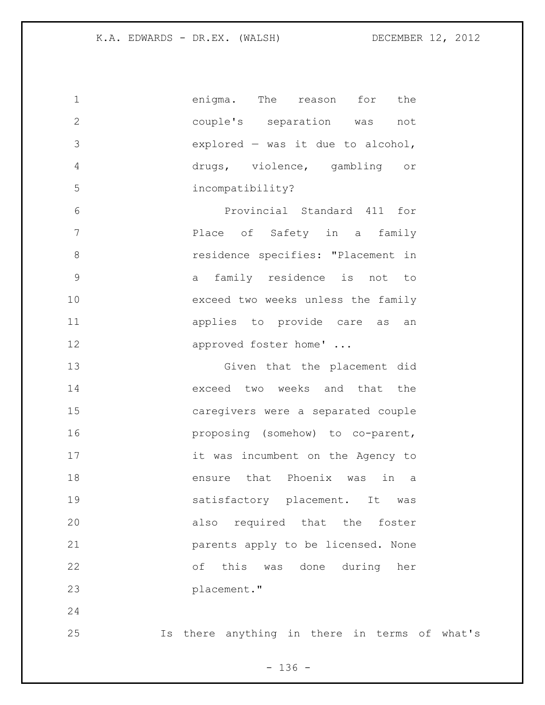| 1           | enigma.<br>for<br>The<br>the<br>reason              |
|-------------|-----------------------------------------------------|
| $\mathbf 2$ | couple's separation<br>not<br>was                   |
| 3           | $explored - was it due to alcohol,$                 |
| 4           | drugs, violence, gambling<br>$\circ$ $\,$           |
| 5           | incompatibility?                                    |
| 6           | Provincial Standard 411<br>for                      |
| 7           | Place of Safety in a family                         |
| 8           | residence specifies: "Placement in                  |
| $\mathsf 9$ | family residence is not to<br>a                     |
| 10          | exceed two weeks unless the family                  |
| 11          | applies to provide care as<br>an                    |
| 12          | approved foster home'                               |
| 13          | Given that the placement did                        |
| 14          | exceed two weeks and that<br>the                    |
| 15          | caregivers were a separated couple                  |
| 16          | proposing (somehow) to co-parent,                   |
| 17          | it was incumbent on the Agency to                   |
| 18          | that<br>Phoenix<br>in<br>ensure<br>was<br>a         |
| 19          | satisfactory placement. It<br>was                   |
| 20          | required that the foster<br>also                    |
| 21          | parents apply to be licensed. None                  |
| 22          | this was done during her<br>оf                      |
| 23          | placement."                                         |
| 24          |                                                     |
| 25          | there anything in there in terms of<br>what's<br>Is |

- 136 -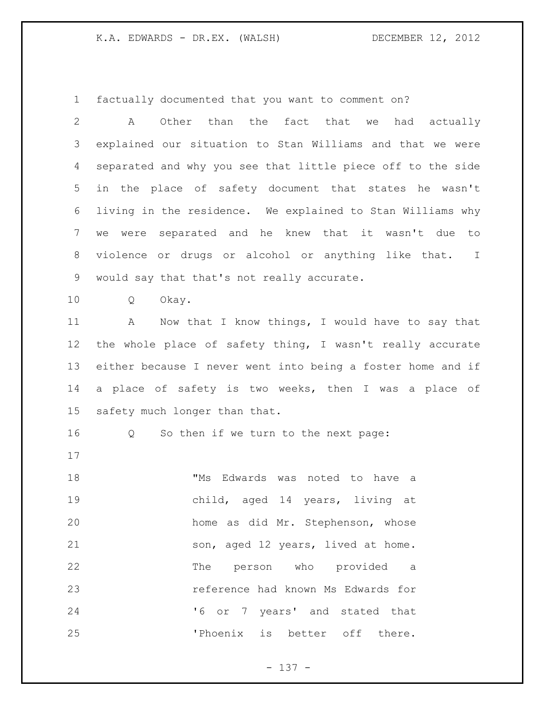factually documented that you want to comment on?

 A Other than the fact that we had actually explained our situation to Stan Williams and that we were separated and why you see that little piece off to the side in the place of safety document that states he wasn't living in the residence. We explained to Stan Williams why we were separated and he knew that it wasn't due to violence or drugs or alcohol or anything like that. I would say that that's not really accurate.

Q Okay.

11 A Now that I know things, I would have to say that the whole place of safety thing, I wasn't really accurate either because I never went into being a foster home and if a place of safety is two weeks, then I was a place of safety much longer than that.

Q So then if we turn to the next page:

 "Ms Edwards was noted to have a child, aged 14 years, living at home as did Mr. Stephenson, whose son, aged 12 years, lived at home. The person who provided a reference had known Ms Edwards for '6 or 7 years' and stated that 'Phoenix is better off there.

- 137 -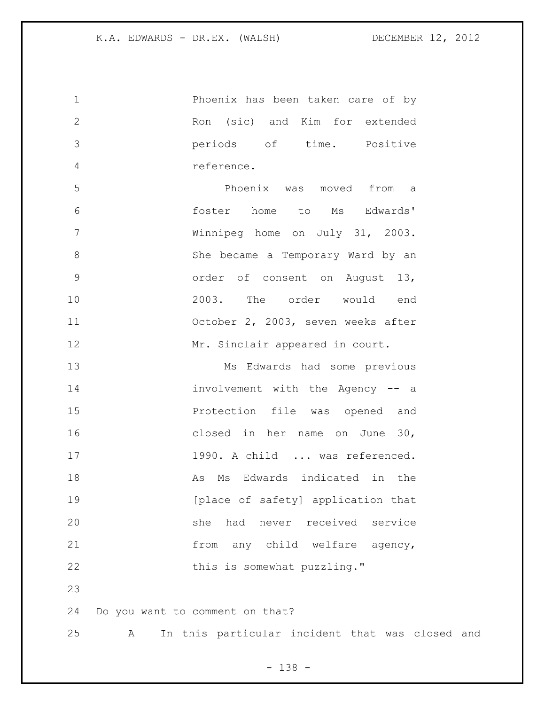Phoenix has been taken care of by Ron (sic) and Kim for extended periods of time. Positive reference. Phoenix was moved from a foster home to Ms Edwards' Winnipeg home on July 31, 2003. She became a Temporary Ward by an order of consent on August 13, 2003. The order would end October 2, 2003, seven weeks after 12 Mr. Sinclair appeared in court. Ms Edwards had some previous involvement with the Agency -- a Protection file was opened and closed in her name on June 30, 17 1990. A child ... was referenced. 18 As Ms Edwards indicated in the **19** [place of safety] application that she had never received service from any child welfare agency, 22 this is somewhat puzzling." Do you want to comment on that? A In this particular incident that was closed and

- 138 -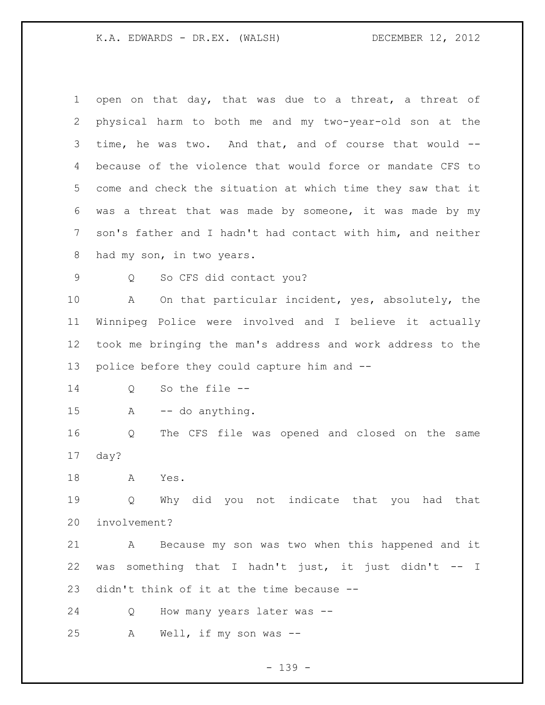| 1             | open on that day, that was due to a threat, a threat of     |
|---------------|-------------------------------------------------------------|
| 2             | physical harm to both me and my two-year-old son at the     |
| 3             | time, he was two. And that, and of course that would --     |
| 4             | because of the violence that would force or mandate CFS to  |
| 5             | come and check the situation at which time they saw that it |
| 6             | was a threat that was made by someone, it was made by my    |
| 7             | son's father and I hadn't had contact with him, and neither |
| 8             | had my son, in two years.                                   |
| $\mathcal{G}$ | So CFS did contact you?<br>Q                                |
| 10            | On that particular incident, yes, absolutely, the<br>A      |
| 11            | Winnipeg Police were involved and I believe it actually     |
| 12            | took me bringing the man's address and work address to the  |
| 13            | police before they could capture him and --                 |
| 14            | So the file $--$<br>Q                                       |
| 15            | -- do anything.<br>A                                        |
| 16            | The CFS file was opened and closed on the same<br>Q         |
| 17            | day?                                                        |
| 18            | Yes.<br>Α                                                   |
| 19            | Q Why did you not indicate that you had that                |
| 20            | involvement?                                                |
| 21            | Because my son was two when this happened and it<br>A       |
| 22            | was something that I hadn't just, it just didn't -- I       |
| 23            | didn't think of it at the time because --                   |
| 24            | How many years later was --<br>Q                            |
| 25            | Well, if my son was $-$<br>A                                |
|               |                                                             |

- 139 -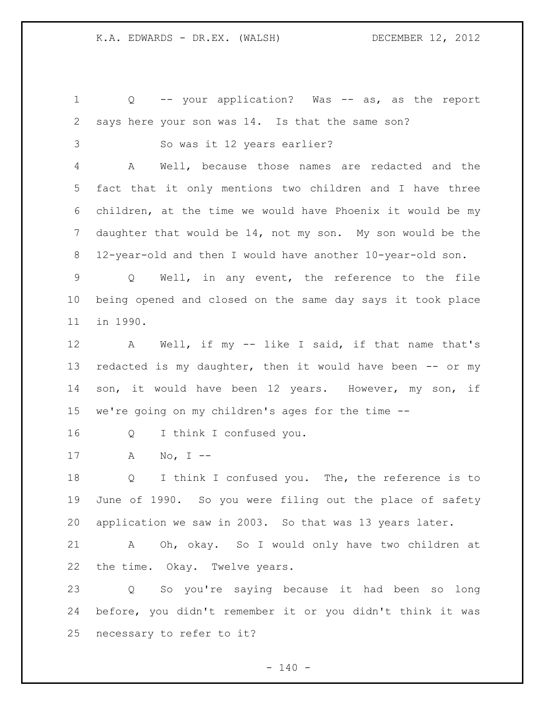Q -- your application? Was -- as, as the report says here your son was 14. Is that the same son? So was it 12 years earlier? A Well, because those names are redacted and the fact that it only mentions two children and I have three children, at the time we would have Phoenix it would be my daughter that would be 14, not my son. My son would be the 12-year-old and then I would have another 10-year-old son. Q Well, in any event, the reference to the file being opened and closed on the same day says it took place in 1990. A Well, if my -- like I said, if that name that's 13 redacted is my daughter, then it would have been -- or my 14 son, it would have been 12 years. However, my son, if we're going on my children's ages for the time -- Q I think I confused you. A No, I -- Q I think I confused you. The, the reference is to June of 1990. So you were filing out the place of safety application we saw in 2003. So that was 13 years later. A Oh, okay. So I would only have two children at the time. Okay. Twelve years. Q So you're saying because it had been so long before, you didn't remember it or you didn't think it was necessary to refer to it?

 $- 140 -$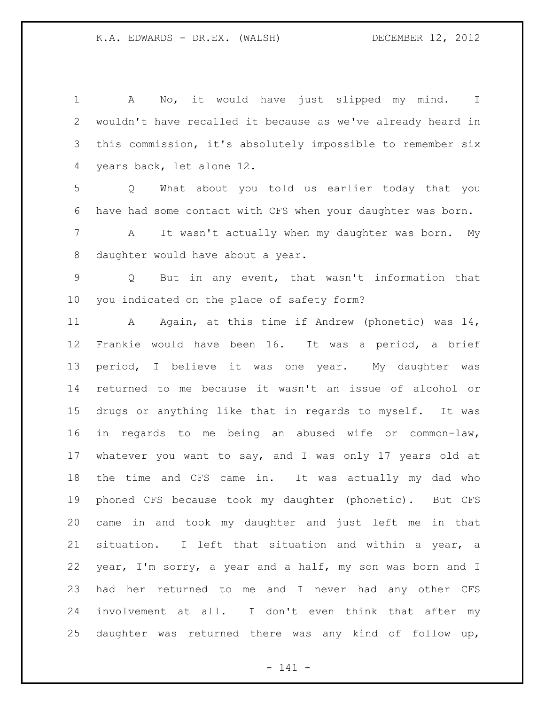A No, it would have just slipped my mind. I wouldn't have recalled it because as we've already heard in this commission, it's absolutely impossible to remember six years back, let alone 12. Q What about you told us earlier today that you have had some contact with CFS when your daughter was born. A It wasn't actually when my daughter was born. My daughter would have about a year. Q But in any event, that wasn't information that you indicated on the place of safety form? 11 A Again, at this time if Andrew (phonetic) was 14, Frankie would have been 16. It was a period, a brief period, I believe it was one year. My daughter was returned to me because it wasn't an issue of alcohol or drugs or anything like that in regards to myself. It was in regards to me being an abused wife or common-law, whatever you want to say, and I was only 17 years old at the time and CFS came in. It was actually my dad who phoned CFS because took my daughter (phonetic). But CFS came in and took my daughter and just left me in that situation. I left that situation and within a year, a year, I'm sorry, a year and a half, my son was born and I had her returned to me and I never had any other CFS involvement at all. I don't even think that after my daughter was returned there was any kind of follow up,

- 141 -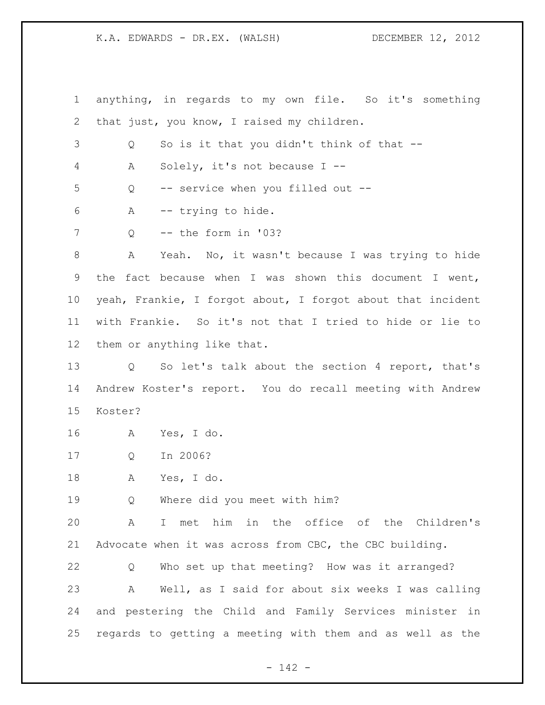anything, in regards to my own file. So it's something that just, you know, I raised my children. Q So is it that you didn't think of that -- A Solely, it's not because I -- Q -- service when you filled out -- A -- trying to hide. 7 0 -- the form in '03? A Yeah. No, it wasn't because I was trying to hide the fact because when I was shown this document I went, yeah, Frankie, I forgot about, I forgot about that incident with Frankie. So it's not that I tried to hide or lie to them or anything like that. Q So let's talk about the section 4 report, that's Andrew Koster's report. You do recall meeting with Andrew Koster? A Yes, I do. Q In 2006? A Yes, I do. Q Where did you meet with him? A I met him in the office of the Children's Advocate when it was across from CBC, the CBC building. Q Who set up that meeting? How was it arranged? A Well, as I said for about six weeks I was calling and pestering the Child and Family Services minister in regards to getting a meeting with them and as well as the

- 142 -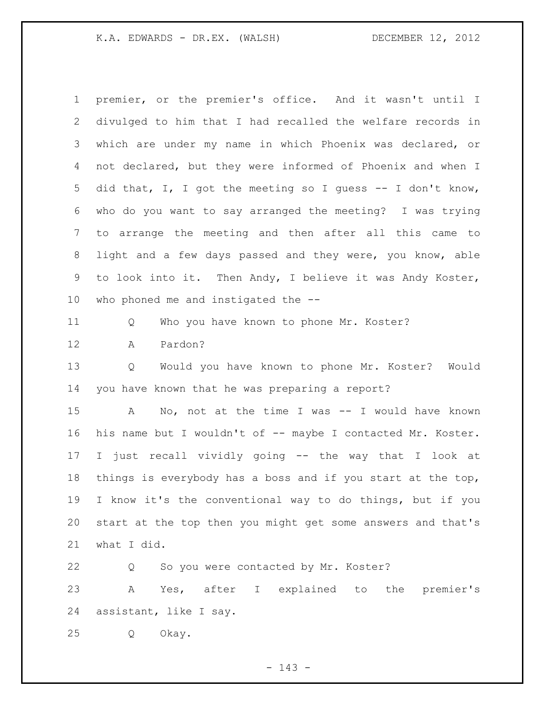premier, or the premier's office. And it wasn't until I divulged to him that I had recalled the welfare records in which are under my name in which Phoenix was declared, or not declared, but they were informed of Phoenix and when I did that, I, I got the meeting so I guess -- I don't know, who do you want to say arranged the meeting? I was trying to arrange the meeting and then after all this came to light and a few days passed and they were, you know, able to look into it. Then Andy, I believe it was Andy Koster, who phoned me and instigated the -- Q Who you have known to phone Mr. Koster? A Pardon? Q Would you have known to phone Mr. Koster? Would you have known that he was preparing a report?

 A No, not at the time I was -- I would have known 16 his name but I wouldn't of -- maybe I contacted Mr. Koster. I just recall vividly going -- the way that I look at things is everybody has a boss and if you start at the top, I know it's the conventional way to do things, but if you start at the top then you might get some answers and that's what I did.

 Q So you were contacted by Mr. Koster? A Yes, after I explained to the premier's assistant, like I say. Q Okay.

- 143 -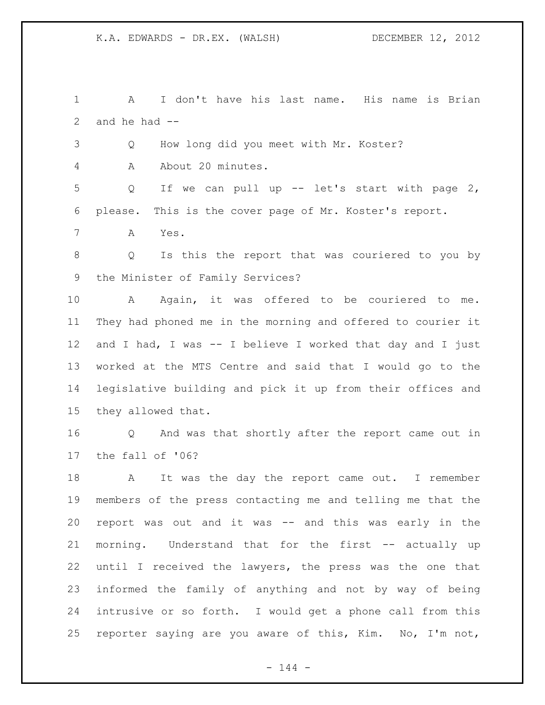A I don't have his last name. His name is Brian 2 and he had  $-$ 

Q How long did you meet with Mr. Koster?

A About 20 minutes.

 Q If we can pull up -- let's start with page 2, please. This is the cover page of Mr. Koster's report.

A Yes.

 Q Is this the report that was couriered to you by the Minister of Family Services?

 A Again, it was offered to be couriered to me. They had phoned me in the morning and offered to courier it and I had, I was -- I believe I worked that day and I just worked at the MTS Centre and said that I would go to the legislative building and pick it up from their offices and they allowed that.

 Q And was that shortly after the report came out in the fall of '06?

18 A It was the day the report came out. I remember members of the press contacting me and telling me that the report was out and it was -- and this was early in the morning. Understand that for the first -- actually up until I received the lawyers, the press was the one that informed the family of anything and not by way of being intrusive or so forth. I would get a phone call from this reporter saying are you aware of this, Kim. No, I'm not,

 $- 144 -$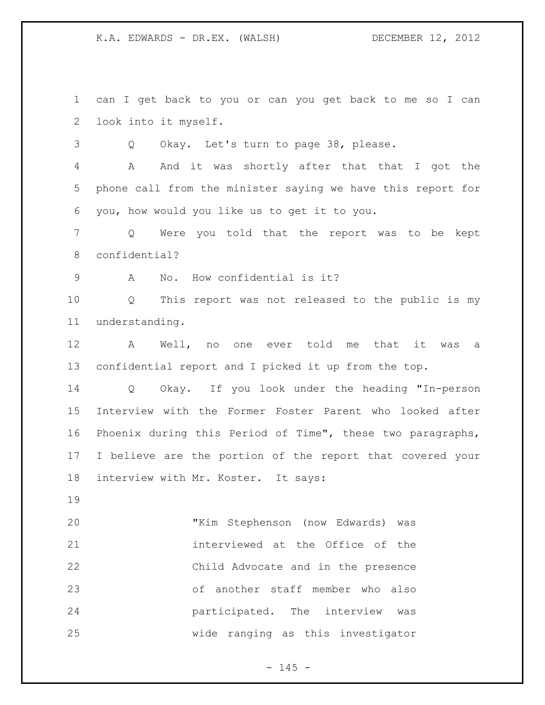can I get back to you or can you get back to me so I can look into it myself.

Q Okay. Let's turn to page 38, please.

 A And it was shortly after that that I got the phone call from the minister saying we have this report for you, how would you like us to get it to you.

 Q Were you told that the report was to be kept confidential?

A No. How confidential is it?

 Q This report was not released to the public is my understanding.

 A Well, no one ever told me that it was a confidential report and I picked it up from the top.

 Q Okay. If you look under the heading "In-person Interview with the Former Foster Parent who looked after Phoenix during this Period of Time", these two paragraphs, I believe are the portion of the report that covered your interview with Mr. Koster. It says:

 "Kim Stephenson (now Edwards) was interviewed at the Office of the Child Advocate and in the presence of another staff member who also participated. The interview was wide ranging as this investigator

 $- 145 -$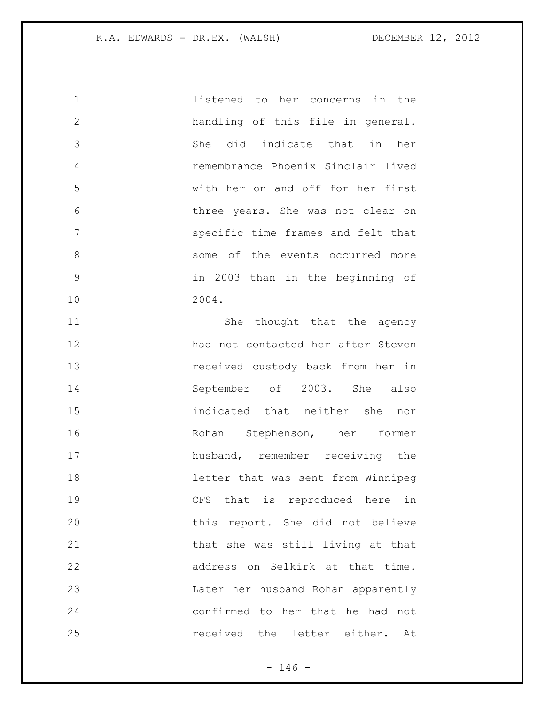listened to her concerns in the handling of this file in general. She did indicate that in her remembrance Phoenix Sinclair lived with her on and off for her first three years. She was not clear on specific time frames and felt that 8 some of the events occurred more in 2003 than in the beginning of 2004. 11 She thought that the agency had not contacted her after Steven received custody back from her in September of 2003. She also indicated that neither she nor Rohan Stephenson, her former husband, remember receiving the letter that was sent from Winnipeg CFS that is reproduced here in this report. She did not believe that she was still living at that address on Selkirk at that time. Later her husband Rohan apparently confirmed to her that he had not

received the letter either. At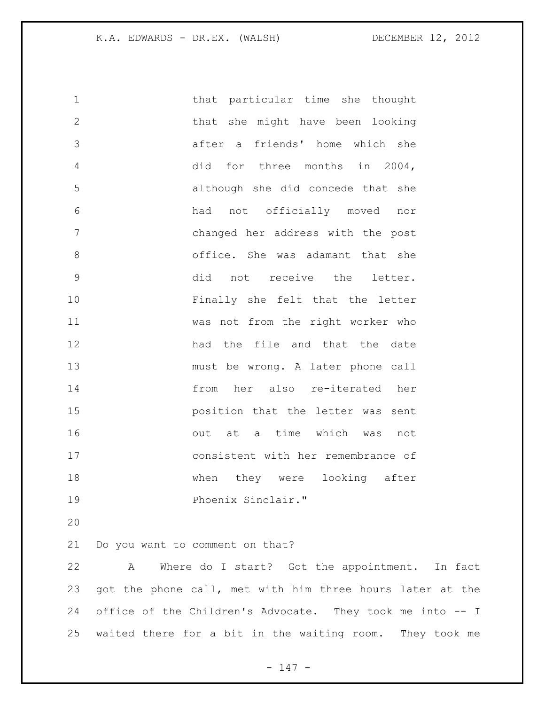| $\mathbf 1$    | that particular time she thought   |
|----------------|------------------------------------|
| $\overline{2}$ | that she might have been looking   |
| 3              | after a friends' home which she    |
| $\overline{4}$ | did for three months in 2004,      |
| 5              | although she did concede that she  |
| 6              | had not officially moved<br>nor    |
| 7              | changed her address with the post  |
| $\,8\,$        | office. She was adamant that she   |
| $\mathcal{G}$  | did not receive the letter.        |
| 10             | Finally she felt that the letter   |
| 11             | was not from the right worker who  |
| 12             | had the file and that the date     |
| 13             | must be wrong. A later phone call  |
| 14             | from her also re-iterated her      |
| 15             | position that the letter was sent  |
| 16             | out at a time which was not        |
| 17             | consistent with her remembrance of |
| 18             | when they were looking after       |
| 19             | Phoenix Sinclair."                 |

Do you want to comment on that?

 A Where do I start? Got the appointment. In fact got the phone call, met with him three hours later at the office of the Children's Advocate. They took me into -- I waited there for a bit in the waiting room. They took me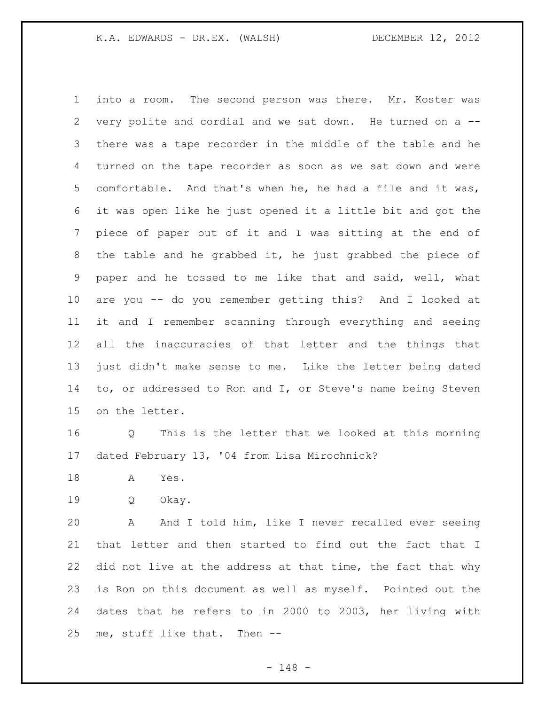into a room. The second person was there. Mr. Koster was very polite and cordial and we sat down. He turned on a -- there was a tape recorder in the middle of the table and he turned on the tape recorder as soon as we sat down and were comfortable. And that's when he, he had a file and it was, it was open like he just opened it a little bit and got the piece of paper out of it and I was sitting at the end of the table and he grabbed it, he just grabbed the piece of paper and he tossed to me like that and said, well, what are you -- do you remember getting this? And I looked at it and I remember scanning through everything and seeing all the inaccuracies of that letter and the things that just didn't make sense to me. Like the letter being dated to, or addressed to Ron and I, or Steve's name being Steven on the letter.

 Q This is the letter that we looked at this morning dated February 13, '04 from Lisa Mirochnick?

- A Yes.
- Q Okay.

 A And I told him, like I never recalled ever seeing that letter and then started to find out the fact that I 22 did not live at the address at that time, the fact that why is Ron on this document as well as myself. Pointed out the dates that he refers to in 2000 to 2003, her living with me, stuff like that. Then --

- 148 -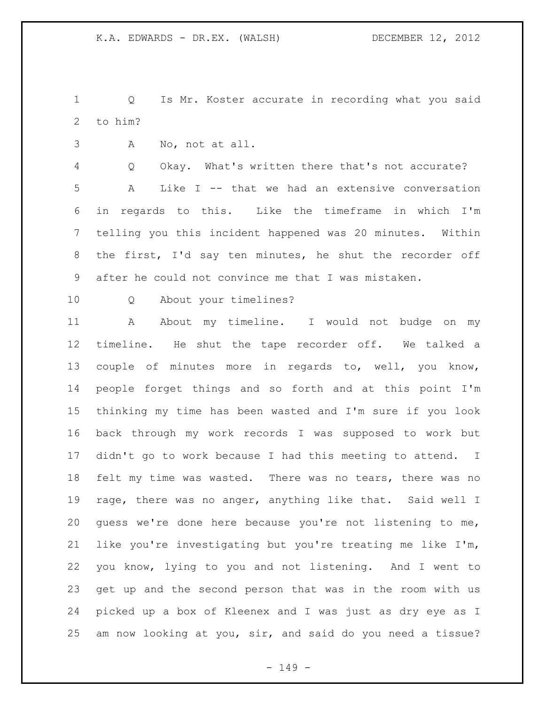Q Is Mr. Koster accurate in recording what you said to him?

A No, not at all.

 Q Okay. What's written there that's not accurate? A Like I -- that we had an extensive conversation in regards to this. Like the timeframe in which I'm telling you this incident happened was 20 minutes. Within the first, I'd say ten minutes, he shut the recorder off after he could not convince me that I was mistaken.

Q About your timelines?

11 A About my timeline. I would not budge on my timeline. He shut the tape recorder off. We talked a couple of minutes more in regards to, well, you know, people forget things and so forth and at this point I'm thinking my time has been wasted and I'm sure if you look back through my work records I was supposed to work but didn't go to work because I had this meeting to attend. I felt my time was wasted. There was no tears, there was no rage, there was no anger, anything like that. Said well I guess we're done here because you're not listening to me, like you're investigating but you're treating me like I'm, you know, lying to you and not listening. And I went to get up and the second person that was in the room with us picked up a box of Kleenex and I was just as dry eye as I am now looking at you, sir, and said do you need a tissue?

- 149 -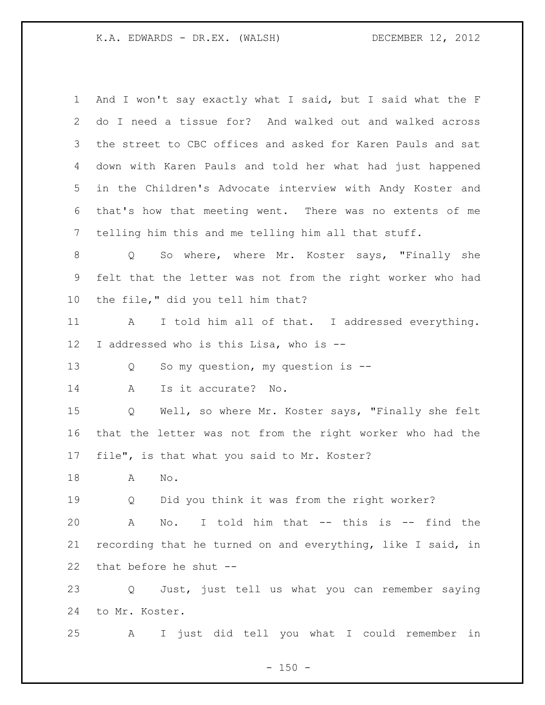And I won't say exactly what I said, but I said what the F do I need a tissue for? And walked out and walked across the street to CBC offices and asked for Karen Pauls and sat down with Karen Pauls and told her what had just happened in the Children's Advocate interview with Andy Koster and that's how that meeting went. There was no extents of me telling him this and me telling him all that stuff. Q So where, where Mr. Koster says, "Finally she felt that the letter was not from the right worker who had the file," did you tell him that? 11 A I told him all of that. I addressed everything. I addressed who is this Lisa, who is -- Q So my question, my question is -- A Is it accurate? No. Q Well, so where Mr. Koster says, "Finally she felt that the letter was not from the right worker who had the file", is that what you said to Mr. Koster? A No. Q Did you think it was from the right worker? A No. I told him that -- this is -- find the recording that he turned on and everything, like I said, in that before he shut -- Q Just, just tell us what you can remember saying to Mr. Koster. A I just did tell you what I could remember in

 $- 150 -$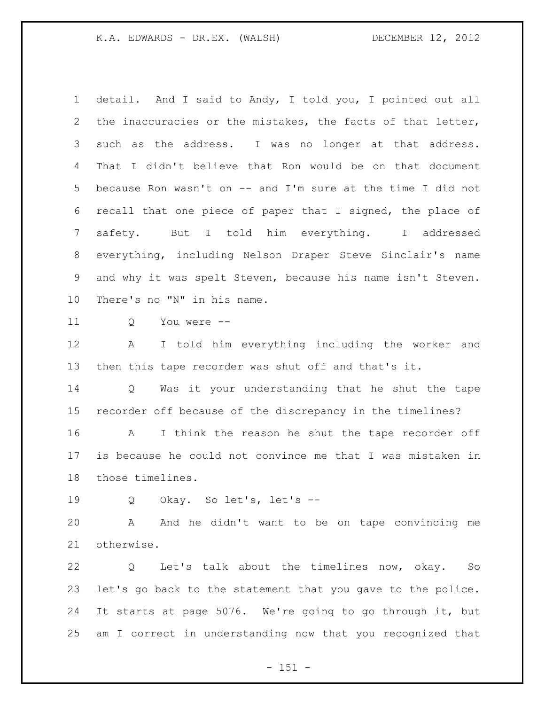detail. And I said to Andy, I told you, I pointed out all the inaccuracies or the mistakes, the facts of that letter, such as the address. I was no longer at that address. That I didn't believe that Ron would be on that document because Ron wasn't on -- and I'm sure at the time I did not recall that one piece of paper that I signed, the place of safety. But I told him everything. I addressed everything, including Nelson Draper Steve Sinclair's name and why it was spelt Steven, because his name isn't Steven. There's no "N" in his name.

Q You were --

 A I told him everything including the worker and then this tape recorder was shut off and that's it.

 Q Was it your understanding that he shut the tape recorder off because of the discrepancy in the timelines?

 A I think the reason he shut the tape recorder off is because he could not convince me that I was mistaken in those timelines.

Q Okay. So let's, let's --

 A And he didn't want to be on tape convincing me otherwise.

 Q Let's talk about the timelines now, okay. So let's go back to the statement that you gave to the police. It starts at page 5076. We're going to go through it, but am I correct in understanding now that you recognized that

 $- 151 -$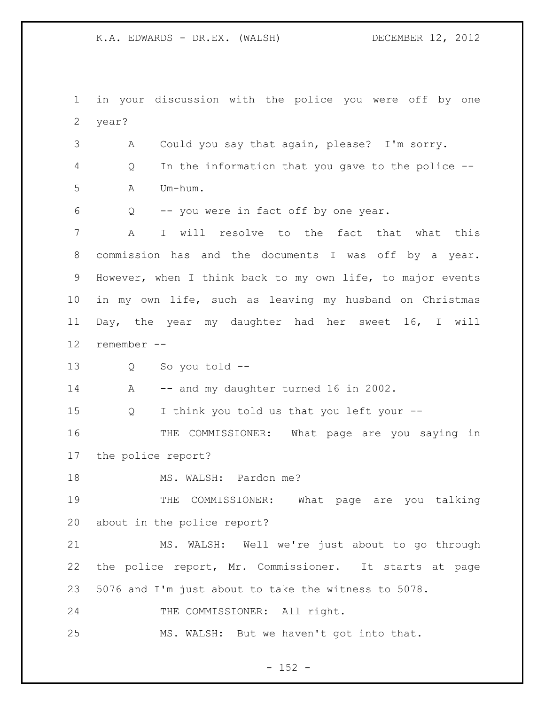in your discussion with the police you were off by one year? A Could you say that again, please? I'm sorry. Q In the information that you gave to the police -- A Um-hum. Q -- you were in fact off by one year. A I will resolve to the fact that what this commission has and the documents I was off by a year. However, when I think back to my own life, to major events in my own life, such as leaving my husband on Christmas Day, the year my daughter had her sweet 16, I will remember -- Q So you told -- 14 A -- and my daughter turned 16 in 2002. Q I think you told us that you left your -- THE COMMISSIONER: What page are you saying in the police report? 18 MS. WALSH: Pardon me? THE COMMISSIONER: What page are you talking about in the police report? MS. WALSH: Well we're just about to go through the police report, Mr. Commissioner. It starts at page 5076 and I'm just about to take the witness to 5078. 24 THE COMMISSIONER: All right. MS. WALSH: But we haven't got into that.

 $- 152 -$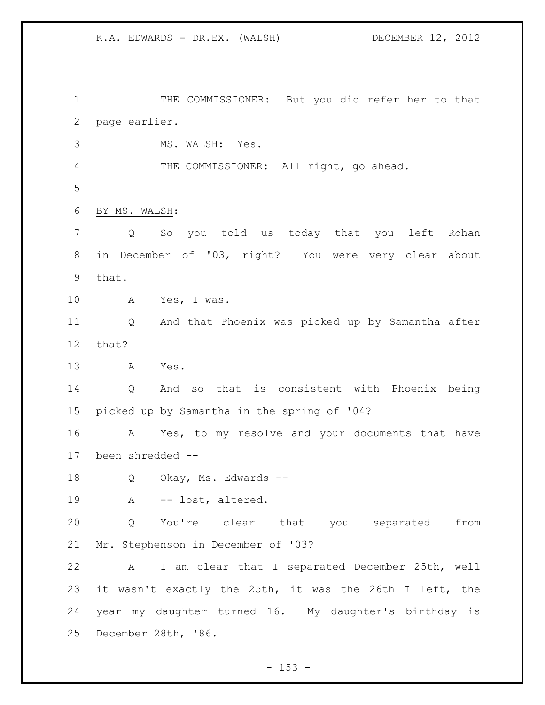THE COMMISSIONER: But you did refer her to that page earlier. MS. WALSH: Yes. THE COMMISSIONER: All right, go ahead. BY MS. WALSH: Q So you told us today that you left Rohan in December of '03, right? You were very clear about that. A Yes, I was. Q And that Phoenix was picked up by Samantha after that? A Yes. Q And so that is consistent with Phoenix being picked up by Samantha in the spring of '04? A Yes, to my resolve and your documents that have been shredded -- 18 Q Okay, Ms. Edwards -- A -- lost, altered. Q You're clear that you separated from Mr. Stephenson in December of '03? A I am clear that I separated December 25th, well it wasn't exactly the 25th, it was the 26th I left, the year my daughter turned 16. My daughter's birthday is December 28th, '86.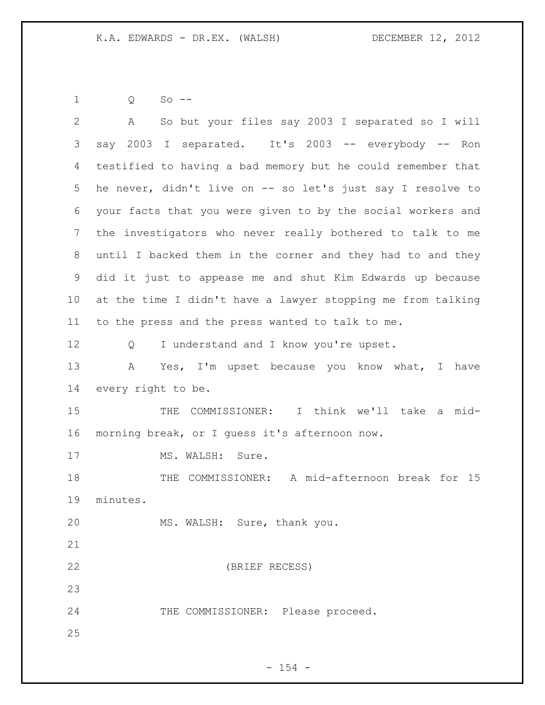Q So --

| $\overline{2}$ | So but your files say 2003 I separated so I will<br>A       |
|----------------|-------------------------------------------------------------|
| 3              | say 2003 I separated. It's 2003 -- everybody -- Ron         |
| 4              | testified to having a bad memory but he could remember that |
| 5              | he never, didn't live on -- so let's just say I resolve to  |
| 6              | your facts that you were given to by the social workers and |
| 7              | the investigators who never really bothered to talk to me   |
| 8              | until I backed them in the corner and they had to and they  |
| 9              | did it just to appease me and shut Kim Edwards up because   |
| 10             | at the time I didn't have a lawyer stopping me from talking |
| 11             | to the press and the press wanted to talk to me.            |
| 12             | I understand and I know you're upset.<br>Q                  |
| 13             | Yes, I'm upset because you know what, I have<br>A           |
| 14             | every right to be.                                          |
| 15             | COMMISSIONER: I think we'll take a mid-<br>THE              |
| 16             | morning break, or I quess it's afternoon now.               |
| 17             | MS. WALSH: Sure.                                            |
| 18             | THE COMMISSIONER: A mid-afternoon break for 15              |
| 19             | minutes.                                                    |
| 20             | MS. WALSH: Sure, thank you.                                 |
| 21             |                                                             |
| 22             | (BRIEF RECESS)                                              |
| 23             |                                                             |
| 24             | THE COMMISSIONER: Please proceed.                           |
| 25             |                                                             |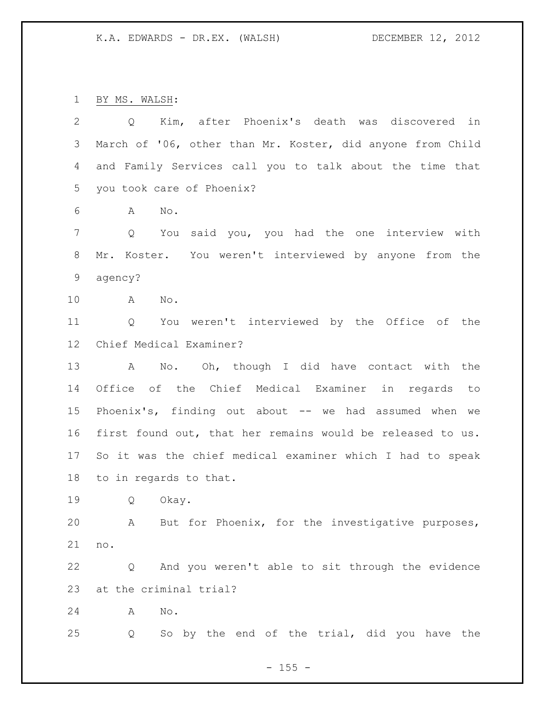BY MS. WALSH:

| $\overline{2}$ | Q Kim, after Phoenix's death was discovered in                 |
|----------------|----------------------------------------------------------------|
| 3              | March of '06, other than Mr. Koster, did anyone from Child     |
| 4              | and Family Services call you to talk about the time that       |
| 5              | you took care of Phoenix?                                      |
| 6              | No.<br>A                                                       |
| $7\phantom{.}$ | You said you, you had the one interview with<br>$\overline{Q}$ |
| 8              | Mr. Koster. You weren't interviewed by anyone from the         |
| $\mathsf 9$    | agency?                                                        |
| 10             | No.<br>A                                                       |
| 11             | Q You weren't interviewed by the Office of the                 |
| 12             | Chief Medical Examiner?                                        |
| 13             | No. Oh, though I did have contact with the<br>$\mathbb A$      |
| 14             | Office of the Chief Medical Examiner in regards to             |
| 15             | Phoenix's, finding out about -- we had assumed when we         |
| 16             | first found out, that her remains would be released to us.     |
| 17             | So it was the chief medical examiner which I had to speak      |
| 18             | to in regards to that.                                         |
| 19             | Q<br>Okay.                                                     |
| 20             | A But for Phoenix, for the investigative purposes,             |
| 21             | no.                                                            |
| 22             | And you weren't able to sit through the evidence<br>Q          |
| 23             | at the criminal trial?                                         |
| 24             | No.<br>A                                                       |
| 25             | So by the end of the trial, did you have the<br>Q              |
|                |                                                                |

- 155 -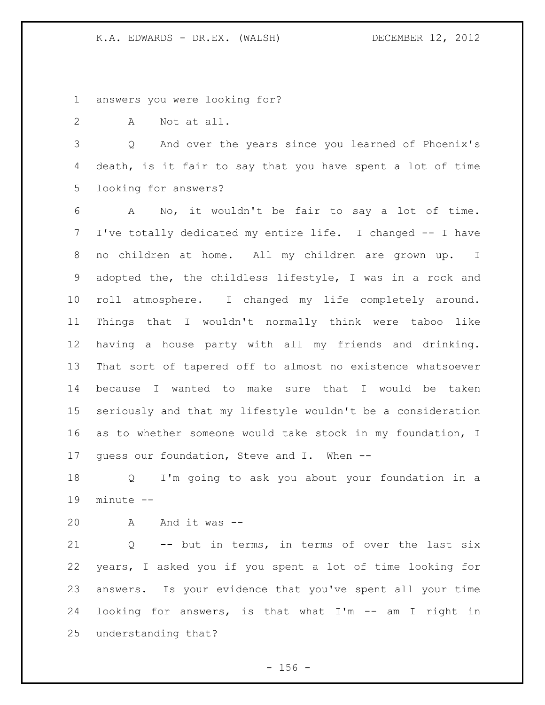answers you were looking for?

A Not at all.

 Q And over the years since you learned of Phoenix's death, is it fair to say that you have spent a lot of time looking for answers?

 A No, it wouldn't be fair to say a lot of time. I've totally dedicated my entire life. I changed -- I have no children at home. All my children are grown up. I adopted the, the childless lifestyle, I was in a rock and roll atmosphere. I changed my life completely around. Things that I wouldn't normally think were taboo like having a house party with all my friends and drinking. That sort of tapered off to almost no existence whatsoever because I wanted to make sure that I would be taken seriously and that my lifestyle wouldn't be a consideration as to whether someone would take stock in my foundation, I guess our foundation, Steve and I. When --

 Q I'm going to ask you about your foundation in a minute --

A And it was --

 Q -- but in terms, in terms of over the last six years, I asked you if you spent a lot of time looking for answers. Is your evidence that you've spent all your time looking for answers, is that what I'm -- am I right in understanding that?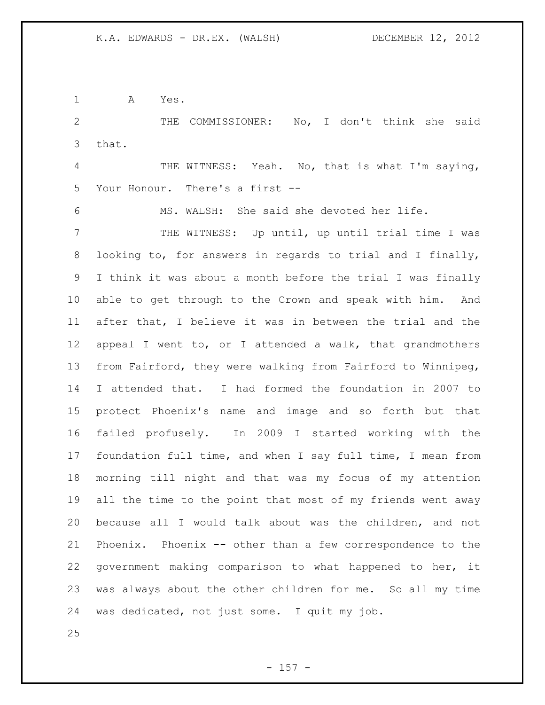A Yes.

 THE COMMISSIONER: No, I don't think she said that.

 THE WITNESS: Yeah. No, that is what I'm saying, Your Honour. There's a first --

MS. WALSH: She said she devoted her life.

 THE WITNESS: Up until, up until trial time I was looking to, for answers in regards to trial and I finally, I think it was about a month before the trial I was finally able to get through to the Crown and speak with him. And after that, I believe it was in between the trial and the appeal I went to, or I attended a walk, that grandmothers from Fairford, they were walking from Fairford to Winnipeg, I attended that. I had formed the foundation in 2007 to protect Phoenix's name and image and so forth but that failed profusely. In 2009 I started working with the foundation full time, and when I say full time, I mean from morning till night and that was my focus of my attention all the time to the point that most of my friends went away because all I would talk about was the children, and not Phoenix. Phoenix -- other than a few correspondence to the government making comparison to what happened to her, it was always about the other children for me. So all my time was dedicated, not just some. I quit my job.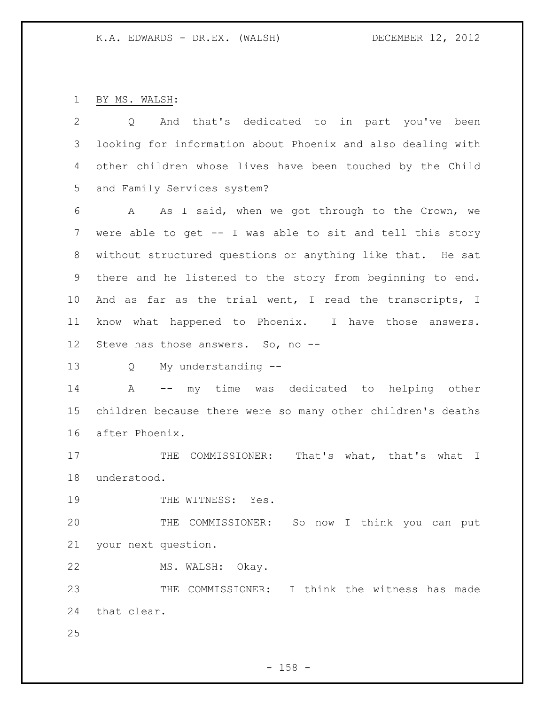BY MS. WALSH:

| $\overline{2}$  | And that's dedicated to in part you've been<br>Q              |
|-----------------|---------------------------------------------------------------|
| 3               | looking for information about Phoenix and also dealing with   |
| 4               | other children whose lives have been touched by the Child     |
| 5               | and Family Services system?                                   |
| 6               | As I said, when we got through to the Crown, we<br>A          |
| 7               | were able to get -- I was able to sit and tell this story     |
| 8               | without structured questions or anything like that. He sat    |
| 9               | there and he listened to the story from beginning to end.     |
| 10              | And as far as the trial went, I read the transcripts, I       |
| 11              | know what happened to Phoenix. I have those answers.          |
| 12 <sup>°</sup> | Steve has those answers. So, no --                            |
| 13              | My understanding --<br>Q                                      |
| 14              | -- my time was dedicated to helping other<br>A                |
| 15              | children because there were so many other children's deaths   |
| 16              | after Phoenix.                                                |
| 17              | COMMISSIONER: That's what, that's what<br>THE<br>$\mathbb{I}$ |
| 18              | understood.                                                   |
| 19              | THE WITNESS: Yes.                                             |
| 20              | THE COMMISSIONER: So now I think you can put                  |
| 21              | your next question.                                           |
| 22              | MS. WALSH: Okay.                                              |
| 23              | THE COMMISSIONER: I think the witness has made                |
| 24              | that clear.                                                   |
| 25              |                                                               |

- 158 -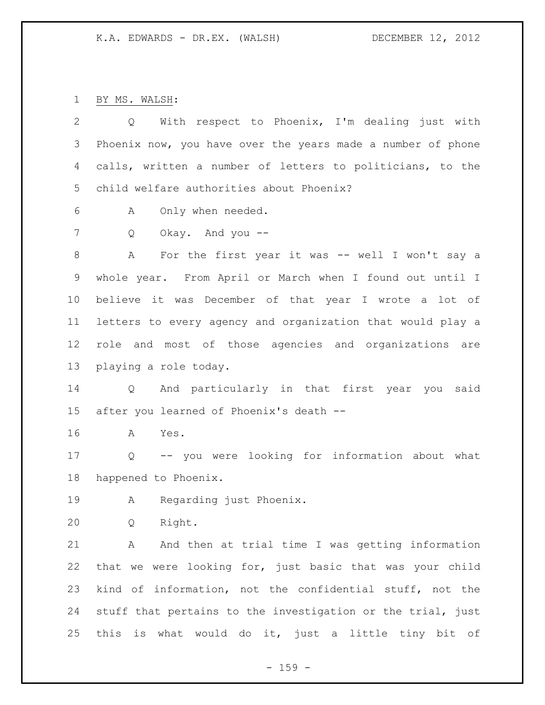BY MS. WALSH:

| 2               | With respect to Phoenix, I'm dealing just with<br>Q         |
|-----------------|-------------------------------------------------------------|
| 3               | Phoenix now, you have over the years made a number of phone |
| 4               | calls, written a number of letters to politicians, to the   |
| 5               | child welfare authorities about Phoenix?                    |
| 6               | Only when needed.<br>A                                      |
| 7               | Okay. And you --<br>Q                                       |
| 8               | For the first year it was -- well I won't say a<br>A        |
| 9               | whole year. From April or March when I found out until I    |
| 10 <sub>o</sub> | believe it was December of that year I wrote a lot of       |
| 11 <sub>1</sub> | letters to every agency and organization that would play a  |
| 12 <sup>°</sup> | role and most of those agencies and organizations are       |
| 13              | playing a role today.                                       |
| 14              | Q And particularly in that first year you said              |
| 15              | after you learned of Phoenix's death --                     |
| 16              | A<br>Yes.                                                   |
| 17              | Q -- you were looking for information about what            |
| 18              | happened to Phoenix.                                        |
| 19              | Regarding just Phoenix.<br>A                                |
| 20              | Right.<br>Q                                                 |
| 21              | And then at trial time I was getting information<br>Α       |
| 22              | that we were looking for, just basic that was your child    |
| 23              | kind of information, not the confidential stuff, not the    |
| 24              | stuff that pertains to the investigation or the trial, just |
| 25              | this is what would do it, just a little tiny bit of         |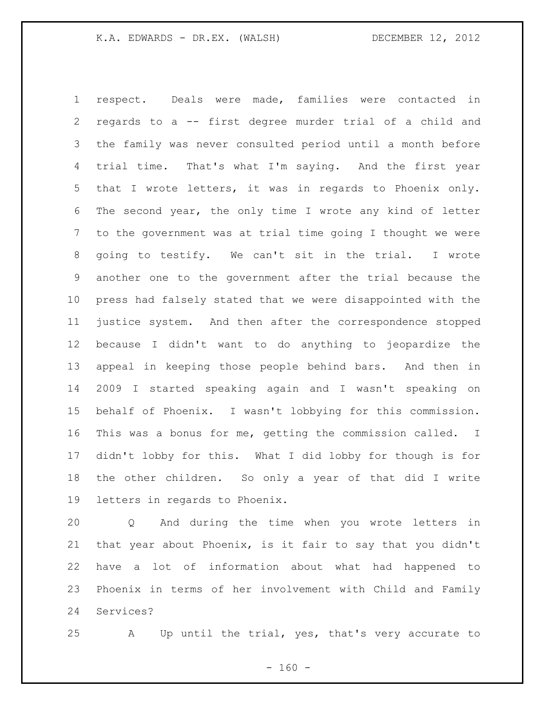respect. Deals were made, families were contacted in regards to a -- first degree murder trial of a child and the family was never consulted period until a month before trial time. That's what I'm saying. And the first year that I wrote letters, it was in regards to Phoenix only. The second year, the only time I wrote any kind of letter to the government was at trial time going I thought we were going to testify. We can't sit in the trial. I wrote another one to the government after the trial because the press had falsely stated that we were disappointed with the justice system. And then after the correspondence stopped because I didn't want to do anything to jeopardize the appeal in keeping those people behind bars. And then in 2009 I started speaking again and I wasn't speaking on behalf of Phoenix. I wasn't lobbying for this commission. This was a bonus for me, getting the commission called. I didn't lobby for this. What I did lobby for though is for the other children. So only a year of that did I write letters in regards to Phoenix.

 Q And during the time when you wrote letters in that year about Phoenix, is it fair to say that you didn't have a lot of information about what had happened to Phoenix in terms of her involvement with Child and Family Services?

A Up until the trial, yes, that's very accurate to

 $- 160 -$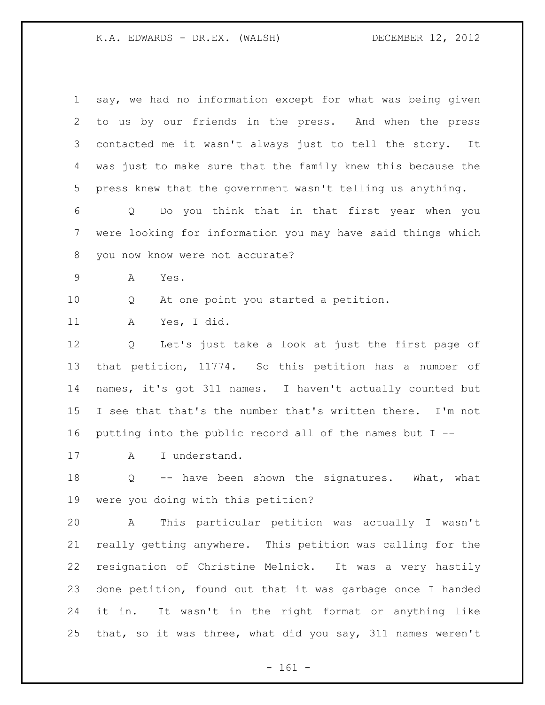| $\mathbf 1$ | say, we had no information except for what was being given  |
|-------------|-------------------------------------------------------------|
| 2           | to us by our friends in the press. And when the press       |
| 3           | contacted me it wasn't always just to tell the story.<br>It |
| 4           | was just to make sure that the family knew this because the |
| 5           | press knew that the government wasn't telling us anything.  |
| 6           | Do you think that in that first year when you<br>Q          |
| 7           | were looking for information you may have said things which |
| 8           | you now know were not accurate?                             |
| 9           | А<br>Yes.                                                   |
| 10          | At one point you started a petition.<br>Q                   |
| 11          | Yes, I did.<br>Α                                            |
| 12          | Let's just take a look at just the first page of<br>Q       |
| 13          | that petition, 11774. So this petition has a number of      |
| 14          | names, it's got 311 names. I haven't actually counted but   |
| 15          | I see that that's the number that's written there. I'm not  |
| 16          | putting into the public record all of the names but I --    |
| 17          | I understand.<br>A                                          |
| 18          | -- have been shown the signatures. What, what<br>Q          |
| 19          | were you doing with this petition?                          |
| 20          | This particular petition was actually I wasn't<br>Α         |
| 21          | really getting anywhere. This petition was calling for the  |
| 22          | resignation of Christine Melnick. It was a very hastily     |
| 23          | done petition, found out that it was garbage once I handed  |
| 24          | It wasn't in the right format or anything like<br>it in.    |
| 25          | that, so it was three, what did you say, 311 names weren't  |

- 161 -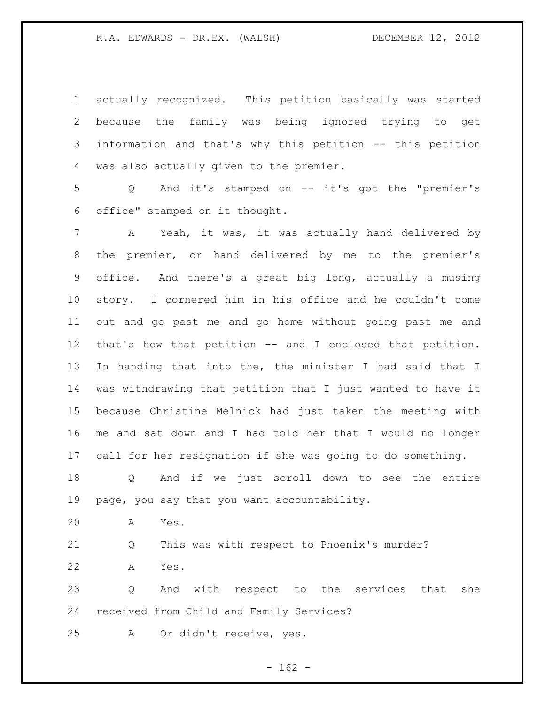actually recognized. This petition basically was started because the family was being ignored trying to get information and that's why this petition -- this petition was also actually given to the premier.

 Q And it's stamped on -- it's got the "premier's office" stamped on it thought.

 A Yeah, it was, it was actually hand delivered by the premier, or hand delivered by me to the premier's office. And there's a great big long, actually a musing story. I cornered him in his office and he couldn't come out and go past me and go home without going past me and that's how that petition -- and I enclosed that petition. In handing that into the, the minister I had said that I was withdrawing that petition that I just wanted to have it because Christine Melnick had just taken the meeting with me and sat down and I had told her that I would no longer call for her resignation if she was going to do something.

 Q And if we just scroll down to see the entire page, you say that you want accountability.

A Yes.

Q This was with respect to Phoenix's murder?

A Yes.

 Q And with respect to the services that she received from Child and Family Services?

A Or didn't receive, yes.

 $- 162 -$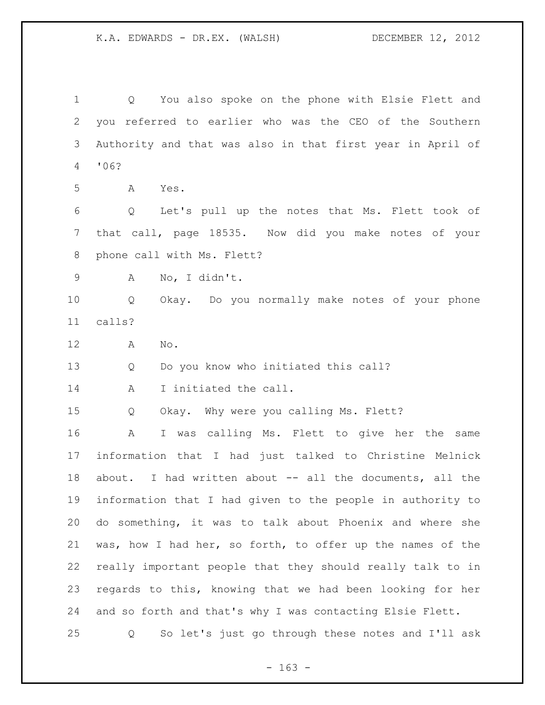Q You also spoke on the phone with Elsie Flett and you referred to earlier who was the CEO of the Southern Authority and that was also in that first year in April of '06? A Yes. Q Let's pull up the notes that Ms. Flett took of that call, page 18535. Now did you make notes of your phone call with Ms. Flett? A No, I didn't. Q Okay. Do you normally make notes of your phone calls? A No. Q Do you know who initiated this call? A I initiated the call. Q Okay. Why were you calling Ms. Flett? A I was calling Ms. Flett to give her the same information that I had just talked to Christine Melnick about. I had written about -- all the documents, all the information that I had given to the people in authority to do something, it was to talk about Phoenix and where she was, how I had her, so forth, to offer up the names of the really important people that they should really talk to in regards to this, knowing that we had been looking for her and so forth and that's why I was contacting Elsie Flett. Q So let's just go through these notes and I'll ask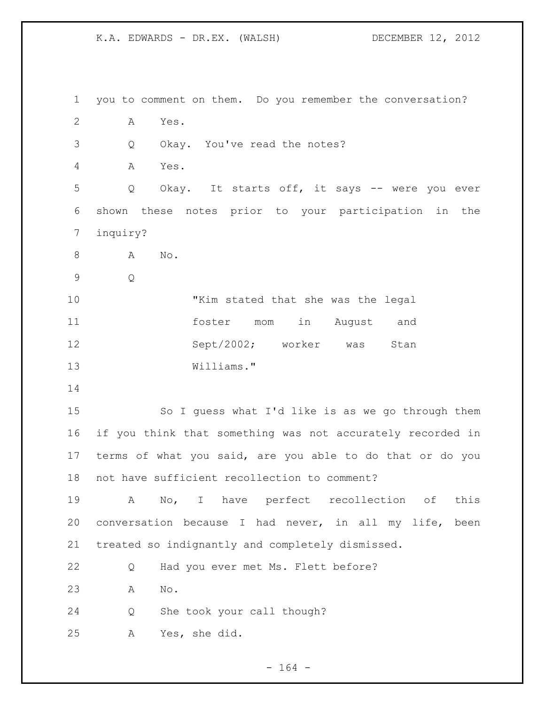you to comment on them. Do you remember the conversation? A Yes. Q Okay. You've read the notes? A Yes. Q Okay. It starts off, it says -- were you ever shown these notes prior to your participation in the inquiry? 8 A No. Q "Kim stated that she was the legal foster mom in August and 12 Sept/2002; worker was Stan Williams." So I guess what I'd like is as we go through them if you think that something was not accurately recorded in terms of what you said, are you able to do that or do you not have sufficient recollection to comment? A No, I have perfect recollection of this conversation because I had never, in all my life, been treated so indignantly and completely dismissed. Q Had you ever met Ms. Flett before? A No. Q She took your call though? A Yes, she did.

- 164 -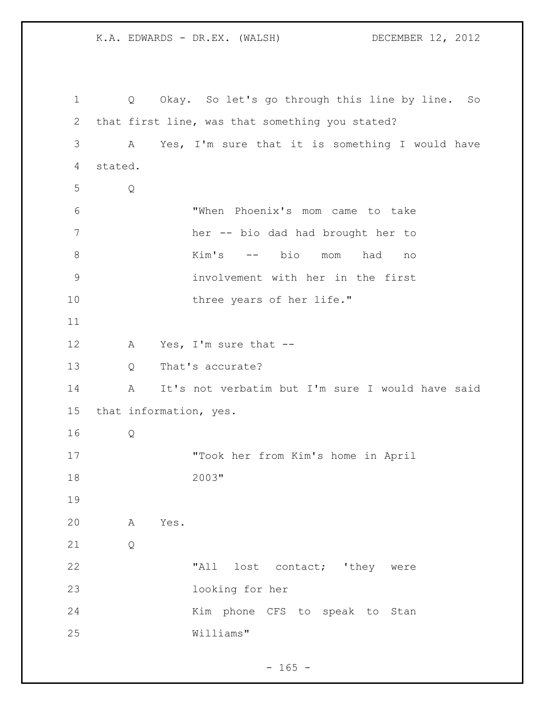Q Okay. So let's go through this line by line. So that first line, was that something you stated? A Yes, I'm sure that it is something I would have stated. Q "When Phoenix's mom came to take her -- bio dad had brought her to Kim's -- bio mom had no involvement with her in the first 10 three years of her life." A Yes, I'm sure that -- Q That's accurate? A It's not verbatim but I'm sure I would have said that information, yes. Q "Took her from Kim's home in April 2003" A Yes. Q 22 "All lost contact; 'they were looking for her 24 Kim phone CFS to speak to Stan Williams"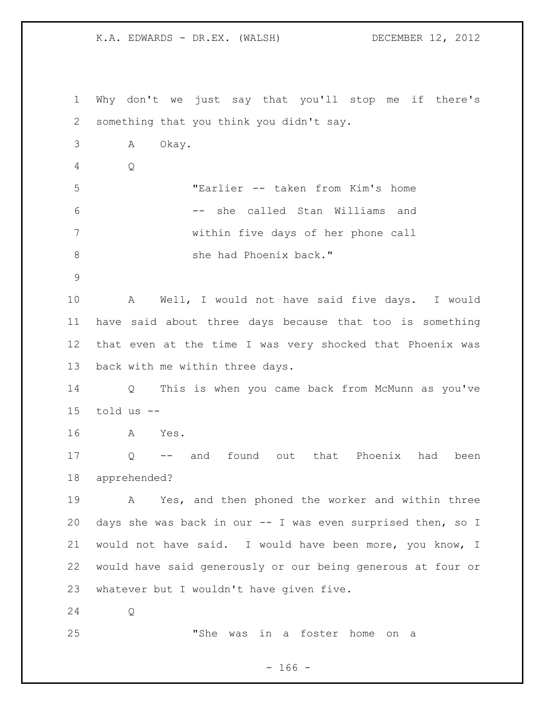Why don't we just say that you'll stop me if there's something that you think you didn't say. A Okay. Q "Earlier -- taken from Kim's home -- she called Stan Williams and within five days of her phone call 8 she had Phoenix back." A Well, I would not have said five days. I would have said about three days because that too is something that even at the time I was very shocked that Phoenix was back with me within three days. Q This is when you came back from McMunn as you've told us -- A Yes. Q -- and found out that Phoenix had been apprehended? A Yes, and then phoned the worker and within three days she was back in our -- I was even surprised then, so I would not have said. I would have been more, you know, I would have said generously or our being generous at four or whatever but I wouldn't have given five. Q "She was in a foster home on a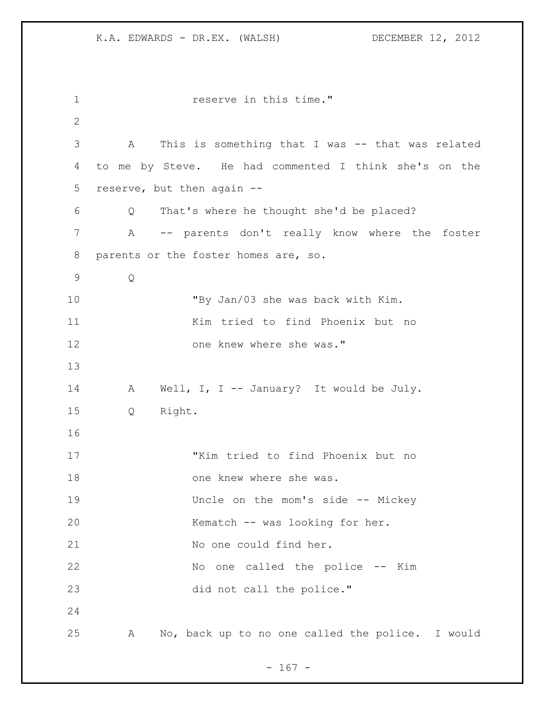**reserve in this time."**  A This is something that I was -- that was related to me by Steve. He had commented I think she's on the reserve, but then again -- Q That's where he thought she'd be placed? A -- parents don't really know where the foster parents or the foster homes are, so. Q "By Jan/03 she was back with Kim. Kim tried to find Phoenix but no 12 one knew where she was." 14 A Well, I, I -- January? It would be July. Q Right. "Kim tried to find Phoenix but no 18 one knew where she was. Uncle on the mom's side -- Mickey Kematch -- was looking for her. 21 No one could find her. No one called the police -- Kim did not call the police." A No, back up to no one called the police. I would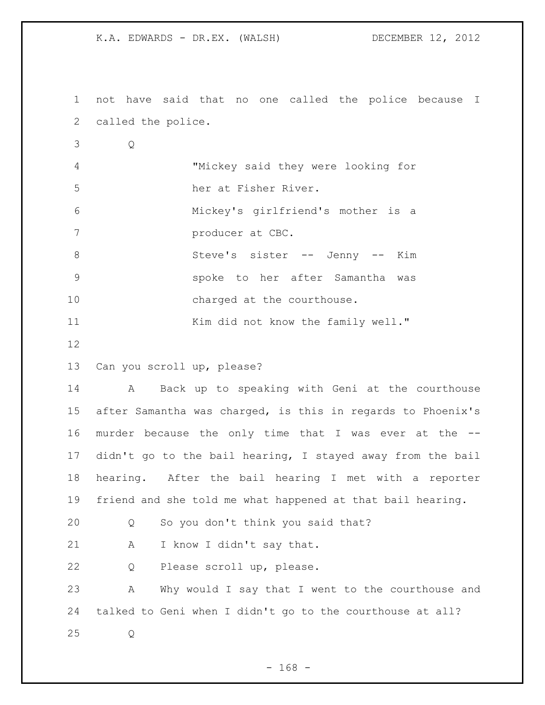not have said that no one called the police because I called the police.

 Q "Mickey said they were looking for her at Fisher River. Mickey's girlfriend's mother is a **producer at CBC.** 8 Steve's sister -- Jenny -- Kim spoke to her after Samantha was 10 charged at the courthouse. 11 Kim did not know the family well."

Can you scroll up, please?

 A Back up to speaking with Geni at the courthouse after Samantha was charged, is this in regards to Phoenix's murder because the only time that I was ever at the -- didn't go to the bail hearing, I stayed away from the bail hearing. After the bail hearing I met with a reporter friend and she told me what happened at that bail hearing.

Q So you don't think you said that?

21 A I know I didn't say that.

Q Please scroll up, please.

 A Why would I say that I went to the courthouse and talked to Geni when I didn't go to the courthouse at all? Q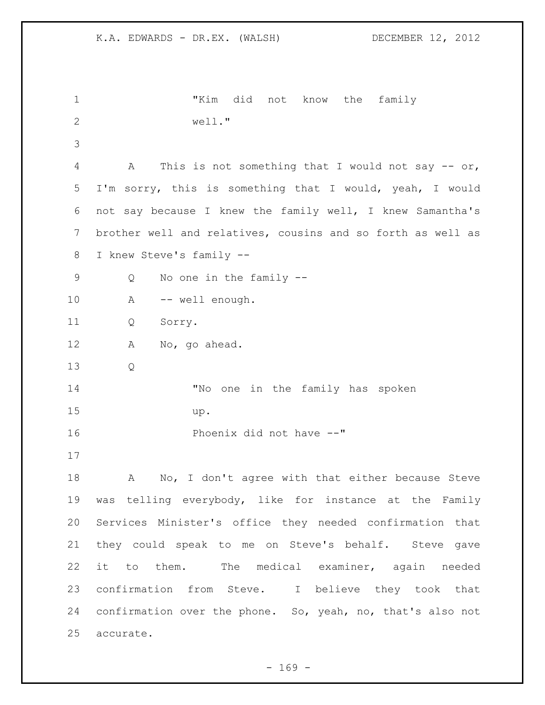```
1 "Kim did not know the family 
2 well."
3
4 A This is not something that I would not say -- or, 
5 I'm sorry, this is something that I would, yeah, I would 
6 not say because I knew the family well, I knew Samantha's 
7 brother well and relatives, cousins and so forth as well as 
8 I knew Steve's family --
9 Q No one in the family --
10 A -- well enough.
11 Q Sorry.
12 A No, go ahead.
13 Q
14 "No one in the family has spoken 
15 up.
16 Phoenix did not have --"
17
18 A No, I don't agree with that either because Steve
19 was telling everybody, like for instance at the Family 
20 Services Minister's office they needed confirmation that 
21 they could speak to me on Steve's behalf. Steve gave 
22 it to them. The medical examiner, again needed
23 confirmation from Steve. I believe they took that 
24 confirmation over the phone. So, yeah, no, that's also not 
25 accurate.
```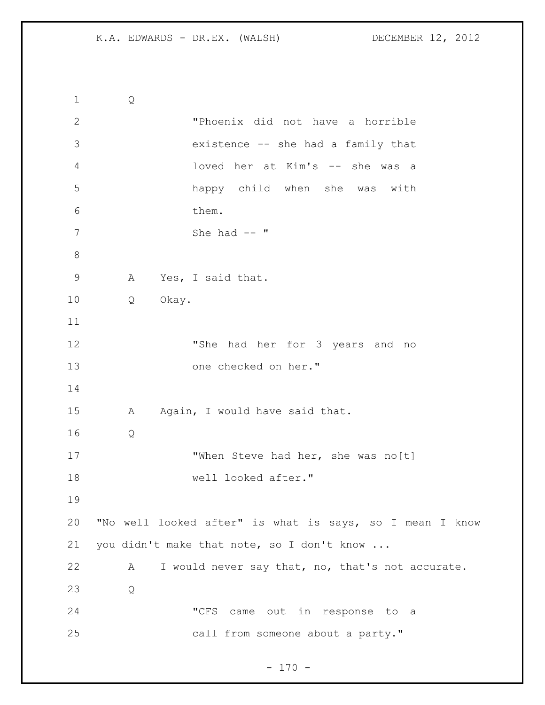```
1 Q
2 "Phoenix did not have a horrible 
3 existence -- she had a family that 
4 loved her at Kim's -- she was a 
5 happy child when she was with 
6 them.
7 She had -- "
8
9 A Yes, I said that.
10 Q Okay. 
11
12 "She had her for 3 years and no 
13 one checked on her."
14
15 A Again, I would have said that.
16 Q
17 When Steve had her, she was no[t]
18 well looked after."
19
20 "No well looked after" is what is says, so I mean I know 
21 you didn't make that note, so I don't know ... 
22 A I would never say that, no, that's not accurate.
23 Q
24 "CFS came out in response to a 
25 call from someone about a party."
```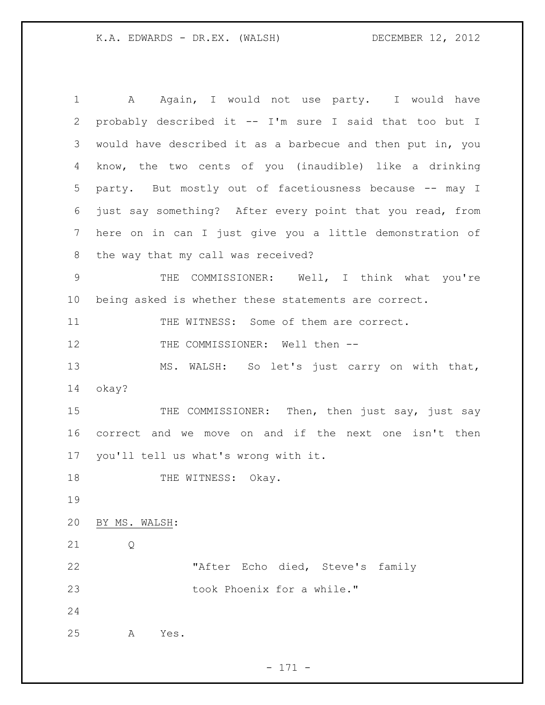1 A Again, I would not use party. I would have probably described it -- I'm sure I said that too but I would have described it as a barbecue and then put in, you know, the two cents of you (inaudible) like a drinking party. But mostly out of facetiousness because -- may I just say something? After every point that you read, from here on in can I just give you a little demonstration of the way that my call was received? 9 THE COMMISSIONER: Well, I think what you're being asked is whether these statements are correct. 11 THE WITNESS: Some of them are correct. 12 THE COMMISSIONER: Well then -- MS. WALSH: So let's just carry on with that, okay? 15 THE COMMISSIONER: Then, then just say, just say correct and we move on and if the next one isn't then you'll tell us what's wrong with it. 18 THE WITNESS: Okay. BY MS. WALSH: Q "After Echo died, Steve's family 23 took Phoenix for a while." A Yes.

- 171 -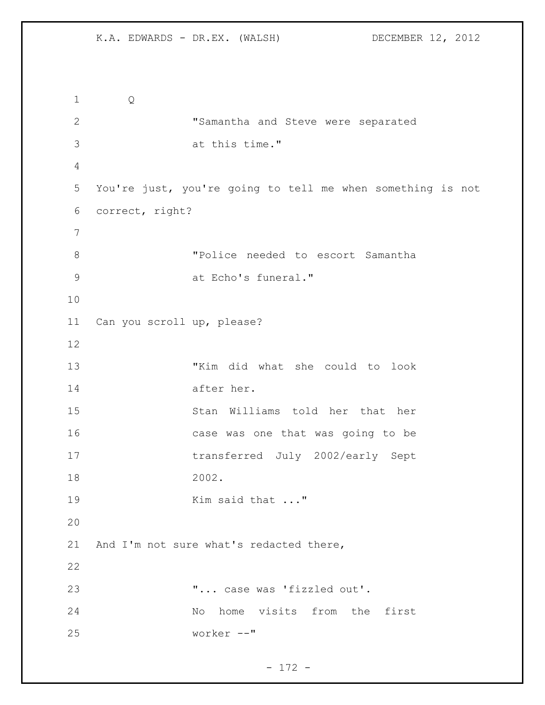```
1 Q
2 "Samantha and Steve were separated 
3 at this time."
4
5 You're just, you're going to tell me when something is not 
6 correct, right?
7
8 "Police needed to escort Samantha 
9 at Echo's funeral."
10
11 Can you scroll up, please?
12
13 "Kim did what she could to look 
14 after her.
15 Stan Williams told her that her
16 case was one that was going to be 
17 transferred July 2002/early Sept 
18 2002.
19 Kim said that ..."
20
21 And I'm not sure what's redacted there,
22
23 "... case was 'fizzled out'.
24 No home visits from the first 
25 worker --"
```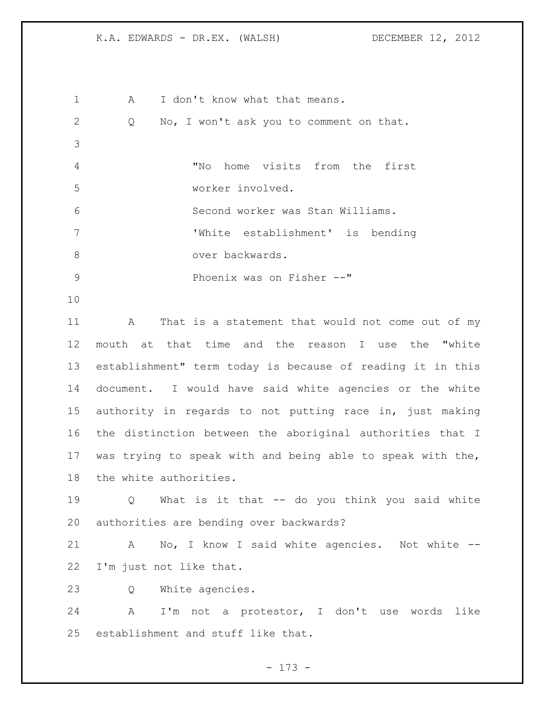| $\mathbf 1$ | I don't know what that means.<br>A                         |
|-------------|------------------------------------------------------------|
| 2           | No, I won't ask you to comment on that.<br>Q               |
| 3           |                                                            |
| 4           | home visits from the first<br>"No                          |
| 5           | worker involved.                                           |
| 6           | Second worker was Stan Williams.                           |
| 7           | 'White establishment' is bending                           |
| 8           | over backwards.                                            |
| 9           | Phoenix was on Fisher --"                                  |
| 10          |                                                            |
| 11          | That is a statement that would not come out of my<br>A     |
| 12          | mouth at that time and the reason I use the "white         |
| 13          | establishment" term today is because of reading it in this |
| 14          | document. I would have said white agencies or the white    |
| 15          | authority in regards to not putting race in, just making   |
| 16          | the distinction between the aboriginal authorities that I  |
| 17          | was trying to speak with and being able to speak with the, |
| 18          | the white authorities.                                     |
| 19          | Q What is it that -- do you think you said white           |
| 20          | authorities are bending over backwards?                    |
| 21          | A No, I know I said white agencies. Not white --           |
| 22          | I'm just not like that.                                    |
| 23          | White agencies.<br>Q                                       |
| 24          | A I'm not a protestor, I don't use words like              |
| 25          | establishment and stuff like that.                         |

- 173 -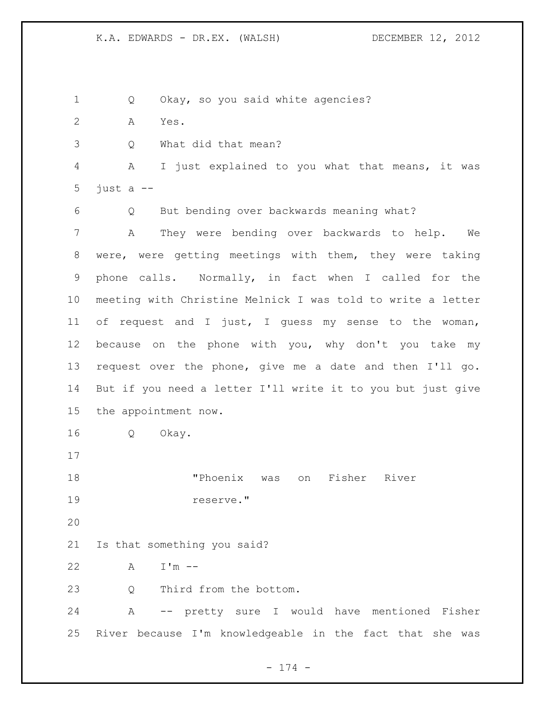Q Okay, so you said white agencies? A Yes. Q What did that mean? A I just explained to you what that means, it was 5 just  $a$  -- Q But bending over backwards meaning what? A They were bending over backwards to help. We were, were getting meetings with them, they were taking phone calls. Normally, in fact when I called for the meeting with Christine Melnick I was told to write a letter of request and I just, I guess my sense to the woman, because on the phone with you, why don't you take my request over the phone, give me a date and then I'll go. But if you need a letter I'll write it to you but just give the appointment now. Q Okay. "Phoenix was on Fisher River reserve." Is that something you said? A I'm -- 23 0 Third from the bottom. A -- pretty sure I would have mentioned Fisher River because I'm knowledgeable in the fact that she was

- 174 -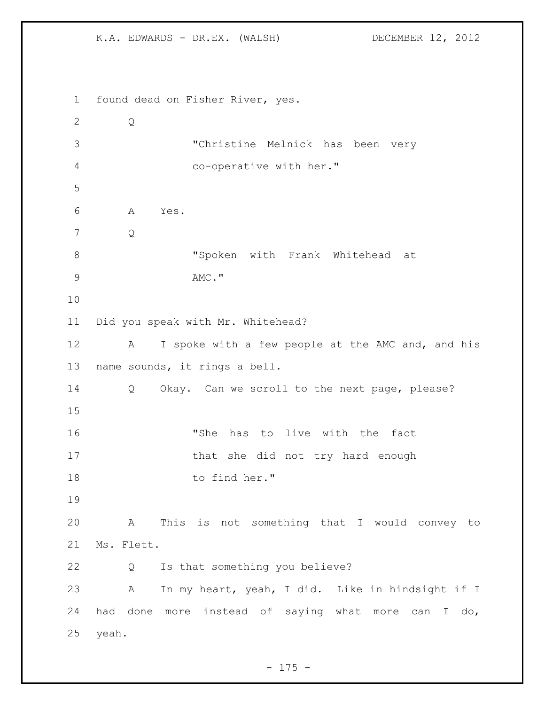found dead on Fisher River, yes. Q "Christine Melnick has been very co-operative with her." A Yes. Q "Spoken with Frank Whitehead at 9 AMC." Did you speak with Mr. Whitehead? 12 A I spoke with a few people at the AMC and, and his name sounds, it rings a bell. Q Okay. Can we scroll to the next page, please? "She has to live with the fact 17 that she did not try hard enough 18 to find her." A This is not something that I would convey to Ms. Flett. Q Is that something you believe? A In my heart, yeah, I did. Like in hindsight if I had done more instead of saying what more can I do, yeah.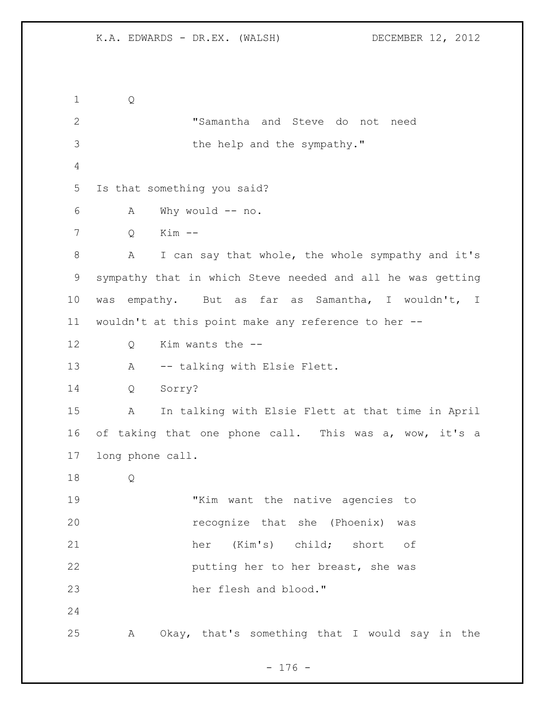Q "Samantha and Steve do not need 3 the help and the sympathy." Is that something you said? A Why would -- no. Q Kim -- A I can say that whole, the whole sympathy and it's sympathy that in which Steve needed and all he was getting was empathy. But as far as Samantha, I wouldn't, I wouldn't at this point make any reference to her -- Q Kim wants the -- A -- talking with Elsie Flett. Q Sorry? A In talking with Elsie Flett at that time in April of taking that one phone call. This was a, wow, it's a long phone call. Q "Kim want the native agencies to recognize that she (Phoenix) was her (Kim's) child; short of putting her to her breast, she was her flesh and blood." A Okay, that's something that I would say in the

## - 176 -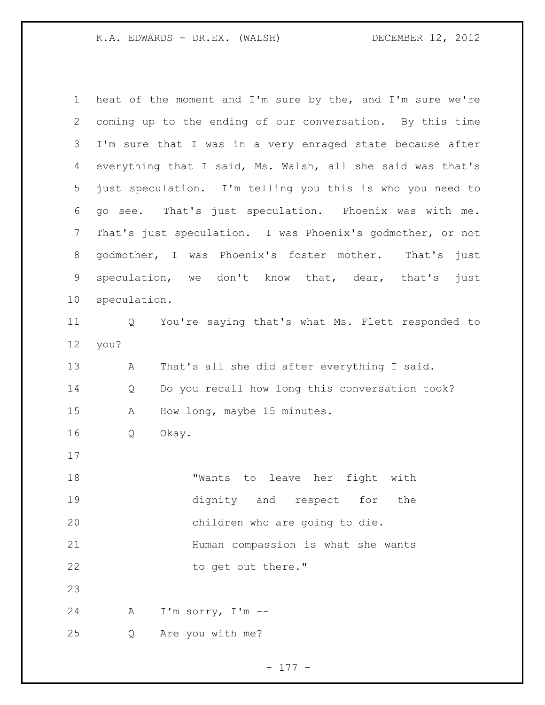heat of the moment and I'm sure by the, and I'm sure we're coming up to the ending of our conversation. By this time I'm sure that I was in a very enraged state because after everything that I said, Ms. Walsh, all she said was that's just speculation. I'm telling you this is who you need to go see. That's just speculation. Phoenix was with me. That's just speculation. I was Phoenix's godmother, or not godmother, I was Phoenix's foster mother. That's just speculation, we don't know that, dear, that's just speculation. Q You're saying that's what Ms. Flett responded to you? A That's all she did after everything I said. Q Do you recall how long this conversation took? A How long, maybe 15 minutes. Q Okay. "Wants to leave her fight with dignity and respect for the children who are going to die. Human compassion is what she wants 22 to get out there." A I'm sorry, I'm -- Q Are you with me?

- 177 -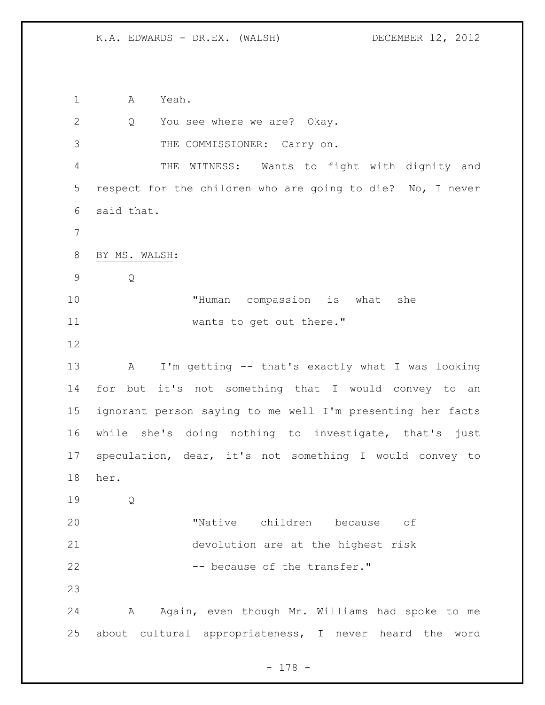A Yeah.

| $\mathbf{2}$ | You see where we are? Okay.<br>Q                           |
|--------------|------------------------------------------------------------|
| 3            | THE COMMISSIONER: Carry on.                                |
| 4            | THE WITNESS: Wants to fight with dignity and               |
| 5            | respect for the children who are going to die? No, I never |
| 6            | said that.                                                 |
| 7            |                                                            |
| $8\,$        | BY MS. WALSH:                                              |
| 9            | Q                                                          |
| 10           | "Human compassion is what<br>she                           |
| 11           | wants to get out there."                                   |
| 12           |                                                            |
| 13           | I'm getting -- that's exactly what I was looking<br>A      |
| 14           | for but it's not something that I would convey to an       |
| 15           | ignorant person saying to me well I'm presenting her facts |
| 16           | while she's doing nothing to investigate, that's just      |
| 17           | speculation, dear, it's not something I would convey to    |
| 18           | her.                                                       |
| 19           | Q                                                          |
| 20           | "Native children because<br>оf                             |
| 21           | devolution are at the highest risk                         |
| 22           | -- because of the transfer."                               |
| 23           |                                                            |
| 24           | Again, even though Mr. Williams had spoke to me<br>A       |
| 25           | about cultural appropriateness, I never heard the<br>word  |

- 178 -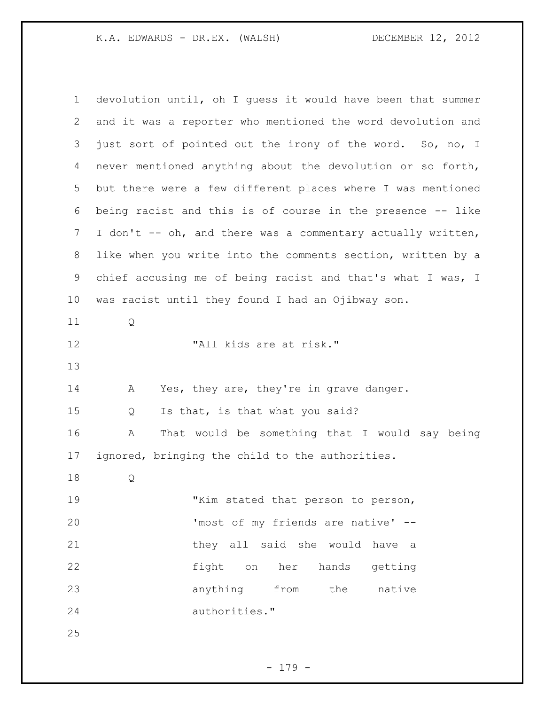K.A. EDWARDS - DR.EX. (WALSH) DECEMBER 12, 2012

| $\mathbf 1$ | devolution until, oh I quess it would have been that summer |
|-------------|-------------------------------------------------------------|
| 2           | and it was a reporter who mentioned the word devolution and |
| 3           | just sort of pointed out the irony of the word. So, no, I   |
| 4           | never mentioned anything about the devolution or so forth,  |
| 5           | but there were a few different places where I was mentioned |
| 6           | being racist and this is of course in the presence -- like  |
| 7           | I don't -- oh, and there was a commentary actually written, |
| 8           | like when you write into the comments section, written by a |
| 9           | chief accusing me of being racist and that's what I was, I  |
| 10          | was racist until they found I had an Ojibway son.           |
| 11          | Q                                                           |
| 12          | "All kids are at risk."                                     |
| 13          |                                                             |
| 14          | Yes, they are, they're in grave danger.<br>A                |
| 15          | Is that, is that what you said?<br>Q                        |
| 16          | That would be something that I would say being<br>Α         |
| 17          | ignored, bringing the child to the authorities.             |
| 18          | Q                                                           |
| 19          | "Kim stated that person to person,                          |
| 20          | 'most of my friends are native' --                          |
| 21          | they all said she would have a                              |
| 22          | fight on her hands getting                                  |
| 23          | anything from the<br>native                                 |
| 24          | authorities."                                               |
| 25          |                                                             |

- 179 -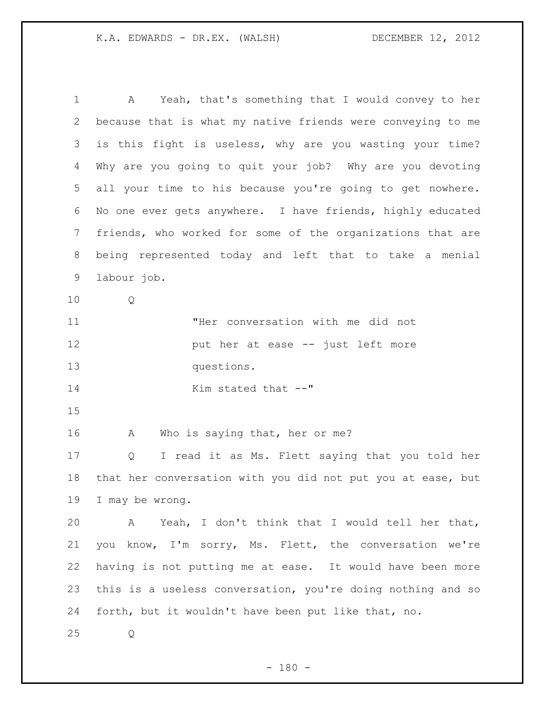A Yeah, that's something that I would convey to her because that is what my native friends were conveying to me is this fight is useless, why are you wasting your time? Why are you going to quit your job? Why are you devoting all your time to his because you're going to get nowhere. No one ever gets anywhere. I have friends, highly educated friends, who worked for some of the organizations that are being represented today and left that to take a menial labour job. Q "Her conversation with me did not **put her at ease -- just left more**  questions. 14 Kim stated that  $-$ " 16 A Who is saying that, her or me? Q I read it as Ms. Flett saying that you told her that her conversation with you did not put you at ease, but I may be wrong. A Yeah, I don't think that I would tell her that, you know, I'm sorry, Ms. Flett, the conversation we're having is not putting me at ease. It would have been more this is a useless conversation, you're doing nothing and so forth, but it wouldn't have been put like that, no. Q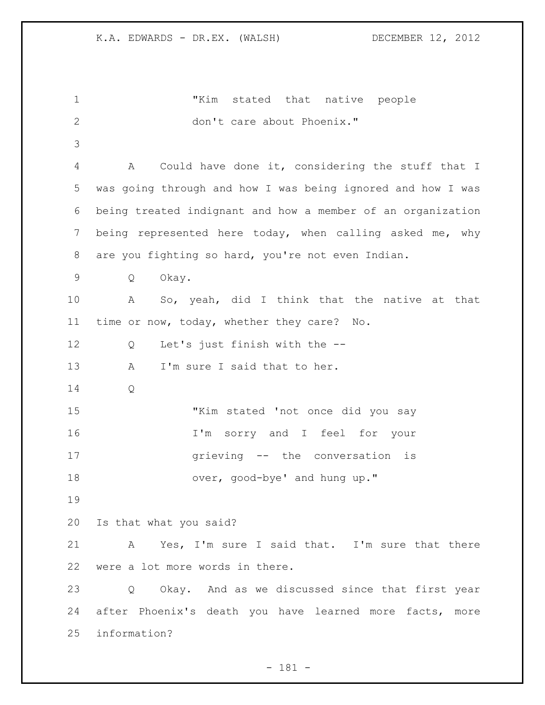"Kim stated that native people don't care about Phoenix." A Could have done it, considering the stuff that I was going through and how I was being ignored and how I was being treated indignant and how a member of an organization being represented here today, when calling asked me, why are you fighting so hard, you're not even Indian. Q Okay. A So, yeah, did I think that the native at that time or now, today, whether they care? No. Q Let's just finish with the -- 13 A I'm sure I said that to her. Q "Kim stated 'not once did you say I'm sorry and I feel for your grieving -- the conversation is 18 over, good-bye' and hung up." Is that what you said? A Yes, I'm sure I said that. I'm sure that there were a lot more words in there. Q Okay. And as we discussed since that first year after Phoenix's death you have learned more facts, more information?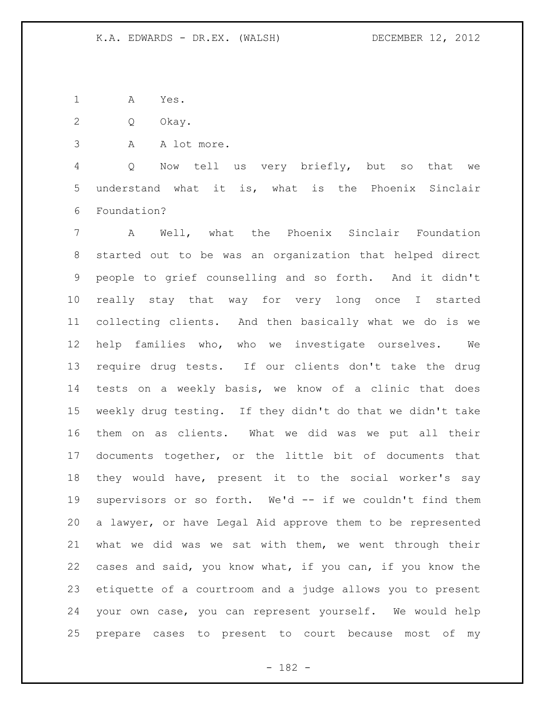A Yes.

Q Okay.

A A lot more.

 Q Now tell us very briefly, but so that we understand what it is, what is the Phoenix Sinclair Foundation?

 A Well, what the Phoenix Sinclair Foundation started out to be was an organization that helped direct people to grief counselling and so forth. And it didn't really stay that way for very long once I started collecting clients. And then basically what we do is we help families who, who we investigate ourselves. We require drug tests. If our clients don't take the drug tests on a weekly basis, we know of a clinic that does weekly drug testing. If they didn't do that we didn't take them on as clients. What we did was we put all their documents together, or the little bit of documents that they would have, present it to the social worker's say supervisors or so forth. We'd -- if we couldn't find them a lawyer, or have Legal Aid approve them to be represented what we did was we sat with them, we went through their cases and said, you know what, if you can, if you know the etiquette of a courtroom and a judge allows you to present your own case, you can represent yourself. We would help prepare cases to present to court because most of my

- 182 -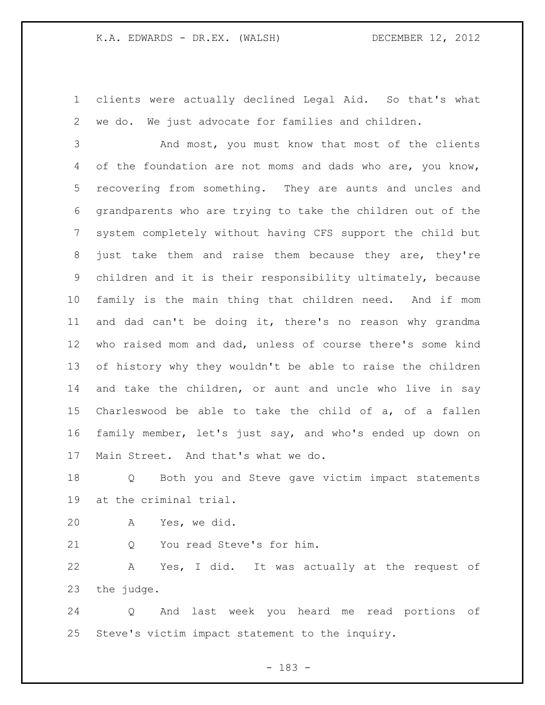clients were actually declined Legal Aid. So that's what we do. We just advocate for families and children.

 And most, you must know that most of the clients of the foundation are not moms and dads who are, you know, recovering from something. They are aunts and uncles and grandparents who are trying to take the children out of the system completely without having CFS support the child but just take them and raise them because they are, they're children and it is their responsibility ultimately, because family is the main thing that children need. And if mom and dad can't be doing it, there's no reason why grandma who raised mom and dad, unless of course there's some kind of history why they wouldn't be able to raise the children and take the children, or aunt and uncle who live in say Charleswood be able to take the child of a, of a fallen family member, let's just say, and who's ended up down on Main Street. And that's what we do.

 Q Both you and Steve gave victim impact statements at the criminal trial.

A Yes, we did.

21 0 You read Steve's for him.

 A Yes, I did. It was actually at the request of the judge.

 Q And last week you heard me read portions of Steve's victim impact statement to the inquiry.

- 183 -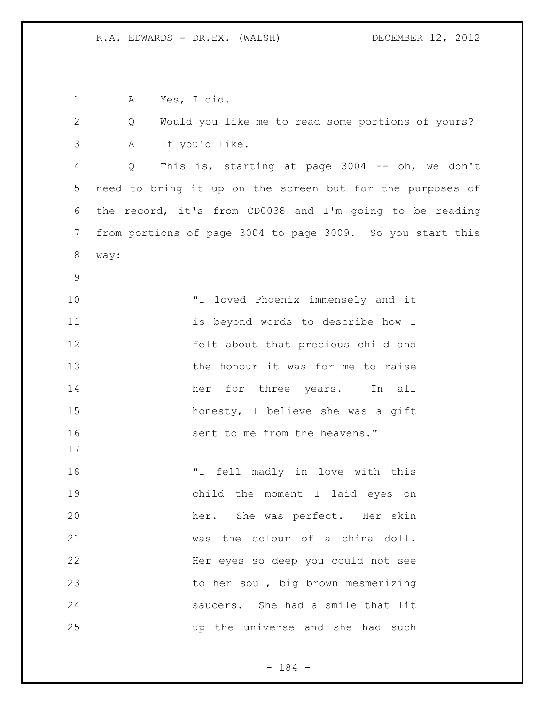A Yes, I did. Q Would you like me to read some portions of yours? A If you'd like. Q This is, starting at page 3004 -- oh, we don't need to bring it up on the screen but for the purposes of the record, it's from CD0038 and I'm going to be reading from portions of page 3004 to page 3009. So you start this way: "I loved Phoenix immensely and it is beyond words to describe how I felt about that precious child and 13 the honour it was for me to raise 14 her for three years. In all honesty, I believe she was a gift **16** sent to me from the heavens." "I fell madly in love with this child the moment I laid eyes on her. She was perfect. Her skin was the colour of a china doll. Her eyes so deep you could not see to her soul, big brown mesmerizing saucers. She had a smile that lit up the universe and she had such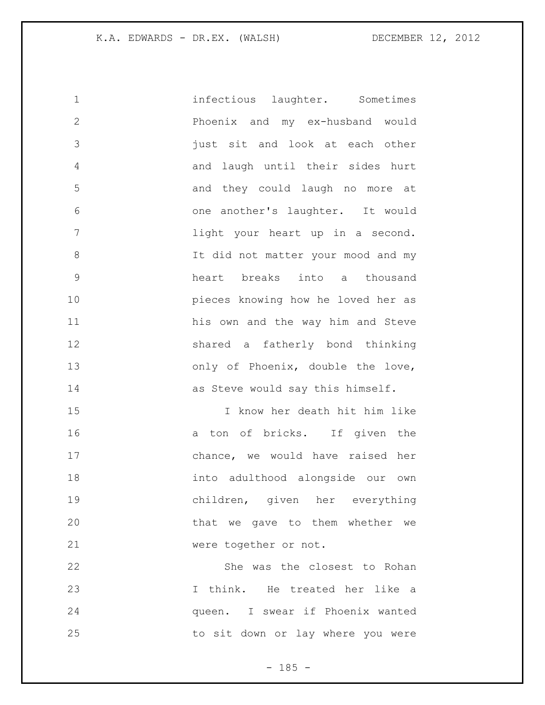| $\mathbf 1$    | infectious laughter. Sometimes      |
|----------------|-------------------------------------|
| $\mathbf{2}$   | Phoenix and my ex-husband would     |
| 3              | just sit and look at each other     |
| $\overline{4}$ | and laugh until their sides hurt    |
| 5              | and they could laugh no more at     |
| 6              | one another's laughter. It would    |
| $\overline{7}$ | light your heart up in a second.    |
| $\,8\,$        | It did not matter your mood and my  |
| 9              | heart breaks into a thousand        |
| 10             | pieces knowing how he loved her as  |
| 11             | his own and the way him and Steve   |
| 12             | shared a fatherly bond thinking     |
| 13             | only of Phoenix, double the love,   |
| 14             | as Steve would say this himself.    |
| 15             | I know her death hit him like       |
| 16             | a ton of bricks. If given the       |
| 17             | chance, we would have raised her    |
| 18             | into adulthood alongside our<br>own |
| 19             | children, given her everything      |
| 20             | that we gave to them whether we     |
| 21             | were together or not.               |
| 22             | She was the closest to Rohan        |
| 23             | I think. He treated her like a      |
| 24             | queen. I swear if Phoenix wanted    |
| 25             | to sit down or lay where you were   |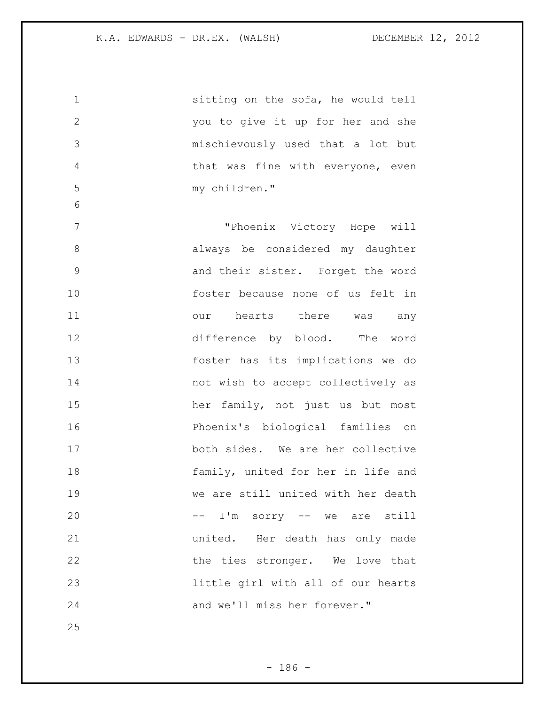sitting on the sofa, he would tell you to give it up for her and she mischievously used that a lot but that was fine with everyone, even my children." "Phoenix Victory Hope will always be considered my daughter and their sister. Forget the word foster because none of us felt in 11 our hearts there was any difference by blood. The word foster has its implications we do not wish to accept collectively as her family, not just us but most Phoenix's biological families on both sides. We are her collective 18 family, united for her in life and we are still united with her death 20 -- I'm sorry -- we are still united. Her death has only made 22 the ties stronger. We love that little girl with all of our hearts and we'll miss her forever."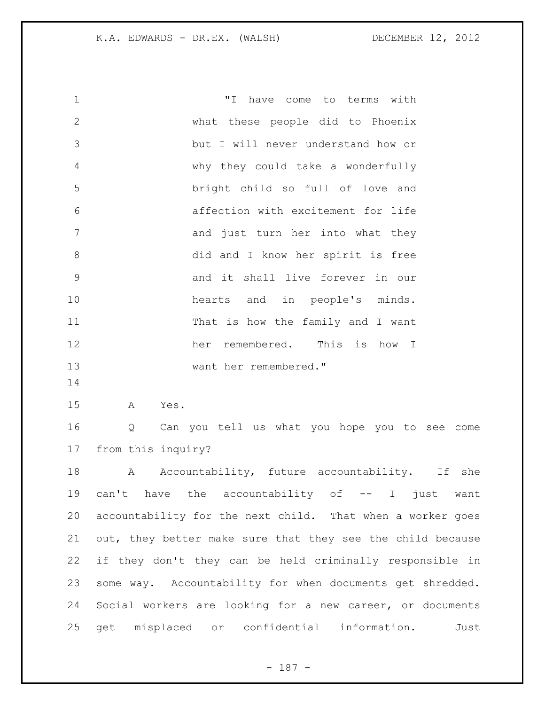| $\mathbf 1$  | "I"<br>have come to terms with                             |
|--------------|------------------------------------------------------------|
| $\mathbf{2}$ | what these people did to Phoenix                           |
| 3            | but I will never understand how or                         |
| 4            | why they could take a wonderfully                          |
| 5            | bright child so full of love and                           |
| 6            | affection with excitement for life                         |
| 7            | and just turn her into what they                           |
| 8            | did and I know her spirit is free                          |
| 9            | and it shall live forever in our                           |
| 10           | hearts and in people's minds.                              |
| 11           | That is how the family and I want                          |
| 12           | her remembered. This is how I                              |
| 13           | want her remembered."                                      |
| 14           |                                                            |
| 15           | Yes.<br>A                                                  |
| 16           | Can you tell us what you hope you to see come<br>Q         |
| 17           | from this inquiry?                                         |
| 18           | Accountability, future accountability. If she<br>A         |
|              | 19 can't have the accountability of -- I just want         |
| 20           | accountability for the next child. That when a worker goes |
| 21           | out, they better make sure that they see the child because |
| 22           | if they don't they can be held criminally responsible in   |
| 23           | some way. Accountability for when documents get shredded.  |
| 24           | Social workers are looking for a new career, or documents  |
| 25           | get misplaced or confidential information.<br>Just         |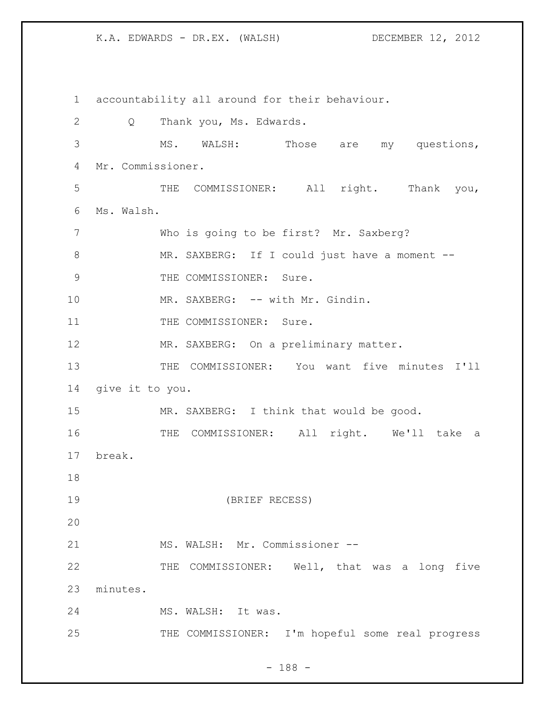K.A. EDWARDS - DR.EX. (WALSH) DECEMBER 12, 2012

1 accountability all around for their behaviour. 2 Q Thank you, Ms. Edwards. 3 MS. WALSH: Those are my questions, 4 Mr. Commissioner. 5 THE COMMISSIONER: All right. Thank you, 6 Ms. Walsh. 7 Who is going to be first? Mr. Saxberg? 8 MR. SAXBERG: If I could just have a moment -- 9 THE COMMISSIONER: Sure. 10 MR. SAXBERG: -- with Mr. Gindin. 11 THE COMMISSIONER: Sure. 12 MR. SAXBERG: On a preliminary matter. 13 THE COMMISSIONER: You want five minutes I'll 14 give it to you. 15 MR. SAXBERG: I think that would be good. 16 THE COMMISSIONER: All right. We'll take a 17 break. 18 19 (BRIEF RECESS) 20 21 MS. WALSH: Mr. Commissioner --22 THE COMMISSIONER: Well, that was a long five 23 minutes. 24 MS. WALSH: It was. 25 THE COMMISSIONER: I'm hopeful some real progress

- 188 -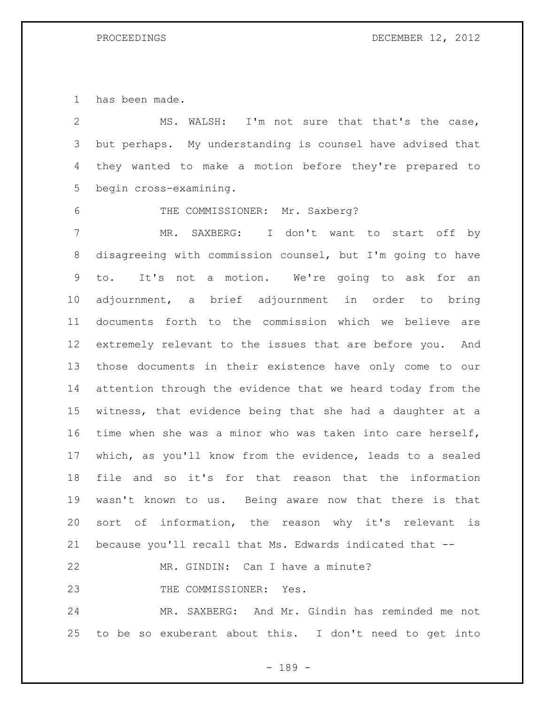has been made.

 MS. WALSH: I'm not sure that that's the case, but perhaps. My understanding is counsel have advised that they wanted to make a motion before they're prepared to begin cross-examining. THE COMMISSIONER: Mr. Saxberg? MR. SAXBERG: I don't want to start off by disagreeing with commission counsel, but I'm going to have to. It's not a motion. We're going to ask for an adjournment, a brief adjournment in order to bring documents forth to the commission which we believe are extremely relevant to the issues that are before you. And those documents in their existence have only come to our attention through the evidence that we heard today from the witness, that evidence being that she had a daughter at a time when she was a minor who was taken into care herself, which, as you'll know from the evidence, leads to a sealed file and so it's for that reason that the information wasn't known to us. Being aware now that there is that sort of information, the reason why it's relevant is because you'll recall that Ms. Edwards indicated that -- MR. GINDIN: Can I have a minute? 23 THE COMMISSIONER: Yes. MR. SAXBERG: And Mr. Gindin has reminded me not to be so exuberant about this. I don't need to get into

- 189 -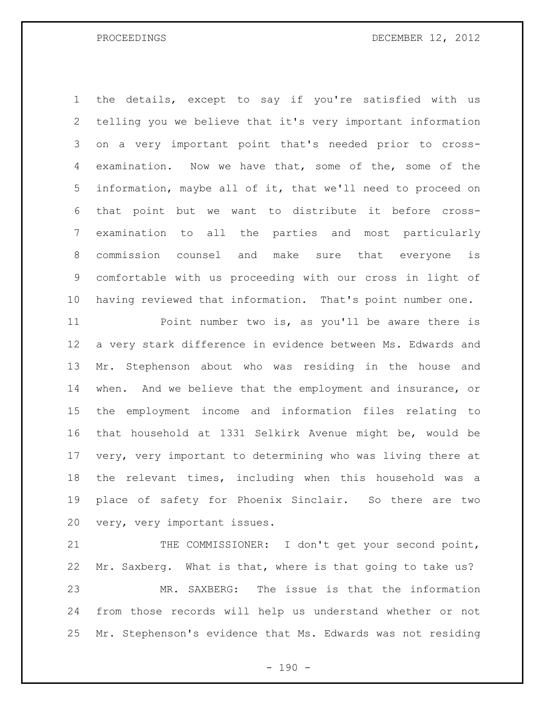the details, except to say if you're satisfied with us telling you we believe that it's very important information on a very important point that's needed prior to cross- examination. Now we have that, some of the, some of the information, maybe all of it, that we'll need to proceed on that point but we want to distribute it before cross- examination to all the parties and most particularly commission counsel and make sure that everyone is comfortable with us proceeding with our cross in light of having reviewed that information. That's point number one.

 Point number two is, as you'll be aware there is a very stark difference in evidence between Ms. Edwards and Mr. Stephenson about who was residing in the house and when. And we believe that the employment and insurance, or the employment income and information files relating to that household at 1331 Selkirk Avenue might be, would be very, very important to determining who was living there at the relevant times, including when this household was a place of safety for Phoenix Sinclair. So there are two very, very important issues.

21 THE COMMISSIONER: I don't get your second point, Mr. Saxberg. What is that, where is that going to take us? MR. SAXBERG: The issue is that the information from those records will help us understand whether or not Mr. Stephenson's evidence that Ms. Edwards was not residing

 $- 190 -$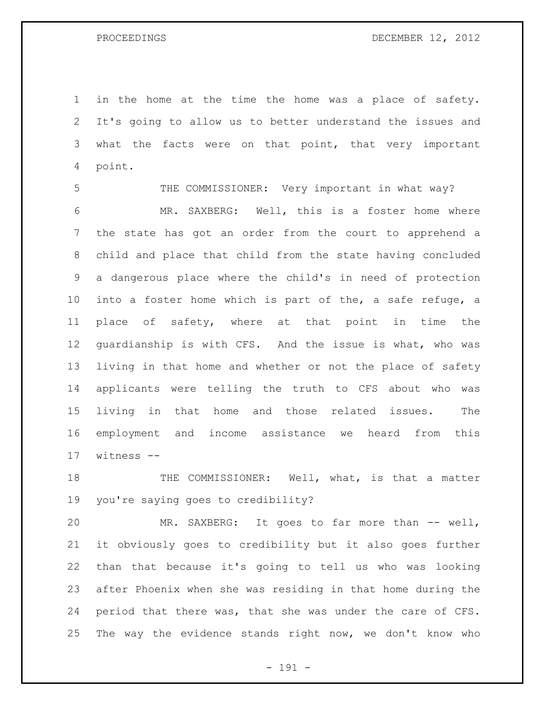in the home at the time the home was a place of safety. It's going to allow us to better understand the issues and 3 what the facts were on that point, that very important point.

 THE COMMISSIONER: Very important in what way? MR. SAXBERG: Well, this is a foster home where the state has got an order from the court to apprehend a child and place that child from the state having concluded a dangerous place where the child's in need of protection into a foster home which is part of the, a safe refuge, a place of safety, where at that point in time the guardianship is with CFS. And the issue is what, who was living in that home and whether or not the place of safety applicants were telling the truth to CFS about who was living in that home and those related issues. The employment and income assistance we heard from this witness --

18 THE COMMISSIONER: Well, what, is that a matter you're saying goes to credibility?

 MR. SAXBERG: It goes to far more than -- well, it obviously goes to credibility but it also goes further than that because it's going to tell us who was looking after Phoenix when she was residing in that home during the period that there was, that she was under the care of CFS. The way the evidence stands right now, we don't know who

- 191 -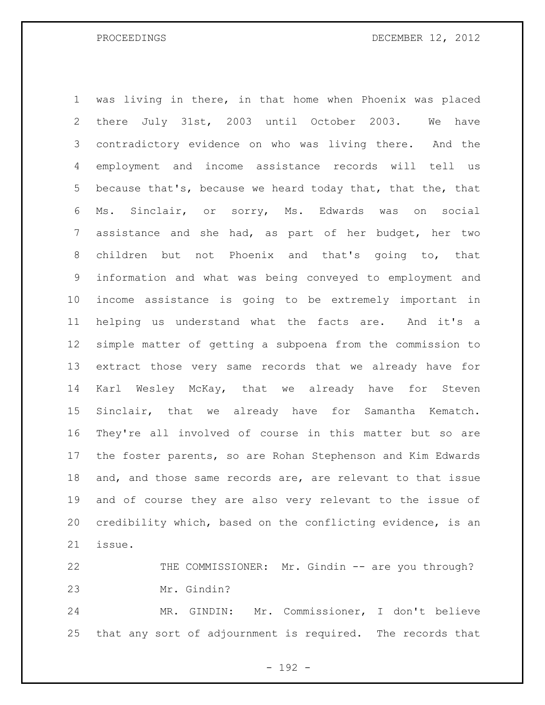was living in there, in that home when Phoenix was placed there July 31st, 2003 until October 2003. We have contradictory evidence on who was living there. And the employment and income assistance records will tell us 5 because that's, because we heard today that, that the, that Ms. Sinclair, or sorry, Ms. Edwards was on social assistance and she had, as part of her budget, her two children but not Phoenix and that's going to, that information and what was being conveyed to employment and income assistance is going to be extremely important in helping us understand what the facts are. And it's a simple matter of getting a subpoena from the commission to extract those very same records that we already have for Karl Wesley McKay, that we already have for Steven Sinclair, that we already have for Samantha Kematch. They're all involved of course in this matter but so are the foster parents, so are Rohan Stephenson and Kim Edwards and, and those same records are, are relevant to that issue and of course they are also very relevant to the issue of credibility which, based on the conflicting evidence, is an issue.

 THE COMMISSIONER: Mr. Gindin -- are you through? Mr. Gindin?

 MR. GINDIN: Mr. Commissioner, I don't believe that any sort of adjournment is required. The records that

- 192 -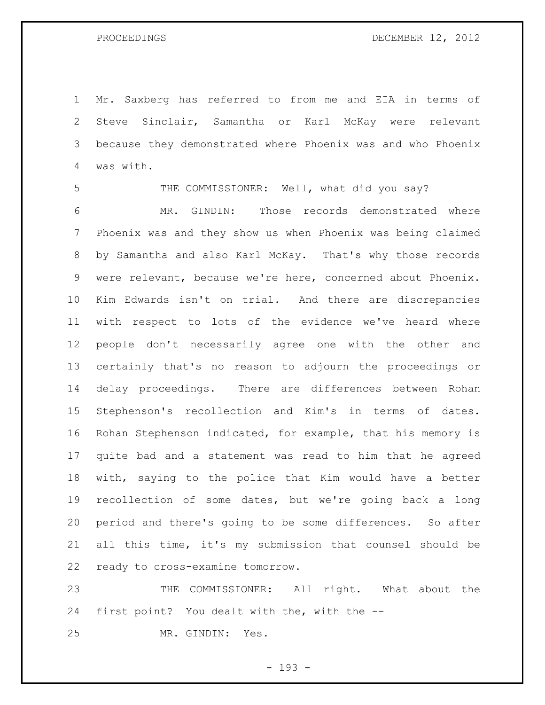Mr. Saxberg has referred to from me and EIA in terms of Steve Sinclair, Samantha or Karl McKay were relevant because they demonstrated where Phoenix was and who Phoenix was with.

 THE COMMISSIONER: Well, what did you say? MR. GINDIN: Those records demonstrated where Phoenix was and they show us when Phoenix was being claimed by Samantha and also Karl McKay. That's why those records were relevant, because we're here, concerned about Phoenix. Kim Edwards isn't on trial. And there are discrepancies with respect to lots of the evidence we've heard where people don't necessarily agree one with the other and certainly that's no reason to adjourn the proceedings or delay proceedings. There are differences between Rohan Stephenson's recollection and Kim's in terms of dates. Rohan Stephenson indicated, for example, that his memory is quite bad and a statement was read to him that he agreed with, saying to the police that Kim would have a better recollection of some dates, but we're going back a long period and there's going to be some differences. So after all this time, it's my submission that counsel should be ready to cross-examine tomorrow.

 THE COMMISSIONER: All right. What about the first point? You dealt with the, with the --

MR. GINDIN: Yes.

- 193 -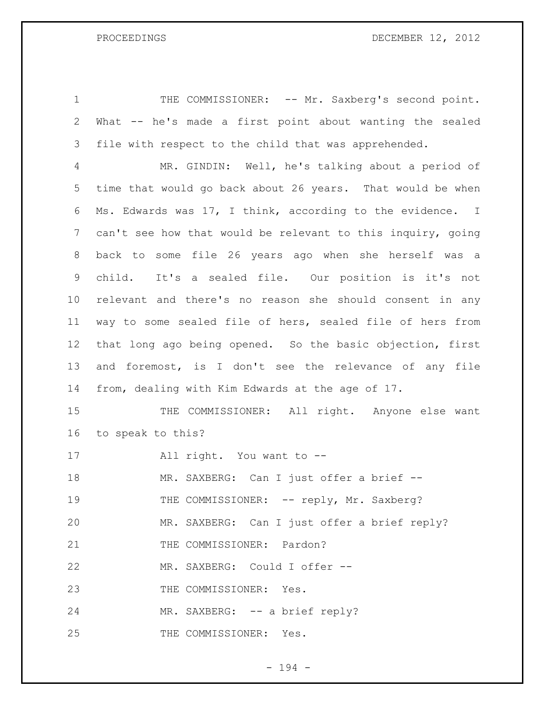1 THE COMMISSIONER: -- Mr. Saxberg's second point. What -- he's made a first point about wanting the sealed file with respect to the child that was apprehended.

 MR. GINDIN: Well, he's talking about a period of time that would go back about 26 years. That would be when Ms. Edwards was 17, I think, according to the evidence. I can't see how that would be relevant to this inquiry, going back to some file 26 years ago when she herself was a child. It's a sealed file. Our position is it's not relevant and there's no reason she should consent in any way to some sealed file of hers, sealed file of hers from that long ago being opened. So the basic objection, first and foremost, is I don't see the relevance of any file from, dealing with Kim Edwards at the age of 17.

15 THE COMMISSIONER: All right. Anyone else want to speak to this?

All right. You want to --

18 MR. SAXBERG: Can I just offer a brief --

19 THE COMMISSIONER: -- reply, Mr. Saxberg?

MR. SAXBERG: Can I just offer a brief reply?

21 THE COMMISSIONER: Pardon?

MR. SAXBERG: Could I offer --

23 THE COMMISSIONER: Yes.

24 MR. SAXBERG: -- a brief reply?

25 THE COMMISSIONER: Yes.

- 194 -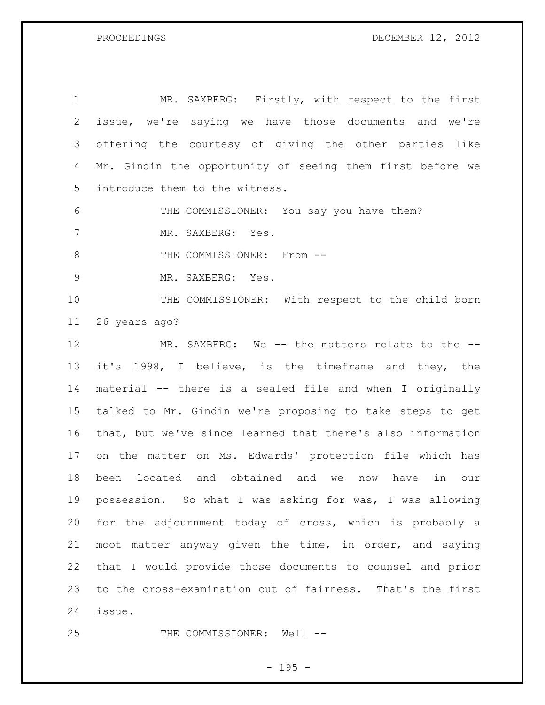1 MR. SAXBERG: Firstly, with respect to the first issue, we're saying we have those documents and we're offering the courtesy of giving the other parties like Mr. Gindin the opportunity of seeing them first before we introduce them to the witness.

 THE COMMISSIONER: You say you have them? MR. SAXBERG: Yes.

8 THE COMMISSIONER: From --

MR. SAXBERG: Yes.

10 THE COMMISSIONER: With respect to the child born 26 years ago?

12 MR. SAXBERG: We -- the matters relate to the -- it's 1998, I believe, is the timeframe and they, the material -- there is a sealed file and when I originally talked to Mr. Gindin we're proposing to take steps to get that, but we've since learned that there's also information on the matter on Ms. Edwards' protection file which has been located and obtained and we now have in our possession. So what I was asking for was, I was allowing for the adjournment today of cross, which is probably a moot matter anyway given the time, in order, and saying that I would provide those documents to counsel and prior to the cross-examination out of fairness. That's the first issue.

25 THE COMMISSIONER: Well --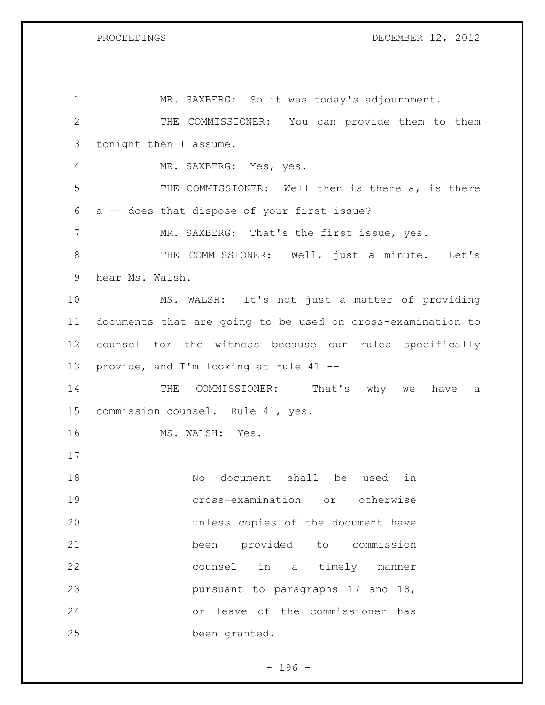$PS$  DECEMBER 12, 2012

| PROCEEDINGS |
|-------------|
|             |

| 1            | MR. SAXBERG: So it was today's adjournment.                 |
|--------------|-------------------------------------------------------------|
| $\mathbf{2}$ | THE COMMISSIONER: You can provide them to them              |
| 3            | tonight then I assume.                                      |
| 4            | MR. SAXBERG: Yes, yes.                                      |
| 5            | THE COMMISSIONER: Well then is there a, is there            |
| 6            | a -- does that dispose of your first issue?                 |
| 7            | MR. SAXBERG: That's the first issue, yes.                   |
| $8\,$        | THE COMMISSIONER: Well, just a minute. Let's                |
| 9            | hear Ms. Walsh.                                             |
| 10           | MS. WALSH: It's not just a matter of providing              |
| 11           | documents that are going to be used on cross-examination to |
| 12           | counsel for the witness because our rules specifically      |
| 13           | provide, and I'm looking at rule 41 --                      |
| 14           | COMMISSIONER: That's why we<br>THE<br>have<br>- a           |
| 15           | commission counsel. Rule 41, yes.                           |
|              |                                                             |
| 16           | MS. WALSH: Yes.                                             |
| 17           |                                                             |
| 18           | document shall be<br>No<br>used<br>in                       |
| 19           | cross-examination or otherwise                              |
| 20           | unless copies of the document have                          |
| 21           | been provided to commission                                 |
| 22           | counsel in a timely manner                                  |
| 23           | pursuant to paragraphs 17 and 18,                           |
| 24           | or leave of the commissioner has                            |

- 196 -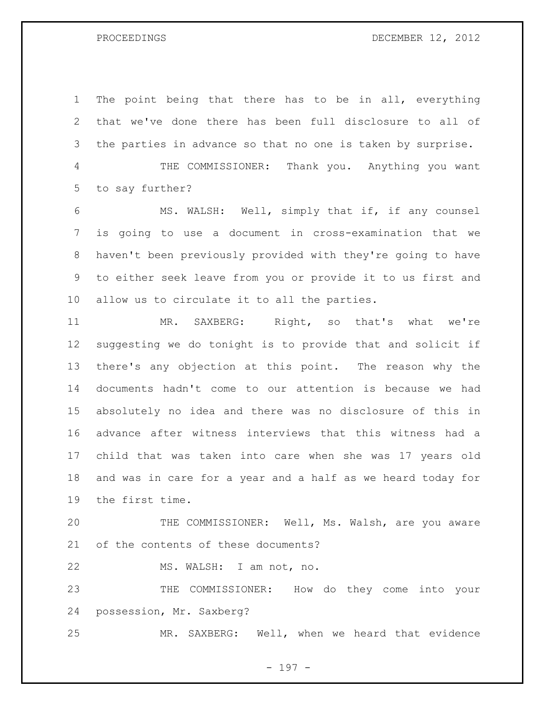The point being that there has to be in all, everything that we've done there has been full disclosure to all of the parties in advance so that no one is taken by surprise.

 THE COMMISSIONER: Thank you. Anything you want to say further?

 MS. WALSH: Well, simply that if, if any counsel is going to use a document in cross-examination that we haven't been previously provided with they're going to have to either seek leave from you or provide it to us first and allow us to circulate it to all the parties.

 MR. SAXBERG: Right, so that's what we're suggesting we do tonight is to provide that and solicit if there's any objection at this point. The reason why the documents hadn't come to our attention is because we had absolutely no idea and there was no disclosure of this in advance after witness interviews that this witness had a child that was taken into care when she was 17 years old and was in care for a year and a half as we heard today for the first time.

 THE COMMISSIONER: Well, Ms. Walsh, are you aware of the contents of these documents?

MS. WALSH: I am not, no.

 THE COMMISSIONER: How do they come into your possession, Mr. Saxberg?

MR. SAXBERG: Well, when we heard that evidence

- 197 -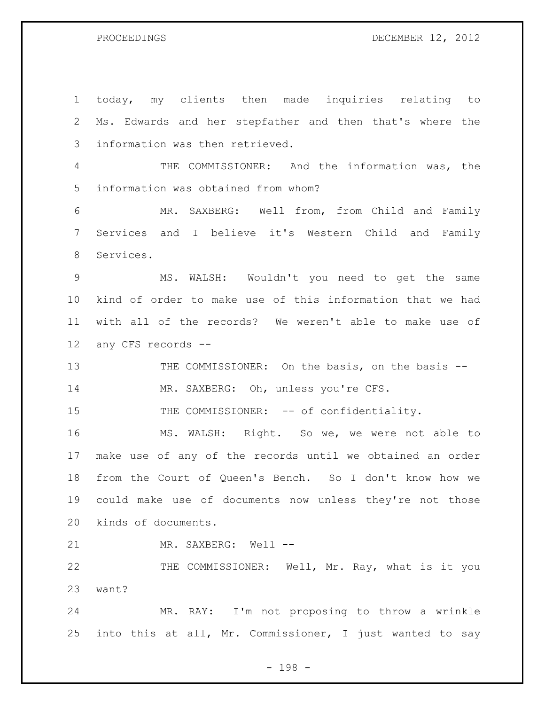today, my clients then made inquiries relating to Ms. Edwards and her stepfather and then that's where the information was then retrieved. THE COMMISSIONER: And the information was, the information was obtained from whom? MR. SAXBERG: Well from, from Child and Family Services and I believe it's Western Child and Family Services. MS. WALSH: Wouldn't you need to get the same kind of order to make use of this information that we had with all of the records? We weren't able to make use of any CFS records -- 13 THE COMMISSIONER: On the basis, on the basis --14 MR. SAXBERG: Oh, unless you're CFS. 15 THE COMMISSIONER: -- of confidentiality. MS. WALSH: Right. So we, we were not able to make use of any of the records until we obtained an order from the Court of Queen's Bench. So I don't know how we could make use of documents now unless they're not those kinds of documents. 21 MR. SAXBERG: Well --22 THE COMMISSIONER: Well, Mr. Ray, what is it you want? MR. RAY: I'm not proposing to throw a wrinkle into this at all, Mr. Commissioner, I just wanted to say

- 198 -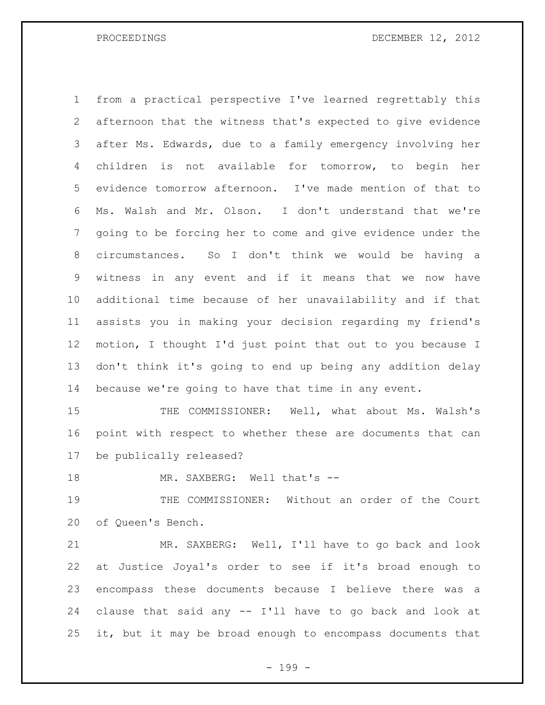from a practical perspective I've learned regrettably this afternoon that the witness that's expected to give evidence after Ms. Edwards, due to a family emergency involving her children is not available for tomorrow, to begin her evidence tomorrow afternoon. I've made mention of that to Ms. Walsh and Mr. Olson. I don't understand that we're going to be forcing her to come and give evidence under the circumstances. So I don't think we would be having a witness in any event and if it means that we now have additional time because of her unavailability and if that assists you in making your decision regarding my friend's motion, I thought I'd just point that out to you because I don't think it's going to end up being any addition delay because we're going to have that time in any event.

15 THE COMMISSIONER: Well, what about Ms. Walsh's point with respect to whether these are documents that can be publically released?

18 MR. SAXBERG: Well that's --

 THE COMMISSIONER: Without an order of the Court of Queen's Bench.

 MR. SAXBERG: Well, I'll have to go back and look at Justice Joyal's order to see if it's broad enough to encompass these documents because I believe there was a clause that said any -- I'll have to go back and look at it, but it may be broad enough to encompass documents that

- 199 -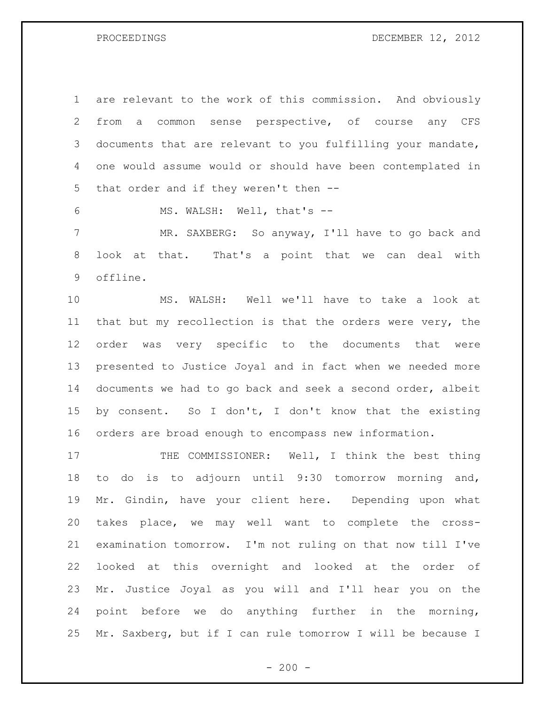are relevant to the work of this commission. And obviously from a common sense perspective, of course any CFS documents that are relevant to you fulfilling your mandate, one would assume would or should have been contemplated in that order and if they weren't then --

MS. WALSH: Well, that's --

 MR. SAXBERG: So anyway, I'll have to go back and look at that. That's a point that we can deal with offline.

 MS. WALSH: Well we'll have to take a look at that but my recollection is that the orders were very, the order was very specific to the documents that were presented to Justice Joyal and in fact when we needed more documents we had to go back and seek a second order, albeit 15 by consent. So I don't, I don't know that the existing orders are broad enough to encompass new information.

17 THE COMMISSIONER: Well, I think the best thing to do is to adjourn until 9:30 tomorrow morning and, Mr. Gindin, have your client here. Depending upon what takes place, we may well want to complete the cross- examination tomorrow. I'm not ruling on that now till I've looked at this overnight and looked at the order of Mr. Justice Joyal as you will and I'll hear you on the point before we do anything further in the morning, Mr. Saxberg, but if I can rule tomorrow I will be because I

 $-200 -$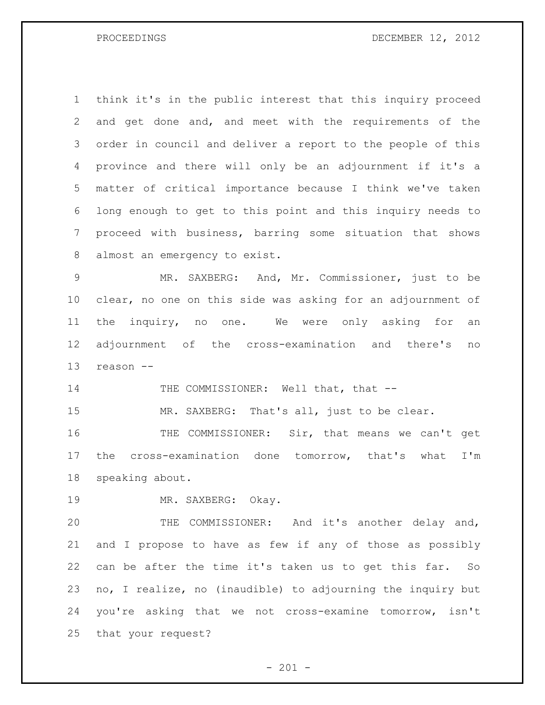think it's in the public interest that this inquiry proceed and get done and, and meet with the requirements of the order in council and deliver a report to the people of this province and there will only be an adjournment if it's a matter of critical importance because I think we've taken long enough to get to this point and this inquiry needs to proceed with business, barring some situation that shows almost an emergency to exist.

 MR. SAXBERG: And, Mr. Commissioner, just to be clear, no one on this side was asking for an adjournment of 11 the inquiry, no one. We were only asking for an adjournment of the cross-examination and there's no reason --

14 THE COMMISSIONER: Well that, that --

15 MR. SAXBERG: That's all, just to be clear.

 THE COMMISSIONER: Sir, that means we can't get the cross-examination done tomorrow, that's what I'm speaking about.

MR. SAXBERG: Okay.

 THE COMMISSIONER: And it's another delay and, and I propose to have as few if any of those as possibly can be after the time it's taken us to get this far. So no, I realize, no (inaudible) to adjourning the inquiry but you're asking that we not cross-examine tomorrow, isn't that your request?

 $- 201 -$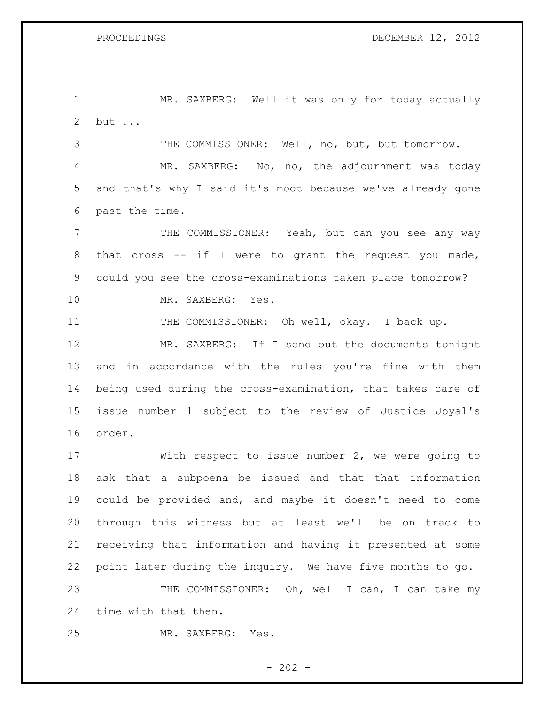MR. SAXBERG: Well it was only for today actually but ...

 THE COMMISSIONER: Well, no, but, but tomorrow. MR. SAXBERG: No, no, the adjournment was today and that's why I said it's moot because we've already gone past the time.

 THE COMMISSIONER: Yeah, but can you see any way 8 that cross -- if I were to grant the request you made, could you see the cross-examinations taken place tomorrow? MR. SAXBERG: Yes.

THE COMMISSIONER: Oh well, okay. I back up.

 MR. SAXBERG: If I send out the documents tonight and in accordance with the rules you're fine with them being used during the cross-examination, that takes care of issue number 1 subject to the review of Justice Joyal's order.

 With respect to issue number 2, we were going to ask that a subpoena be issued and that that information could be provided and, and maybe it doesn't need to come through this witness but at least we'll be on track to receiving that information and having it presented at some point later during the inquiry. We have five months to go. 23 THE COMMISSIONER: Oh, well I can, I can take my

time with that then.

MR. SAXBERG: Yes.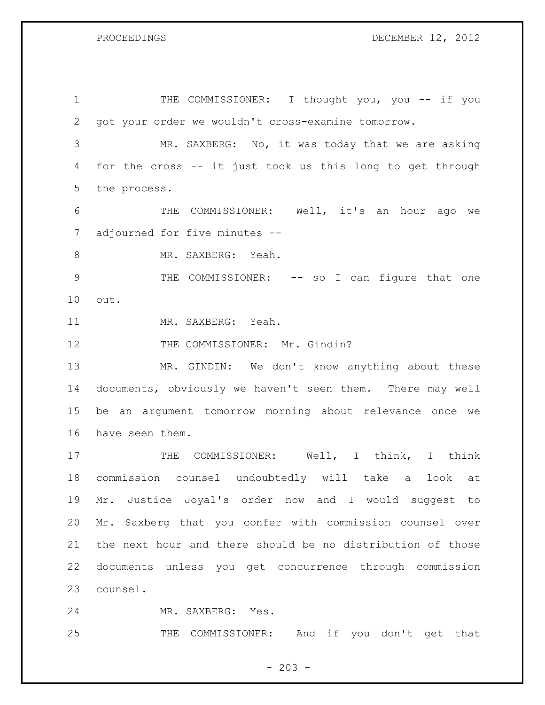1 THE COMMISSIONER: I thought you, you -- if you got your order we wouldn't cross-examine tomorrow. MR. SAXBERG: No, it was today that we are asking for the cross -- it just took us this long to get through the process. THE COMMISSIONER: Well, it's an hour ago we adjourned for five minutes -- 8 MR. SAXBERG: Yeah. 9 THE COMMISSIONER: -- so I can figure that one out. MR. SAXBERG: Yeah. 12 THE COMMISSIONER: Mr. Gindin? MR. GINDIN: We don't know anything about these documents, obviously we haven't seen them. There may well be an argument tomorrow morning about relevance once we have seen them. 17 THE COMMISSIONER: Well, I think, I think commission counsel undoubtedly will take a look at Mr. Justice Joyal's order now and I would suggest to Mr. Saxberg that you confer with commission counsel over the next hour and there should be no distribution of those documents unless you get concurrence through commission counsel. MR. SAXBERG: Yes.

THE COMMISSIONER: And if you don't get that

 $- 203 -$